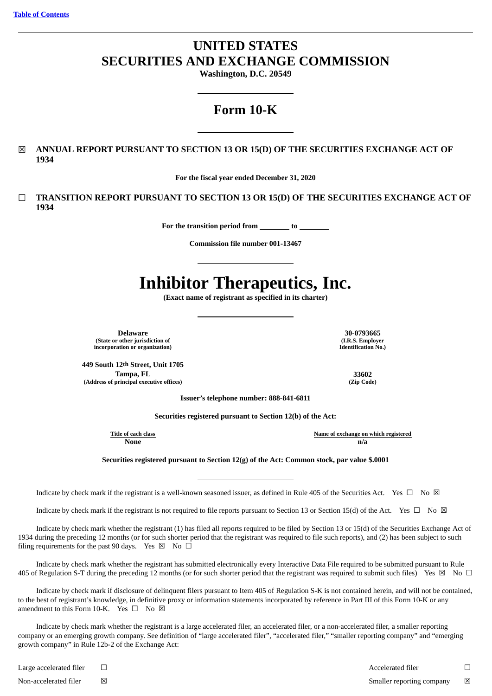# **UNITED STATES SECURITIES AND EXCHANGE COMMISSION**

**Washington, D.C. 20549**

# **Form 10-K**

☒ **ANNUAL REPORT PURSUANT TO SECTION 13 OR 15(D) OF THE SECURITIES EXCHANGE ACT OF 1934**

**For the fiscal year ended December 31, 2020**

☐ **TRANSITION REPORT PURSUANT TO SECTION 13 OR 15(D) OF THE SECURITIES EXCHANGE ACT OF 1934**

**For the transition period from to**

**Commission file number 001-13467**

# **Inhibitor Therapeutics, Inc.**

**(Exact name of registrant as specified in its charter)**

**Delaware 30-0793665 (State or other jurisdiction of incorporation or organization)**

**449 South 12th Street, Unit 1705 Tampa, FL 33602 (Address of principal executive offices) (Zip Code)**

**Issuer's telephone number: 888-841-6811**

**Securities registered pursuant to Section 12(b) of the Act:**

**(I.R.S. Employer Identification No.)**

**Title of each class Name of exchange on which registered None n/a**

**Securities registered pursuant to Section 12(g) of the Act: Common stock, par value \$.0001**

Indicate by check mark if the registrant is a well-known seasoned issuer, as defined in Rule 405 of the Securities Act. Yes  $\Box$  No  $\boxtimes$ 

Indicate by check mark if the registrant is not required to file reports pursuant to Section 13 or Section 15(d) of the Act. Yes  $\Box$  No  $\boxtimes$ 

Indicate by check mark whether the registrant (1) has filed all reports required to be filed by Section 13 or 15(d) of the Securities Exchange Act of 1934 during the preceding 12 months (or for such shorter period that the registrant was required to file such reports), and (2) has been subject to such filing requirements for the past 90 days. Yes  $\boxtimes$  No  $\Box$ 

Indicate by check mark whether the registrant has submitted electronically every Interactive Data File required to be submitted pursuant to Rule 405 of Regulation S-T during the preceding 12 months (or for such shorter period that the registrant was required to submit such files) Yes  $\boxtimes$  No  $\Box$ 

Indicate by check mark if disclosure of delinquent filers pursuant to Item 405 of Regulation S-K is not contained herein, and will not be contained, to the best of registrant's knowledge, in definitive proxy or information statements incorporated by reference in Part III of this Form 10-K or any amendment to this Form 10-K. Yes  $\square$  No  $\square$ 

Indicate by check mark whether the registrant is a large accelerated filer, an accelerated filer, or a non-accelerated filer, a smaller reporting company or an emerging growth company. See definition of "large accelerated filer", "accelerated filer," "smaller reporting company" and "emerging growth company" in Rule 12b-2 of the Exchange Act:

Large accelerated filer ☐ Accelerated filer ☐ Non-accelerated filer **⊠** △ Smaller reporting company **⊠** Smaller reporting company **⊠**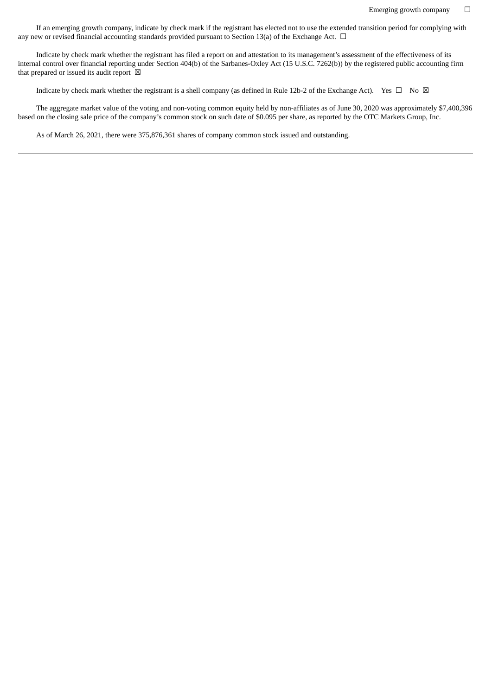If an emerging growth company, indicate by check mark if the registrant has elected not to use the extended transition period for complying with any new or revised financial accounting standards provided pursuant to Section 13(a) of the Exchange Act.  $\Box$ 

Indicate by check mark whether the registrant has filed a report on and attestation to its management's assessment of the effectiveness of its internal control over financial reporting under Section 404(b) of the Sarbanes-Oxley Act (15 U.S.C. 7262(b)) by the registered public accounting firm that prepared or issued its audit report  $\boxtimes$ 

Indicate by check mark whether the registrant is a shell company (as defined in Rule 12b-2 of the Exchange Act). Yes  $\Box$  No  $\boxtimes$ 

The aggregate market value of the voting and non-voting common equity held by non-affiliates as of June 30, 2020 was approximately \$7,400,396 based on the closing sale price of the company's common stock on such date of \$0.095 per share, as reported by the OTC Markets Group, Inc.

As of March 26, 2021, there were 375,876,361 shares of company common stock issued and outstanding.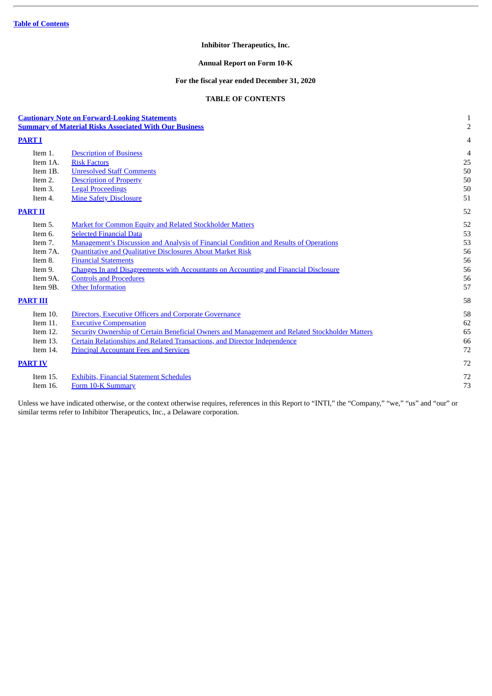# **Inhibitor Therapeutics, Inc.**

# **Annual Report on Form 10-K**

# **For the fiscal year ended December 31, 2020**

# **TABLE OF CONTENTS**

<span id="page-2-0"></span>

|                                                                                         | <b>Cautionary Note on Forward-Looking Statements</b>                                                                                                                                                                                                                                                                                                                                                                                                        | $\mathbf{1}$                                 |
|-----------------------------------------------------------------------------------------|-------------------------------------------------------------------------------------------------------------------------------------------------------------------------------------------------------------------------------------------------------------------------------------------------------------------------------------------------------------------------------------------------------------------------------------------------------------|----------------------------------------------|
|                                                                                         | <b>Summary of Material Risks Associated With Our Business</b>                                                                                                                                                                                                                                                                                                                                                                                               | $\overline{2}$                               |
| <b>PART I</b>                                                                           |                                                                                                                                                                                                                                                                                                                                                                                                                                                             | 4                                            |
| Item 1.<br>Item 1A.<br>Item 1B.<br>Item 2.<br>Item 3.<br>Item 4.                        | <b>Description of Business</b><br><b>Risk Factors</b><br><b>Unresolved Staff Comments</b><br><b>Description of Property</b><br><b>Legal Proceedings</b><br><b>Mine Safety Disclosure</b>                                                                                                                                                                                                                                                                    | 4<br>25<br>$50\,$<br>50<br>50<br>51          |
| <b>PART II</b>                                                                          |                                                                                                                                                                                                                                                                                                                                                                                                                                                             | 52                                           |
| Item 5.<br>Item 6.<br>Item 7.<br>Item 7A.<br>Item 8.<br>Item 9.<br>Item 9A.<br>Item 9B. | Market for Common Equity and Related Stockholder Matters<br><b>Selected Financial Data</b><br><b>Management's Discussion and Analysis of Financial Condition and Results of Operations</b><br><b>Quantitative and Qualitative Disclosures About Market Risk</b><br><b>Financial Statements</b><br><b>Changes In and Disagreements with Accountants on Accounting and Financial Disclosure</b><br><b>Controls and Procedures</b><br><b>Other Information</b> | 52<br>53<br>53<br>56<br>56<br>56<br>56<br>57 |
| <b>PART III</b>                                                                         |                                                                                                                                                                                                                                                                                                                                                                                                                                                             | 58                                           |
| Item 10.<br>Item 11.<br>Item 12.<br>Item 13.<br>Item 14.                                | <b>Directors, Executive Officers and Corporate Governance</b><br><b>Executive Compensation</b><br><b>Security Ownership of Certain Beneficial Owners and Management and Related Stockholder Matters</b><br>Certain Relationships and Related Transactions, and Director Independence<br><b>Principal Accountant Fees and Services</b>                                                                                                                       | 58<br>62<br>65<br>66<br>72                   |
| PART IV                                                                                 |                                                                                                                                                                                                                                                                                                                                                                                                                                                             | 72                                           |
| Item 15.<br>Item 16.                                                                    | <b>Exhibits, Financial Statement Schedules</b><br>Form 10-K Summary                                                                                                                                                                                                                                                                                                                                                                                         | 72<br>73                                     |
|                                                                                         |                                                                                                                                                                                                                                                                                                                                                                                                                                                             |                                              |

Unless we have indicated otherwise, or the context otherwise requires, references in this Report to "INTI," the "Company," "we," "us" and "our" or similar terms refer to Inhibitor Therapeutics, Inc., a Delaware corporation.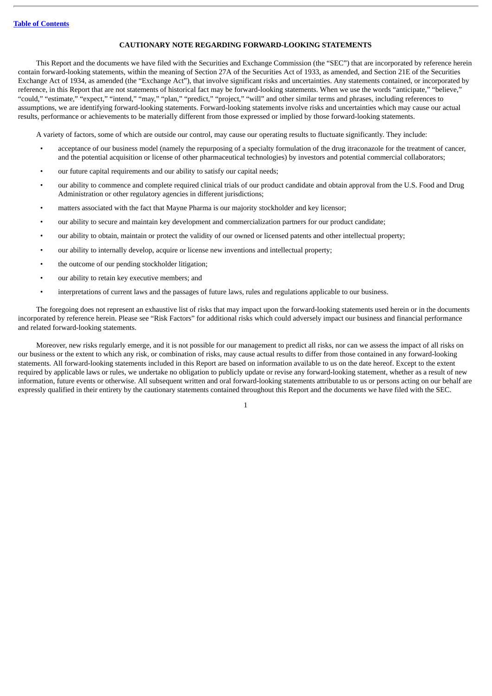# **CAUTIONARY NOTE REGARDING FORWARD-LOOKING STATEMENTS**

<span id="page-3-0"></span>This Report and the documents we have filed with the Securities and Exchange Commission (the "SEC") that are incorporated by reference herein contain forward-looking statements, within the meaning of Section 27A of the Securities Act of 1933, as amended, and Section 21E of the Securities Exchange Act of 1934, as amended (the "Exchange Act"), that involve significant risks and uncertainties. Any statements contained, or incorporated by reference, in this Report that are not statements of historical fact may be forward-looking statements. When we use the words "anticipate," "believe," "could," "estimate," "expect," "intend," "may," "plan," "predict," "project," "will" and other similar terms and phrases, including references to assumptions, we are identifying forward-looking statements. Forward-looking statements involve risks and uncertainties which may cause our actual results, performance or achievements to be materially different from those expressed or implied by those forward-looking statements.

A variety of factors, some of which are outside our control, may cause our operating results to fluctuate significantly. They include:

- acceptance of our business model (namely the repurposing of a specialty formulation of the drug itraconazole for the treatment of cancer, and the potential acquisition or license of other pharmaceutical technologies) by investors and potential commercial collaborators;
- our future capital requirements and our ability to satisfy our capital needs;
- our ability to commence and complete required clinical trials of our product candidate and obtain approval from the U.S. Food and Drug Administration or other regulatory agencies in different jurisdictions;
- matters associated with the fact that Mayne Pharma is our majority stockholder and key licensor;
- our ability to secure and maintain key development and commercialization partners for our product candidate;
- our ability to obtain, maintain or protect the validity of our owned or licensed patents and other intellectual property;
- our ability to internally develop, acquire or license new inventions and intellectual property;
- the outcome of our pending stockholder litigation;
- our ability to retain key executive members; and
- interpretations of current laws and the passages of future laws, rules and regulations applicable to our business.

The foregoing does not represent an exhaustive list of risks that may impact upon the forward-looking statements used herein or in the documents incorporated by reference herein. Please see "Risk Factors" for additional risks which could adversely impact our business and financial performance and related forward-looking statements.

Moreover, new risks regularly emerge, and it is not possible for our management to predict all risks, nor can we assess the impact of all risks on our business or the extent to which any risk, or combination of risks, may cause actual results to differ from those contained in any forward-looking statements. All forward-looking statements included in this Report are based on information available to us on the date hereof. Except to the extent required by applicable laws or rules, we undertake no obligation to publicly update or revise any forward-looking statement, whether as a result of new information, future events or otherwise. All subsequent written and oral forward-looking statements attributable to us or persons acting on our behalf are expressly qualified in their entirety by the cautionary statements contained throughout this Report and the documents we have filed with the SEC.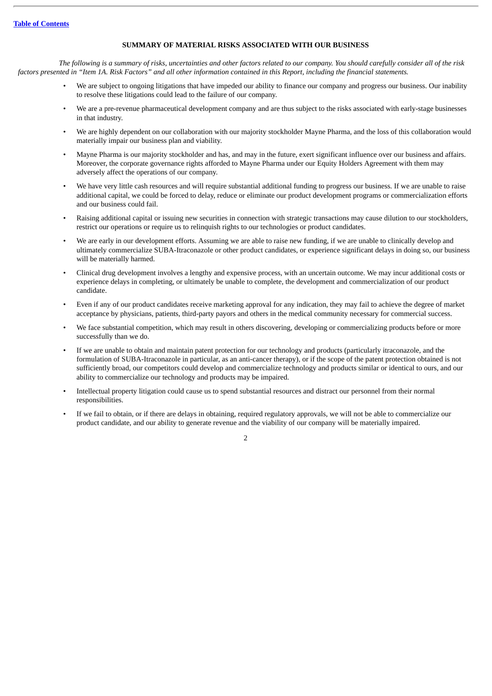# **SUMMARY OF MATERIAL RISKS ASSOCIATED WITH OUR BUSINESS**

<span id="page-4-0"></span>The following is a summary of risks, uncertainties and other factors related to our company. You should carefully consider all of the risk factors presented in "Item 1A. Risk Factors" and all other information contained in this Report, including the financial statements.

- We are subject to ongoing litigations that have impeded our ability to finance our company and progress our business. Our inability to resolve these litigations could lead to the failure of our company.
- We are a pre-revenue pharmaceutical development company and are thus subject to the risks associated with early-stage businesses in that industry.
- We are highly dependent on our collaboration with our majority stockholder Mayne Pharma, and the loss of this collaboration would materially impair our business plan and viability.
- Mayne Pharma is our majority stockholder and has, and may in the future, exert significant influence over our business and affairs. Moreover, the corporate governance rights afforded to Mayne Pharma under our Equity Holders Agreement with them may adversely affect the operations of our company.
- We have very little cash resources and will require substantial additional funding to progress our business. If we are unable to raise additional capital, we could be forced to delay, reduce or eliminate our product development programs or commercialization efforts and our business could fail.
- Raising additional capital or issuing new securities in connection with strategic transactions may cause dilution to our stockholders, restrict our operations or require us to relinquish rights to our technologies or product candidates.
- We are early in our development efforts. Assuming we are able to raise new funding, if we are unable to clinically develop and ultimately commercialize SUBA-Itraconazole or other product candidates, or experience significant delays in doing so, our business will be materially harmed.
- Clinical drug development involves a lengthy and expensive process, with an uncertain outcome. We may incur additional costs or experience delays in completing, or ultimately be unable to complete, the development and commercialization of our product candidate.
- Even if any of our product candidates receive marketing approval for any indication, they may fail to achieve the degree of market acceptance by physicians, patients, third-party payors and others in the medical community necessary for commercial success.
- We face substantial competition, which may result in others discovering, developing or commercializing products before or more successfully than we do.
- If we are unable to obtain and maintain patent protection for our technology and products (particularly itraconazole, and the formulation of SUBA-Itraconazole in particular, as an anti-cancer therapy), or if the scope of the patent protection obtained is not sufficiently broad, our competitors could develop and commercialize technology and products similar or identical to ours, and our ability to commercialize our technology and products may be impaired.
- Intellectual property litigation could cause us to spend substantial resources and distract our personnel from their normal responsibilities.
- If we fail to obtain, or if there are delays in obtaining, required regulatory approvals, we will not be able to commercialize our product candidate, and our ability to generate revenue and the viability of our company will be materially impaired.

 $\overline{2}$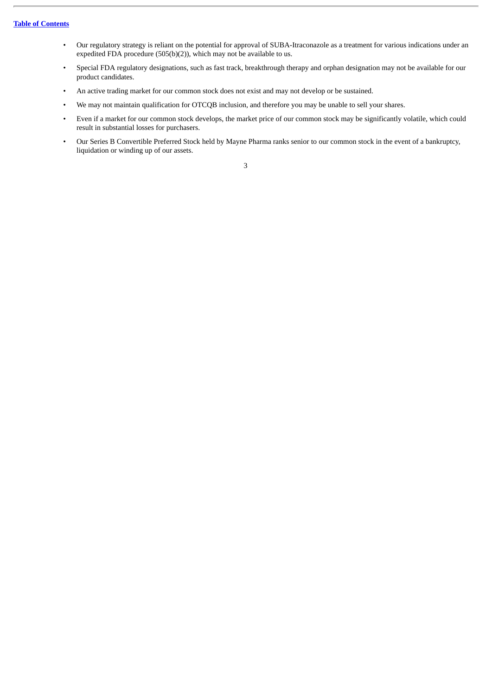- Our regulatory strategy is reliant on the potential for approval of SUBA-Itraconazole as a treatment for various indications under an expedited FDA procedure (505(b)(2)), which may not be available to us.
- Special FDA regulatory designations, such as fast track, breakthrough therapy and orphan designation may not be available for our product candidates.
- An active trading market for our common stock does not exist and may not develop or be sustained.
- We may not maintain qualification for OTCQB inclusion, and therefore you may be unable to sell your shares.
- Even if a market for our common stock develops, the market price of our common stock may be significantly volatile, which could result in substantial losses for purchasers.
- Our Series B Convertible Preferred Stock held by Mayne Pharma ranks senior to our common stock in the event of a bankruptcy, liquidation or winding up of our assets.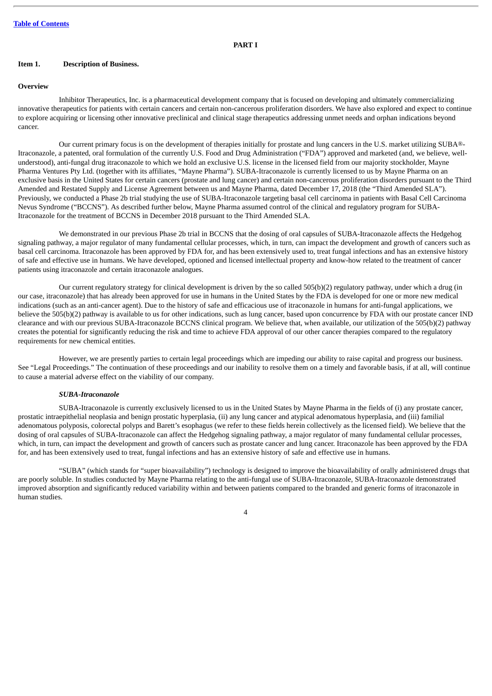#### **PART I**

#### <span id="page-6-1"></span><span id="page-6-0"></span>**Item 1. Description of Business.**

#### **Overview**

Inhibitor Therapeutics, Inc. is a pharmaceutical development company that is focused on developing and ultimately commercializing innovative therapeutics for patients with certain cancers and certain non-cancerous proliferation disorders. We have also explored and expect to continue to explore acquiring or licensing other innovative preclinical and clinical stage therapeutics addressing unmet needs and orphan indications beyond cancer.

Our current primary focus is on the development of therapies initially for prostate and lung cancers in the U.S. market utilizing SUBA®- Itraconazole, a patented, oral formulation of the currently U.S. Food and Drug Administration ("FDA") approved and marketed (and, we believe, wellunderstood), anti-fungal drug itraconazole to which we hold an exclusive U.S. license in the licensed field from our majority stockholder, Mayne Pharma Ventures Pty Ltd. (together with its affiliates, "Mayne Pharma"). SUBA-Itraconazole is currently licensed to us by Mayne Pharma on an exclusive basis in the United States for certain cancers (prostate and lung cancer) and certain non-cancerous proliferation disorders pursuant to the Third Amended and Restated Supply and License Agreement between us and Mayne Pharma, dated December 17, 2018 (the "Third Amended SLA"). Previously, we conducted a Phase 2b trial studying the use of SUBA-Itraconazole targeting basal cell carcinoma in patients with Basal Cell Carcinoma Nevus Syndrome ("BCCNS"). As described further below, Mayne Pharma assumed control of the clinical and regulatory program for SUBA-Itraconazole for the treatment of BCCNS in December 2018 pursuant to the Third Amended SLA.

We demonstrated in our previous Phase 2b trial in BCCNS that the dosing of oral capsules of SUBA-Itraconazole affects the Hedgehog signaling pathway, a major regulator of many fundamental cellular processes, which, in turn, can impact the development and growth of cancers such as basal cell carcinoma. Itraconazole has been approved by FDA for, and has been extensively used to, treat fungal infections and has an extensive history of safe and effective use in humans. We have developed, optioned and licensed intellectual property and know-how related to the treatment of cancer patients using itraconazole and certain itraconazole analogues.

Our current regulatory strategy for clinical development is driven by the so called 505(b)(2) regulatory pathway, under which a drug (in our case, itraconazole) that has already been approved for use in humans in the United States by the FDA is developed for one or more new medical indications (such as an anti-cancer agent). Due to the history of safe and efficacious use of itraconazole in humans for anti-fungal applications, we believe the 505(b)(2) pathway is available to us for other indications, such as lung cancer, based upon concurrence by FDA with our prostate cancer IND clearance and with our previous SUBA-Itraconazole BCCNS clinical program. We believe that, when available, our utilization of the 505(b)(2) pathway creates the potential for significantly reducing the risk and time to achieve FDA approval of our other cancer therapies compared to the regulatory requirements for new chemical entities.

However, we are presently parties to certain legal proceedings which are impeding our ability to raise capital and progress our business. See "Legal Proceedings." The continuation of these proceedings and our inability to resolve them on a timely and favorable basis, if at all, will continue to cause a material adverse effect on the viability of our company.

# *SUBA-Itraconazole*

SUBA-Itraconazole is currently exclusively licensed to us in the United States by Mayne Pharma in the fields of (i) any prostate cancer, prostatic intraepithelial neoplasia and benign prostatic hyperplasia, (ii) any lung cancer and atypical adenomatous hyperplasia, and (iii) familial adenomatous polyposis, colorectal polyps and Barett's esophagus (we refer to these fields herein collectively as the licensed field). We believe that the dosing of oral capsules of SUBA-Itraconazole can affect the Hedgehog signaling pathway, a major regulator of many fundamental cellular processes, which, in turn, can impact the development and growth of cancers such as prostate cancer and lung cancer. Itraconazole has been approved by the FDA for, and has been extensively used to treat, fungal infections and has an extensive history of safe and effective use in humans.

"SUBA" (which stands for "super bioavailability") technology is designed to improve the bioavailability of orally administered drugs that are poorly soluble. In studies conducted by Mayne Pharma relating to the anti-fungal use of SUBA-Itraconazole, SUBA-Itraconazole demonstrated improved absorption and significantly reduced variability within and between patients compared to the branded and generic forms of itraconazole in human studies.

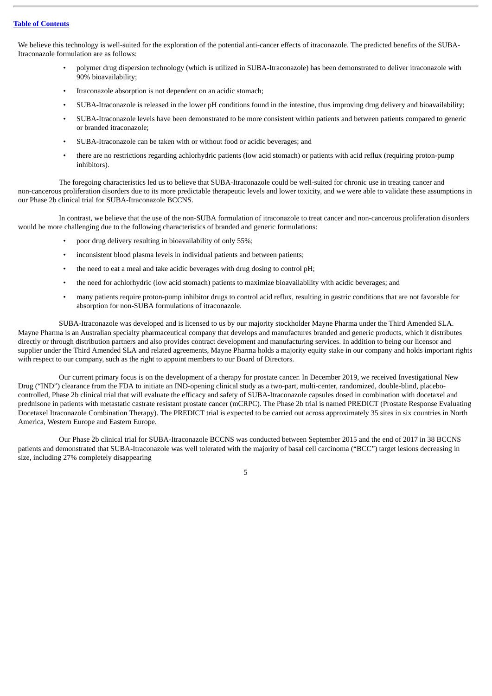We believe this technology is well-suited for the exploration of the potential anti-cancer effects of itraconazole. The predicted benefits of the SUBA-Itraconazole formulation are as follows:

- polymer drug dispersion technology (which is utilized in SUBA-Itraconazole) has been demonstrated to deliver itraconazole with 90% bioavailability;
- Itraconazole absorption is not dependent on an acidic stomach;
- SUBA-Itraconazole is released in the lower pH conditions found in the intestine, thus improving drug delivery and bioavailability;
- SUBA-Itraconazole levels have been demonstrated to be more consistent within patients and between patients compared to generic or branded itraconazole;
- SUBA-Itraconazole can be taken with or without food or acidic beverages; and
- there are no restrictions regarding achlorhydric patients (low acid stomach) or patients with acid reflux (requiring proton-pump inhibitors).

The foregoing characteristics led us to believe that SUBA-Itraconazole could be well-suited for chronic use in treating cancer and non-cancerous proliferation disorders due to its more predictable therapeutic levels and lower toxicity, and we were able to validate these assumptions in our Phase 2b clinical trial for SUBA-Itraconazole BCCNS.

In contrast, we believe that the use of the non-SUBA formulation of itraconazole to treat cancer and non-cancerous proliferation disorders would be more challenging due to the following characteristics of branded and generic formulations:

- poor drug delivery resulting in bioavailability of only 55%;
- inconsistent blood plasma levels in individual patients and between patients;
- the need to eat a meal and take acidic beverages with drug dosing to control pH;
- the need for achlorhydric (low acid stomach) patients to maximize bioavailability with acidic beverages; and
- many patients require proton-pump inhibitor drugs to control acid reflux, resulting in gastric conditions that are not favorable for absorption for non-SUBA formulations of itraconazole.

SUBA-Itraconazole was developed and is licensed to us by our majority stockholder Mayne Pharma under the Third Amended SLA. Mayne Pharma is an Australian specialty pharmaceutical company that develops and manufactures branded and generic products, which it distributes directly or through distribution partners and also provides contract development and manufacturing services. In addition to being our licensor and supplier under the Third Amended SLA and related agreements, Mayne Pharma holds a majority equity stake in our company and holds important rights with respect to our company, such as the right to appoint members to our Board of Directors.

Our current primary focus is on the development of a therapy for prostate cancer. In December 2019, we received Investigational New Drug ("IND") clearance from the FDA to initiate an IND-opening clinical study as a two-part, multi-center, randomized, double-blind, placebocontrolled, Phase 2b clinical trial that will evaluate the efficacy and safety of SUBA-Itraconazole capsules dosed in combination with docetaxel and prednisone in patients with metastatic castrate resistant prostate cancer (mCRPC). The Phase 2b trial is named PREDICT (Prostate Response Evaluating Docetaxel Itraconazole Combination Therapy). The PREDICT trial is expected to be carried out across approximately 35 sites in six countries in North America, Western Europe and Eastern Europe.

Our Phase 2b clinical trial for SUBA-Itraconazole BCCNS was conducted between September 2015 and the end of 2017 in 38 BCCNS patients and demonstrated that SUBA-Itraconazole was well tolerated with the majority of basal cell carcinoma ("BCC") target lesions decreasing in size, including 27% completely disappearing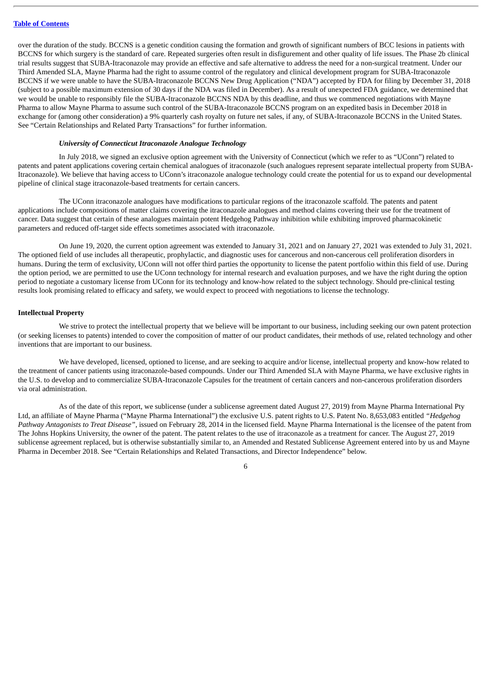over the duration of the study. BCCNS is a genetic condition causing the formation and growth of significant numbers of BCC lesions in patients with BCCNS for which surgery is the standard of care. Repeated surgeries often result in disfigurement and other quality of life issues. The Phase 2b clinical trial results suggest that SUBA-Itraconazole may provide an effective and safe alternative to address the need for a non-surgical treatment. Under our Third Amended SLA, Mayne Pharma had the right to assume control of the regulatory and clinical development program for SUBA-Itraconazole BCCNS if we were unable to have the SUBA-Itraconazole BCCNS New Drug Application ("NDA") accepted by FDA for filing by December 31, 2018 (subject to a possible maximum extension of 30 days if the NDA was filed in December). As a result of unexpected FDA guidance, we determined that we would be unable to responsibly file the SUBA-Itraconazole BCCNS NDA by this deadline, and thus we commenced negotiations with Mayne Pharma to allow Mayne Pharma to assume such control of the SUBA-Itraconazole BCCNS program on an expedited basis in December 2018 in exchange for (among other consideration) a 9% quarterly cash royalty on future net sales, if any, of SUBA-Itraconazole BCCNS in the United States. See "Certain Relationships and Related Party Transactions" for further information.

#### *University of Connecticut Itraconazole Analogue Technology*

In July 2018, we signed an exclusive option agreement with the University of Connecticut (which we refer to as "UConn") related to patents and patent applications covering certain chemical analogues of itraconazole (such analogues represent separate intellectual property from SUBA-Itraconazole). We believe that having access to UConn's itraconazole analogue technology could create the potential for us to expand our developmental pipeline of clinical stage itraconazole-based treatments for certain cancers.

The UConn itraconazole analogues have modifications to particular regions of the itraconazole scaffold. The patents and patent applications include compositions of matter claims covering the itraconazole analogues and method claims covering their use for the treatment of cancer. Data suggest that certain of these analogues maintain potent Hedgehog Pathway inhibition while exhibiting improved pharmacokinetic parameters and reduced off-target side effects sometimes associated with itraconazole.

On June 19, 2020, the current option agreement was extended to January 31, 2021 and on January 27, 2021 was extended to July 31, 2021. The optioned field of use includes all therapeutic, prophylactic, and diagnostic uses for cancerous and non-cancerous cell proliferation disorders in humans. During the term of exclusivity, UConn will not offer third parties the opportunity to license the patent portfolio within this field of use. During the option period, we are permitted to use the UConn technology for internal research and evaluation purposes, and we have the right during the option period to negotiate a customary license from UConn for its technology and know-how related to the subject technology. Should pre-clinical testing results look promising related to efficacy and safety, we would expect to proceed with negotiations to license the technology.

#### **Intellectual Property**

We strive to protect the intellectual property that we believe will be important to our business, including seeking our own patent protection (or seeking licenses to patents) intended to cover the composition of matter of our product candidates, their methods of use, related technology and other inventions that are important to our business.

We have developed, licensed, optioned to license, and are seeking to acquire and/or license, intellectual property and know-how related to the treatment of cancer patients using itraconazole-based compounds. Under our Third Amended SLA with Mayne Pharma, we have exclusive rights in the U.S. to develop and to commercialize SUBA-Itraconazole Capsules for the treatment of certain cancers and non-cancerous proliferation disorders via oral administration.

As of the date of this report, we sublicense (under a sublicense agreement dated August 27, 2019) from Mayne Pharma International Pty Ltd, an affiliate of Mayne Pharma ("Mayne Pharma International") the exclusive U.S. patent rights to U.S. Patent No. 8,653,083 entitled *"Hedgehog Pathway Antagonists to Treat Disease",* issued on February 28, 2014 in the licensed field. Mayne Pharma International is the licensee of the patent from The Johns Hopkins University, the owner of the patent. The patent relates to the use of itraconazole as a treatment for cancer. The August 27, 2019 sublicense agreement replaced, but is otherwise substantially similar to, an Amended and Restated Sublicense Agreement entered into by us and Mayne Pharma in December 2018. See "Certain Relationships and Related Transactions, and Director Independence" below.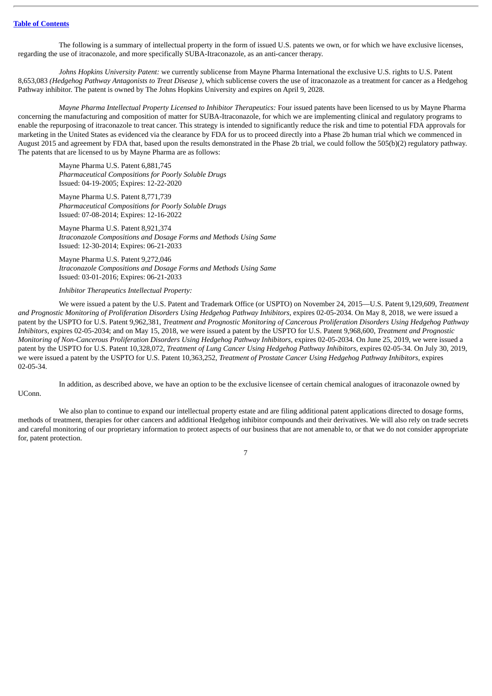UConn.

The following is a summary of intellectual property in the form of issued U.S. patents we own, or for which we have exclusive licenses, regarding the use of itraconazole, and more specifically SUBA-Itraconazole, as an anti-cancer therapy.

*Johns Hopkins University Patent:* we currently sublicense from Mayne Pharma International the exclusive U.S. rights to U.S. Patent 8,653,083 *(Hedgehog Pathway Antagonists to Treat Disease )*, which sublicense covers the use of itraconazole as a treatment for cancer as a Hedgehog Pathway inhibitor. The patent is owned by The Johns Hopkins University and expires on April 9, 2028.

*Mayne Pharma Intellectual Property Licensed to Inhibitor Therapeutics:* Four issued patents have been licensed to us by Mayne Pharma concerning the manufacturing and composition of matter for SUBA-Itraconazole, for which we are implementing clinical and regulatory programs to enable the repurposing of itraconazole to treat cancer. This strategy is intended to significantly reduce the risk and time to potential FDA approvals for marketing in the United States as evidenced via the clearance by FDA for us to proceed directly into a Phase 2b human trial which we commenced in August 2015 and agreement by FDA that, based upon the results demonstrated in the Phase 2b trial, we could follow the 505(b)(2) regulatory pathway. The patents that are licensed to us by Mayne Pharma are as follows:

Mayne Pharma U.S. Patent 6,881,745 *Pharmaceutical Compositions for Poorly Soluble Drugs* Issued: 04-19-2005; Expires: 12-22-2020

Mayne Pharma U.S. Patent 8,771,739 *Pharmaceutical Compositions for Poorly Soluble Drugs* Issued: 07-08-2014; Expires: 12-16-2022

Mayne Pharma U.S. Patent 8,921,374 *Itraconazole Compositions and Dosage Forms and Methods Using Same* Issued: 12-30-2014; Expires: 06-21-2033

Mayne Pharma U.S. Patent 9,272,046 *Itraconazole Compositions and Dosage Forms and Methods Using Same* Issued: 03-01-2016; Expires: 06-21-2033

*Inhibitor Therapeutics Intellectual Property:*

We were issued a patent by the U.S. Patent and Trademark Office (or USPTO) on November 24, 2015—U.S. Patent 9,129,609, *Treatment and Prognostic Monitoring of Proliferation Disorders Using Hedgehog Pathway Inhibitors,* expires 02-05-2034. On May 8, 2018, we were issued a patent by the USPTO for U.S. Patent 9,962,381, *Treatment and Prognostic Monitoring of Cancerous Proliferation Disorders Using Hedgehog Pathway Inhibitors,* expires 02-05-2034; and on May 15, 2018, we were issued a patent by the USPTO for U.S. Patent 9,968,600, *Treatment and Prognostic Monitoring of Non-Cancerous Proliferation Disorders Using Hedgehog Pathway Inhibitors*, expires 02-05-2034. On June 25, 2019, we were issued a patent by the USPTO for U.S. Patent 10,328,072, *Treatment of Lung Cancer Using Hedgehog Pathway Inhibitors*, expires 02-05-34*.* On July 30, 2019, we were issued a patent by the USPTO for U.S. Patent 10,363,252, *Treatment of Prostate Cancer Using Hedgehog Pathway Inhibitors*, expires 02-05-34.

In addition, as described above, we have an option to be the exclusive licensee of certain chemical analogues of itraconazole owned by

We also plan to continue to expand our intellectual property estate and are filing additional patent applications directed to dosage forms, methods of treatment, therapies for other cancers and additional Hedgehog inhibitor compounds and their derivatives. We will also rely on trade secrets and careful monitoring of our proprietary information to protect aspects of our business that are not amenable to, or that we do not consider appropriate for, patent protection.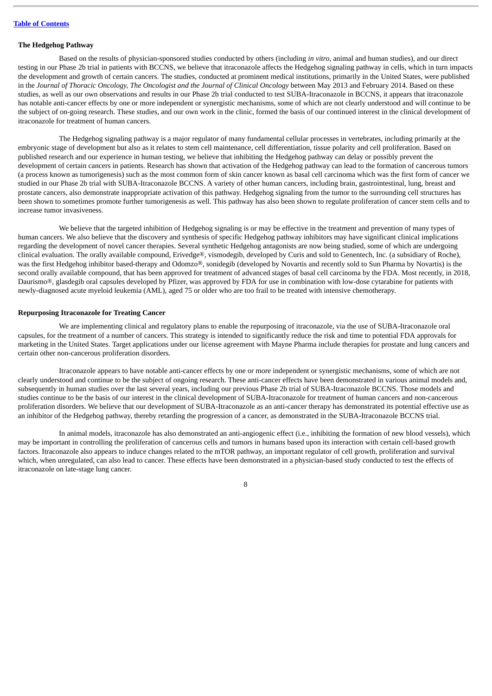## **The Hedgehog Pathway**

Based on the results of physician-sponsored studies conducted by others (including *in vitro*, animal and human studies), and our direct testing in our Phase 2b trial in patients with BCCNS, we believe that itraconazole affects the Hedgehog signaling pathway in cells, which in turn impacts the development and growth of certain cancers. The studies, conducted at prominent medical institutions, primarily in the United States, were published in the *Journal of Thoracic Oncology, The Oncologist and the Journal of Clinical Oncology* between May 2013 and February 2014. Based on these studies, as well as our own observations and results in our Phase 2b trial conducted to test SUBA-Itraconazole in BCCNS, it appears that itraconazole has notable anti-cancer effects by one or more independent or synergistic mechanisms, some of which are not clearly understood and will continue to be the subject of on-going research. These studies, and our own work in the clinic, formed the basis of our continued interest in the clinical development of itraconazole for treatment of human cancers.

The Hedgehog signaling pathway is a major regulator of many fundamental cellular processes in vertebrates, including primarily at the embryonic stage of development but also as it relates to stem cell maintenance, cell differentiation, tissue polarity and cell proliferation. Based on published research and our experience in human testing, we believe that inhibiting the Hedgehog pathway can delay or possibly prevent the development of certain cancers in patients. Research has shown that activation of the Hedgehog pathway can lead to the formation of cancerous tumors (a process known as tumorigenesis) such as the most common form of skin cancer known as basal cell carcinoma which was the first form of cancer we studied in our Phase 2b trial with SUBA-Itraconazole BCCNS. A variety of other human cancers, including brain, gastrointestinal, lung, breast and prostate cancers, also demonstrate inappropriate activation of this pathway. Hedgehog signaling from the tumor to the surrounding cell structures has been shown to sometimes promote further tumorigenesis as well. This pathway has also been shown to regulate proliferation of cancer stem cells and to increase tumor invasiveness.

We believe that the targeted inhibition of Hedgehog signaling is or may be effective in the treatment and prevention of many types of human cancers. We also believe that the discovery and synthesis of specific Hedgehog pathway inhibitors may have significant clinical implications regarding the development of novel cancer therapies. Several synthetic Hedgehog antagonists are now being studied, some of which are undergoing clinical evaluation. The orally available compound, Erivedge®, vismodegib, developed by Curis and sold to Genentech, Inc. (a subsidiary of Roche), was the first Hedgehog inhibitor based-therapy and Odomzo®, sonidegib (developed by Novartis and recently sold to Sun Pharma by Novartis) is the second orally available compound, that has been approved for treatment of advanced stages of basal cell carcinoma by the FDA. Most recently, in 2018, Daurismo®, glasdegib oral capsules developed by Pfizer, was approved by FDA for use in combination with low-dose cytarabine for patients with newly-diagnosed acute myeloid leukemia (AML), aged 75 or older who are too frail to be treated with intensive chemotherapy.

#### **Repurposing Itraconazole for Treating Cancer**

We are implementing clinical and regulatory plans to enable the repurposing of itraconazole, via the use of SUBA-Itraconazole oral capsules, for the treatment of a number of cancers. This strategy is intended to significantly reduce the risk and time to potential FDA approvals for marketing in the United States. Target applications under our license agreement with Mayne Pharma include therapies for prostate and lung cancers and certain other non-cancerous proliferation disorders.

Itraconazole appears to have notable anti-cancer effects by one or more independent or synergistic mechanisms, some of which are not clearly understood and continue to be the subject of ongoing research. These anti-cancer effects have been demonstrated in various animal models and, subsequently in human studies over the last several years, including our previous Phase 2b trial of SUBA-Itraconazole BCCNS. Those models and studies continue to be the basis of our interest in the clinical development of SUBA-Itraconazole for treatment of human cancers and non-cancerous proliferation disorders. We believe that our development of SUBA-Itraconazole as an anti-cancer therapy has demonstrated its potential effective use as an inhibitor of the Hedgehog pathway, thereby retarding the progression of a cancer, as demonstrated in the SUBA-Itraconazole BCCNS trial.

In animal models, itraconazole has also demonstrated an anti-angiogenic effect (i.e., inhibiting the formation of new blood vessels), which may be important in controlling the proliferation of cancerous cells and tumors in humans based upon its interaction with certain cell-based growth factors. Itraconazole also appears to induce changes related to the mTOR pathway, an important regulator of cell growth, proliferation and survival which, when unregulated, can also lead to cancer. These effects have been demonstrated in a physician-based study conducted to test the effects of itraconazole on late-stage lung cancer.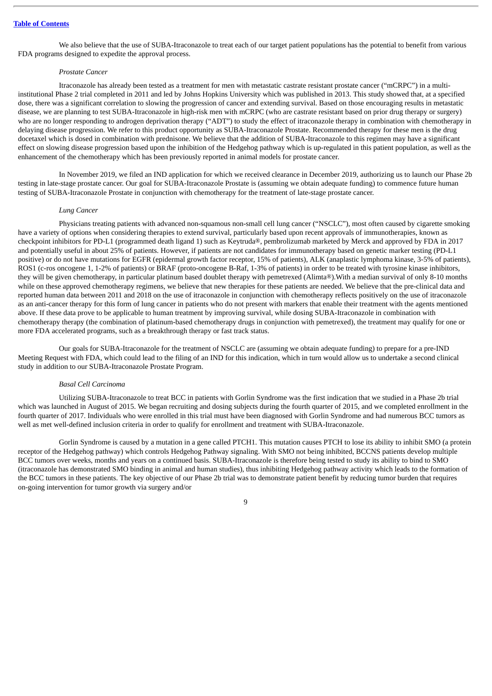We also believe that the use of SUBA-Itraconazole to treat each of our target patient populations has the potential to benefit from various FDA programs designed to expedite the approval process.

#### *Prostate Cancer*

Itraconazole has already been tested as a treatment for men with metastatic castrate resistant prostate cancer ("mCRPC") in a multiinstitutional Phase 2 trial completed in 2011 and led by Johns Hopkins University which was published in 2013. This study showed that, at a specified dose, there was a significant correlation to slowing the progression of cancer and extending survival. Based on those encouraging results in metastatic disease, we are planning to test SUBA-Itraconazole in high-risk men with mCRPC (who are castrate resistant based on prior drug therapy or surgery) who are no longer responding to androgen deprivation therapy ("ADT") to study the effect of itraconazole therapy in combination with chemotherapy in delaying disease progression. We refer to this product opportunity as SUBA-Itraconazole Prostate. Recommended therapy for these men is the drug docetaxel which is dosed in combination with prednisone. We believe that the addition of SUBA-Itraconazole to this regimen may have a significant effect on slowing disease progression based upon the inhibition of the Hedgehog pathway which is up-regulated in this patient population, as well as the enhancement of the chemotherapy which has been previously reported in animal models for prostate cancer.

In November 2019, we filed an IND application for which we received clearance in December 2019, authorizing us to launch our Phase 2b testing in late-stage prostate cancer. Our goal for SUBA-Itraconazole Prostate is (assuming we obtain adequate funding) to commence future human testing of SUBA-Itraconazole Prostate in conjunction with chemotherapy for the treatment of late-stage prostate cancer.

#### *Lung Cancer*

Physicians treating patients with advanced non-squamous non-small cell lung cancer ("NSCLC"), most often caused by cigarette smoking have a variety of options when considering therapies to extend survival, particularly based upon recent approvals of immunotherapies, known as checkpoint inhibitors for PD-L1 (programmed death ligand 1) such as Keytruda®, pembrolizumab marketed by Merck and approved by FDA in 2017 and potentially useful in about 25% of patients. However, if patients are not candidates for immunotherapy based on genetic marker testing (PD-L1 positive) or do not have mutations for EGFR (epidermal growth factor receptor, 15% of patients), ALK (anaplastic lymphoma kinase, 3-5% of patients), ROS1 (c-ros oncogene 1, 1-2% of patients) or BRAF (proto-oncogene B-Raf, 1-3% of patients) in order to be treated with tyrosine kinase inhibitors, they will be given chemotherapy, in particular platinum based doublet therapy with pemetrexed (Alimta®).With a median survival of only 8-10 months while on these approved chemotherapy regimens, we believe that new therapies for these patients are needed. We believe that the pre-clinical data and reported human data between 2011 and 2018 on the use of itraconazole in conjunction with chemotherapy reflects positively on the use of itraconazole as an anti-cancer therapy for this form of lung cancer in patients who do not present with markers that enable their treatment with the agents mentioned above. If these data prove to be applicable to human treatment by improving survival, while dosing SUBA-Itraconazole in combination with chemotherapy therapy (the combination of platinum-based chemotherapy drugs in conjunction with pemetrexed), the treatment may qualify for one or more FDA accelerated programs, such as a breakthrough therapy or fast track status.

Our goals for SUBA-Itraconazole for the treatment of NSCLC are (assuming we obtain adequate funding) to prepare for a pre-IND Meeting Request with FDA, which could lead to the filing of an IND for this indication, which in turn would allow us to undertake a second clinical study in addition to our SUBA-Itraconazole Prostate Program.

# *Basal Cell Carcinoma*

Utilizing SUBA-Itraconazole to treat BCC in patients with Gorlin Syndrome was the first indication that we studied in a Phase 2b trial which was launched in August of 2015. We began recruiting and dosing subjects during the fourth quarter of 2015, and we completed enrollment in the fourth quarter of 2017. Individuals who were enrolled in this trial must have been diagnosed with Gorlin Syndrome and had numerous BCC tumors as well as met well-defined inclusion criteria in order to qualify for enrollment and treatment with SUBA-Itraconazole.

Gorlin Syndrome is caused by a mutation in a gene called PTCH1. This mutation causes PTCH to lose its ability to inhibit SMO (a protein receptor of the Hedgehog pathway) which controls Hedgehog Pathway signaling. With SMO not being inhibited, BCCNS patients develop multiple BCC tumors over weeks, months and years on a continued basis. SUBA-Itraconazole is therefore being tested to study its ability to bind to SMO (itraconazole has demonstrated SMO binding in animal and human studies), thus inhibiting Hedgehog pathway activity which leads to the formation of the BCC tumors in these patients. The key objective of our Phase 2b trial was to demonstrate patient benefit by reducing tumor burden that requires on-going intervention for tumor growth via surgery and/or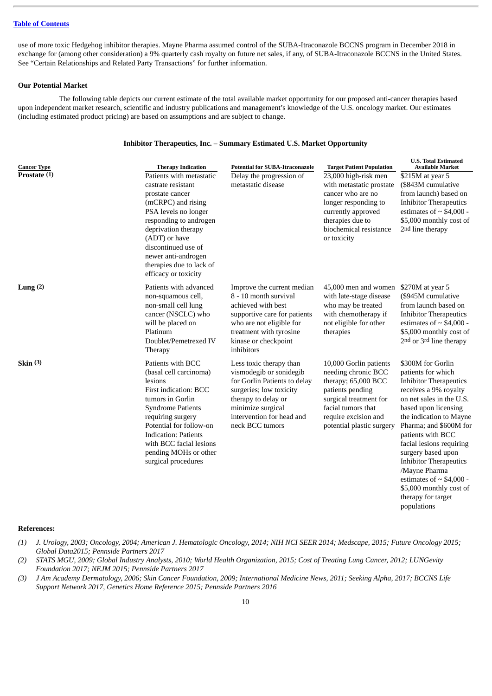use of more toxic Hedgehog inhibitor therapies. Mayne Pharma assumed control of the SUBA-Itraconazole BCCNS program in December 2018 in exchange for (among other consideration) a 9% quarterly cash royalty on future net sales, if any, of SUBA-Itraconazole BCCNS in the United States. See "Certain Relationships and Related Party Transactions" for further information.

# **Our Potential Market**

The following table depicts our current estimate of the total available market opportunity for our proposed anti-cancer therapies based upon independent market research, scientific and industry publications and management's knowledge of the U.S. oncology market. Our estimates (including estimated product pricing) are based on assumptions and are subject to change.

# **Inhibitor Therapeutics, Inc. – Summary Estimated U.S. Market Opportunity**

| <b>Cancer Type</b> | <b>Therapy Indication</b>                                                                                                                                                                                                                                                                 | <b>Potential for SUBA-Itraconazole</b>                                                                                                                                                                    | <b>Target Patient Population</b>                                                                                                                                                              | <b>U.S. Total Estimated</b><br><b>Available Market</b>                                                                                                                                                                                                                                                                                                                                                                               |
|--------------------|-------------------------------------------------------------------------------------------------------------------------------------------------------------------------------------------------------------------------------------------------------------------------------------------|-----------------------------------------------------------------------------------------------------------------------------------------------------------------------------------------------------------|-----------------------------------------------------------------------------------------------------------------------------------------------------------------------------------------------|--------------------------------------------------------------------------------------------------------------------------------------------------------------------------------------------------------------------------------------------------------------------------------------------------------------------------------------------------------------------------------------------------------------------------------------|
| Prostate (1)       | Patients with metastatic<br>castrate resistant<br>prostate cancer<br>(mCRPC) and rising<br>PSA levels no longer<br>responding to androgen<br>deprivation therapy<br>(ADT) or have<br>discontinued use of<br>newer anti-androgen<br>therapies due to lack of<br>efficacy or toxicity       | Delay the progression of<br>metastatic disease                                                                                                                                                            | 23,000 high-risk men<br>with metastatic prostate<br>cancer who are no<br>longer responding to<br>currently approved<br>therapies due to<br>biochemical resistance<br>or toxicity              | \$215M at year 5<br>(\$843M cumulative<br>from launch) based on<br><b>Inhibitor Therapeutics</b><br>estimates of $\sim$ \$4,000 -<br>\$5,000 monthly cost of<br>2nd line therapy                                                                                                                                                                                                                                                     |
| Lung $(2)$         | Patients with advanced<br>non-squamous cell,<br>non-small cell lung<br>cancer (NSCLC) who<br>will be placed on<br>Platinum<br>Doublet/Pemetrexed IV<br><b>Therapy</b>                                                                                                                     | Improve the current median<br>8 - 10 month survival<br>achieved with best<br>supportive care for patients<br>who are not eligible for<br>treatment with tyrosine<br>kinase or checkpoint<br>inhibitors    | 45,000 men and women \$270M at year 5<br>with late-stage disease<br>who may be treated<br>with chemotherapy if<br>not eligible for other<br>therapies                                         | (\$945M cumulative<br>from launch based on<br><b>Inhibitor Therapeutics</b><br>estimates of $\sim$ \$4,000 -<br>\$5,000 monthly cost of<br>2nd or 3rd line therapy                                                                                                                                                                                                                                                                   |
| Skin(3)            | Patients with BCC<br>(basal cell carcinoma)<br>lesions<br>First indication: BCC<br>tumors in Gorlin<br><b>Syndrome Patients</b><br>requiring surgery<br>Potential for follow-on<br><b>Indication: Patients</b><br>with BCC facial lesions<br>pending MOHs or other<br>surgical procedures | Less toxic therapy than<br>vismodegib or sonidegib<br>for Gorlin Patients to delay<br>surgeries; low toxicity<br>therapy to delay or<br>minimize surgical<br>intervention for head and<br>neck BCC tumors | 10,000 Gorlin patients<br>needing chronic BCC<br>therapy; 65,000 BCC<br>patients pending<br>surgical treatment for<br>facial tumors that<br>require excision and<br>potential plastic surgery | \$300M for Gorlin<br>patients for which<br><b>Inhibitor Therapeutics</b><br>receives a 9% royalty<br>on net sales in the U.S.<br>based upon licensing<br>the indication to Mayne<br>Pharma; and \$600M for<br>patients with BCC<br>facial lesions requiring<br>surgery based upon<br><b>Inhibitor Therapeutics</b><br>/Mayne Pharma<br>estimates of $\sim$ \$4,000 -<br>\$5,000 monthly cost of<br>therapy for target<br>populations |

#### **References:**

- (1) J. Urology, 2003; Oncology, 2004; American J. Hematologic Oncology, 2014; NIH NCI SEER 2014; Medscape, 2015; Future Oncology 2015; *Global Data2015; Pennside Partners 2017*
- (2) STATS MGU, 2009; Global Industry Analysts, 2010; World Health Organization, 2015; Cost of Treating Lung Cancer, 2012; LUNGevity *Foundation 2017; NEJM 2015; Pennside Partners 2017*
- (3) J Am Academy Dermatology, 2006; Skin Cancer Foundation, 2009; International Medicine News, 2011; Seeking Alpha, 2017; BCCNS Life *Support Network 2017, Genetics Home Reference 2015; Pennside Partners 2016*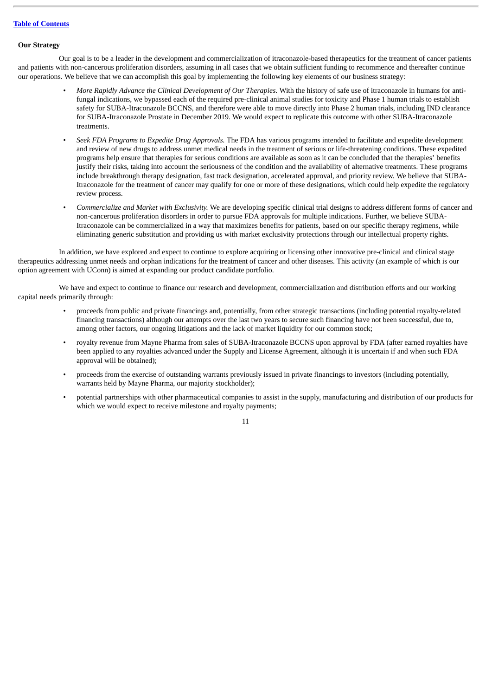#### **Our Strategy**

Our goal is to be a leader in the development and commercialization of itraconazole-based therapeutics for the treatment of cancer patients and patients with non-cancerous proliferation disorders, assuming in all cases that we obtain sufficient funding to recommence and thereafter continue our operations. We believe that we can accomplish this goal by implementing the following key elements of our business strategy:

- *More Rapidly Advance the Clinical Development of Our Therapies.* With the history of safe use of itraconazole in humans for antifungal indications, we bypassed each of the required pre-clinical animal studies for toxicity and Phase 1 human trials to establish safety for SUBA-Itraconazole BCCNS, and therefore were able to move directly into Phase 2 human trials, including IND clearance for SUBA-Itraconazole Prostate in December 2019. We would expect to replicate this outcome with other SUBA-Itraconazole treatments.
- *Seek FDA Programs to Expedite Drug Approvals.* The FDA has various programs intended to facilitate and expedite development and review of new drugs to address unmet medical needs in the treatment of serious or life-threatening conditions. These expedited programs help ensure that therapies for serious conditions are available as soon as it can be concluded that the therapies' benefits justify their risks, taking into account the seriousness of the condition and the availability of alternative treatments. These programs include breakthrough therapy designation, fast track designation, accelerated approval, and priority review. We believe that SUBA-Itraconazole for the treatment of cancer may qualify for one or more of these designations, which could help expedite the regulatory review process.
- *Commercialize and Market with Exclusivity.* We are developing specific clinical trial designs to address different forms of cancer and non-cancerous proliferation disorders in order to pursue FDA approvals for multiple indications. Further, we believe SUBA-Itraconazole can be commercialized in a way that maximizes benefits for patients, based on our specific therapy regimens, while eliminating generic substitution and providing us with market exclusivity protections through our intellectual property rights.

In addition, we have explored and expect to continue to explore acquiring or licensing other innovative pre-clinical and clinical stage therapeutics addressing unmet needs and orphan indications for the treatment of cancer and other diseases. This activity (an example of which is our option agreement with UConn) is aimed at expanding our product candidate portfolio.

We have and expect to continue to finance our research and development, commercialization and distribution efforts and our working capital needs primarily through:

- proceeds from public and private financings and, potentially, from other strategic transactions (including potential royalty-related financing transactions) although our attempts over the last two years to secure such financing have not been successful, due to, among other factors, our ongoing litigations and the lack of market liquidity for our common stock;
- royalty revenue from Mayne Pharma from sales of SUBA-Itraconazole BCCNS upon approval by FDA (after earned royalties have been applied to any royalties advanced under the Supply and License Agreement, although it is uncertain if and when such FDA approval will be obtained);
- proceeds from the exercise of outstanding warrants previously issued in private financings to investors (including potentially, warrants held by Mayne Pharma, our majority stockholder);
- potential partnerships with other pharmaceutical companies to assist in the supply, manufacturing and distribution of our products for which we would expect to receive milestone and royalty payments;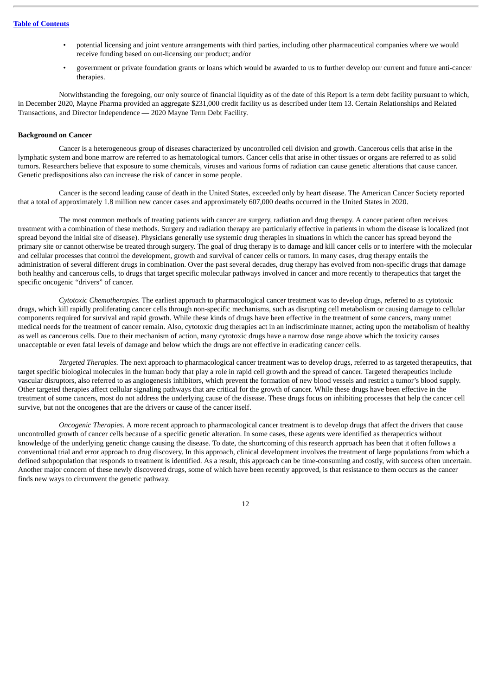- potential licensing and joint venture arrangements with third parties, including other pharmaceutical companies where we would receive funding based on out-licensing our product; and/or
- government or private foundation grants or loans which would be awarded to us to further develop our current and future anti-cancer therapies.

Notwithstanding the foregoing, our only source of financial liquidity as of the date of this Report is a term debt facility pursuant to which, in December 2020, Mayne Pharma provided an aggregate \$231,000 credit facility us as described under Item 13. Certain Relationships and Related Transactions, and Director Independence — 2020 Mayne Term Debt Facility.

#### **Background on Cancer**

Cancer is a heterogeneous group of diseases characterized by uncontrolled cell division and growth. Cancerous cells that arise in the lymphatic system and bone marrow are referred to as hematological tumors. Cancer cells that arise in other tissues or organs are referred to as solid tumors. Researchers believe that exposure to some chemicals, viruses and various forms of radiation can cause genetic alterations that cause cancer. Genetic predispositions also can increase the risk of cancer in some people.

Cancer is the second leading cause of death in the United States, exceeded only by heart disease. The American Cancer Society reported that a total of approximately 1.8 million new cancer cases and approximately 607,000 deaths occurred in the United States in 2020.

The most common methods of treating patients with cancer are surgery, radiation and drug therapy. A cancer patient often receives treatment with a combination of these methods. Surgery and radiation therapy are particularly effective in patients in whom the disease is localized (not spread beyond the initial site of disease). Physicians generally use systemic drug therapies in situations in which the cancer has spread beyond the primary site or cannot otherwise be treated through surgery. The goal of drug therapy is to damage and kill cancer cells or to interfere with the molecular and cellular processes that control the development, growth and survival of cancer cells or tumors. In many cases, drug therapy entails the administration of several different drugs in combination. Over the past several decades, drug therapy has evolved from non-specific drugs that damage both healthy and cancerous cells, to drugs that target specific molecular pathways involved in cancer and more recently to therapeutics that target the specific oncogenic "drivers" of cancer.

*Cytotoxic Chemotherapies.* The earliest approach to pharmacological cancer treatment was to develop drugs, referred to as cytotoxic drugs, which kill rapidly proliferating cancer cells through non-specific mechanisms, such as disrupting cell metabolism or causing damage to cellular components required for survival and rapid growth. While these kinds of drugs have been effective in the treatment of some cancers, many unmet medical needs for the treatment of cancer remain. Also, cytotoxic drug therapies act in an indiscriminate manner, acting upon the metabolism of healthy as well as cancerous cells. Due to their mechanism of action, many cytotoxic drugs have a narrow dose range above which the toxicity causes unacceptable or even fatal levels of damage and below which the drugs are not effective in eradicating cancer cells.

*Targeted Therapies.* The next approach to pharmacological cancer treatment was to develop drugs, referred to as targeted therapeutics, that target specific biological molecules in the human body that play a role in rapid cell growth and the spread of cancer. Targeted therapeutics include vascular disruptors, also referred to as angiogenesis inhibitors, which prevent the formation of new blood vessels and restrict a tumor's blood supply. Other targeted therapies affect cellular signaling pathways that are critical for the growth of cancer. While these drugs have been effective in the treatment of some cancers, most do not address the underlying cause of the disease. These drugs focus on inhibiting processes that help the cancer cell survive, but not the oncogenes that are the drivers or cause of the cancer itself.

*Oncogenic Therapies.* A more recent approach to pharmacological cancer treatment is to develop drugs that affect the drivers that cause uncontrolled growth of cancer cells because of a specific genetic alteration. In some cases, these agents were identified as therapeutics without knowledge of the underlying genetic change causing the disease. To date, the shortcoming of this research approach has been that it often follows a conventional trial and error approach to drug discovery. In this approach, clinical development involves the treatment of large populations from which a defined subpopulation that responds to treatment is identified. As a result, this approach can be time-consuming and costly, with success often uncertain. Another major concern of these newly discovered drugs, some of which have been recently approved, is that resistance to them occurs as the cancer finds new ways to circumvent the genetic pathway.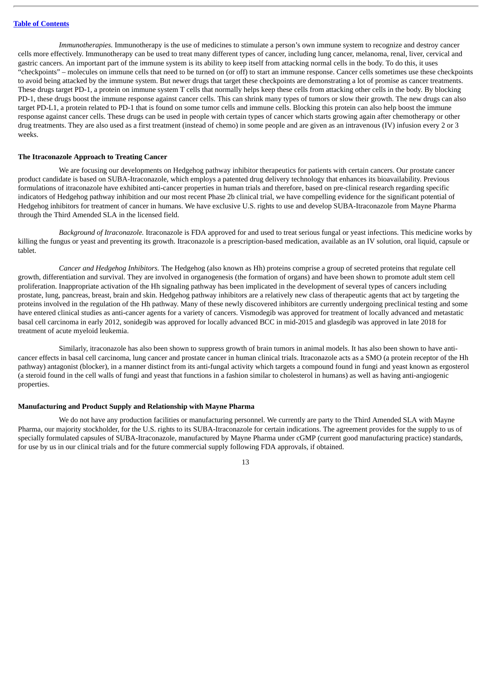*Immunotherapies.* Immunotherapy is the use of medicines to stimulate a person's own immune system to recognize and destroy cancer cells more effectively. Immunotherapy can be used to treat many different types of cancer, including lung cancer, melanoma, renal, liver, cervical and gastric cancers. An important part of the immune system is its ability to keep itself from attacking normal cells in the body. To do this, it uses "checkpoints" – molecules on immune cells that need to be turned on (or off) to start an immune response. Cancer cells sometimes use these checkpoints to avoid being attacked by the immune system. But newer drugs that target these checkpoints are demonstrating a lot of promise as cancer treatments. These drugs target PD-1, a protein on immune system T cells that normally helps keep these cells from attacking other cells in the body. By blocking PD-1, these drugs boost the immune response against cancer cells. This can shrink many types of tumors or slow their growth. The new drugs can also target PD-L1, a protein related to PD-1 that is found on some tumor cells and immune cells. Blocking this protein can also help boost the immune response against cancer cells. These drugs can be used in people with certain types of cancer which starts growing again after chemotherapy or other drug treatments. They are also used as a first treatment (instead of chemo) in some people and are given as an intravenous (IV) infusion every 2 or 3 weeks.

#### **The Itraconazole Approach to Treating Cancer**

We are focusing our developments on Hedgehog pathway inhibitor therapeutics for patients with certain cancers. Our prostate cancer product candidate is based on SUBA-Itraconazole, which employs a patented drug delivery technology that enhances its bioavailability. Previous formulations of itraconazole have exhibited anti-cancer properties in human trials and therefore, based on pre-clinical research regarding specific indicators of Hedgehog pathway inhibition and our most recent Phase 2b clinical trial, we have compelling evidence for the significant potential of Hedgehog inhibitors for treatment of cancer in humans. We have exclusive U.S. rights to use and develop SUBA-Itraconazole from Mayne Pharma through the Third Amended SLA in the licensed field.

*Background of Itraconazole.* Itraconazole is FDA approved for and used to treat serious fungal or yeast infections. This medicine works by killing the fungus or yeast and preventing its growth. Itraconazole is a prescription-based medication, available as an IV solution, oral liquid, capsule or tablet.

*Cancer and Hedgehog Inhibitors.* The Hedgehog (also known as Hh) proteins comprise a group of secreted proteins that regulate cell growth, differentiation and survival. They are involved in organogenesis (the formation of organs) and have been shown to promote adult stem cell proliferation. Inappropriate activation of the Hh signaling pathway has been implicated in the development of several types of cancers including prostate, lung, pancreas, breast, brain and skin. Hedgehog pathway inhibitors are a relatively new class of therapeutic agents that act by targeting the proteins involved in the regulation of the Hh pathway. Many of these newly discovered inhibitors are currently undergoing preclinical testing and some have entered clinical studies as anti-cancer agents for a variety of cancers. Vismodegib was approved for treatment of locally advanced and metastatic basal cell carcinoma in early 2012, sonidegib was approved for locally advanced BCC in mid-2015 and glasdegib was approved in late 2018 for treatment of acute myeloid leukemia.

Similarly, itraconazole has also been shown to suppress growth of brain tumors in animal models. It has also been shown to have anticancer effects in basal cell carcinoma, lung cancer and prostate cancer in human clinical trials. Itraconazole acts as a SMO (a protein receptor of the Hh pathway) antagonist (blocker), in a manner distinct from its anti-fungal activity which targets a compound found in fungi and yeast known as ergosterol (a steroid found in the cell walls of fungi and yeast that functions in a fashion similar to cholesterol in humans) as well as having anti-angiogenic properties.

#### **Manufacturing and Product Supply and Relationship with Mayne Pharma**

We do not have any production facilities or manufacturing personnel. We currently are party to the Third Amended SLA with Mayne Pharma, our majority stockholder, for the U.S. rights to its SUBA-Itraconazole for certain indications. The agreement provides for the supply to us of specially formulated capsules of SUBA-Itraconazole, manufactured by Mayne Pharma under cGMP (current good manufacturing practice) standards, for use by us in our clinical trials and for the future commercial supply following FDA approvals, if obtained.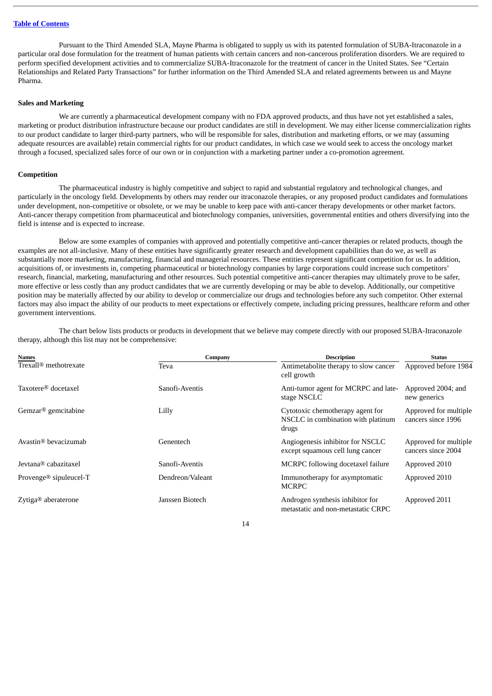Pursuant to the Third Amended SLA, Mayne Pharma is obligated to supply us with its patented formulation of SUBA-Itraconazole in a particular oral dose formulation for the treatment of human patients with certain cancers and non-cancerous proliferation disorders. We are required to perform specified development activities and to commercialize SUBA-Itraconazole for the treatment of cancer in the United States. See "Certain Relationships and Related Party Transactions" for further information on the Third Amended SLA and related agreements between us and Mayne Pharma.

#### **Sales and Marketing**

We are currently a pharmaceutical development company with no FDA approved products, and thus have not yet established a sales, marketing or product distribution infrastructure because our product candidates are still in development. We may either license commercialization rights to our product candidate to larger third-party partners, who will be responsible for sales, distribution and marketing efforts, or we may (assuming adequate resources are available) retain commercial rights for our product candidates, in which case we would seek to access the oncology market through a focused, specialized sales force of our own or in conjunction with a marketing partner under a co-promotion agreement.

#### **Competition**

The pharmaceutical industry is highly competitive and subject to rapid and substantial regulatory and technological changes, and particularly in the oncology field. Developments by others may render our itraconazole therapies, or any proposed product candidates and formulations under development, non-competitive or obsolete, or we may be unable to keep pace with anti-cancer therapy developments or other market factors. Anti-cancer therapy competition from pharmaceutical and biotechnology companies, universities, governmental entities and others diversifying into the field is intense and is expected to increase.

Below are some examples of companies with approved and potentially competitive anti-cancer therapies or related products, though the examples are not all-inclusive. Many of these entities have significantly greater research and development capabilities than do we, as well as substantially more marketing, manufacturing, financial and managerial resources. These entities represent significant competition for us. In addition, acquisitions of, or investments in, competing pharmaceutical or biotechnology companies by large corporations could increase such competitors' research, financial, marketing, manufacturing and other resources. Such potential competitive anti-cancer therapies may ultimately prove to be safer, more effective or less costly than any product candidates that we are currently developing or may be able to develop. Additionally, our competitive position may be materially affected by our ability to develop or commercialize our drugs and technologies before any such competitor. Other external factors may also impact the ability of our products to meet expectations or effectively compete, including pricing pressures, healthcare reform and other government interventions.

The chart below lists products or products in development that we believe may compete directly with our proposed SUBA-Itraconazole therapy, although this list may not be comprehensive:

| <b>Names</b>                       | Company          | <b>Description</b>                                                              | <b>Status</b>                               |
|------------------------------------|------------------|---------------------------------------------------------------------------------|---------------------------------------------|
| Trexall <sup>®</sup> methotrexate  | Teva             | Antimetabolite therapy to slow cancer<br>cell growth                            | Approved before 1984                        |
| Taxotere <sup>®</sup> docetaxel    | Sanofi-Aventis   | Anti-tumor agent for MCRPC and late-<br>stage NSCLC                             | Approved 2004; and<br>new generics          |
| Gemzar <sup>®</sup> gemcitabine    | Lilly            | Cytotoxic chemotherapy agent for<br>NSCLC in combination with platinum<br>drugs | Approved for multiple<br>cancers since 1996 |
| Avastin <sup>®</sup> bevacizumab   | Genentech        | Angiogenesis inhibitor for NSCLC<br>except squamous cell lung cancer            | Approved for multiple<br>cancers since 2004 |
| Jevtana <sup>®</sup> cabazitaxel   | Sanofi-Aventis   | MCRPC following docetaxel failure                                               | Approved 2010                               |
| Provenge <sup>®</sup> sipuleucel-T | Dendreon/Valeant | Immunotherapy for asymptomatic<br><b>MCRPC</b>                                  | Approved 2010                               |
| Zytiga <sup>®</sup> aberaterone    | Janssen Biotech  | Androgen synthesis inhibitor for<br>metastatic and non-metastatic CRPC          | Approved 2011                               |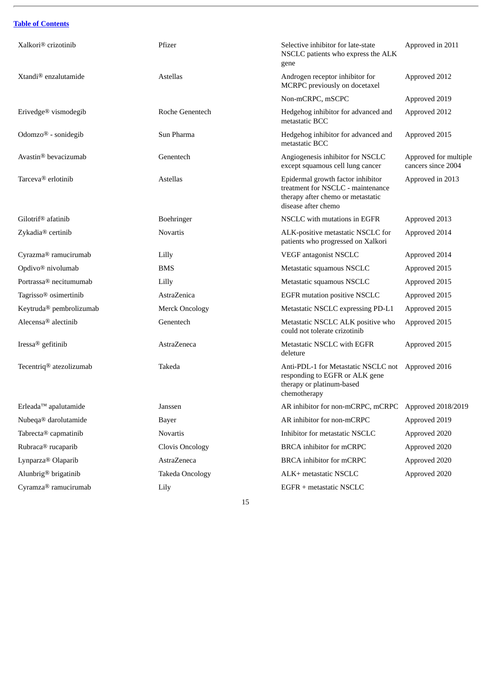$\overline{a}$ 

| Xalkori <sup>®</sup> crizotinib                               | Pfizer                 | Selective inhibitor for late-state<br>NSCLC patients who express the ALK<br>gene                                                   | Approved in 2011                            |
|---------------------------------------------------------------|------------------------|------------------------------------------------------------------------------------------------------------------------------------|---------------------------------------------|
| Xtandi <sup>®</sup> enzalutamide                              | <b>Astellas</b>        | Androgen receptor inhibitor for<br>MCRPC previously on docetaxel                                                                   | Approved 2012                               |
|                                                               |                        | Non-mCRPC, mSCPC                                                                                                                   | Approved 2019                               |
| Erivedge® vismodegib                                          | Roche Genentech        | Hedgehog inhibitor for advanced and<br>metastatic BCC                                                                              | Approved 2012                               |
| Odomzo <sup>®</sup> - sonidegib                               | Sun Pharma             | Hedgehog inhibitor for advanced and<br>metastatic BCC                                                                              | Approved 2015                               |
| Avastin® bevacizumab                                          | Genentech              | Angiogenesis inhibitor for NSCLC<br>except squamous cell lung cancer                                                               | Approved for multiple<br>cancers since 2004 |
| Tarceva <sup>®</sup> erlotinib                                | Astellas               | Epidermal growth factor inhibitor<br>treatment for NSCLC - maintenance<br>therapy after chemo or metastatic<br>disease after chemo | Approved in 2013                            |
| Gilotrif <sup>®</sup> afatinib                                | Boehringer             | NSCLC with mutations in EGFR                                                                                                       | Approved 2013                               |
| Zykadia <sup>®</sup> certinib                                 | <b>Novartis</b>        | ALK-positive metastatic NSCLC for<br>patients who progressed on Xalkori                                                            | Approved 2014                               |
| Cyrazma® ramucirumab                                          | Lilly                  | VEGF antagonist NSCLC                                                                                                              | Approved 2014                               |
| Opdivo® nivolumab                                             | <b>BMS</b>             | Metastatic squamous NSCLC                                                                                                          | Approved 2015                               |
| Portrassa <sup>®</sup> necitumumab                            | Lilly                  | Metastatic squamous NSCLC                                                                                                          | Approved 2015                               |
| Tagrisso <sup>®</sup> osimertinib                             | AstraZenica            | <b>EGFR</b> mutation positive NSCLC                                                                                                | Approved 2015                               |
| Keytruda® pembrolizumab                                       | <b>Merck Oncology</b>  | Metastatic NSCLC expressing PD-L1                                                                                                  | Approved 2015                               |
| Alecensa <sup>®</sup> alectinib                               | Genentech              | Metastatic NSCLC ALK positive who<br>could not tolerate crizotinib                                                                 | Approved 2015                               |
| Iressa <sup>®</sup> gefitinib                                 | AstraZeneca            | Metastatic NSCLC with EGFR<br>deleture                                                                                             | Approved 2015                               |
| Tecentriq® atezolizumab                                       | Takeda                 | Anti-PDL-1 for Metastatic NSCLC not Approved 2016<br>responding to EGFR or ALK gene<br>therapy or platinum-based<br>chemotherapy   |                                             |
| ${\rm Erlead}{\rm a}^{\scriptscriptstyle \rm TM}$ apalutamide | Janssen                | AR inhibitor for non-mCRPC, mCRPC Approved 2018/2019                                                                               |                                             |
| Nubeqa® darolutamide                                          | Bayer                  | AR inhibitor for non-mCRPC                                                                                                         | Approved 2019                               |
| Tabrecta <sup>®</sup> capmatinib                              | <b>Novartis</b>        | Inhibitor for metastatic NSCLC                                                                                                     | Approved 2020                               |
| Rubraca® rucaparib                                            | <b>Clovis Oncology</b> | BRCA inhibitor for mCRPC                                                                                                           | Approved 2020                               |
| Lynparza® Olaparib                                            | AstraZeneca            | BRCA inhibitor for mCRPC                                                                                                           | Approved 2020                               |
| Alunbrig® brigatinib                                          | <b>Takeda Oncology</b> | ALK+ metastatic NSCLC                                                                                                              | Approved 2020                               |
| Cyramza® ramucirumab                                          | Lily                   | EGFR + metastatic NSCLC                                                                                                            |                                             |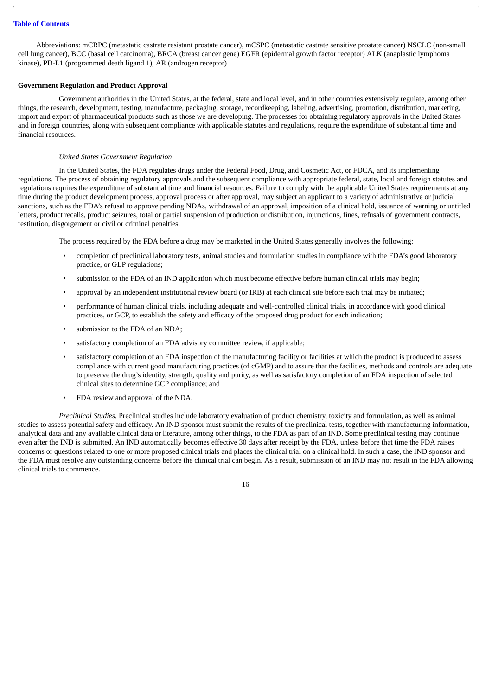Abbreviations: mCRPC (metastatic castrate resistant prostate cancer), mCSPC (metastatic castrate sensitive prostate cancer) NSCLC (non-small cell lung cancer), BCC (basal cell carcinoma), BRCA (breast cancer gene) EGFR (epidermal growth factor receptor) ALK (anaplastic lymphoma kinase), PD-L1 (programmed death ligand 1), AR (androgen receptor)

#### **Government Regulation and Product Approval**

Government authorities in the United States, at the federal, state and local level, and in other countries extensively regulate, among other things, the research, development, testing, manufacture, packaging, storage, recordkeeping, labeling, advertising, promotion, distribution, marketing, import and export of pharmaceutical products such as those we are developing. The processes for obtaining regulatory approvals in the United States and in foreign countries, along with subsequent compliance with applicable statutes and regulations, require the expenditure of substantial time and financial resources.

#### *United States Government Regulation*

In the United States, the FDA regulates drugs under the Federal Food, Drug, and Cosmetic Act, or FDCA, and its implementing regulations. The process of obtaining regulatory approvals and the subsequent compliance with appropriate federal, state, local and foreign statutes and regulations requires the expenditure of substantial time and financial resources. Failure to comply with the applicable United States requirements at any time during the product development process, approval process or after approval, may subject an applicant to a variety of administrative or judicial sanctions, such as the FDA's refusal to approve pending NDAs, withdrawal of an approval, imposition of a clinical hold, issuance of warning or untitled letters, product recalls, product seizures, total or partial suspension of production or distribution, injunctions, fines, refusals of government contracts, restitution, disgorgement or civil or criminal penalties.

The process required by the FDA before a drug may be marketed in the United States generally involves the following:

- completion of preclinical laboratory tests, animal studies and formulation studies in compliance with the FDA's good laboratory practice, or GLP regulations;
- submission to the FDA of an IND application which must become effective before human clinical trials may begin;
- approval by an independent institutional review board (or IRB) at each clinical site before each trial may be initiated;
- performance of human clinical trials, including adequate and well-controlled clinical trials, in accordance with good clinical practices, or GCP, to establish the safety and efficacy of the proposed drug product for each indication;
- submission to the FDA of an NDA;
- satisfactory completion of an FDA advisory committee review, if applicable;
- satisfactory completion of an FDA inspection of the manufacturing facility or facilities at which the product is produced to assess compliance with current good manufacturing practices (of cGMP) and to assure that the facilities, methods and controls are adequate to preserve the drug's identity, strength, quality and purity, as well as satisfactory completion of an FDA inspection of selected clinical sites to determine GCP compliance; and
- FDA review and approval of the NDA.

*Preclinical Studies.* Preclinical studies include laboratory evaluation of product chemistry, toxicity and formulation, as well as animal studies to assess potential safety and efficacy. An IND sponsor must submit the results of the preclinical tests, together with manufacturing information, analytical data and any available clinical data or literature, among other things, to the FDA as part of an IND. Some preclinical testing may continue even after the IND is submitted. An IND automatically becomes effective 30 days after receipt by the FDA, unless before that time the FDA raises concerns or questions related to one or more proposed clinical trials and places the clinical trial on a clinical hold. In such a case, the IND sponsor and the FDA must resolve any outstanding concerns before the clinical trial can begin. As a result, submission of an IND may not result in the FDA allowing clinical trials to commence.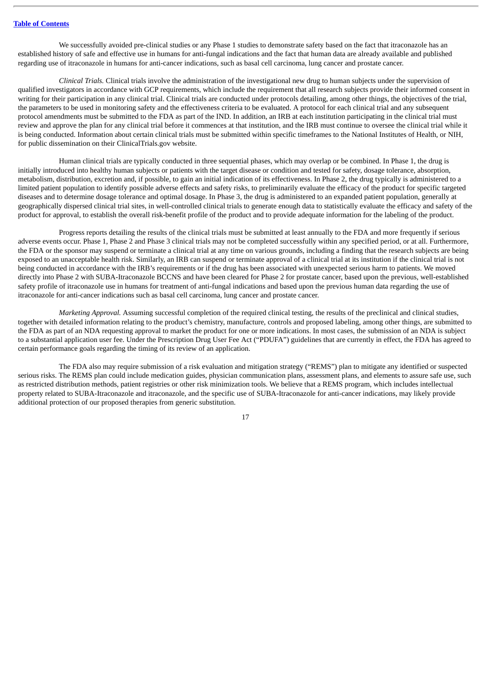We successfully avoided pre-clinical studies or any Phase 1 studies to demonstrate safety based on the fact that itraconazole has an established history of safe and effective use in humans for anti-fungal indications and the fact that human data are already available and published regarding use of itraconazole in humans for anti-cancer indications, such as basal cell carcinoma, lung cancer and prostate cancer.

*Clinical Trials.* Clinical trials involve the administration of the investigational new drug to human subjects under the supervision of qualified investigators in accordance with GCP requirements, which include the requirement that all research subjects provide their informed consent in writing for their participation in any clinical trial. Clinical trials are conducted under protocols detailing, among other things, the objectives of the trial, the parameters to be used in monitoring safety and the effectiveness criteria to be evaluated. A protocol for each clinical trial and any subsequent protocol amendments must be submitted to the FDA as part of the IND. In addition, an IRB at each institution participating in the clinical trial must review and approve the plan for any clinical trial before it commences at that institution, and the IRB must continue to oversee the clinical trial while it is being conducted. Information about certain clinical trials must be submitted within specific timeframes to the National Institutes of Health, or NIH, for public dissemination on their ClinicalTrials.gov website.

Human clinical trials are typically conducted in three sequential phases, which may overlap or be combined. In Phase 1, the drug is initially introduced into healthy human subjects or patients with the target disease or condition and tested for safety, dosage tolerance, absorption, metabolism, distribution, excretion and, if possible, to gain an initial indication of its effectiveness. In Phase 2, the drug typically is administered to a limited patient population to identify possible adverse effects and safety risks, to preliminarily evaluate the efficacy of the product for specific targeted diseases and to determine dosage tolerance and optimal dosage. In Phase 3, the drug is administered to an expanded patient population, generally at geographically dispersed clinical trial sites, in well-controlled clinical trials to generate enough data to statistically evaluate the efficacy and safety of the product for approval, to establish the overall risk-benefit profile of the product and to provide adequate information for the labeling of the product.

Progress reports detailing the results of the clinical trials must be submitted at least annually to the FDA and more frequently if serious adverse events occur. Phase 1, Phase 2 and Phase 3 clinical trials may not be completed successfully within any specified period, or at all. Furthermore, the FDA or the sponsor may suspend or terminate a clinical trial at any time on various grounds, including a finding that the research subjects are being exposed to an unacceptable health risk. Similarly, an IRB can suspend or terminate approval of a clinical trial at its institution if the clinical trial is not being conducted in accordance with the IRB's requirements or if the drug has been associated with unexpected serious harm to patients. We moved directly into Phase 2 with SUBA-Itraconazole BCCNS and have been cleared for Phase 2 for prostate cancer, based upon the previous, well-established safety profile of itraconazole use in humans for treatment of anti-fungal indications and based upon the previous human data regarding the use of itraconazole for anti-cancer indications such as basal cell carcinoma, lung cancer and prostate cancer.

*Marketing Approval.* Assuming successful completion of the required clinical testing, the results of the preclinical and clinical studies, together with detailed information relating to the product's chemistry, manufacture, controls and proposed labeling, among other things, are submitted to the FDA as part of an NDA requesting approval to market the product for one or more indications. In most cases, the submission of an NDA is subject to a substantial application user fee. Under the Prescription Drug User Fee Act ("PDUFA") guidelines that are currently in effect, the FDA has agreed to certain performance goals regarding the timing of its review of an application.

The FDA also may require submission of a risk evaluation and mitigation strategy ("REMS") plan to mitigate any identified or suspected serious risks. The REMS plan could include medication guides, physician communication plans, assessment plans, and elements to assure safe use, such as restricted distribution methods, patient registries or other risk minimization tools. We believe that a REMS program, which includes intellectual property related to SUBA-Itraconazole and itraconazole, and the specific use of SUBA-Itraconazole for anti-cancer indications, may likely provide additional protection of our proposed therapies from generic substitution.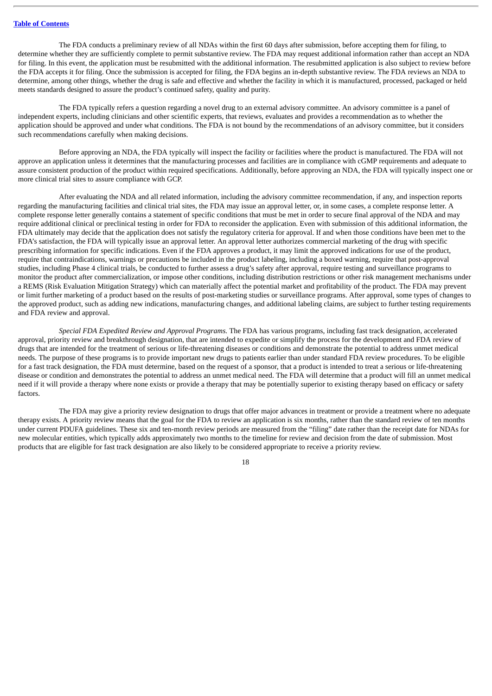The FDA conducts a preliminary review of all NDAs within the first 60 days after submission, before accepting them for filing, to determine whether they are sufficiently complete to permit substantive review. The FDA may request additional information rather than accept an NDA for filing. In this event, the application must be resubmitted with the additional information. The resubmitted application is also subject to review before the FDA accepts it for filing. Once the submission is accepted for filing, the FDA begins an in-depth substantive review. The FDA reviews an NDA to determine, among other things, whether the drug is safe and effective and whether the facility in which it is manufactured, processed, packaged or held meets standards designed to assure the product's continued safety, quality and purity.

The FDA typically refers a question regarding a novel drug to an external advisory committee. An advisory committee is a panel of independent experts, including clinicians and other scientific experts, that reviews, evaluates and provides a recommendation as to whether the application should be approved and under what conditions. The FDA is not bound by the recommendations of an advisory committee, but it considers such recommendations carefully when making decisions.

Before approving an NDA, the FDA typically will inspect the facility or facilities where the product is manufactured. The FDA will not approve an application unless it determines that the manufacturing processes and facilities are in compliance with cGMP requirements and adequate to assure consistent production of the product within required specifications. Additionally, before approving an NDA, the FDA will typically inspect one or more clinical trial sites to assure compliance with GCP.

After evaluating the NDA and all related information, including the advisory committee recommendation, if any, and inspection reports regarding the manufacturing facilities and clinical trial sites, the FDA may issue an approval letter, or, in some cases, a complete response letter. A complete response letter generally contains a statement of specific conditions that must be met in order to secure final approval of the NDA and may require additional clinical or preclinical testing in order for FDA to reconsider the application. Even with submission of this additional information, the FDA ultimately may decide that the application does not satisfy the regulatory criteria for approval. If and when those conditions have been met to the FDA's satisfaction, the FDA will typically issue an approval letter. An approval letter authorizes commercial marketing of the drug with specific prescribing information for specific indications. Even if the FDA approves a product, it may limit the approved indications for use of the product, require that contraindications, warnings or precautions be included in the product labeling, including a boxed warning, require that post-approval studies, including Phase 4 clinical trials, be conducted to further assess a drug's safety after approval, require testing and surveillance programs to monitor the product after commercialization, or impose other conditions, including distribution restrictions or other risk management mechanisms under a REMS (Risk Evaluation Mitigation Strategy) which can materially affect the potential market and profitability of the product. The FDA may prevent or limit further marketing of a product based on the results of post-marketing studies or surveillance programs. After approval, some types of changes to the approved product, such as adding new indications, manufacturing changes, and additional labeling claims, are subject to further testing requirements and FDA review and approval.

*Special FDA Expedited Review and Approval Programs.* The FDA has various programs, including fast track designation, accelerated approval, priority review and breakthrough designation, that are intended to expedite or simplify the process for the development and FDA review of drugs that are intended for the treatment of serious or life-threatening diseases or conditions and demonstrate the potential to address unmet medical needs. The purpose of these programs is to provide important new drugs to patients earlier than under standard FDA review procedures. To be eligible for a fast track designation, the FDA must determine, based on the request of a sponsor, that a product is intended to treat a serious or life-threatening disease or condition and demonstrates the potential to address an unmet medical need. The FDA will determine that a product will fill an unmet medical need if it will provide a therapy where none exists or provide a therapy that may be potentially superior to existing therapy based on efficacy or safety factors.

The FDA may give a priority review designation to drugs that offer major advances in treatment or provide a treatment where no adequate therapy exists. A priority review means that the goal for the FDA to review an application is six months, rather than the standard review of ten months under current PDUFA guidelines. These six and ten-month review periods are measured from the "filing" date rather than the receipt date for NDAs for new molecular entities, which typically adds approximately two months to the timeline for review and decision from the date of submission. Most products that are eligible for fast track designation are also likely to be considered appropriate to receive a priority review.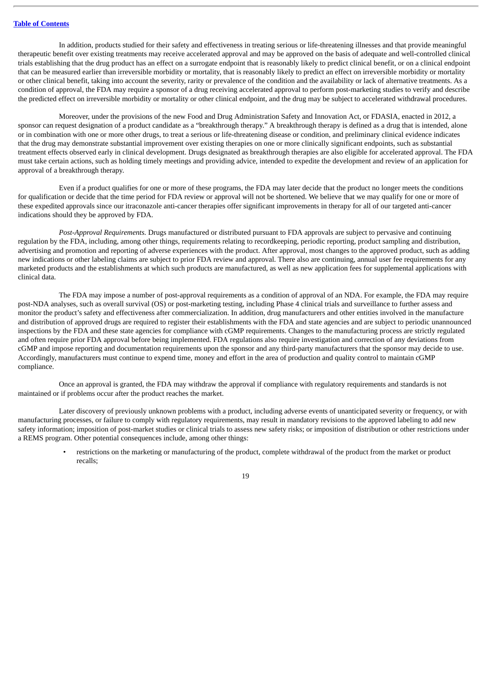In addition, products studied for their safety and effectiveness in treating serious or life-threatening illnesses and that provide meaningful therapeutic benefit over existing treatments may receive accelerated approval and may be approved on the basis of adequate and well-controlled clinical trials establishing that the drug product has an effect on a surrogate endpoint that is reasonably likely to predict clinical benefit, or on a clinical endpoint that can be measured earlier than irreversible morbidity or mortality, that is reasonably likely to predict an effect on irreversible morbidity or mortality or other clinical benefit, taking into account the severity, rarity or prevalence of the condition and the availability or lack of alternative treatments. As a condition of approval, the FDA may require a sponsor of a drug receiving accelerated approval to perform post-marketing studies to verify and describe the predicted effect on irreversible morbidity or mortality or other clinical endpoint, and the drug may be subject to accelerated withdrawal procedures.

Moreover, under the provisions of the new Food and Drug Administration Safety and Innovation Act, or FDASIA, enacted in 2012, a sponsor can request designation of a product candidate as a "breakthrough therapy." A breakthrough therapy is defined as a drug that is intended, alone or in combination with one or more other drugs, to treat a serious or life-threatening disease or condition, and preliminary clinical evidence indicates that the drug may demonstrate substantial improvement over existing therapies on one or more clinically significant endpoints, such as substantial treatment effects observed early in clinical development. Drugs designated as breakthrough therapies are also eligible for accelerated approval. The FDA must take certain actions, such as holding timely meetings and providing advice, intended to expedite the development and review of an application for approval of a breakthrough therapy.

Even if a product qualifies for one or more of these programs, the FDA may later decide that the product no longer meets the conditions for qualification or decide that the time period for FDA review or approval will not be shortened. We believe that we may qualify for one or more of these expedited approvals since our itraconazole anti-cancer therapies offer significant improvements in therapy for all of our targeted anti-cancer indications should they be approved by FDA.

*Post-Approval Requirements.* Drugs manufactured or distributed pursuant to FDA approvals are subject to pervasive and continuing regulation by the FDA, including, among other things, requirements relating to recordkeeping, periodic reporting, product sampling and distribution, advertising and promotion and reporting of adverse experiences with the product. After approval, most changes to the approved product, such as adding new indications or other labeling claims are subject to prior FDA review and approval. There also are continuing, annual user fee requirements for any marketed products and the establishments at which such products are manufactured, as well as new application fees for supplemental applications with clinical data.

The FDA may impose a number of post-approval requirements as a condition of approval of an NDA. For example, the FDA may require post-NDA analyses, such as overall survival (OS) or post-marketing testing, including Phase 4 clinical trials and surveillance to further assess and monitor the product's safety and effectiveness after commercialization. In addition, drug manufacturers and other entities involved in the manufacture and distribution of approved drugs are required to register their establishments with the FDA and state agencies and are subject to periodic unannounced inspections by the FDA and these state agencies for compliance with cGMP requirements. Changes to the manufacturing process are strictly regulated and often require prior FDA approval before being implemented. FDA regulations also require investigation and correction of any deviations from cGMP and impose reporting and documentation requirements upon the sponsor and any third-party manufacturers that the sponsor may decide to use. Accordingly, manufacturers must continue to expend time, money and effort in the area of production and quality control to maintain cGMP compliance.

Once an approval is granted, the FDA may withdraw the approval if compliance with regulatory requirements and standards is not maintained or if problems occur after the product reaches the market.

Later discovery of previously unknown problems with a product, including adverse events of unanticipated severity or frequency, or with manufacturing processes, or failure to comply with regulatory requirements, may result in mandatory revisions to the approved labeling to add new safety information; imposition of post-market studies or clinical trials to assess new safety risks; or imposition of distribution or other restrictions under a REMS program. Other potential consequences include, among other things:

• restrictions on the marketing or manufacturing of the product, complete withdrawal of the product from the market or product recalls;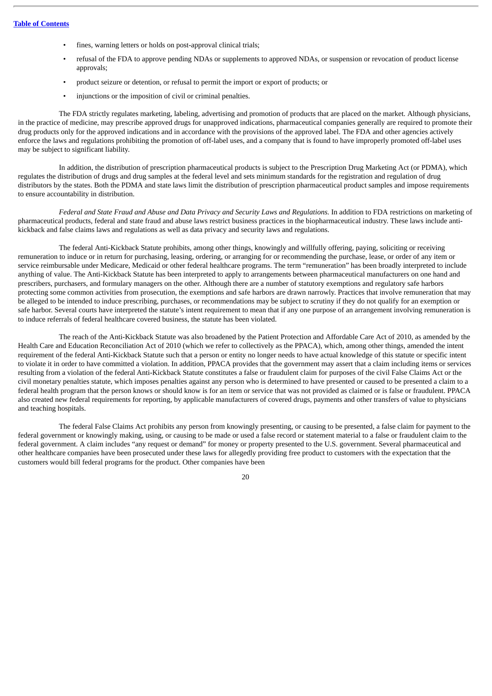- fines, warning letters or holds on post-approval clinical trials;
- refusal of the FDA to approve pending NDAs or supplements to approved NDAs, or suspension or revocation of product license approvals;
- product seizure or detention, or refusal to permit the import or export of products; or
- injunctions or the imposition of civil or criminal penalties.

The FDA strictly regulates marketing, labeling, advertising and promotion of products that are placed on the market. Although physicians, in the practice of medicine, may prescribe approved drugs for unapproved indications, pharmaceutical companies generally are required to promote their drug products only for the approved indications and in accordance with the provisions of the approved label. The FDA and other agencies actively enforce the laws and regulations prohibiting the promotion of off-label uses, and a company that is found to have improperly promoted off-label uses may be subject to significant liability.

In addition, the distribution of prescription pharmaceutical products is subject to the Prescription Drug Marketing Act (or PDMA), which regulates the distribution of drugs and drug samples at the federal level and sets minimum standards for the registration and regulation of drug distributors by the states. Both the PDMA and state laws limit the distribution of prescription pharmaceutical product samples and impose requirements to ensure accountability in distribution.

Federal and State Fraud and Abuse and Data Privacy and Security Laws and Regulations. In addition to FDA restrictions on marketing of pharmaceutical products, federal and state fraud and abuse laws restrict business practices in the biopharmaceutical industry. These laws include antikickback and false claims laws and regulations as well as data privacy and security laws and regulations.

The federal Anti-Kickback Statute prohibits, among other things, knowingly and willfully offering, paying, soliciting or receiving remuneration to induce or in return for purchasing, leasing, ordering, or arranging for or recommending the purchase, lease, or order of any item or service reimbursable under Medicare, Medicaid or other federal healthcare programs. The term "remuneration" has been broadly interpreted to include anything of value. The Anti-Kickback Statute has been interpreted to apply to arrangements between pharmaceutical manufacturers on one hand and prescribers, purchasers, and formulary managers on the other. Although there are a number of statutory exemptions and regulatory safe harbors protecting some common activities from prosecution, the exemptions and safe harbors are drawn narrowly. Practices that involve remuneration that may be alleged to be intended to induce prescribing, purchases, or recommendations may be subject to scrutiny if they do not qualify for an exemption or safe harbor. Several courts have interpreted the statute's intent requirement to mean that if any one purpose of an arrangement involving remuneration is to induce referrals of federal healthcare covered business, the statute has been violated.

The reach of the Anti-Kickback Statute was also broadened by the Patient Protection and Affordable Care Act of 2010, as amended by the Health Care and Education Reconciliation Act of 2010 (which we refer to collectively as the PPACA), which, among other things, amended the intent requirement of the federal Anti-Kickback Statute such that a person or entity no longer needs to have actual knowledge of this statute or specific intent to violate it in order to have committed a violation. In addition, PPACA provides that the government may assert that a claim including items or services resulting from a violation of the federal Anti-Kickback Statute constitutes a false or fraudulent claim for purposes of the civil False Claims Act or the civil monetary penalties statute, which imposes penalties against any person who is determined to have presented or caused to be presented a claim to a federal health program that the person knows or should know is for an item or service that was not provided as claimed or is false or fraudulent. PPACA also created new federal requirements for reporting, by applicable manufacturers of covered drugs, payments and other transfers of value to physicians and teaching hospitals.

The federal False Claims Act prohibits any person from knowingly presenting, or causing to be presented, a false claim for payment to the federal government or knowingly making, using, or causing to be made or used a false record or statement material to a false or fraudulent claim to the federal government. A claim includes "any request or demand" for money or property presented to the U.S. government. Several pharmaceutical and other healthcare companies have been prosecuted under these laws for allegedly providing free product to customers with the expectation that the customers would bill federal programs for the product. Other companies have been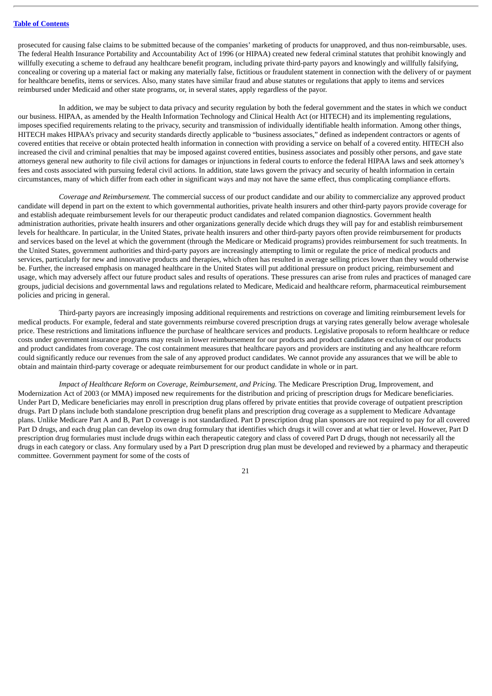prosecuted for causing false claims to be submitted because of the companies' marketing of products for unapproved, and thus non-reimbursable, uses. The federal Health Insurance Portability and Accountability Act of 1996 (or HIPAA) created new federal criminal statutes that prohibit knowingly and willfully executing a scheme to defraud any healthcare benefit program, including private third-party payors and knowingly and willfully falsifying, concealing or covering up a material fact or making any materially false, fictitious or fraudulent statement in connection with the delivery of or payment for healthcare benefits, items or services. Also, many states have similar fraud and abuse statutes or regulations that apply to items and services reimbursed under Medicaid and other state programs, or, in several states, apply regardless of the payor.

In addition, we may be subject to data privacy and security regulation by both the federal government and the states in which we conduct our business. HIPAA, as amended by the Health Information Technology and Clinical Health Act (or HITECH) and its implementing regulations, imposes specified requirements relating to the privacy, security and transmission of individually identifiable health information. Among other things, HITECH makes HIPAA's privacy and security standards directly applicable to "business associates," defined as independent contractors or agents of covered entities that receive or obtain protected health information in connection with providing a service on behalf of a covered entity. HITECH also increased the civil and criminal penalties that may be imposed against covered entities, business associates and possibly other persons, and gave state attorneys general new authority to file civil actions for damages or injunctions in federal courts to enforce the federal HIPAA laws and seek attorney's fees and costs associated with pursuing federal civil actions. In addition, state laws govern the privacy and security of health information in certain circumstances, many of which differ from each other in significant ways and may not have the same effect, thus complicating compliance efforts.

*Coverage and Reimbursement.* The commercial success of our product candidate and our ability to commercialize any approved product candidate will depend in part on the extent to which governmental authorities, private health insurers and other third-party payors provide coverage for and establish adequate reimbursement levels for our therapeutic product candidates and related companion diagnostics. Government health administration authorities, private health insurers and other organizations generally decide which drugs they will pay for and establish reimbursement levels for healthcare. In particular, in the United States, private health insurers and other third-party payors often provide reimbursement for products and services based on the level at which the government (through the Medicare or Medicaid programs) provides reimbursement for such treatments. In the United States, government authorities and third-party payors are increasingly attempting to limit or regulate the price of medical products and services, particularly for new and innovative products and therapies, which often has resulted in average selling prices lower than they would otherwise be. Further, the increased emphasis on managed healthcare in the United States will put additional pressure on product pricing, reimbursement and usage, which may adversely affect our future product sales and results of operations. These pressures can arise from rules and practices of managed care groups, judicial decisions and governmental laws and regulations related to Medicare, Medicaid and healthcare reform, pharmaceutical reimbursement policies and pricing in general.

Third-party payors are increasingly imposing additional requirements and restrictions on coverage and limiting reimbursement levels for medical products. For example, federal and state governments reimburse covered prescription drugs at varying rates generally below average wholesale price. These restrictions and limitations influence the purchase of healthcare services and products. Legislative proposals to reform healthcare or reduce costs under government insurance programs may result in lower reimbursement for our products and product candidates or exclusion of our products and product candidates from coverage. The cost containment measures that healthcare payors and providers are instituting and any healthcare reform could significantly reduce our revenues from the sale of any approved product candidates. We cannot provide any assurances that we will be able to obtain and maintain third-party coverage or adequate reimbursement for our product candidate in whole or in part.

*Impact of Healthcare Reform on Coverage, Reimbursement, and Pricing.* The Medicare Prescription Drug, Improvement, and Modernization Act of 2003 (or MMA) imposed new requirements for the distribution and pricing of prescription drugs for Medicare beneficiaries. Under Part D, Medicare beneficiaries may enroll in prescription drug plans offered by private entities that provide coverage of outpatient prescription drugs. Part D plans include both standalone prescription drug benefit plans and prescription drug coverage as a supplement to Medicare Advantage plans. Unlike Medicare Part A and B, Part D coverage is not standardized. Part D prescription drug plan sponsors are not required to pay for all covered Part D drugs, and each drug plan can develop its own drug formulary that identifies which drugs it will cover and at what tier or level. However, Part D prescription drug formularies must include drugs within each therapeutic category and class of covered Part D drugs, though not necessarily all the drugs in each category or class. Any formulary used by a Part D prescription drug plan must be developed and reviewed by a pharmacy and therapeutic committee. Government payment for some of the costs of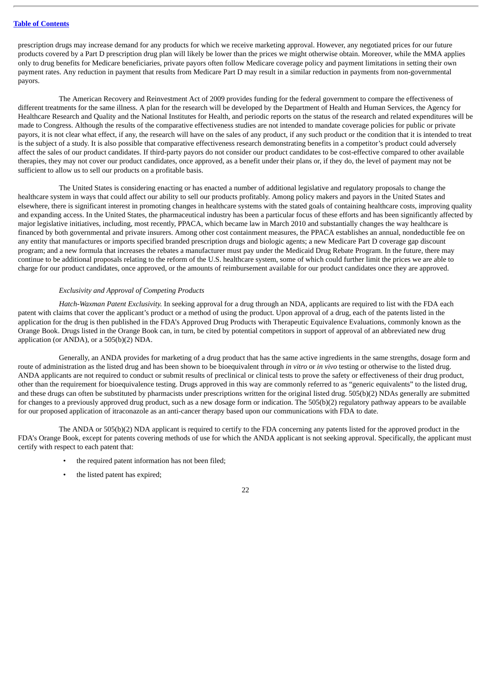prescription drugs may increase demand for any products for which we receive marketing approval. However, any negotiated prices for our future products covered by a Part D prescription drug plan will likely be lower than the prices we might otherwise obtain. Moreover, while the MMA applies only to drug benefits for Medicare beneficiaries, private payors often follow Medicare coverage policy and payment limitations in setting their own payment rates. Any reduction in payment that results from Medicare Part D may result in a similar reduction in payments from non-governmental payors.

The American Recovery and Reinvestment Act of 2009 provides funding for the federal government to compare the effectiveness of different treatments for the same illness. A plan for the research will be developed by the Department of Health and Human Services, the Agency for Healthcare Research and Quality and the National Institutes for Health, and periodic reports on the status of the research and related expenditures will be made to Congress. Although the results of the comparative effectiveness studies are not intended to mandate coverage policies for public or private payors, it is not clear what effect, if any, the research will have on the sales of any product, if any such product or the condition that it is intended to treat is the subject of a study. It is also possible that comparative effectiveness research demonstrating benefits in a competitor's product could adversely affect the sales of our product candidates. If third-party payors do not consider our product candidates to be cost-effective compared to other available therapies, they may not cover our product candidates, once approved, as a benefit under their plans or, if they do, the level of payment may not be sufficient to allow us to sell our products on a profitable basis.

The United States is considering enacting or has enacted a number of additional legislative and regulatory proposals to change the healthcare system in ways that could affect our ability to sell our products profitably. Among policy makers and payors in the United States and elsewhere, there is significant interest in promoting changes in healthcare systems with the stated goals of containing healthcare costs, improving quality and expanding access. In the United States, the pharmaceutical industry has been a particular focus of these efforts and has been significantly affected by major legislative initiatives, including, most recently, PPACA, which became law in March 2010 and substantially changes the way healthcare is financed by both governmental and private insurers. Among other cost containment measures, the PPACA establishes an annual, nondeductible fee on any entity that manufactures or imports specified branded prescription drugs and biologic agents; a new Medicare Part D coverage gap discount program; and a new formula that increases the rebates a manufacturer must pay under the Medicaid Drug Rebate Program. In the future, there may continue to be additional proposals relating to the reform of the U.S. healthcare system, some of which could further limit the prices we are able to charge for our product candidates, once approved, or the amounts of reimbursement available for our product candidates once they are approved.

#### *Exclusivity and Approval of Competing Products*

*Hatch-Waxman Patent Exclusivity.* In seeking approval for a drug through an NDA, applicants are required to list with the FDA each patent with claims that cover the applicant's product or a method of using the product. Upon approval of a drug, each of the patents listed in the application for the drug is then published in the FDA's Approved Drug Products with Therapeutic Equivalence Evaluations, commonly known as the Orange Book. Drugs listed in the Orange Book can, in turn, be cited by potential competitors in support of approval of an abbreviated new drug application (or ANDA), or a 505(b)(2) NDA.

Generally, an ANDA provides for marketing of a drug product that has the same active ingredients in the same strengths, dosage form and route of administration as the listed drug and has been shown to be bioequivalent through *in vitro* or *in vivo* testing or otherwise to the listed drug. ANDA applicants are not required to conduct or submit results of preclinical or clinical tests to prove the safety or effectiveness of their drug product, other than the requirement for bioequivalence testing. Drugs approved in this way are commonly referred to as "generic equivalents" to the listed drug, and these drugs can often be substituted by pharmacists under prescriptions written for the original listed drug. 505(b)(2) NDAs generally are submitted for changes to a previously approved drug product, such as a new dosage form or indication. The 505(b)(2) regulatory pathway appears to be available for our proposed application of itraconazole as an anti-cancer therapy based upon our communications with FDA to date.

The ANDA or 505(b)(2) NDA applicant is required to certify to the FDA concerning any patents listed for the approved product in the FDA's Orange Book, except for patents covering methods of use for which the ANDA applicant is not seeking approval. Specifically, the applicant must certify with respect to each patent that:

- the required patent information has not been filed;
- the listed patent has expired;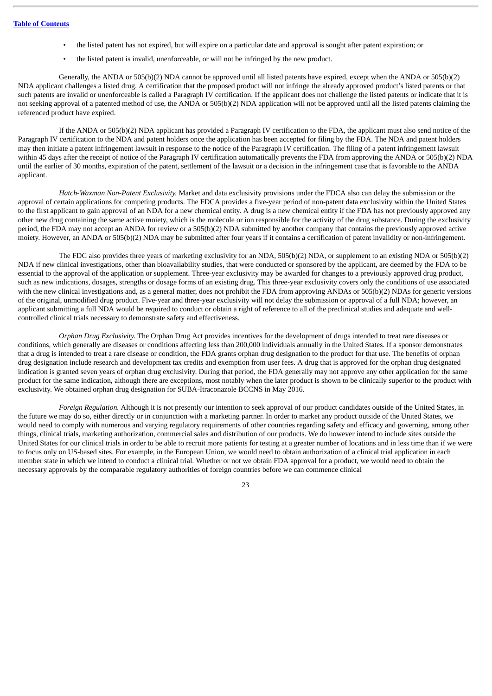- the listed patent has not expired, but will expire on a particular date and approval is sought after patent expiration; or
- the listed patent is invalid, unenforceable, or will not be infringed by the new product.

Generally, the ANDA or 505(b)(2) NDA cannot be approved until all listed patents have expired, except when the ANDA or 505(b)(2) NDA applicant challenges a listed drug. A certification that the proposed product will not infringe the already approved product's listed patents or that such patents are invalid or unenforceable is called a Paragraph IV certification. If the applicant does not challenge the listed patents or indicate that it is not seeking approval of a patented method of use, the ANDA or 505(b)(2) NDA application will not be approved until all the listed patents claiming the referenced product have expired.

If the ANDA or 505(b)(2) NDA applicant has provided a Paragraph IV certification to the FDA, the applicant must also send notice of the Paragraph IV certification to the NDA and patent holders once the application has been accepted for filing by the FDA. The NDA and patent holders may then initiate a patent infringement lawsuit in response to the notice of the Paragraph IV certification. The filing of a patent infringement lawsuit within 45 days after the receipt of notice of the Paragraph IV certification automatically prevents the FDA from approving the ANDA or 505(b)(2) NDA until the earlier of 30 months, expiration of the patent, settlement of the lawsuit or a decision in the infringement case that is favorable to the ANDA applicant.

*Hatch-Waxman Non-Patent Exclusivity.* Market and data exclusivity provisions under the FDCA also can delay the submission or the approval of certain applications for competing products. The FDCA provides a five-year period of non-patent data exclusivity within the United States to the first applicant to gain approval of an NDA for a new chemical entity. A drug is a new chemical entity if the FDA has not previously approved any other new drug containing the same active moiety, which is the molecule or ion responsible for the activity of the drug substance. During the exclusivity period, the FDA may not accept an ANDA for review or a 505(b)(2) NDA submitted by another company that contains the previously approved active moiety. However, an ANDA or 505(b)(2) NDA may be submitted after four years if it contains a certification of patent invalidity or non-infringement.

The FDC also provides three years of marketing exclusivity for an NDA, 505(b)(2) NDA, or supplement to an existing NDA or 505(b)(2) NDA if new clinical investigations, other than bioavailability studies, that were conducted or sponsored by the applicant, are deemed by the FDA to be essential to the approval of the application or supplement. Three-year exclusivity may be awarded for changes to a previously approved drug product, such as new indications, dosages, strengths or dosage forms of an existing drug. This three-year exclusivity covers only the conditions of use associated with the new clinical investigations and, as a general matter, does not prohibit the FDA from approving ANDAs or 505(b)(2) NDAs for generic versions of the original, unmodified drug product. Five-year and three-year exclusivity will not delay the submission or approval of a full NDA; however, an applicant submitting a full NDA would be required to conduct or obtain a right of reference to all of the preclinical studies and adequate and wellcontrolled clinical trials necessary to demonstrate safety and effectiveness.

*Orphan Drug Exclusivity.* The Orphan Drug Act provides incentives for the development of drugs intended to treat rare diseases or conditions, which generally are diseases or conditions affecting less than 200,000 individuals annually in the United States. If a sponsor demonstrates that a drug is intended to treat a rare disease or condition, the FDA grants orphan drug designation to the product for that use. The benefits of orphan drug designation include research and development tax credits and exemption from user fees. A drug that is approved for the orphan drug designated indication is granted seven years of orphan drug exclusivity. During that period, the FDA generally may not approve any other application for the same product for the same indication, although there are exceptions, most notably when the later product is shown to be clinically superior to the product with exclusivity. We obtained orphan drug designation for SUBA-Itraconazole BCCNS in May 2016.

*Foreign Regulation.* Although it is not presently our intention to seek approval of our product candidates outside of the United States, in the future we may do so, either directly or in conjunction with a marketing partner. In order to market any product outside of the United States, we would need to comply with numerous and varying regulatory requirements of other countries regarding safety and efficacy and governing, among other things, clinical trials, marketing authorization, commercial sales and distribution of our products. We do however intend to include sites outside the United States for our clinical trials in order to be able to recruit more patients for testing at a greater number of locations and in less time than if we were to focus only on US-based sites. For example, in the European Union, we would need to obtain authorization of a clinical trial application in each member state in which we intend to conduct a clinical trial. Whether or not we obtain FDA approval for a product, we would need to obtain the necessary approvals by the comparable regulatory authorities of foreign countries before we can commence clinical

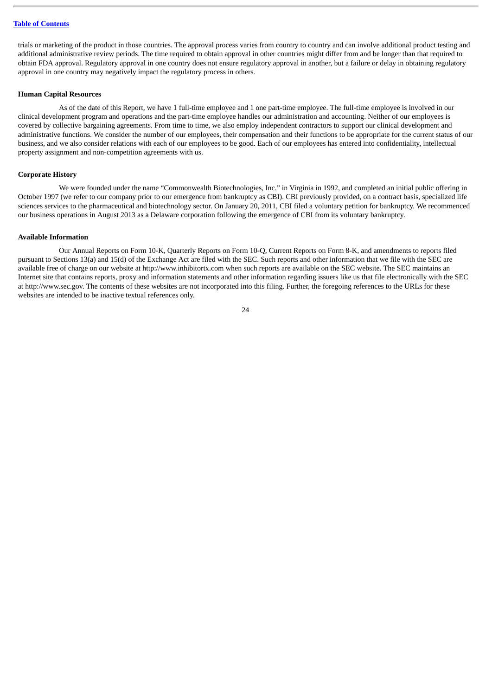trials or marketing of the product in those countries. The approval process varies from country to country and can involve additional product testing and additional administrative review periods. The time required to obtain approval in other countries might differ from and be longer than that required to obtain FDA approval. Regulatory approval in one country does not ensure regulatory approval in another, but a failure or delay in obtaining regulatory approval in one country may negatively impact the regulatory process in others.

#### **Human Capital Resources**

As of the date of this Report, we have 1 full-time employee and 1 one part-time employee. The full-time employee is involved in our clinical development program and operations and the part-time employee handles our administration and accounting. Neither of our employees is covered by collective bargaining agreements. From time to time, we also employ independent contractors to support our clinical development and administrative functions. We consider the number of our employees, their compensation and their functions to be appropriate for the current status of our business, and we also consider relations with each of our employees to be good. Each of our employees has entered into confidentiality, intellectual property assignment and non-competition agreements with us.

#### **Corporate History**

We were founded under the name "Commonwealth Biotechnologies, Inc." in Virginia in 1992, and completed an initial public offering in October 1997 (we refer to our company prior to our emergence from bankruptcy as CBI). CBI previously provided, on a contract basis, specialized life sciences services to the pharmaceutical and biotechnology sector. On January 20, 2011, CBI filed a voluntary petition for bankruptcy. We recommenced our business operations in August 2013 as a Delaware corporation following the emergence of CBI from its voluntary bankruptcy.

#### **Available Information**

Our Annual Reports on Form 10-K, Quarterly Reports on Form 10-Q, Current Reports on Form 8-K, and amendments to reports filed pursuant to Sections 13(a) and 15(d) of the Exchange Act are filed with the SEC. Such reports and other information that we file with the SEC are available free of charge on our website at http://www.inhibitortx.com when such reports are available on the SEC website. The SEC maintains an Internet site that contains reports, proxy and information statements and other information regarding issuers like us that file electronically with the SEC at http://www.sec.gov. The contents of these websites are not incorporated into this filing. Further, the foregoing references to the URLs for these websites are intended to be inactive textual references only.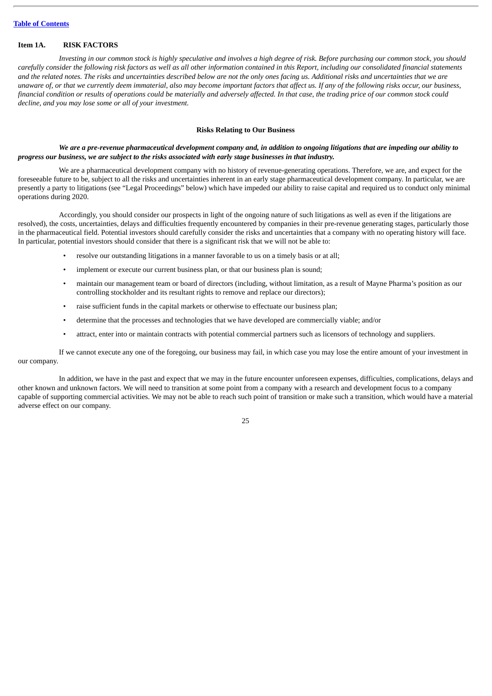# <span id="page-27-0"></span>**Item 1A. RISK FACTORS**

Investina in our common stock is highly speculative and involves a high dearee of risk. Before purchasing our common stock, you should carefully consider the following risk factors as well as all other information contained in this Report, including our consolidated financial statements and the related notes. The risks and uncertainties described below are not the only ones facing us. Additional risks and uncertainties that we are unaware of, or that we currently deem immaterial, also may become important factors that affect us. If any of the following risks occur, our business, financial condition or results of operations could be materially and adversely affected. In that case, the trading price of our common stock could *decline, and you may lose some or all of your investment.*

#### **Risks Relating to Our Business**

#### We are a pre-revenue pharmaceutical development company and, in addition to ongoing litigations that are impeding our ability to progress our business, we are subject to the risks associated with early stage businesses in that industry.

We are a pharmaceutical development company with no history of revenue-generating operations. Therefore, we are, and expect for the foreseeable future to be, subject to all the risks and uncertainties inherent in an early stage pharmaceutical development company. In particular, we are presently a party to litigations (see "Legal Proceedings" below) which have impeded our ability to raise capital and required us to conduct only minimal operations during 2020.

Accordingly, you should consider our prospects in light of the ongoing nature of such litigations as well as even if the litigations are resolved), the costs, uncertainties, delays and difficulties frequently encountered by companies in their pre-revenue generating stages, particularly those in the pharmaceutical field. Potential investors should carefully consider the risks and uncertainties that a company with no operating history will face. In particular, potential investors should consider that there is a significant risk that we will not be able to:

- resolve our outstanding litigations in a manner favorable to us on a timely basis or at all;
- implement or execute our current business plan, or that our business plan is sound;
- maintain our management team or board of directors (including, without limitation, as a result of Mayne Pharma's position as our controlling stockholder and its resultant rights to remove and replace our directors);
- raise sufficient funds in the capital markets or otherwise to effectuate our business plan;
- determine that the processes and technologies that we have developed are commercially viable; and/or
- attract, enter into or maintain contracts with potential commercial partners such as licensors of technology and suppliers.

If we cannot execute any one of the foregoing, our business may fail, in which case you may lose the entire amount of your investment in our company.

In addition, we have in the past and expect that we may in the future encounter unforeseen expenses, difficulties, complications, delays and other known and unknown factors. We will need to transition at some point from a company with a research and development focus to a company capable of supporting commercial activities. We may not be able to reach such point of transition or make such a transition, which would have a material adverse effect on our company.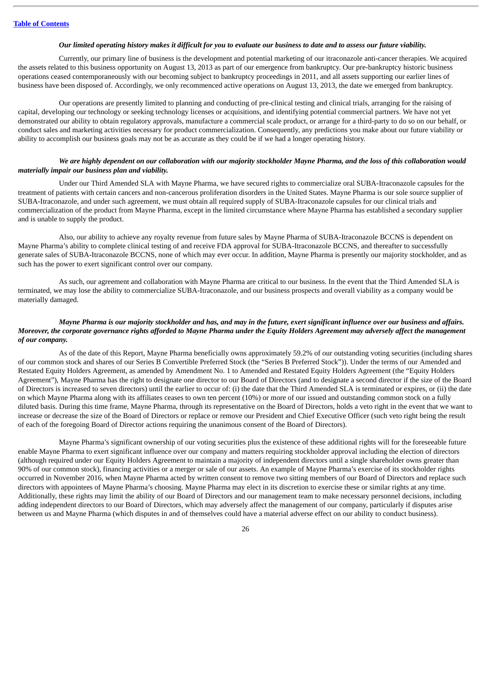#### Our limited operating history makes it difficult for you to evaluate our business to date and to assess our future viability.

Currently, our primary line of business is the development and potential marketing of our itraconazole anti-cancer therapies. We acquired the assets related to this business opportunity on August 13, 2013 as part of our emergence from bankruptcy. Our pre-bankruptcy historic business operations ceased contemporaneously with our becoming subject to bankruptcy proceedings in 2011, and all assets supporting our earlier lines of business have been disposed of. Accordingly, we only recommenced active operations on August 13, 2013, the date we emerged from bankruptcy.

Our operations are presently limited to planning and conducting of pre-clinical testing and clinical trials, arranging for the raising of capital, developing our technology or seeking technology licenses or acquisitions, and identifying potential commercial partners. We have not yet demonstrated our ability to obtain regulatory approvals, manufacture a commercial scale product, or arrange for a third-party to do so on our behalf, or conduct sales and marketing activities necessary for product commercialization. Consequently, any predictions you make about our future viability or ability to accomplish our business goals may not be as accurate as they could be if we had a longer operating history.

#### We are highly dependent on our collaboration with our majority stockholder Mayne Pharma, and the loss of this collaboration would *materially impair our business plan and viability.*

Under our Third Amended SLA with Mayne Pharma, we have secured rights to commercialize oral SUBA-Itraconazole capsules for the treatment of patients with certain cancers and non-cancerous proliferation disorders in the United States. Mayne Pharma is our sole source supplier of SUBA-Itraconazole, and under such agreement, we must obtain all required supply of SUBA-Itraconazole capsules for our clinical trials and commercialization of the product from Mayne Pharma, except in the limited circumstance where Mayne Pharma has established a secondary supplier and is unable to supply the product.

Also, our ability to achieve any royalty revenue from future sales by Mayne Pharma of SUBA-Itraconazole BCCNS is dependent on Mayne Pharma's ability to complete clinical testing of and receive FDA approval for SUBA-Itraconazole BCCNS, and thereafter to successfully generate sales of SUBA-Itraconazole BCCNS, none of which may ever occur. In addition, Mayne Pharma is presently our majority stockholder, and as such has the power to exert significant control over our company.

As such, our agreement and collaboration with Mayne Pharma are critical to our business. In the event that the Third Amended SLA is terminated, we may lose the ability to commercialize SUBA-Itraconazole, and our business prospects and overall viability as a company would be materially damaged.

# Mayne Pharma is our majority stockholder and has, and may in the future, exert significant influence over our business and affairs. Moreover, the corporate governance rights afforded to Mayne Pharma under the Equity Holders Agreement may adversely affect the management *of our company.*

As of the date of this Report, Mayne Pharma beneficially owns approximately 59.2% of our outstanding voting securities (including shares of our common stock and shares of our Series B Convertible Preferred Stock (the "Series B Preferred Stock")). Under the terms of our Amended and Restated Equity Holders Agreement, as amended by Amendment No. 1 to Amended and Restated Equity Holders Agreement (the "Equity Holders Agreement"), Mayne Pharma has the right to designate one director to our Board of Directors (and to designate a second director if the size of the Board of Directors is increased to seven directors) until the earlier to occur of: (i) the date that the Third Amended SLA is terminated or expires, or (ii) the date on which Mayne Pharma along with its affiliates ceases to own ten percent (10%) or more of our issued and outstanding common stock on a fully diluted basis. During this time frame, Mayne Pharma, through its representative on the Board of Directors, holds a veto right in the event that we want to increase or decrease the size of the Board of Directors or replace or remove our President and Chief Executive Officer (such veto right being the result of each of the foregoing Board of Director actions requiring the unanimous consent of the Board of Directors).

Mayne Pharma's significant ownership of our voting securities plus the existence of these additional rights will for the foreseeable future enable Mayne Pharma to exert significant influence over our company and matters requiring stockholder approval including the election of directors (although required under our Equity Holders Agreement to maintain a majority of independent directors until a single shareholder owns greater than 90% of our common stock), financing activities or a merger or sale of our assets. An example of Mayne Pharma's exercise of its stockholder rights occurred in November 2016, when Mayne Pharma acted by written consent to remove two sitting members of our Board of Directors and replace such directors with appointees of Mayne Pharma's choosing. Mayne Pharma may elect in its discretion to exercise these or similar rights at any time. Additionally, these rights may limit the ability of our Board of Directors and our management team to make necessary personnel decisions, including adding independent directors to our Board of Directors, which may adversely affect the management of our company, particularly if disputes arise between us and Mayne Pharma (which disputes in and of themselves could have a material adverse effect on our ability to conduct business).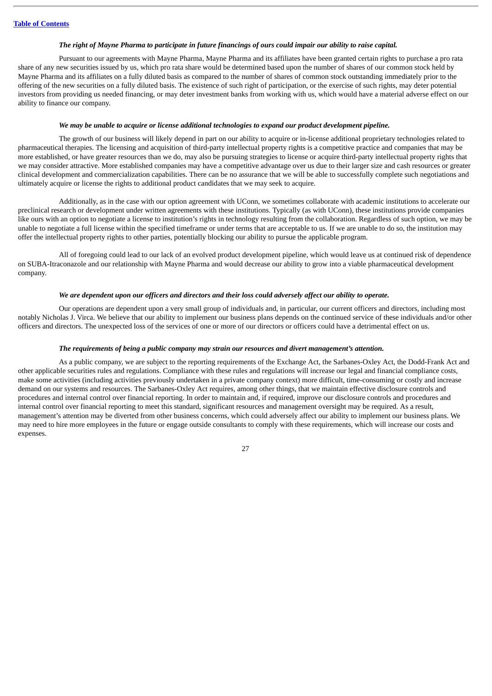#### The right of Mayne Pharma to participate in future financings of ours could impair our ability to raise capital.

Pursuant to our agreements with Mayne Pharma, Mayne Pharma and its affiliates have been granted certain rights to purchase a pro rata share of any new securities issued by us, which pro rata share would be determined based upon the number of shares of our common stock held by Mayne Pharma and its affiliates on a fully diluted basis as compared to the number of shares of common stock outstanding immediately prior to the offering of the new securities on a fully diluted basis. The existence of such right of participation, or the exercise of such rights, may deter potential investors from providing us needed financing, or may deter investment banks from working with us, which would have a material adverse effect on our ability to finance our company.

#### *We may be unable to acquire or license additional technologies to expand our product development pipeline.*

The growth of our business will likely depend in part on our ability to acquire or in-license additional proprietary technologies related to pharmaceutical therapies. The licensing and acquisition of third-party intellectual property rights is a competitive practice and companies that may be more established, or have greater resources than we do, may also be pursuing strategies to license or acquire third-party intellectual property rights that we may consider attractive. More established companies may have a competitive advantage over us due to their larger size and cash resources or greater clinical development and commercialization capabilities. There can be no assurance that we will be able to successfully complete such negotiations and ultimately acquire or license the rights to additional product candidates that we may seek to acquire.

Additionally, as in the case with our option agreement with UConn, we sometimes collaborate with academic institutions to accelerate our preclinical research or development under written agreements with these institutions. Typically (as with UConn), these institutions provide companies like ours with an option to negotiate a license to institution's rights in technology resulting from the collaboration. Regardless of such option, we may be unable to negotiate a full license within the specified timeframe or under terms that are acceptable to us. If we are unable to do so, the institution may offer the intellectual property rights to other parties, potentially blocking our ability to pursue the applicable program.

All of foregoing could lead to our lack of an evolved product development pipeline, which would leave us at continued risk of dependence on SUBA-Itraconazole and our relationship with Mayne Pharma and would decrease our ability to grow into a viable pharmaceutical development company.

# We are dependent upon our officers and directors and their loss could adversely affect our ability to operate.

Our operations are dependent upon a very small group of individuals and, in particular, our current officers and directors, including most notably Nicholas J. Virca. We believe that our ability to implement our business plans depends on the continued service of these individuals and/or other officers and directors. The unexpected loss of the services of one or more of our directors or officers could have a detrimental effect on us.

#### *The requirements of being a public company may strain our resources and divert management's attention.*

As a public company, we are subject to the reporting requirements of the Exchange Act, the Sarbanes-Oxley Act, the Dodd-Frank Act and other applicable securities rules and regulations. Compliance with these rules and regulations will increase our legal and financial compliance costs, make some activities (including activities previously undertaken in a private company context) more difficult, time-consuming or costly and increase demand on our systems and resources. The Sarbanes-Oxley Act requires, among other things, that we maintain effective disclosure controls and procedures and internal control over financial reporting. In order to maintain and, if required, improve our disclosure controls and procedures and internal control over financial reporting to meet this standard, significant resources and management oversight may be required. As a result, management's attention may be diverted from other business concerns, which could adversely affect our ability to implement our business plans. We may need to hire more employees in the future or engage outside consultants to comply with these requirements, which will increase our costs and expenses.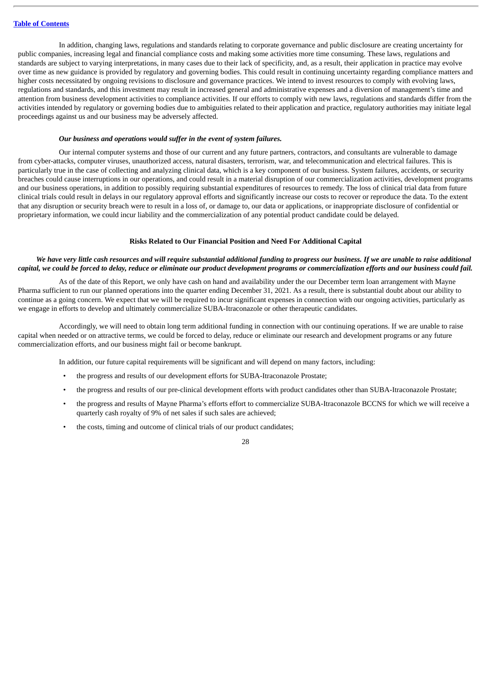In addition, changing laws, regulations and standards relating to corporate governance and public disclosure are creating uncertainty for public companies, increasing legal and financial compliance costs and making some activities more time consuming. These laws, regulations and standards are subject to varying interpretations, in many cases due to their lack of specificity, and, as a result, their application in practice may evolve over time as new guidance is provided by regulatory and governing bodies. This could result in continuing uncertainty regarding compliance matters and higher costs necessitated by ongoing revisions to disclosure and governance practices. We intend to invest resources to comply with evolving laws, regulations and standards, and this investment may result in increased general and administrative expenses and a diversion of management's time and attention from business development activities to compliance activities. If our efforts to comply with new laws, regulations and standards differ from the activities intended by regulatory or governing bodies due to ambiguities related to their application and practice, regulatory authorities may initiate legal proceedings against us and our business may be adversely affected.

#### *Our business and operations would suffer in the event of system failures.*

Our internal computer systems and those of our current and any future partners, contractors, and consultants are vulnerable to damage from cyber-attacks, computer viruses, unauthorized access, natural disasters, terrorism, war, and telecommunication and electrical failures. This is particularly true in the case of collecting and analyzing clinical data, which is a key component of our business. System failures, accidents, or security breaches could cause interruptions in our operations, and could result in a material disruption of our commercialization activities, development programs and our business operations, in addition to possibly requiring substantial expenditures of resources to remedy. The loss of clinical trial data from future clinical trials could result in delays in our regulatory approval efforts and significantly increase our costs to recover or reproduce the data. To the extent that any disruption or security breach were to result in a loss of, or damage to, our data or applications, or inappropriate disclosure of confidential or proprietary information, we could incur liability and the commercialization of any potential product candidate could be delayed.

#### **Risks Related to Our Financial Position and Need For Additional Capital**

# We have very little cash resources and will require substantial additional funding to progress our business. If we are unable to raise additional capital, we could be forced to delay, reduce or eliminate our product development programs or commercialization efforts and our business could fail.

As of the date of this Report, we only have cash on hand and availability under the our December term loan arrangement with Mayne Pharma sufficient to run our planned operations into the quarter ending December 31, 2021. As a result, there is substantial doubt about our ability to continue as a going concern. We expect that we will be required to incur significant expenses in connection with our ongoing activities, particularly as we engage in efforts to develop and ultimately commercialize SUBA-Itraconazole or other therapeutic candidates.

Accordingly, we will need to obtain long term additional funding in connection with our continuing operations. If we are unable to raise capital when needed or on attractive terms, we could be forced to delay, reduce or eliminate our research and development programs or any future commercialization efforts, and our business might fail or become bankrupt.

In addition, our future capital requirements will be significant and will depend on many factors, including:

- the progress and results of our development efforts for SUBA-Itraconazole Prostate;
- the progress and results of our pre-clinical development efforts with product candidates other than SUBA-Itraconazole Prostate;
- the progress and results of Mayne Pharma's efforts effort to commercialize SUBA-Itraconazole BCCNS for which we will receive a quarterly cash royalty of 9% of net sales if such sales are achieved;
- the costs, timing and outcome of clinical trials of our product candidates;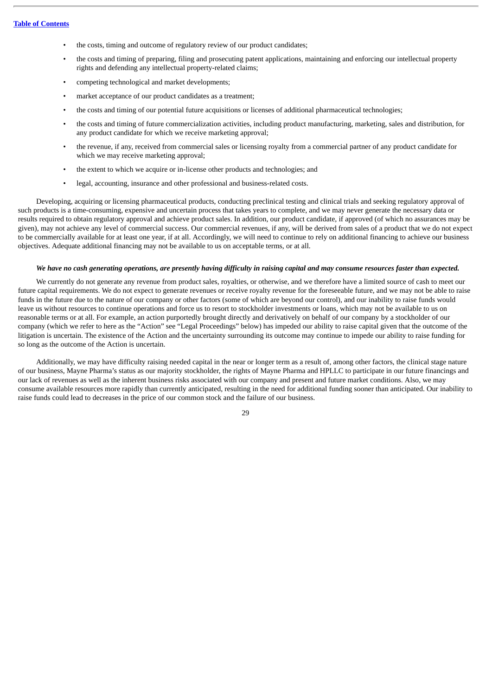- the costs, timing and outcome of regulatory review of our product candidates;
- the costs and timing of preparing, filing and prosecuting patent applications, maintaining and enforcing our intellectual property rights and defending any intellectual property-related claims;
- competing technological and market developments;
- market acceptance of our product candidates as a treatment;
- the costs and timing of our potential future acquisitions or licenses of additional pharmaceutical technologies;
- the costs and timing of future commercialization activities, including product manufacturing, marketing, sales and distribution, for any product candidate for which we receive marketing approval;
- the revenue, if any, received from commercial sales or licensing royalty from a commercial partner of any product candidate for which we may receive marketing approval;
- the extent to which we acquire or in-license other products and technologies; and
- legal, accounting, insurance and other professional and business-related costs.

Developing, acquiring or licensing pharmaceutical products, conducting preclinical testing and clinical trials and seeking regulatory approval of such products is a time-consuming, expensive and uncertain process that takes years to complete, and we may never generate the necessary data or results required to obtain regulatory approval and achieve product sales. In addition, our product candidate, if approved (of which no assurances may be given), may not achieve any level of commercial success. Our commercial revenues, if any, will be derived from sales of a product that we do not expect to be commercially available for at least one year, if at all. Accordingly, we will need to continue to rely on additional financing to achieve our business objectives. Adequate additional financing may not be available to us on acceptable terms, or at all.

#### We have no cash generating operations, are presently having difficulty in raising capital and may consume resources faster than expected.

We currently do not generate any revenue from product sales, royalties, or otherwise, and we therefore have a limited source of cash to meet our future capital requirements. We do not expect to generate revenues or receive royalty revenue for the foreseeable future, and we may not be able to raise funds in the future due to the nature of our company or other factors (some of which are beyond our control), and our inability to raise funds would leave us without resources to continue operations and force us to resort to stockholder investments or loans, which may not be available to us on reasonable terms or at all. For example, an action purportedly brought directly and derivatively on behalf of our company by a stockholder of our company (which we refer to here as the "Action" see "Legal Proceedings" below) has impeded our ability to raise capital given that the outcome of the litigation is uncertain. The existence of the Action and the uncertainty surrounding its outcome may continue to impede our ability to raise funding for so long as the outcome of the Action is uncertain.

Additionally, we may have difficulty raising needed capital in the near or longer term as a result of, among other factors, the clinical stage nature of our business, Mayne Pharma's status as our majority stockholder, the rights of Mayne Pharma and HPLLC to participate in our future financings and our lack of revenues as well as the inherent business risks associated with our company and present and future market conditions. Also, we may consume available resources more rapidly than currently anticipated, resulting in the need for additional funding sooner than anticipated. Our inability to raise funds could lead to decreases in the price of our common stock and the failure of our business.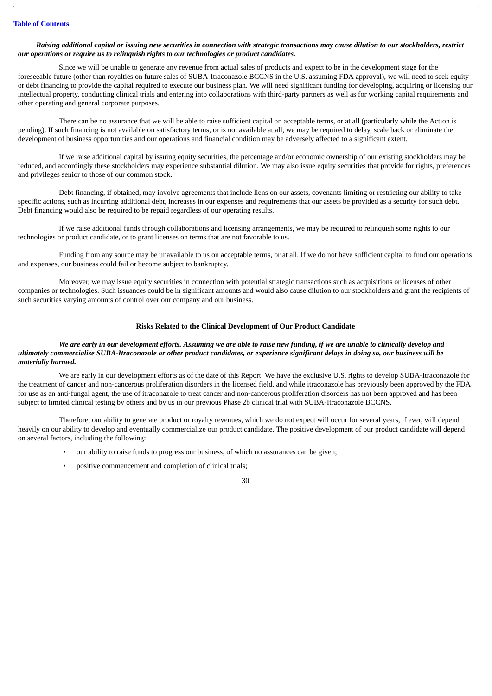#### Raising additional capital or issuing new securities in connection with strategic transactions may cause dilution to our stockholders, restrict *our operations or require us to relinquish rights to our technologies or product candidates.*

Since we will be unable to generate any revenue from actual sales of products and expect to be in the development stage for the foreseeable future (other than royalties on future sales of SUBA-Itraconazole BCCNS in the U.S. assuming FDA approval), we will need to seek equity or debt financing to provide the capital required to execute our business plan. We will need significant funding for developing, acquiring or licensing our intellectual property, conducting clinical trials and entering into collaborations with third-party partners as well as for working capital requirements and other operating and general corporate purposes.

There can be no assurance that we will be able to raise sufficient capital on acceptable terms, or at all (particularly while the Action is pending). If such financing is not available on satisfactory terms, or is not available at all, we may be required to delay, scale back or eliminate the development of business opportunities and our operations and financial condition may be adversely affected to a significant extent.

If we raise additional capital by issuing equity securities, the percentage and/or economic ownership of our existing stockholders may be reduced, and accordingly these stockholders may experience substantial dilution. We may also issue equity securities that provide for rights, preferences and privileges senior to those of our common stock.

Debt financing, if obtained, may involve agreements that include liens on our assets, covenants limiting or restricting our ability to take specific actions, such as incurring additional debt, increases in our expenses and requirements that our assets be provided as a security for such debt. Debt financing would also be required to be repaid regardless of our operating results.

If we raise additional funds through collaborations and licensing arrangements, we may be required to relinquish some rights to our technologies or product candidate, or to grant licenses on terms that are not favorable to us.

Funding from any source may be unavailable to us on acceptable terms, or at all. If we do not have sufficient capital to fund our operations and expenses, our business could fail or become subject to bankruptcy.

Moreover, we may issue equity securities in connection with potential strategic transactions such as acquisitions or licenses of other companies or technologies. Such issuances could be in significant amounts and would also cause dilution to our stockholders and grant the recipients of such securities varying amounts of control over our company and our business.

# **Risks Related to the Clinical Development of Our Product Candidate**

# We are early in our development efforts. Assuming we are able to raise new funding, if we are unable to clinically develop and ultimately commercialize SUBA-Itraconazole or other product candidates, or experience significant delays in doing so, our business will be *materially harmed.*

We are early in our development efforts as of the date of this Report. We have the exclusive U.S. rights to develop SUBA-Itraconazole for the treatment of cancer and non-cancerous proliferation disorders in the licensed field, and while itraconazole has previously been approved by the FDA for use as an anti-fungal agent, the use of itraconazole to treat cancer and non-cancerous proliferation disorders has not been approved and has been subject to limited clinical testing by others and by us in our previous Phase 2b clinical trial with SUBA-Itraconazole BCCNS.

Therefore, our ability to generate product or royalty revenues, which we do not expect will occur for several years, if ever, will depend heavily on our ability to develop and eventually commercialize our product candidate. The positive development of our product candidate will depend on several factors, including the following:

- our ability to raise funds to progress our business, of which no assurances can be given;
- positive commencement and completion of clinical trials;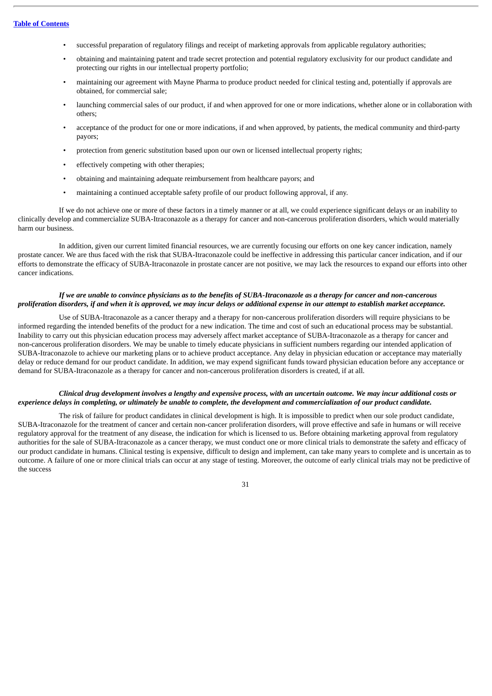- successful preparation of regulatory filings and receipt of marketing approvals from applicable regulatory authorities;
- obtaining and maintaining patent and trade secret protection and potential regulatory exclusivity for our product candidate and protecting our rights in our intellectual property portfolio;
- maintaining our agreement with Mayne Pharma to produce product needed for clinical testing and, potentially if approvals are obtained, for commercial sale;
- launching commercial sales of our product, if and when approved for one or more indications, whether alone or in collaboration with others;
- acceptance of the product for one or more indications, if and when approved, by patients, the medical community and third-party payors;
- protection from generic substitution based upon our own or licensed intellectual property rights;
- effectively competing with other therapies;
- obtaining and maintaining adequate reimbursement from healthcare payors; and
- maintaining a continued acceptable safety profile of our product following approval, if any.

If we do not achieve one or more of these factors in a timely manner or at all, we could experience significant delays or an inability to clinically develop and commercialize SUBA-Itraconazole as a therapy for cancer and non-cancerous proliferation disorders, which would materially harm our business.

In addition, given our current limited financial resources, we are currently focusing our efforts on one key cancer indication, namely prostate cancer. We are thus faced with the risk that SUBA-Itraconazole could be ineffective in addressing this particular cancer indication, and if our efforts to demonstrate the efficacy of SUBA-Itraconazole in prostate cancer are not positive, we may lack the resources to expand our efforts into other cancer indications.

# If we are unable to convince physicians as to the benefits of SUBA-Itraconazole as a therapy for cancer and non-cancerous proliferation disorders, if and when it is approved, we may incur delays or additional expense in our attempt to establish market acceptance.

Use of SUBA-Itraconazole as a cancer therapy and a therapy for non-cancerous proliferation disorders will require physicians to be informed regarding the intended benefits of the product for a new indication. The time and cost of such an educational process may be substantial. Inability to carry out this physician education process may adversely affect market acceptance of SUBA-Itraconazole as a therapy for cancer and non-cancerous proliferation disorders. We may be unable to timely educate physicians in sufficient numbers regarding our intended application of SUBA-Itraconazole to achieve our marketing plans or to achieve product acceptance. Any delay in physician education or acceptance may materially delay or reduce demand for our product candidate. In addition, we may expend significant funds toward physician education before any acceptance or demand for SUBA-Itraconazole as a therapy for cancer and non-cancerous proliferation disorders is created, if at all.

## Clinical drug development involves a lengthy and expensive process, with an uncertain outcome. We may incur additional costs or experience delays in completing, or ultimately be unable to complete, the development and commercialization of our product candidate.

The risk of failure for product candidates in clinical development is high. It is impossible to predict when our sole product candidate, SUBA-Itraconazole for the treatment of cancer and certain non-cancer proliferation disorders, will prove effective and safe in humans or will receive regulatory approval for the treatment of any disease, the indication for which is licensed to us. Before obtaining marketing approval from regulatory authorities for the sale of SUBA-Itraconazole as a cancer therapy, we must conduct one or more clinical trials to demonstrate the safety and efficacy of our product candidate in humans. Clinical testing is expensive, difficult to design and implement, can take many years to complete and is uncertain as to outcome. A failure of one or more clinical trials can occur at any stage of testing. Moreover, the outcome of early clinical trials may not be predictive of the success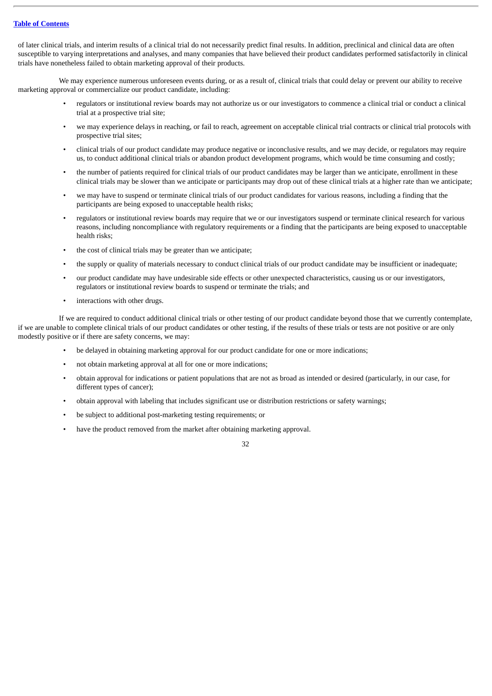of later clinical trials, and interim results of a clinical trial do not necessarily predict final results. In addition, preclinical and clinical data are often susceptible to varying interpretations and analyses, and many companies that have believed their product candidates performed satisfactorily in clinical trials have nonetheless failed to obtain marketing approval of their products.

We may experience numerous unforeseen events during, or as a result of, clinical trials that could delay or prevent our ability to receive marketing approval or commercialize our product candidate, including:

- regulators or institutional review boards may not authorize us or our investigators to commence a clinical trial or conduct a clinical trial at a prospective trial site;
- we may experience delays in reaching, or fail to reach, agreement on acceptable clinical trial contracts or clinical trial protocols with prospective trial sites;
- clinical trials of our product candidate may produce negative or inconclusive results, and we may decide, or regulators may require us, to conduct additional clinical trials or abandon product development programs, which would be time consuming and costly;
- the number of patients required for clinical trials of our product candidates may be larger than we anticipate, enrollment in these clinical trials may be slower than we anticipate or participants may drop out of these clinical trials at a higher rate than we anticipate;
- we may have to suspend or terminate clinical trials of our product candidates for various reasons, including a finding that the participants are being exposed to unacceptable health risks;
- regulators or institutional review boards may require that we or our investigators suspend or terminate clinical research for various reasons, including noncompliance with regulatory requirements or a finding that the participants are being exposed to unacceptable health risks;
- the cost of clinical trials may be greater than we anticipate:
- the supply or quality of materials necessary to conduct clinical trials of our product candidate may be insufficient or inadequate;
- our product candidate may have undesirable side effects or other unexpected characteristics, causing us or our investigators, regulators or institutional review boards to suspend or terminate the trials; and
- interactions with other drugs.

If we are required to conduct additional clinical trials or other testing of our product candidate beyond those that we currently contemplate, if we are unable to complete clinical trials of our product candidates or other testing, if the results of these trials or tests are not positive or are only modestly positive or if there are safety concerns, we may:

- be delayed in obtaining marketing approval for our product candidate for one or more indications;
- not obtain marketing approval at all for one or more indications;
- obtain approval for indications or patient populations that are not as broad as intended or desired (particularly, in our case, for different types of cancer);
- obtain approval with labeling that includes significant use or distribution restrictions or safety warnings;
- be subject to additional post-marketing testing requirements; or
- have the product removed from the market after obtaining marketing approval.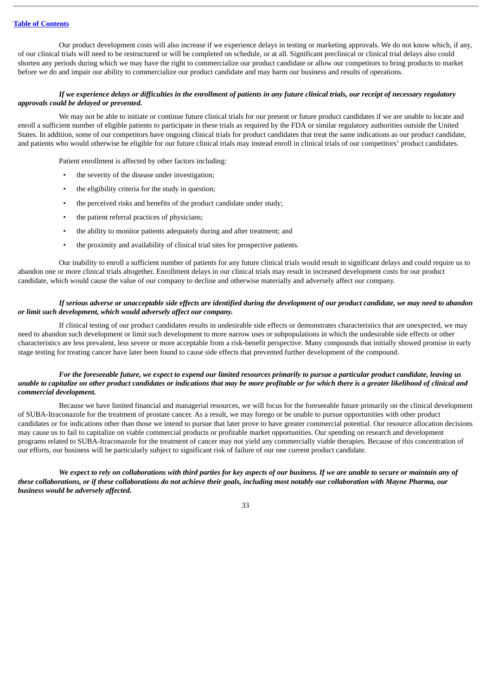Our product development costs will also increase if we experience delays in testing or marketing approvals. We do not know which, if any, of our clinical trials will need to be restructured or will be completed on schedule, or at all. Significant preclinical or clinical trial delays also could shorten any periods during which we may have the right to commercialize our product candidate or allow our competitors to bring products to market before we do and impair our ability to commercialize our product candidate and may harm our business and results of operations.

# If we experience delays or difficulties in the enrollment of patients in any future clinical trials, our receipt of necessary regulatory *approvals could be delayed or prevented.*

We may not be able to initiate or continue future clinical trials for our present or future product candidates if we are unable to locate and enroll a sufficient number of eligible patients to participate in these trials as required by the FDA or similar regulatory authorities outside the United States. In addition, some of our competitors have ongoing clinical trials for product candidates that treat the same indications as our product candidate, and patients who would otherwise be eligible for our future clinical trials may instead enroll in clinical trials of our competitors' product candidates.

Patient enrollment is affected by other factors including:

- the severity of the disease under investigation;
- the eligibility criteria for the study in question;
- the perceived risks and benefits of the product candidate under study;
- the patient referral practices of physicians;
- the ability to monitor patients adequately during and after treatment; and
- the proximity and availability of clinical trial sites for prospective patients.

Our inability to enroll a sufficient number of patients for any future clinical trials would result in significant delays and could require us to abandon one or more clinical trials altogether. Enrollment delays in our clinical trials may result in increased development costs for our product candidate, which would cause the value of our company to decline and otherwise materially and adversely affect our company.

# If serious adverse or unacceptable side effects are identified during the development of our product candidate, we may need to abandon *or limit such development, which would adversely affect our company.*

If clinical testing of our product candidates results in undesirable side effects or demonstrates characteristics that are unexpected, we may need to abandon such development or limit such development to more narrow uses or subpopulations in which the undesirable side effects or other characteristics are less prevalent, less severe or more acceptable from a risk-benefit perspective. Many compounds that initially showed promise in early stage testing for treating cancer have later been found to cause side effects that prevented further development of the compound.

# For the foreseeable future, we expect to expend our limited resources primarily to pursue a particular product candidate, leaving us unable to capitalize on other product candidates or indications that may be more profitable or for which there is a greater likelihood of clinical and *commercial development.*

Because we have limited financial and managerial resources, we will focus for the foreseeable future primarily on the clinical development of SUBA-Itraconazole for the treatment of prostate cancer. As a result, we may forego or be unable to pursue opportunities with other product candidates or for indications other than those we intend to pursue that later prove to have greater commercial potential. Our resource allocation decisions may cause us to fail to capitalize on viable commercial products or profitable market opportunities. Our spending on research and development programs related to SUBA-Itraconazole for the treatment of cancer may not yield any commercially viable therapies. Because of this concentration of our efforts, our business will be particularly subject to significant risk of failure of our one current product candidate.

We expect to rely on collaborations with third parties for key aspects of our business. If we are unable to secure or maintain any of these collaborations, or if these collaborations do not achieve their goals, including most notably our collaboration with Mayne Pharma, our *business would be adversely affected.*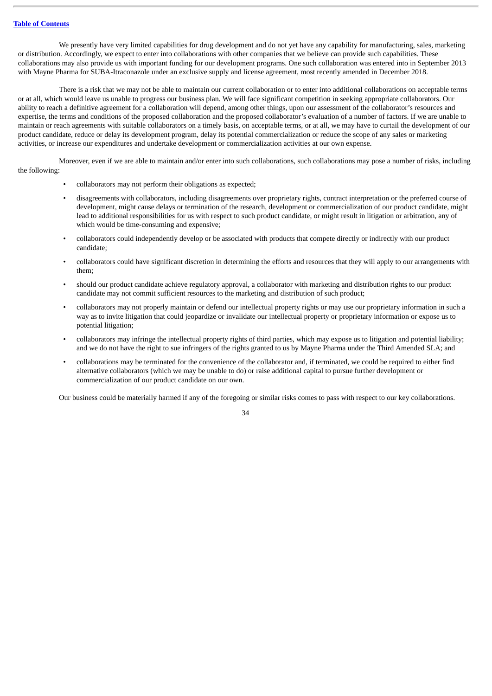We presently have very limited capabilities for drug development and do not yet have any capability for manufacturing, sales, marketing or distribution. Accordingly, we expect to enter into collaborations with other companies that we believe can provide such capabilities. These collaborations may also provide us with important funding for our development programs. One such collaboration was entered into in September 2013 with Mayne Pharma for SUBA-Itraconazole under an exclusive supply and license agreement, most recently amended in December 2018.

There is a risk that we may not be able to maintain our current collaboration or to enter into additional collaborations on acceptable terms or at all, which would leave us unable to progress our business plan. We will face significant competition in seeking appropriate collaborators. Our ability to reach a definitive agreement for a collaboration will depend, among other things, upon our assessment of the collaborator's resources and expertise, the terms and conditions of the proposed collaboration and the proposed collaborator's evaluation of a number of factors. If we are unable to maintain or reach agreements with suitable collaborators on a timely basis, on acceptable terms, or at all, we may have to curtail the development of our product candidate, reduce or delay its development program, delay its potential commercialization or reduce the scope of any sales or marketing activities, or increase our expenditures and undertake development or commercialization activities at our own expense.

Moreover, even if we are able to maintain and/or enter into such collaborations, such collaborations may pose a number of risks, including the following:

- collaborators may not perform their obligations as expected;
- disagreements with collaborators, including disagreements over proprietary rights, contract interpretation or the preferred course of development, might cause delays or termination of the research, development or commercialization of our product candidate, might lead to additional responsibilities for us with respect to such product candidate, or might result in litigation or arbitration, any of which would be time-consuming and expensive;
- collaborators could independently develop or be associated with products that compete directly or indirectly with our product candidate;
- collaborators could have significant discretion in determining the efforts and resources that they will apply to our arrangements with them;
- should our product candidate achieve regulatory approval, a collaborator with marketing and distribution rights to our product candidate may not commit sufficient resources to the marketing and distribution of such product;
- collaborators may not properly maintain or defend our intellectual property rights or may use our proprietary information in such a way as to invite litigation that could jeopardize or invalidate our intellectual property or proprietary information or expose us to potential litigation;
- collaborators may infringe the intellectual property rights of third parties, which may expose us to litigation and potential liability; and we do not have the right to sue infringers of the rights granted to us by Mayne Pharma under the Third Amended SLA; and
- collaborations may be terminated for the convenience of the collaborator and, if terminated, we could be required to either find alternative collaborators (which we may be unable to do) or raise additional capital to pursue further development or commercialization of our product candidate on our own.

Our business could be materially harmed if any of the foregoing or similar risks comes to pass with respect to our key collaborations.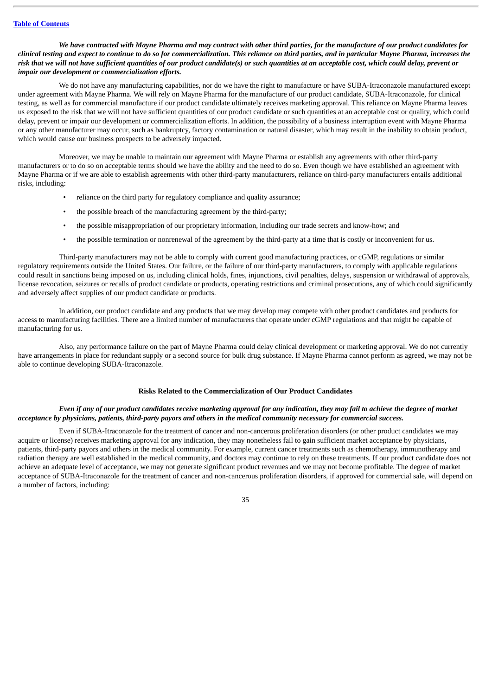# We have contracted with Mayne Pharma and may contract with other third parties, for the manufacture of our product candidates for clinical testing and expect to continue to do so for commercialization. This reliance on third parties, and in particular Mayne Pharma, increases the risk that we will not have sufficient quantities of our product candidate(s) or such quantities at an acceptable cost, which could delay, prevent or *impair our development or commercialization efforts.*

We do not have any manufacturing capabilities, nor do we have the right to manufacture or have SUBA-Itraconazole manufactured except under agreement with Mayne Pharma. We will rely on Mayne Pharma for the manufacture of our product candidate, SUBA-Itraconazole, for clinical testing, as well as for commercial manufacture if our product candidate ultimately receives marketing approval. This reliance on Mayne Pharma leaves us exposed to the risk that we will not have sufficient quantities of our product candidate or such quantities at an acceptable cost or quality, which could delay, prevent or impair our development or commercialization efforts. In addition, the possibility of a business interruption event with Mayne Pharma or any other manufacturer may occur, such as bankruptcy, factory contamination or natural disaster, which may result in the inability to obtain product, which would cause our business prospects to be adversely impacted.

Moreover, we may be unable to maintain our agreement with Mayne Pharma or establish any agreements with other third-party manufacturers or to do so on acceptable terms should we have the ability and the need to do so. Even though we have established an agreement with Mayne Pharma or if we are able to establish agreements with other third-party manufacturers, reliance on third-party manufacturers entails additional risks, including:

- reliance on the third party for regulatory compliance and quality assurance;
- the possible breach of the manufacturing agreement by the third-party;
- the possible misappropriation of our proprietary information, including our trade secrets and know-how; and
- the possible termination or nonrenewal of the agreement by the third-party at a time that is costly or inconvenient for us.

Third-party manufacturers may not be able to comply with current good manufacturing practices, or cGMP, regulations or similar regulatory requirements outside the United States. Our failure, or the failure of our third-party manufacturers, to comply with applicable regulations could result in sanctions being imposed on us, including clinical holds, fines, injunctions, civil penalties, delays, suspension or withdrawal of approvals, license revocation, seizures or recalls of product candidate or products, operating restrictions and criminal prosecutions, any of which could significantly and adversely affect supplies of our product candidate or products.

In addition, our product candidate and any products that we may develop may compete with other product candidates and products for access to manufacturing facilities. There are a limited number of manufacturers that operate under cGMP regulations and that might be capable of manufacturing for us.

Also, any performance failure on the part of Mayne Pharma could delay clinical development or marketing approval. We do not currently have arrangements in place for redundant supply or a second source for bulk drug substance. If Mayne Pharma cannot perform as agreed, we may not be able to continue developing SUBA-Itraconazole.

## **Risks Related to the Commercialization of Our Product Candidates**

## Even if any of our product candidates receive marketing approval for any indication, they may fail to achieve the degree of market acceptance by physicians, patients, third-party payors and others in the medical community necessary for commercial success,

Even if SUBA-Itraconazole for the treatment of cancer and non-cancerous proliferation disorders (or other product candidates we may acquire or license) receives marketing approval for any indication, they may nonetheless fail to gain sufficient market acceptance by physicians, patients, third-party payors and others in the medical community. For example, current cancer treatments such as chemotherapy, immunotherapy and radiation therapy are well established in the medical community, and doctors may continue to rely on these treatments. If our product candidate does not achieve an adequate level of acceptance, we may not generate significant product revenues and we may not become profitable. The degree of market acceptance of SUBA-Itraconazole for the treatment of cancer and non-cancerous proliferation disorders, if approved for commercial sale, will depend on a number of factors, including: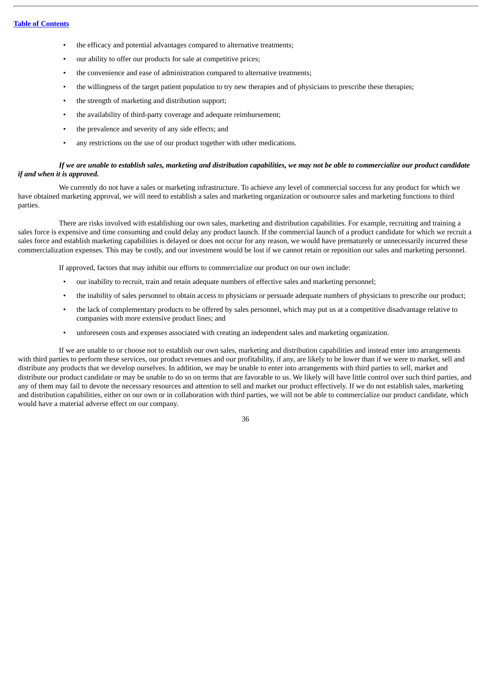- the efficacy and potential advantages compared to alternative treatments;
- our ability to offer our products for sale at competitive prices;
- the convenience and ease of administration compared to alternative treatments;
- the willingness of the target patient population to try new therapies and of physicians to prescribe these therapies;
- the strength of marketing and distribution support;
- the availability of third-party coverage and adequate reimbursement;
- the prevalence and severity of any side effects; and
- any restrictions on the use of our product together with other medications.

# If we are unable to establish sales, marketina and distribution capabilities, we may not be able to commercialize our product candidate *if and when it is approved.*

We currently do not have a sales or marketing infrastructure. To achieve any level of commercial success for any product for which we have obtained marketing approval, we will need to establish a sales and marketing organization or outsource sales and marketing functions to third parties.

There are risks involved with establishing our own sales, marketing and distribution capabilities. For example, recruiting and training a sales force is expensive and time consuming and could delay any product launch. If the commercial launch of a product candidate for which we recruit a sales force and establish marketing capabilities is delayed or does not occur for any reason, we would have prematurely or unnecessarily incurred these commercialization expenses. This may be costly, and our investment would be lost if we cannot retain or reposition our sales and marketing personnel.

If approved, factors that may inhibit our efforts to commercialize our product on our own include:

- our inability to recruit, train and retain adequate numbers of effective sales and marketing personnel;
- the inability of sales personnel to obtain access to physicians or persuade adequate numbers of physicians to prescribe our product;
- the lack of complementary products to be offered by sales personnel, which may put us at a competitive disadvantage relative to companies with more extensive product lines; and
- unforeseen costs and expenses associated with creating an independent sales and marketing organization.

If we are unable to or choose not to establish our own sales, marketing and distribution capabilities and instead enter into arrangements with third parties to perform these services, our product revenues and our profitability, if any, are likely to be lower than if we were to market, sell and distribute any products that we develop ourselves. In addition, we may be unable to enter into arrangements with third parties to sell, market and distribute our product candidate or may be unable to do so on terms that are favorable to us. We likely will have little control over such third parties, and any of them may fail to devote the necessary resources and attention to sell and market our product effectively. If we do not establish sales, marketing and distribution capabilities, either on our own or in collaboration with third parties, we will not be able to commercialize our product candidate, which would have a material adverse effect on our company.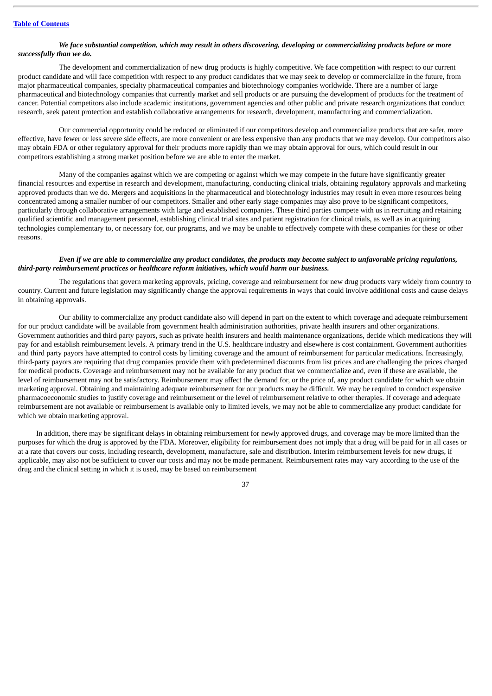### We face substantial competition, which may result in others discovering, developing or commercializing products before or more *successfully than we do.*

The development and commercialization of new drug products is highly competitive. We face competition with respect to our current product candidate and will face competition with respect to any product candidates that we may seek to develop or commercialize in the future, from major pharmaceutical companies, specialty pharmaceutical companies and biotechnology companies worldwide. There are a number of large pharmaceutical and biotechnology companies that currently market and sell products or are pursuing the development of products for the treatment of cancer. Potential competitors also include academic institutions, government agencies and other public and private research organizations that conduct research, seek patent protection and establish collaborative arrangements for research, development, manufacturing and commercialization.

Our commercial opportunity could be reduced or eliminated if our competitors develop and commercialize products that are safer, more effective, have fewer or less severe side effects, are more convenient or are less expensive than any products that we may develop. Our competitors also may obtain FDA or other regulatory approval for their products more rapidly than we may obtain approval for ours, which could result in our competitors establishing a strong market position before we are able to enter the market.

Many of the companies against which we are competing or against which we may compete in the future have significantly greater financial resources and expertise in research and development, manufacturing, conducting clinical trials, obtaining regulatory approvals and marketing approved products than we do. Mergers and acquisitions in the pharmaceutical and biotechnology industries may result in even more resources being concentrated among a smaller number of our competitors. Smaller and other early stage companies may also prove to be significant competitors, particularly through collaborative arrangements with large and established companies. These third parties compete with us in recruiting and retaining qualified scientific and management personnel, establishing clinical trial sites and patient registration for clinical trials, as well as in acquiring technologies complementary to, or necessary for, our programs, and we may be unable to effectively compete with these companies for these or other reasons.

## Even if we are able to commercialize any product candidates, the products may become subject to unfavorable pricing requlations, *third-party reimbursement practices or healthcare reform initiatives, which would harm our business.*

The regulations that govern marketing approvals, pricing, coverage and reimbursement for new drug products vary widely from country to country. Current and future legislation may significantly change the approval requirements in ways that could involve additional costs and cause delays in obtaining approvals.

Our ability to commercialize any product candidate also will depend in part on the extent to which coverage and adequate reimbursement for our product candidate will be available from government health administration authorities, private health insurers and other organizations. Government authorities and third party payors, such as private health insurers and health maintenance organizations, decide which medications they will pay for and establish reimbursement levels. A primary trend in the U.S. healthcare industry and elsewhere is cost containment. Government authorities and third party payors have attempted to control costs by limiting coverage and the amount of reimbursement for particular medications. Increasingly, third-party payors are requiring that drug companies provide them with predetermined discounts from list prices and are challenging the prices charged for medical products. Coverage and reimbursement may not be available for any product that we commercialize and, even if these are available, the level of reimbursement may not be satisfactory. Reimbursement may affect the demand for, or the price of, any product candidate for which we obtain marketing approval. Obtaining and maintaining adequate reimbursement for our products may be difficult. We may be required to conduct expensive pharmacoeconomic studies to justify coverage and reimbursement or the level of reimbursement relative to other therapies. If coverage and adequate reimbursement are not available or reimbursement is available only to limited levels, we may not be able to commercialize any product candidate for which we obtain marketing approval.

In addition, there may be significant delays in obtaining reimbursement for newly approved drugs, and coverage may be more limited than the purposes for which the drug is approved by the FDA. Moreover, eligibility for reimbursement does not imply that a drug will be paid for in all cases or at a rate that covers our costs, including research, development, manufacture, sale and distribution. Interim reimbursement levels for new drugs, if applicable, may also not be sufficient to cover our costs and may not be made permanent. Reimbursement rates may vary according to the use of the drug and the clinical setting in which it is used, may be based on reimbursement

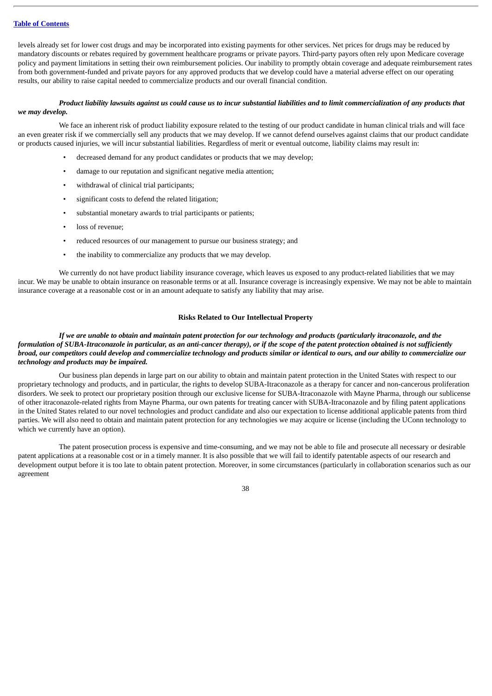### **Table of [Contents](#page-2-0)**

levels already set for lower cost drugs and may be incorporated into existing payments for other services. Net prices for drugs may be reduced by mandatory discounts or rebates required by government healthcare programs or private payors. Third-party payors often rely upon Medicare coverage policy and payment limitations in setting their own reimbursement policies. Our inability to promptly obtain coverage and adequate reimbursement rates from both government-funded and private payors for any approved products that we develop could have a material adverse effect on our operating results, our ability to raise capital needed to commercialize products and our overall financial condition.

### Product liability lawsuits against us could cause us to incur substantial liabilities and to limit commercialization of any products that *we may develop.*

We face an inherent risk of product liability exposure related to the testing of our product candidate in human clinical trials and will face an even greater risk if we commercially sell any products that we may develop. If we cannot defend ourselves against claims that our product candidate or products caused injuries, we will incur substantial liabilities. Regardless of merit or eventual outcome, liability claims may result in:

- decreased demand for any product candidates or products that we may develop;
- damage to our reputation and significant negative media attention;
- withdrawal of clinical trial participants;
- significant costs to defend the related litigation:
- substantial monetary awards to trial participants or patients;
- loss of revenue;
- reduced resources of our management to pursue our business strategy; and
- the inability to commercialize any products that we may develop.

We currently do not have product liability insurance coverage, which leaves us exposed to any product-related liabilities that we may incur. We may be unable to obtain insurance on reasonable terms or at all. Insurance coverage is increasingly expensive. We may not be able to maintain insurance coverage at a reasonable cost or in an amount adequate to satisfy any liability that may arise.

### **Risks Related to Our Intellectual Property**

# If we are unable to obtain and maintain patent protection for our technology and products (particularly itraconazole, and the formulation of SUBA-Itraconazole in particular, as an anti-cancer therapy), or if the scope of the patent protection obtained is not sufficiently broad, our competitors could develop and commercialize technology and products similar or identical to ours, and our ability to commercialize our *technology and products may be impaired.*

Our business plan depends in large part on our ability to obtain and maintain patent protection in the United States with respect to our proprietary technology and products, and in particular, the rights to develop SUBA-Itraconazole as a therapy for cancer and non-cancerous proliferation disorders. We seek to protect our proprietary position through our exclusive license for SUBA-Itraconazole with Mayne Pharma, through our sublicense of other itraconazole-related rights from Mayne Pharma, our own patents for treating cancer with SUBA-Itraconazole and by filing patent applications in the United States related to our novel technologies and product candidate and also our expectation to license additional applicable patents from third parties. We will also need to obtain and maintain patent protection for any technologies we may acquire or license (including the UConn technology to which we currently have an option).

The patent prosecution process is expensive and time-consuming, and we may not be able to file and prosecute all necessary or desirable patent applications at a reasonable cost or in a timely manner. It is also possible that we will fail to identify patentable aspects of our research and development output before it is too late to obtain patent protection. Moreover, in some circumstances (particularly in collaboration scenarios such as our agreement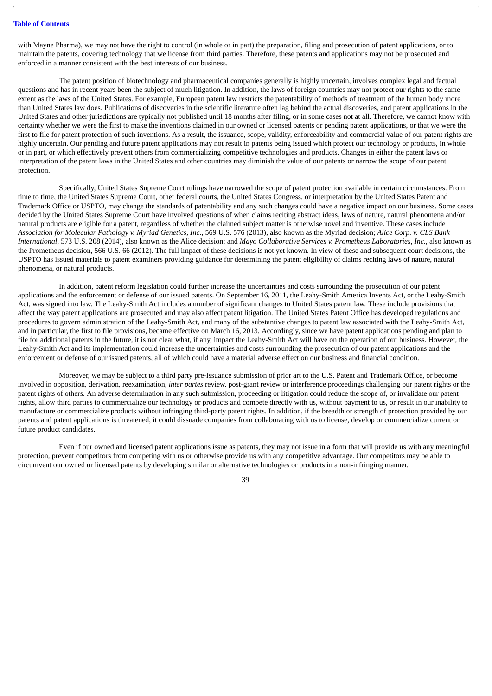with Mayne Pharma), we may not have the right to control (in whole or in part) the preparation, filing and prosecution of patent applications, or to maintain the patents, covering technology that we license from third parties. Therefore, these patents and applications may not be prosecuted and enforced in a manner consistent with the best interests of our business.

The patent position of biotechnology and pharmaceutical companies generally is highly uncertain, involves complex legal and factual questions and has in recent years been the subject of much litigation. In addition, the laws of foreign countries may not protect our rights to the same extent as the laws of the United States. For example, European patent law restricts the patentability of methods of treatment of the human body more than United States law does. Publications of discoveries in the scientific literature often lag behind the actual discoveries, and patent applications in the United States and other jurisdictions are typically not published until 18 months after filing, or in some cases not at all. Therefore, we cannot know with certainty whether we were the first to make the inventions claimed in our owned or licensed patents or pending patent applications, or that we were the first to file for patent protection of such inventions. As a result, the issuance, scope, validity, enforceability and commercial value of our patent rights are highly uncertain. Our pending and future patent applications may not result in patents being issued which protect our technology or products, in whole or in part, or which effectively prevent others from commercializing competitive technologies and products. Changes in either the patent laws or interpretation of the patent laws in the United States and other countries may diminish the value of our patents or narrow the scope of our patent protection.

Specifically, United States Supreme Court rulings have narrowed the scope of patent protection available in certain circumstances. From time to time, the United States Supreme Court, other federal courts, the United States Congress, or interpretation by the United States Patent and Trademark Office or USPTO, may change the standards of patentability and any such changes could have a negative impact on our business. Some cases decided by the United States Supreme Court have involved questions of when claims reciting abstract ideas, laws of nature, natural phenomena and/or natural products are eligible for a patent, regardless of whether the claimed subject matter is otherwise novel and inventive. These cases include Association for Molecular Pathology v. Myriad Genetics, Inc., 569 U.S. 576 (2013), also known as the Myriad decision; Alice Corp. v. CLS Bank *International*, 573 U.S. 208 (2014), also known as the Alice decision; and *Mayo Collaborative Services v. Prometheus Laboratories, Inc.*, also known as the Prometheus decision, 566 U.S. 66 (2012). The full impact of these decisions is not yet known. In view of these and subsequent court decisions, the USPTO has issued materials to patent examiners providing guidance for determining the patent eligibility of claims reciting laws of nature, natural phenomena, or natural products.

In addition, patent reform legislation could further increase the uncertainties and costs surrounding the prosecution of our patent applications and the enforcement or defense of our issued patents. On September 16, 2011, the Leahy-Smith America Invents Act, or the Leahy-Smith Act, was signed into law. The Leahy-Smith Act includes a number of significant changes to United States patent law. These include provisions that affect the way patent applications are prosecuted and may also affect patent litigation. The United States Patent Office has developed regulations and procedures to govern administration of the Leahy-Smith Act, and many of the substantive changes to patent law associated with the Leahy-Smith Act, and in particular, the first to file provisions, became effective on March 16, 2013. Accordingly, since we have patent applications pending and plan to file for additional patents in the future, it is not clear what, if any, impact the Leahy-Smith Act will have on the operation of our business. However, the Leahy-Smith Act and its implementation could increase the uncertainties and costs surrounding the prosecution of our patent applications and the enforcement or defense of our issued patents, all of which could have a material adverse effect on our business and financial condition.

Moreover, we may be subject to a third party pre-issuance submission of prior art to the U.S. Patent and Trademark Office, or become involved in opposition, derivation, reexamination, *inter partes* review, post-grant review or interference proceedings challenging our patent rights or the patent rights of others. An adverse determination in any such submission, proceeding or litigation could reduce the scope of, or invalidate our patent rights, allow third parties to commercialize our technology or products and compete directly with us, without payment to us, or result in our inability to manufacture or commercialize products without infringing third-party patent rights. In addition, if the breadth or strength of protection provided by our patents and patent applications is threatened, it could dissuade companies from collaborating with us to license, develop or commercialize current or future product candidates.

Even if our owned and licensed patent applications issue as patents, they may not issue in a form that will provide us with any meaningful protection, prevent competitors from competing with us or otherwise provide us with any competitive advantage. Our competitors may be able to circumvent our owned or licensed patents by developing similar or alternative technologies or products in a non-infringing manner.

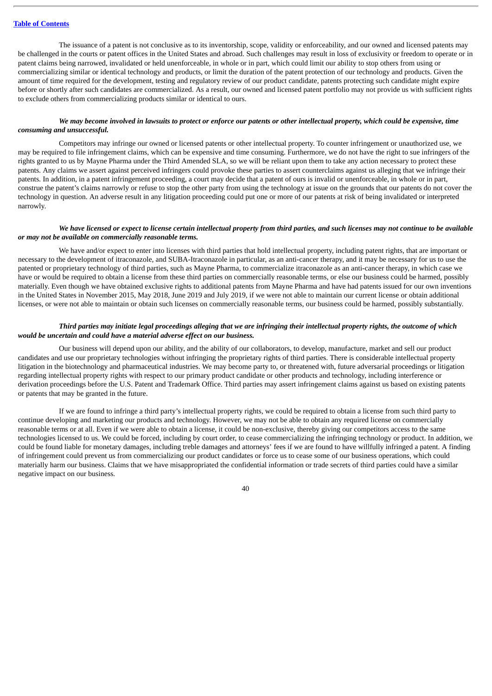The issuance of a patent is not conclusive as to its inventorship, scope, validity or enforceability, and our owned and licensed patents may be challenged in the courts or patent offices in the United States and abroad. Such challenges may result in loss of exclusivity or freedom to operate or in patent claims being narrowed, invalidated or held unenforceable, in whole or in part, which could limit our ability to stop others from using or commercializing similar or identical technology and products, or limit the duration of the patent protection of our technology and products. Given the amount of time required for the development, testing and regulatory review of our product candidate, patents protecting such candidate might expire before or shortly after such candidates are commercialized. As a result, our owned and licensed patent portfolio may not provide us with sufficient rights to exclude others from commercializing products similar or identical to ours.

# We may become involved in lawsuits to protect or enforce our patents or other intellectual property, which could be expensive, time *consuming and unsuccessful.*

Competitors may infringe our owned or licensed patents or other intellectual property. To counter infringement or unauthorized use, we may be required to file infringement claims, which can be expensive and time consuming. Furthermore, we do not have the right to sue infringers of the rights granted to us by Mayne Pharma under the Third Amended SLA, so we will be reliant upon them to take any action necessary to protect these patents. Any claims we assert against perceived infringers could provoke these parties to assert counterclaims against us alleging that we infringe their patents. In addition, in a patent infringement proceeding, a court may decide that a patent of ours is invalid or unenforceable, in whole or in part, construe the patent's claims narrowly or refuse to stop the other party from using the technology at issue on the grounds that our patents do not cover the technology in question. An adverse result in any litigation proceeding could put one or more of our patents at risk of being invalidated or interpreted narrowly.

# We have licensed or expect to license certain intellectual property from third parties, and such licenses may not continue to be available *or may not be available on commercially reasonable terms.*

We have and/or expect to enter into licenses with third parties that hold intellectual property, including patent rights, that are important or necessary to the development of itraconazole, and SUBA-Itraconazole in particular, as an anti-cancer therapy, and it may be necessary for us to use the patented or proprietary technology of third parties, such as Mayne Pharma, to commercialize itraconazole as an anti-cancer therapy, in which case we have or would be required to obtain a license from these third parties on commercially reasonable terms, or else our business could be harmed, possibly materially. Even though we have obtained exclusive rights to additional patents from Mayne Pharma and have had patents issued for our own inventions in the United States in November 2015, May 2018, June 2019 and July 2019, if we were not able to maintain our current license or obtain additional licenses, or were not able to maintain or obtain such licenses on commercially reasonable terms, our business could be harmed, possibly substantially.

## Third parties may initiate legal proceedings alleging that we are infringing their intellectual property rights, the outcome of which *would be uncertain and could have a material adverse effect on our business.*

Our business will depend upon our ability, and the ability of our collaborators, to develop, manufacture, market and sell our product candidates and use our proprietary technologies without infringing the proprietary rights of third parties. There is considerable intellectual property litigation in the biotechnology and pharmaceutical industries. We may become party to, or threatened with, future adversarial proceedings or litigation regarding intellectual property rights with respect to our primary product candidate or other products and technology, including interference or derivation proceedings before the U.S. Patent and Trademark Office. Third parties may assert infringement claims against us based on existing patents or patents that may be granted in the future.

If we are found to infringe a third party's intellectual property rights, we could be required to obtain a license from such third party to continue developing and marketing our products and technology. However, we may not be able to obtain any required license on commercially reasonable terms or at all. Even if we were able to obtain a license, it could be non-exclusive, thereby giving our competitors access to the same technologies licensed to us. We could be forced, including by court order, to cease commercializing the infringing technology or product. In addition, we could be found liable for monetary damages, including treble damages and attorneys' fees if we are found to have willfully infringed a patent. A finding of infringement could prevent us from commercializing our product candidates or force us to cease some of our business operations, which could materially harm our business. Claims that we have misappropriated the confidential information or trade secrets of third parties could have a similar negative impact on our business.

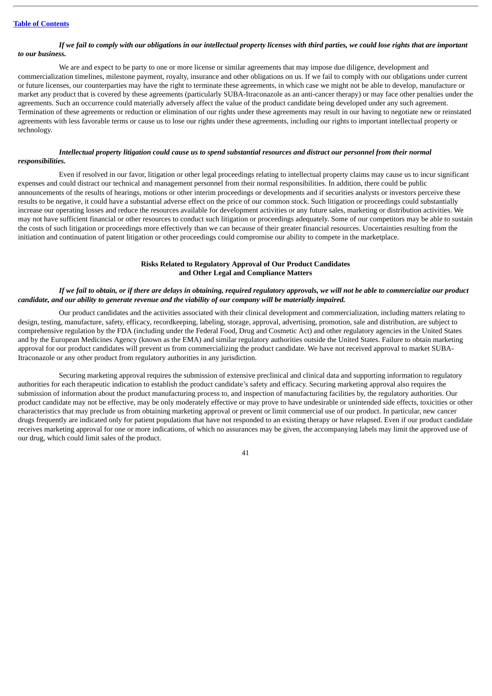# If we fail to comply with our obligations in our intellectual property licenses with third parties, we could lose rights that are important *to our business.*

We are and expect to be party to one or more license or similar agreements that may impose due diligence, development and commercialization timelines, milestone payment, royalty, insurance and other obligations on us. If we fail to comply with our obligations under current or future licenses, our counterparties may have the right to terminate these agreements, in which case we might not be able to develop, manufacture or market any product that is covered by these agreements (particularly SUBA-Itraconazole as an anti-cancer therapy) or may face other penalties under the agreements. Such an occurrence could materially adversely affect the value of the product candidate being developed under any such agreement. Termination of these agreements or reduction or elimination of our rights under these agreements may result in our having to negotiate new or reinstated agreements with less favorable terms or cause us to lose our rights under these agreements, including our rights to important intellectual property or technology.

## Intellectual property litigation could cause us to spend substantial resources and distract our personnel from their normal *responsibilities.*

Even if resolved in our favor, litigation or other legal proceedings relating to intellectual property claims may cause us to incur significant expenses and could distract our technical and management personnel from their normal responsibilities. In addition, there could be public announcements of the results of hearings, motions or other interim proceedings or developments and if securities analysts or investors perceive these results to be negative, it could have a substantial adverse effect on the price of our common stock. Such litigation or proceedings could substantially increase our operating losses and reduce the resources available for development activities or any future sales, marketing or distribution activities. We may not have sufficient financial or other resources to conduct such litigation or proceedings adequately. Some of our competitors may be able to sustain the costs of such litigation or proceedings more effectively than we can because of their greater financial resources. Uncertainties resulting from the initiation and continuation of patent litigation or other proceedings could compromise our ability to compete in the marketplace.

# **Risks Related to Regulatory Approval of Our Product Candidates and Other Legal and Compliance Matters**

# If we fail to obtain, or if there are delays in obtaining, required requlatory approvals, we will not be able to commercialize our product candidate, and our ability to generate revenue and the viability of our company will be materially impaired.

Our product candidates and the activities associated with their clinical development and commercialization, including matters relating to design, testing, manufacture, safety, efficacy, recordkeeping, labeling, storage, approval, advertising, promotion, sale and distribution, are subject to comprehensive regulation by the FDA (including under the Federal Food, Drug and Cosmetic Act) and other regulatory agencies in the United States and by the European Medicines Agency (known as the EMA) and similar regulatory authorities outside the United States. Failure to obtain marketing approval for our product candidates will prevent us from commercializing the product candidate. We have not received approval to market SUBA-Itraconazole or any other product from regulatory authorities in any jurisdiction.

Securing marketing approval requires the submission of extensive preclinical and clinical data and supporting information to regulatory authorities for each therapeutic indication to establish the product candidate's safety and efficacy. Securing marketing approval also requires the submission of information about the product manufacturing process to, and inspection of manufacturing facilities by, the regulatory authorities. Our product candidate may not be effective, may be only moderately effective or may prove to have undesirable or unintended side effects, toxicities or other characteristics that may preclude us from obtaining marketing approval or prevent or limit commercial use of our product. In particular, new cancer drugs frequently are indicated only for patient populations that have not responded to an existing therapy or have relapsed. Even if our product candidate receives marketing approval for one or more indications, of which no assurances may be given, the accompanying labels may limit the approved use of our drug, which could limit sales of the product.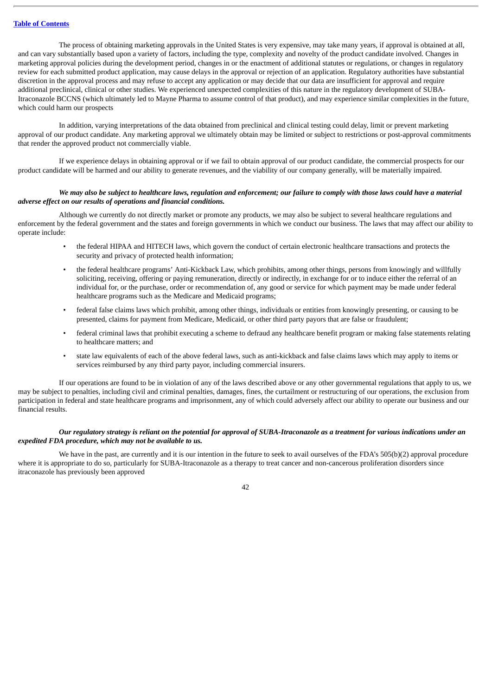The process of obtaining marketing approvals in the United States is very expensive, may take many years, if approval is obtained at all, and can vary substantially based upon a variety of factors, including the type, complexity and novelty of the product candidate involved. Changes in marketing approval policies during the development period, changes in or the enactment of additional statutes or regulations, or changes in regulatory review for each submitted product application, may cause delays in the approval or rejection of an application. Regulatory authorities have substantial discretion in the approval process and may refuse to accept any application or may decide that our data are insufficient for approval and require additional preclinical, clinical or other studies. We experienced unexpected complexities of this nature in the regulatory development of SUBA-Itraconazole BCCNS (which ultimately led to Mayne Pharma to assume control of that product), and may experience similar complexities in the future, which could harm our prospects

In addition, varying interpretations of the data obtained from preclinical and clinical testing could delay, limit or prevent marketing approval of our product candidate. Any marketing approval we ultimately obtain may be limited or subject to restrictions or post-approval commitments that render the approved product not commercially viable.

If we experience delays in obtaining approval or if we fail to obtain approval of our product candidate, the commercial prospects for our product candidate will be harmed and our ability to generate revenues, and the viability of our company generally, will be materially impaired.

## We may also be subject to healthcare laws, regulation and enforcement; our failure to comply with those laws could have a material *adverse effect on our results of operations and financial conditions.*

Although we currently do not directly market or promote any products, we may also be subject to several healthcare regulations and enforcement by the federal government and the states and foreign governments in which we conduct our business. The laws that may affect our ability to operate include:

- the federal HIPAA and HITECH laws, which govern the conduct of certain electronic healthcare transactions and protects the security and privacy of protected health information;
- the federal healthcare programs' Anti-Kickback Law, which prohibits, among other things, persons from knowingly and willfully soliciting, receiving, offering or paying remuneration, directly or indirectly, in exchange for or to induce either the referral of an individual for, or the purchase, order or recommendation of, any good or service for which payment may be made under federal healthcare programs such as the Medicare and Medicaid programs;
- federal false claims laws which prohibit, among other things, individuals or entities from knowingly presenting, or causing to be presented, claims for payment from Medicare, Medicaid, or other third party payors that are false or fraudulent;
- federal criminal laws that prohibit executing a scheme to defraud any healthcare benefit program or making false statements relating to healthcare matters; and
- state law equivalents of each of the above federal laws, such as anti-kickback and false claims laws which may apply to items or services reimbursed by any third party payor, including commercial insurers.

If our operations are found to be in violation of any of the laws described above or any other governmental regulations that apply to us, we may be subject to penalties, including civil and criminal penalties, damages, fines, the curtailment or restructuring of our operations, the exclusion from participation in federal and state healthcare programs and imprisonment, any of which could adversely affect our ability to operate our business and our financial results.

## Our regulatory strategy is reliant on the potential for approval of SUBA-Itraconazole as a treatment for various indications under an *expedited FDA procedure, which may not be available to us.*

We have in the past, are currently and it is our intention in the future to seek to avail ourselves of the FDA's 505(b)(2) approval procedure where it is appropriate to do so, particularly for SUBA-Itraconazole as a therapy to treat cancer and non-cancerous proliferation disorders since itraconazole has previously been approved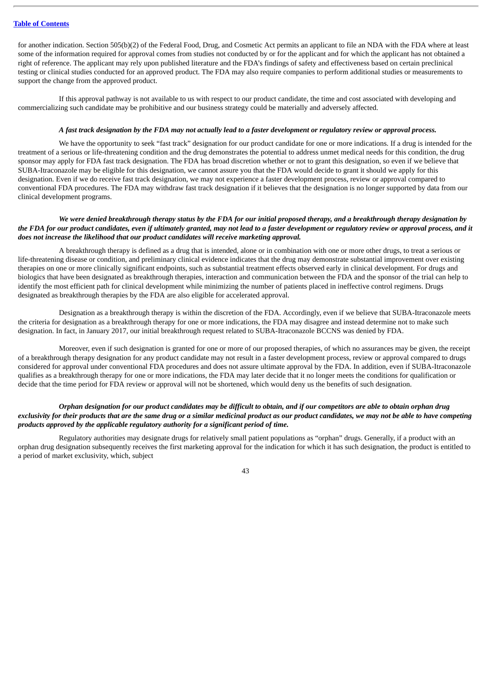for another indication. Section 505(b)(2) of the Federal Food, Drug, and Cosmetic Act permits an applicant to file an NDA with the FDA where at least some of the information required for approval comes from studies not conducted by or for the applicant and for which the applicant has not obtained a right of reference. The applicant may rely upon published literature and the FDA's findings of safety and effectiveness based on certain preclinical testing or clinical studies conducted for an approved product. The FDA may also require companies to perform additional studies or measurements to support the change from the approved product.

If this approval pathway is not available to us with respect to our product candidate, the time and cost associated with developing and commercializing such candidate may be prohibitive and our business strategy could be materially and adversely affected.

### A fast track designation by the FDA may not actually lead to a faster development or regulatory review or approval process.

We have the opportunity to seek "fast track" designation for our product candidate for one or more indications. If a drug is intended for the treatment of a serious or life-threatening condition and the drug demonstrates the potential to address unmet medical needs for this condition, the drug sponsor may apply for FDA fast track designation. The FDA has broad discretion whether or not to grant this designation, so even if we believe that SUBA-Itraconazole may be eligible for this designation, we cannot assure you that the FDA would decide to grant it should we apply for this designation. Even if we do receive fast track designation, we may not experience a faster development process, review or approval compared to conventional FDA procedures. The FDA may withdraw fast track designation if it believes that the designation is no longer supported by data from our clinical development programs.

## We were denied breakthrough therapy status by the FDA for our initial proposed therapy, and a breakthrough therapy designation by the FDA for our product candidates, even if ultimately granted, may not lead to a faster development or regulatory review or approval process, and it *does not increase the likelihood that our product candidates will receive marketing approval.*

A breakthrough therapy is defined as a drug that is intended, alone or in combination with one or more other drugs, to treat a serious or life-threatening disease or condition, and preliminary clinical evidence indicates that the drug may demonstrate substantial improvement over existing therapies on one or more clinically significant endpoints, such as substantial treatment effects observed early in clinical development. For drugs and biologics that have been designated as breakthrough therapies, interaction and communication between the FDA and the sponsor of the trial can help to identify the most efficient path for clinical development while minimizing the number of patients placed in ineffective control regimens. Drugs designated as breakthrough therapies by the FDA are also eligible for accelerated approval.

Designation as a breakthrough therapy is within the discretion of the FDA. Accordingly, even if we believe that SUBA-Itraconazole meets the criteria for designation as a breakthrough therapy for one or more indications, the FDA may disagree and instead determine not to make such designation. In fact, in January 2017, our initial breakthrough request related to SUBA-Itraconazole BCCNS was denied by FDA.

Moreover, even if such designation is granted for one or more of our proposed therapies, of which no assurances may be given, the receipt of a breakthrough therapy designation for any product candidate may not result in a faster development process, review or approval compared to drugs considered for approval under conventional FDA procedures and does not assure ultimate approval by the FDA. In addition, even if SUBA-Itraconazole qualifies as a breakthrough therapy for one or more indications, the FDA may later decide that it no longer meets the conditions for qualification or decide that the time period for FDA review or approval will not be shortened, which would deny us the benefits of such designation.

# Orphan desianation for our product candidates may be difficult to obtain, and if our competitors are able to obtain orphan drua exclusivity for their products that are the same drug or a similar medicinal product as our product candidates, we may not be able to have competing *products approved by the applicable regulatory authority for a significant period of time.*

Regulatory authorities may designate drugs for relatively small patient populations as "orphan" drugs. Generally, if a product with an orphan drug designation subsequently receives the first marketing approval for the indication for which it has such designation, the product is entitled to a period of market exclusivity, which, subject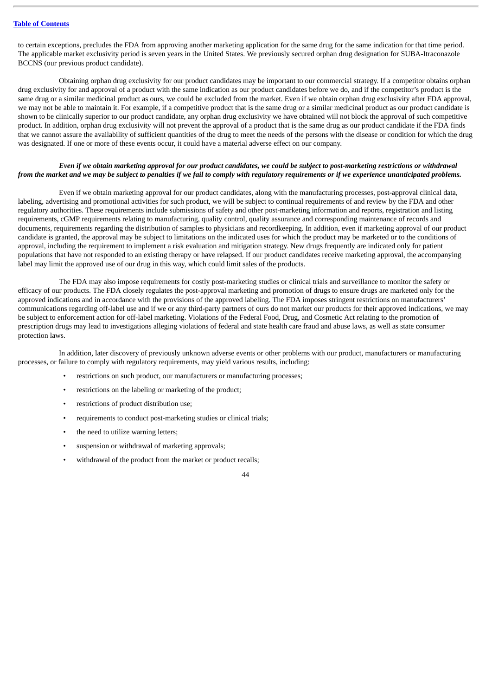to certain exceptions, precludes the FDA from approving another marketing application for the same drug for the same indication for that time period. The applicable market exclusivity period is seven years in the United States. We previously secured orphan drug designation for SUBA-Itraconazole BCCNS (our previous product candidate).

Obtaining orphan drug exclusivity for our product candidates may be important to our commercial strategy. If a competitor obtains orphan drug exclusivity for and approval of a product with the same indication as our product candidates before we do, and if the competitor's product is the same drug or a similar medicinal product as ours, we could be excluded from the market. Even if we obtain orphan drug exclusivity after FDA approval, we may not be able to maintain it. For example, if a competitive product that is the same drug or a similar medicinal product as our product candidate is shown to be clinically superior to our product candidate, any orphan drug exclusivity we have obtained will not block the approval of such competitive product. In addition, orphan drug exclusivity will not prevent the approval of a product that is the same drug as our product candidate if the FDA finds that we cannot assure the availability of sufficient quantities of the drug to meet the needs of the persons with the disease or condition for which the drug was designated. If one or more of these events occur, it could have a material adverse effect on our company.

# Even if we obtain marketing approval for our product candidates, we could be subject to post-marketing restrictions or withdrawal from the market and we may be subject to penalties if we fail to comply with regulatory requirements or if we experience unanticipated problems.

Even if we obtain marketing approval for our product candidates, along with the manufacturing processes, post-approval clinical data, labeling, advertising and promotional activities for such product, we will be subject to continual requirements of and review by the FDA and other regulatory authorities. These requirements include submissions of safety and other post-marketing information and reports, registration and listing requirements, cGMP requirements relating to manufacturing, quality control, quality assurance and corresponding maintenance of records and documents, requirements regarding the distribution of samples to physicians and recordkeeping. In addition, even if marketing approval of our product candidate is granted, the approval may be subject to limitations on the indicated uses for which the product may be marketed or to the conditions of approval, including the requirement to implement a risk evaluation and mitigation strategy. New drugs frequently are indicated only for patient populations that have not responded to an existing therapy or have relapsed. If our product candidates receive marketing approval, the accompanying label may limit the approved use of our drug in this way, which could limit sales of the products.

The FDA may also impose requirements for costly post-marketing studies or clinical trials and surveillance to monitor the safety or efficacy of our products. The FDA closely regulates the post-approval marketing and promotion of drugs to ensure drugs are marketed only for the approved indications and in accordance with the provisions of the approved labeling. The FDA imposes stringent restrictions on manufacturers' communications regarding off-label use and if we or any third-party partners of ours do not market our products for their approved indications, we may be subject to enforcement action for off-label marketing. Violations of the Federal Food, Drug, and Cosmetic Act relating to the promotion of prescription drugs may lead to investigations alleging violations of federal and state health care fraud and abuse laws, as well as state consumer protection laws.

In addition, later discovery of previously unknown adverse events or other problems with our product, manufacturers or manufacturing processes, or failure to comply with regulatory requirements, may yield various results, including:

- restrictions on such product, our manufacturers or manufacturing processes;
- restrictions on the labeling or marketing of the product;
- restrictions of product distribution use;
- requirements to conduct post-marketing studies or clinical trials;
- the need to utilize warning letters;
- suspension or withdrawal of marketing approvals:
- withdrawal of the product from the market or product recalls;

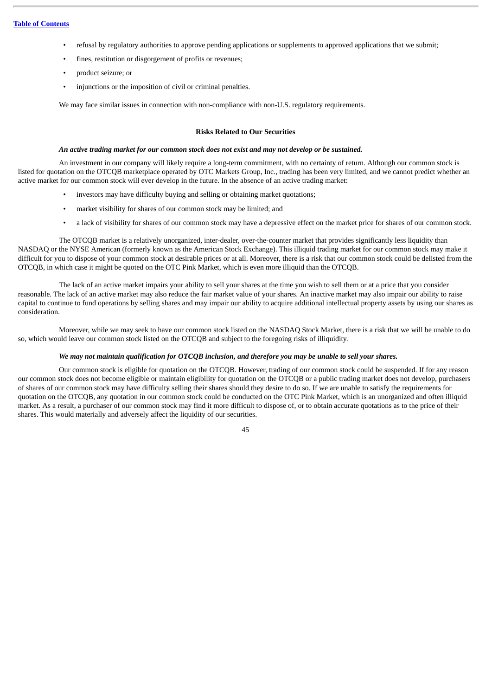- refusal by regulatory authorities to approve pending applications or supplements to approved applications that we submit;
- fines, restitution or disgorgement of profits or revenues;
- product seizure; or
- injunctions or the imposition of civil or criminal penalties.

We may face similar issues in connection with non-compliance with non-U.S. regulatory requirements.

### **Risks Related to Our Securities**

# *An active trading market for our common stock does not exist and may not develop or be sustained.*

An investment in our company will likely require a long-term commitment, with no certainty of return. Although our common stock is listed for quotation on the OTCQB marketplace operated by OTC Markets Group, Inc., trading has been very limited, and we cannot predict whether an active market for our common stock will ever develop in the future. In the absence of an active trading market:

- investors may have difficulty buying and selling or obtaining market quotations;
- market visibility for shares of our common stock may be limited; and
- a lack of visibility for shares of our common stock may have a depressive effect on the market price for shares of our common stock.

The OTCQB market is a relatively unorganized, inter-dealer, over-the-counter market that provides significantly less liquidity than NASDAQ or the NYSE American (formerly known as the American Stock Exchange). This illiquid trading market for our common stock may make it difficult for you to dispose of your common stock at desirable prices or at all. Moreover, there is a risk that our common stock could be delisted from the OTCQB, in which case it might be quoted on the OTC Pink Market, which is even more illiquid than the OTCQB.

The lack of an active market impairs your ability to sell your shares at the time you wish to sell them or at a price that you consider reasonable. The lack of an active market may also reduce the fair market value of your shares. An inactive market may also impair our ability to raise capital to continue to fund operations by selling shares and may impair our ability to acquire additional intellectual property assets by using our shares as consideration.

Moreover, while we may seek to have our common stock listed on the NASDAQ Stock Market, there is a risk that we will be unable to do so, which would leave our common stock listed on the OTCQB and subject to the foregoing risks of illiquidity.

## We may not maintain qualification for OTCQB inclusion, and therefore you may be unable to sell your shares.

Our common stock is eligible for quotation on the OTCQB. However, trading of our common stock could be suspended. If for any reason our common stock does not become eligible or maintain eligibility for quotation on the OTCQB or a public trading market does not develop, purchasers of shares of our common stock may have difficulty selling their shares should they desire to do so. If we are unable to satisfy the requirements for quotation on the OTCQB, any quotation in our common stock could be conducted on the OTC Pink Market, which is an unorganized and often illiquid market. As a result, a purchaser of our common stock may find it more difficult to dispose of, or to obtain accurate quotations as to the price of their shares. This would materially and adversely affect the liquidity of our securities.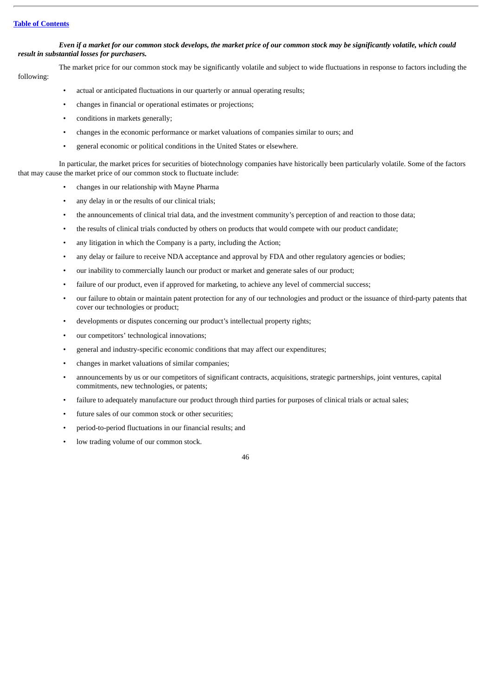# Even if a market for our common stock develops, the market price of our common stock may be significantly volatile, which could *result in substantial losses for purchasers.*

The market price for our common stock may be significantly volatile and subject to wide fluctuations in response to factors including the following:

- actual or anticipated fluctuations in our quarterly or annual operating results;
- changes in financial or operational estimates or projections;
- conditions in markets generally;
- changes in the economic performance or market valuations of companies similar to ours; and
- general economic or political conditions in the United States or elsewhere.

In particular, the market prices for securities of biotechnology companies have historically been particularly volatile. Some of the factors that may cause the market price of our common stock to fluctuate include:

- changes in our relationship with Mayne Pharma
- any delay in or the results of our clinical trials;
- the announcements of clinical trial data, and the investment community's perception of and reaction to those data;
- the results of clinical trials conducted by others on products that would compete with our product candidate;
- any litigation in which the Company is a party, including the Action;
- any delay or failure to receive NDA acceptance and approval by FDA and other regulatory agencies or bodies;
- our inability to commercially launch our product or market and generate sales of our product;
- failure of our product, even if approved for marketing, to achieve any level of commercial success;
- our failure to obtain or maintain patent protection for any of our technologies and product or the issuance of third-party patents that cover our technologies or product;
- developments or disputes concerning our product's intellectual property rights;
- our competitors' technological innovations;
- general and industry-specific economic conditions that may affect our expenditures;
- changes in market valuations of similar companies;
- announcements by us or our competitors of significant contracts, acquisitions, strategic partnerships, joint ventures, capital commitments, new technologies, or patents;
- failure to adequately manufacture our product through third parties for purposes of clinical trials or actual sales;

- future sales of our common stock or other securities;
- period-to-period fluctuations in our financial results; and
- low trading volume of our common stock.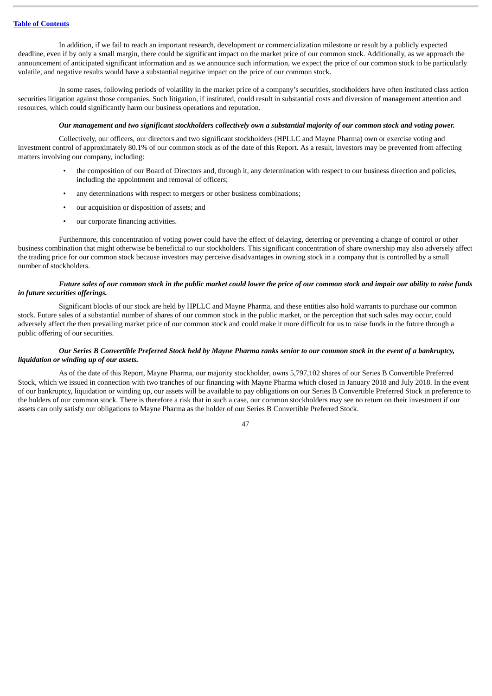In addition, if we fail to reach an important research, development or commercialization milestone or result by a publicly expected deadline, even if by only a small margin, there could be significant impact on the market price of our common stock. Additionally, as we approach the announcement of anticipated significant information and as we announce such information, we expect the price of our common stock to be particularly volatile, and negative results would have a substantial negative impact on the price of our common stock.

In some cases, following periods of volatility in the market price of a company's securities, stockholders have often instituted class action securities litigation against those companies. Such litigation, if instituted, could result in substantial costs and diversion of management attention and resources, which could significantly harm our business operations and reputation.

## Our management and two significant stockholders collectively own a substantial majority of our common stock and voting power.

Collectively, our officers, our directors and two significant stockholders (HPLLC and Mayne Pharma) own or exercise voting and investment control of approximately 80.1% of our common stock as of the date of this Report. As a result, investors may be prevented from affecting matters involving our company, including:

- the composition of our Board of Directors and, through it, any determination with respect to our business direction and policies, including the appointment and removal of officers;
- any determinations with respect to mergers or other business combinations;
- our acquisition or disposition of assets; and
- our corporate financing activities.

Furthermore, this concentration of voting power could have the effect of delaying, deterring or preventing a change of control or other business combination that might otherwise be beneficial to our stockholders. This significant concentration of share ownership may also adversely affect the trading price for our common stock because investors may perceive disadvantages in owning stock in a company that is controlled by a small number of stockholders.

# Future sales of our common stock in the public market could lower the price of our common stock and impair our ability to raise funds *in future securities offerings.*

Significant blocks of our stock are held by HPLLC and Mayne Pharma, and these entities also hold warrants to purchase our common stock. Future sales of a substantial number of shares of our common stock in the public market, or the perception that such sales may occur, could adversely affect the then prevailing market price of our common stock and could make it more difficult for us to raise funds in the future through a public offering of our securities.

# Our Series B Convertible Preferred Stock held by Mayne Pharma ranks senior to our common stock in the event of a bankruptcy. *liquidation or winding up of our assets.*

As of the date of this Report, Mayne Pharma, our majority stockholder, owns 5,797,102 shares of our Series B Convertible Preferred Stock, which we issued in connection with two tranches of our financing with Mayne Pharma which closed in January 2018 and July 2018. In the event of our bankruptcy, liquidation or winding up, our assets will be available to pay obligations on our Series B Convertible Preferred Stock in preference to the holders of our common stock. There is therefore a risk that in such a case, our common stockholders may see no return on their investment if our assets can only satisfy our obligations to Mayne Pharma as the holder of our Series B Convertible Preferred Stock.

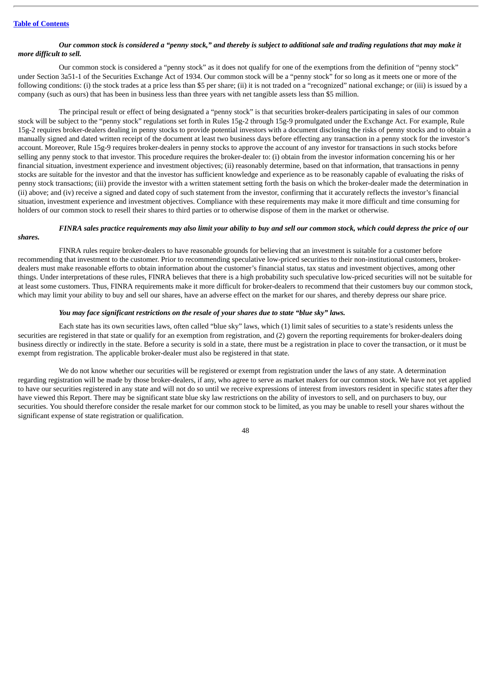# Our common stock is considered a "penny stock," and thereby is subject to additional sale and trading regulations that may make it *more difficult to sell.*

Our common stock is considered a "penny stock" as it does not qualify for one of the exemptions from the definition of "penny stock" under Section 3a51-1 of the Securities Exchange Act of 1934. Our common stock will be a "penny stock" for so long as it meets one or more of the following conditions: (i) the stock trades at a price less than \$5 per share; (ii) it is not traded on a "recognized" national exchange; or (iii) is issued by a company (such as ours) that has been in business less than three years with net tangible assets less than \$5 million.

The principal result or effect of being designated a "penny stock" is that securities broker-dealers participating in sales of our common stock will be subject to the "penny stock" regulations set forth in Rules 15g-2 through 15g-9 promulgated under the Exchange Act. For example, Rule 15g-2 requires broker-dealers dealing in penny stocks to provide potential investors with a document disclosing the risks of penny stocks and to obtain a manually signed and dated written receipt of the document at least two business days before effecting any transaction in a penny stock for the investor's account. Moreover, Rule 15g-9 requires broker-dealers in penny stocks to approve the account of any investor for transactions in such stocks before selling any penny stock to that investor. This procedure requires the broker-dealer to: (i) obtain from the investor information concerning his or her financial situation, investment experience and investment objectives; (ii) reasonably determine, based on that information, that transactions in penny stocks are suitable for the investor and that the investor has sufficient knowledge and experience as to be reasonably capable of evaluating the risks of penny stock transactions; (iii) provide the investor with a written statement setting forth the basis on which the broker-dealer made the determination in (ii) above; and (iv) receive a signed and dated copy of such statement from the investor, confirming that it accurately reflects the investor's financial situation, investment experience and investment objectives. Compliance with these requirements may make it more difficult and time consuming for holders of our common stock to resell their shares to third parties or to otherwise dispose of them in the market or otherwise.

# FINRA sales practice requirements may also limit your ability to buy and sell our common stock, which could depress the price of our

#### *shares.*

FINRA rules require broker-dealers to have reasonable grounds for believing that an investment is suitable for a customer before recommending that investment to the customer. Prior to recommending speculative low-priced securities to their non-institutional customers, brokerdealers must make reasonable efforts to obtain information about the customer's financial status, tax status and investment objectives, among other things. Under interpretations of these rules, FINRA believes that there is a high probability such speculative low-priced securities will not be suitable for at least some customers. Thus, FINRA requirements make it more difficult for broker-dealers to recommend that their customers buy our common stock, which may limit your ability to buy and sell our shares, have an adverse effect on the market for our shares, and thereby depress our share price.

## *You may face significant restrictions on the resale of your shares due to state "blue sky" laws.*

Each state has its own securities laws, often called "blue sky" laws, which (1) limit sales of securities to a state's residents unless the securities are registered in that state or qualify for an exemption from registration, and (2) govern the reporting requirements for broker-dealers doing business directly or indirectly in the state. Before a security is sold in a state, there must be a registration in place to cover the transaction, or it must be exempt from registration. The applicable broker-dealer must also be registered in that state.

We do not know whether our securities will be registered or exempt from registration under the laws of any state. A determination regarding registration will be made by those broker-dealers, if any, who agree to serve as market makers for our common stock. We have not yet applied to have our securities registered in any state and will not do so until we receive expressions of interest from investors resident in specific states after they have viewed this Report. There may be significant state blue sky law restrictions on the ability of investors to sell, and on purchasers to buy, our securities. You should therefore consider the resale market for our common stock to be limited, as you may be unable to resell your shares without the significant expense of state registration or qualification.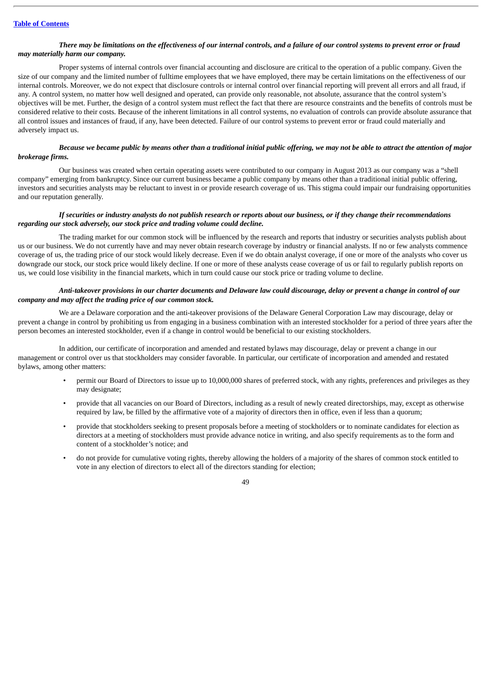## There may be limitations on the effectiveness of our internal controls, and a failure of our control systems to prevent error or fraud *may materially harm our company.*

Proper systems of internal controls over financial accounting and disclosure are critical to the operation of a public company. Given the size of our company and the limited number of fulltime employees that we have employed, there may be certain limitations on the effectiveness of our internal controls. Moreover, we do not expect that disclosure controls or internal control over financial reporting will prevent all errors and all fraud, if any. A control system, no matter how well designed and operated, can provide only reasonable, not absolute, assurance that the control system's objectives will be met. Further, the design of a control system must reflect the fact that there are resource constraints and the benefits of controls must be considered relative to their costs. Because of the inherent limitations in all control systems, no evaluation of controls can provide absolute assurance that all control issues and instances of fraud, if any, have been detected. Failure of our control systems to prevent error or fraud could materially and adversely impact us.

# Because we became public by means other than a traditional initial public offering, we may not be able to attract the attention of major *brokerage firms.*

Our business was created when certain operating assets were contributed to our company in August 2013 as our company was a "shell company" emerging from bankruptcy. Since our current business became a public company by means other than a traditional initial public offering, investors and securities analysts may be reluctant to invest in or provide research coverage of us. This stigma could impair our fundraising opportunities and our reputation generally.

# If securities or industry analysts do not publish research or reports about our business, or if they change their recommendations *regarding our stock adversely, our stock price and trading volume could decline.*

The trading market for our common stock will be influenced by the research and reports that industry or securities analysts publish about us or our business. We do not currently have and may never obtain research coverage by industry or financial analysts. If no or few analysts commence coverage of us, the trading price of our stock would likely decrease. Even if we do obtain analyst coverage, if one or more of the analysts who cover us downgrade our stock, our stock price would likely decline. If one or more of these analysts cease coverage of us or fail to regularly publish reports on us, we could lose visibility in the financial markets, which in turn could cause our stock price or trading volume to decline.

# Anti-takeover provisions in our charter documents and Delaware law could discourage, delay or prevent a change in control of our *company and may affect the trading price of our common stock.*

We are a Delaware corporation and the anti-takeover provisions of the Delaware General Corporation Law may discourage, delay or prevent a change in control by prohibiting us from engaging in a business combination with an interested stockholder for a period of three years after the person becomes an interested stockholder, even if a change in control would be beneficial to our existing stockholders.

In addition, our certificate of incorporation and amended and restated bylaws may discourage, delay or prevent a change in our management or control over us that stockholders may consider favorable. In particular, our certificate of incorporation and amended and restated bylaws, among other matters:

- permit our Board of Directors to issue up to 10,000,000 shares of preferred stock, with any rights, preferences and privileges as they may designate;
- provide that all vacancies on our Board of Directors, including as a result of newly created directorships, may, except as otherwise required by law, be filled by the affirmative vote of a majority of directors then in office, even if less than a quorum;
- provide that stockholders seeking to present proposals before a meeting of stockholders or to nominate candidates for election as directors at a meeting of stockholders must provide advance notice in writing, and also specify requirements as to the form and content of a stockholder's notice; and
- do not provide for cumulative voting rights, thereby allowing the holders of a majority of the shares of common stock entitled to vote in any election of directors to elect all of the directors standing for election;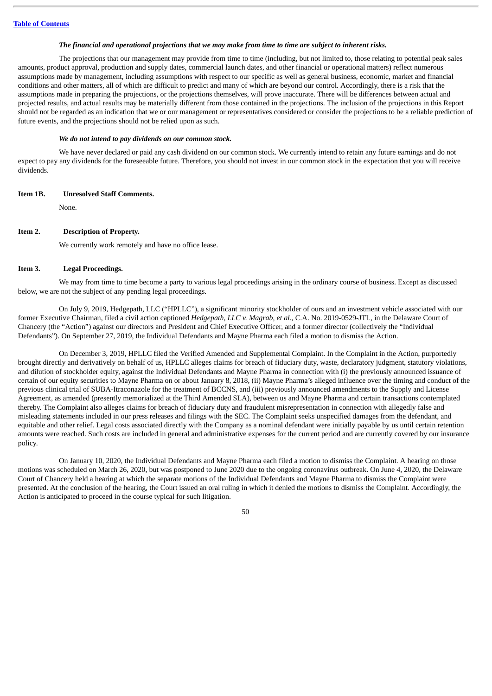# The financial and operational projections that we may make from time to time are subject to inherent risks.

The projections that our management may provide from time to time (including, but not limited to, those relating to potential peak sales amounts, product approval, production and supply dates, commercial launch dates, and other financial or operational matters) reflect numerous assumptions made by management, including assumptions with respect to our specific as well as general business, economic, market and financial conditions and other matters, all of which are difficult to predict and many of which are beyond our control. Accordingly, there is a risk that the assumptions made in preparing the projections, or the projections themselves, will prove inaccurate. There will be differences between actual and projected results, and actual results may be materially different from those contained in the projections. The inclusion of the projections in this Report should not be regarded as an indication that we or our management or representatives considered or consider the projections to be a reliable prediction of future events, and the projections should not be relied upon as such.

### *We do not intend to pay dividends on our common stock.*

We have never declared or paid any cash dividend on our common stock. We currently intend to retain any future earnings and do not expect to pay any dividends for the foreseeable future. Therefore, you should not invest in our common stock in the expectation that you will receive dividends.

### **Item 1B. Unresolved Staff Comments.**

None.

# **Item 2. Description of Property.**

We currently work remotely and have no office lease.

### **Item 3. Legal Proceedings.**

We may from time to time become a party to various legal proceedings arising in the ordinary course of business. Except as discussed below, we are not the subject of any pending legal proceedings.

On July 9, 2019, Hedgepath, LLC ("HPLLC"), a significant minority stockholder of ours and an investment vehicle associated with our former Executive Chairman, filed a civil action captioned *Hedgepath, LLC v. Magrab, et al.*, C.A. No. 2019-0529-JTL, in the Delaware Court of Chancery (the "Action") against our directors and President and Chief Executive Officer, and a former director (collectively the "Individual Defendants"). On September 27, 2019, the Individual Defendants and Mayne Pharma each filed a motion to dismiss the Action.

On December 3, 2019, HPLLC filed the Verified Amended and Supplemental Complaint. In the Complaint in the Action, purportedly brought directly and derivatively on behalf of us, HPLLC alleges claims for breach of fiduciary duty, waste, declaratory judgment, statutory violations, and dilution of stockholder equity, against the Individual Defendants and Mayne Pharma in connection with (i) the previously announced issuance of certain of our equity securities to Mayne Pharma on or about January 8, 2018, (ii) Mayne Pharma's alleged influence over the timing and conduct of the previous clinical trial of SUBA-Itraconazole for the treatment of BCCNS, and (iii) previously announced amendments to the Supply and License Agreement, as amended (presently memorialized at the Third Amended SLA), between us and Mayne Pharma and certain transactions contemplated thereby. The Complaint also alleges claims for breach of fiduciary duty and fraudulent misrepresentation in connection with allegedly false and misleading statements included in our press releases and filings with the SEC. The Complaint seeks unspecified damages from the defendant, and equitable and other relief. Legal costs associated directly with the Company as a nominal defendant were initially payable by us until certain retention amounts were reached. Such costs are included in general and administrative expenses for the current period and are currently covered by our insurance policy.

On January 10, 2020, the Individual Defendants and Mayne Pharma each filed a motion to dismiss the Complaint. A hearing on those motions was scheduled on March 26, 2020, but was postponed to June 2020 due to the ongoing coronavirus outbreak. On June 4, 2020, the Delaware Court of Chancery held a hearing at which the separate motions of the Individual Defendants and Mayne Pharma to dismiss the Complaint were presented. At the conclusion of the hearing, the Court issued an oral ruling in which it denied the motions to dismiss the Complaint. Accordingly, the Action is anticipated to proceed in the course typical for such litigation.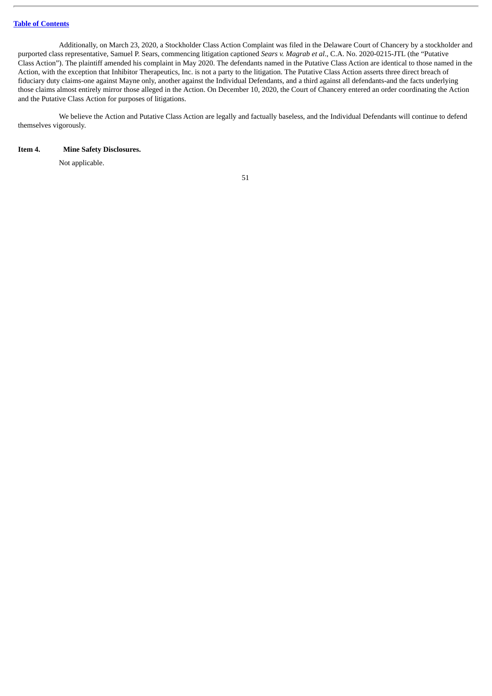Additionally, on March 23, 2020, a Stockholder Class Action Complaint was filed in the Delaware Court of Chancery by a stockholder and purported class representative, Samuel P. Sears, commencing litigation captioned *Sears v. Magrab et al*., C.A. No. 2020-0215-JTL (the "Putative Class Action"). The plaintiff amended his complaint in May 2020. The defendants named in the Putative Class Action are identical to those named in the Action, with the exception that Inhibitor Therapeutics, Inc. is not a party to the litigation. The Putative Class Action asserts three direct breach of fiduciary duty claims-one against Mayne only, another against the Individual Defendants, and a third against all defendants-and the facts underlying those claims almost entirely mirror those alleged in the Action. On December 10, 2020, the Court of Chancery entered an order coordinating the Action and the Putative Class Action for purposes of litigations.

We believe the Action and Putative Class Action are legally and factually baseless, and the Individual Defendants will continue to defend themselves vigorously.

# **Item 4. Mine Safety Disclosures.**

Not applicable.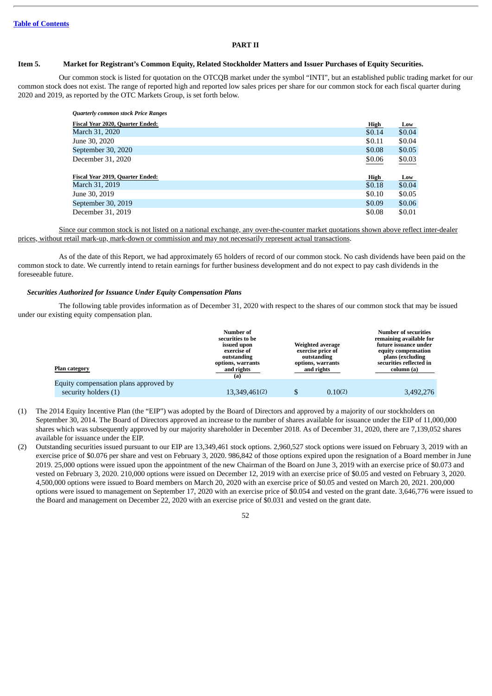# **PART II**

## Item 5. Market for Registrant's Common Equity, Related Stockholder Matters and Issuer Purchases of Equity Securities.

Our common stock is listed for quotation on the OTCQB market under the symbol "INTI", but an established public trading market for our common stock does not exist. The range of reported high and reported low sales prices per share for our common stock for each fiscal quarter during 2020 and 2019, as reported by the OTC Markets Group, is set forth below.

| <b>Quarterly common stock Price Ranges</b> |        |        |
|--------------------------------------------|--------|--------|
| Fiscal Year 2020, Quarter Ended:           | High   | Low    |
| March 31, 2020                             | \$0.14 | \$0.04 |
| June 30, 2020                              | \$0.11 | \$0.04 |
| September 30, 2020                         | \$0.08 | \$0.05 |
| December 31, 2020                          | \$0.06 | \$0.03 |
| Fiscal Year 2019, Quarter Ended:           | High   | Low    |
| March 31, 2019                             | \$0.18 | \$0.04 |
| June 30, 2019                              | \$0.10 | \$0.05 |
| September 30, 2019                         | \$0.09 | \$0.06 |
| December 31, 2019                          | \$0.08 | \$0.01 |
|                                            |        |        |

Since our common stock is not listed on a national exchange, any over-the-counter market quotations shown above reflect inter-dealer prices, without retail mark-up, mark-down or commission and may not necessarily represent actual transactions.

As of the date of this Report, we had approximately 65 holders of record of our common stock. No cash dividends have been paid on the common stock to date. We currently intend to retain earnings for further business development and do not expect to pay cash dividends in the foreseeable future.

# *Securities Authorized for Issuance Under Equity Compensation Plans*

The following table provides information as of December 31, 2020 with respect to the shares of our common stock that may be issued under our existing equity compensation plan.

| <b>Plan category</b>                  | Number of<br>securities to be<br>issued upon<br>exercise of<br>outstanding<br>options, warrants<br>and rights<br>(a) | Weighted average<br>exercise price of<br>outstanding<br>options, warrants<br>and rights | <b>Number of securities</b><br>remaining available for<br>future issuance under<br>equity compensation<br>plans (excluding<br>securities reflected in<br>column (a) |
|---------------------------------------|----------------------------------------------------------------------------------------------------------------------|-----------------------------------------------------------------------------------------|---------------------------------------------------------------------------------------------------------------------------------------------------------------------|
| Equity compensation plans approved by |                                                                                                                      |                                                                                         |                                                                                                                                                                     |
| security holders (1)                  | 13,349,461(2)                                                                                                        | 0.10(2)                                                                                 | 3,492,276                                                                                                                                                           |

- (1) The 2014 Equity Incentive Plan (the "EIP") was adopted by the Board of Directors and approved by a majority of our stockholders on September 30, 2014. The Board of Directors approved an increase to the number of shares available for issuance under the EIP of 11,000,000 shares which was subsequently approved by our majority shareholder in December 2018. As of December 31, 2020, there are 7,139,052 shares available for issuance under the EIP.
- (2) Outstanding securities issued pursuant to our EIP are 13,349,461 stock options. 2,960,527 stock options were issued on February 3, 2019 with an exercise price of \$0.076 per share and vest on February 3, 2020. 986,842 of those options expired upon the resignation of a Board member in June 2019. 25,000 options were issued upon the appointment of the new Chairman of the Board on June 3, 2019 with an exercise price of \$0.073 and vested on February 3, 2020. 210,000 options were issued on December 12, 2019 with an exercise price of \$0.05 and vested on February 3, 2020. 4,500,000 options were issued to Board members on March 20, 2020 with an exercise price of \$0.05 and vested on March 20, 2021. 200,000 options were issued to management on September 17, 2020 with an exercise price of \$0.054 and vested on the grant date. 3,646,776 were issued to the Board and management on December 22, 2020 with an exercise price of \$0.031 and vested on the grant date.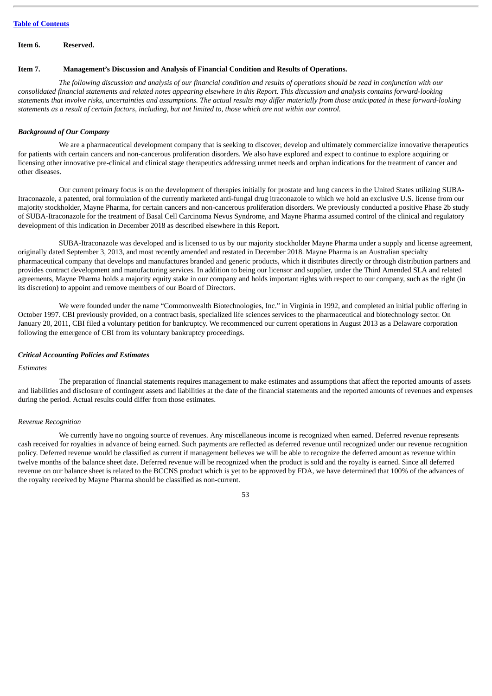# **Item 6. Reserved.**

### **Item 7. Management's Discussion and Analysis of Financial Condition and Results of Operations.**

The following discussion and analysis of our financial condition and results of operations should be read in conjunction with our consolidated financial statements and related notes appearing elsewhere in this Report. This discussion and analysis contains forward-looking statements that involve risks, uncertainties and assumptions. The actual results may differ materially from those anticipated in these forward-looking statements as a result of certain factors, including, but not limited to, those which are not within our control.

### *Background of Our Company*

We are a pharmaceutical development company that is seeking to discover, develop and ultimately commercialize innovative therapeutics for patients with certain cancers and non-cancerous proliferation disorders. We also have explored and expect to continue to explore acquiring or licensing other innovative pre-clinical and clinical stage therapeutics addressing unmet needs and orphan indications for the treatment of cancer and other diseases.

Our current primary focus is on the development of therapies initially for prostate and lung cancers in the United States utilizing SUBA-Itraconazole, a patented, oral formulation of the currently marketed anti-fungal drug itraconazole to which we hold an exclusive U.S. license from our majority stockholder, Mayne Pharma, for certain cancers and non-cancerous proliferation disorders. We previously conducted a positive Phase 2b study of SUBA-Itraconazole for the treatment of Basal Cell Carcinoma Nevus Syndrome, and Mayne Pharma assumed control of the clinical and regulatory development of this indication in December 2018 as described elsewhere in this Report.

SUBA-Itraconazole was developed and is licensed to us by our majority stockholder Mayne Pharma under a supply and license agreement, originally dated September 3, 2013, and most recently amended and restated in December 2018. Mayne Pharma is an Australian specialty pharmaceutical company that develops and manufactures branded and generic products, which it distributes directly or through distribution partners and provides contract development and manufacturing services. In addition to being our licensor and supplier, under the Third Amended SLA and related agreements, Mayne Pharma holds a majority equity stake in our company and holds important rights with respect to our company, such as the right (in its discretion) to appoint and remove members of our Board of Directors.

We were founded under the name "Commonwealth Biotechnologies, Inc." in Virginia in 1992, and completed an initial public offering in October 1997. CBI previously provided, on a contract basis, specialized life sciences services to the pharmaceutical and biotechnology sector. On January 20, 2011, CBI filed a voluntary petition for bankruptcy. We recommenced our current operations in August 2013 as a Delaware corporation following the emergence of CBI from its voluntary bankruptcy proceedings.

#### *Critical Accounting Policies and Estimates*

### *Estimates*

The preparation of financial statements requires management to make estimates and assumptions that affect the reported amounts of assets and liabilities and disclosure of contingent assets and liabilities at the date of the financial statements and the reported amounts of revenues and expenses during the period. Actual results could differ from those estimates.

### *Revenue Recognition*

We currently have no ongoing source of revenues. Any miscellaneous income is recognized when earned. Deferred revenue represents cash received for royalties in advance of being earned. Such payments are reflected as deferred revenue until recognized under our revenue recognition policy. Deferred revenue would be classified as current if management believes we will be able to recognize the deferred amount as revenue within twelve months of the balance sheet date. Deferred revenue will be recognized when the product is sold and the royalty is earned. Since all deferred revenue on our balance sheet is related to the BCCNS product which is yet to be approved by FDA, we have determined that 100% of the advances of the royalty received by Mayne Pharma should be classified as non-current.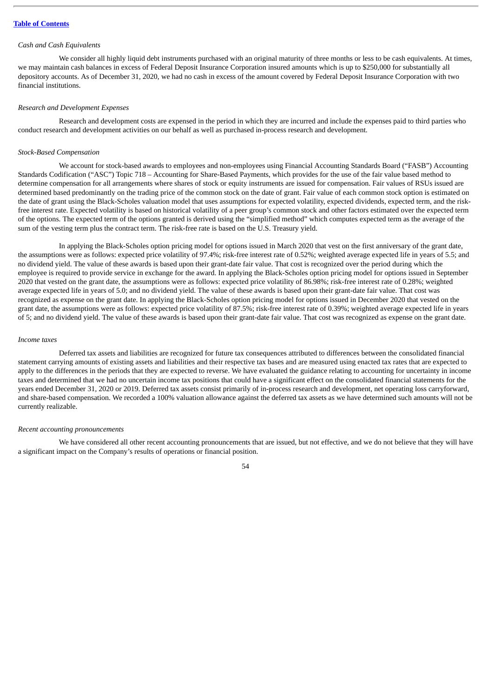#### *Cash and Cash Equivalents*

We consider all highly liquid debt instruments purchased with an original maturity of three months or less to be cash equivalents. At times, we may maintain cash balances in excess of Federal Deposit Insurance Corporation insured amounts which is up to \$250,000 for substantially all depository accounts. As of December 31, 2020, we had no cash in excess of the amount covered by Federal Deposit Insurance Corporation with two financial institutions.

### *Research and Development Expenses*

Research and development costs are expensed in the period in which they are incurred and include the expenses paid to third parties who conduct research and development activities on our behalf as well as purchased in-process research and development.

#### *Stock-Based Compensation*

We account for stock-based awards to employees and non-employees using Financial Accounting Standards Board ("FASB") Accounting Standards Codification ("ASC") Topic 718 – Accounting for Share-Based Payments, which provides for the use of the fair value based method to determine compensation for all arrangements where shares of stock or equity instruments are issued for compensation. Fair values of RSUs issued are determined based predominantly on the trading price of the common stock on the date of grant. Fair value of each common stock option is estimated on the date of grant using the Black-Scholes valuation model that uses assumptions for expected volatility, expected dividends, expected term, and the riskfree interest rate. Expected volatility is based on historical volatility of a peer group's common stock and other factors estimated over the expected term of the options. The expected term of the options granted is derived using the "simplified method" which computes expected term as the average of the sum of the vesting term plus the contract term. The risk-free rate is based on the U.S. Treasury yield.

In applying the Black-Scholes option pricing model for options issued in March 2020 that vest on the first anniversary of the grant date, the assumptions were as follows: expected price volatility of 97.4%; risk-free interest rate of 0.52%; weighted average expected life in years of 5.5; and no dividend yield. The value of these awards is based upon their grant-date fair value. That cost is recognized over the period during which the employee is required to provide service in exchange for the award. In applying the Black-Scholes option pricing model for options issued in September 2020 that vested on the grant date, the assumptions were as follows: expected price volatility of 86.98%; risk-free interest rate of 0.28%; weighted average expected life in years of 5.0; and no dividend yield. The value of these awards is based upon their grant-date fair value. That cost was recognized as expense on the grant date. In applying the Black-Scholes option pricing model for options issued in December 2020 that vested on the grant date, the assumptions were as follows: expected price volatility of 87.5%; risk-free interest rate of 0.39%; weighted average expected life in years of 5; and no dividend yield. The value of these awards is based upon their grant-date fair value. That cost was recognized as expense on the grant date.

#### *Income taxes*

Deferred tax assets and liabilities are recognized for future tax consequences attributed to differences between the consolidated financial statement carrying amounts of existing assets and liabilities and their respective tax bases and are measured using enacted tax rates that are expected to apply to the differences in the periods that they are expected to reverse. We have evaluated the guidance relating to accounting for uncertainty in income taxes and determined that we had no uncertain income tax positions that could have a significant effect on the consolidated financial statements for the years ended December 31, 2020 or 2019. Deferred tax assets consist primarily of in-process research and development, net operating loss carryforward, and share-based compensation. We recorded a 100% valuation allowance against the deferred tax assets as we have determined such amounts will not be currently realizable.

### *Recent accounting pronouncements*

We have considered all other recent accounting pronouncements that are issued, but not effective, and we do not believe that they will have a significant impact on the Company's results of operations or financial position.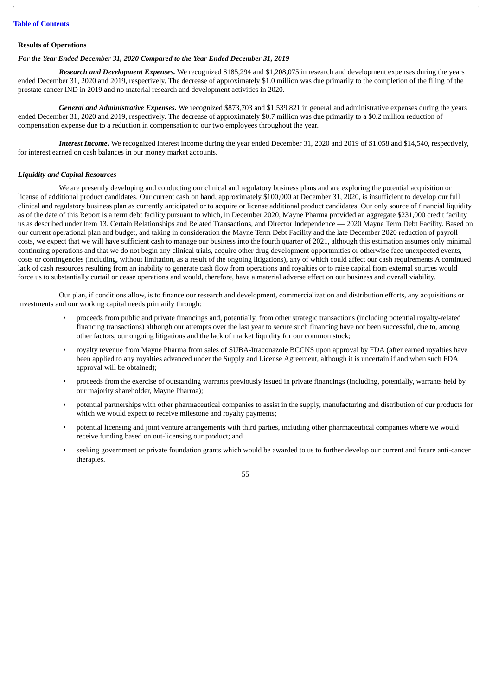### **Results of Operations**

### *For the Year Ended December 31, 2020 Compared to the Year Ended December 31, 2019*

*Research and Development Expenses.* We recognized \$185,294 and \$1,208,075 in research and development expenses during the years ended December 31, 2020 and 2019, respectively. The decrease of approximately \$1.0 million was due primarily to the completion of the filing of the prostate cancer IND in 2019 and no material research and development activities in 2020.

*General and Administrative Expenses.* We recognized \$873,703 and \$1,539,821 in general and administrative expenses during the years ended December 31, 2020 and 2019, respectively. The decrease of approximately \$0.7 million was due primarily to a \$0.2 million reduction of compensation expense due to a reduction in compensation to our two employees throughout the year.

*Interest Income.* We recognized interest income during the year ended December 31, 2020 and 2019 of \$1,058 and \$14,540, respectively, for interest earned on cash balances in our money market accounts.

#### *Liquidity and Capital Resources*

We are presently developing and conducting our clinical and regulatory business plans and are exploring the potential acquisition or license of additional product candidates. Our current cash on hand, approximately \$100,000 at December 31, 2020, is insufficient to develop our full clinical and regulatory business plan as currently anticipated or to acquire or license additional product candidates. Our only source of financial liquidity as of the date of this Report is a term debt facility pursuant to which, in December 2020, Mayne Pharma provided an aggregate \$231,000 credit facility us as described under Item 13. Certain Relationships and Related Transactions, and Director Independence — 2020 Mayne Term Debt Facility. Based on our current operational plan and budget, and taking in consideration the Mayne Term Debt Facility and the late December 2020 reduction of payroll costs, we expect that we will have sufficient cash to manage our business into the fourth quarter of 2021, although this estimation assumes only minimal continuing operations and that we do not begin any clinical trials, acquire other drug development opportunities or otherwise face unexpected events, costs or contingencies (including, without limitation, as a result of the ongoing litigations), any of which could affect our cash requirements A continued lack of cash resources resulting from an inability to generate cash flow from operations and royalties or to raise capital from external sources would force us to substantially curtail or cease operations and would, therefore, have a material adverse effect on our business and overall viability.

Our plan, if conditions allow, is to finance our research and development, commercialization and distribution efforts, any acquisitions or investments and our working capital needs primarily through:

- proceeds from public and private financings and, potentially, from other strategic transactions (including potential royalty-related financing transactions) although our attempts over the last year to secure such financing have not been successful, due to, among other factors, our ongoing litigations and the lack of market liquidity for our common stock;
- royalty revenue from Mayne Pharma from sales of SUBA-Itraconazole BCCNS upon approval by FDA (after earned royalties have been applied to any royalties advanced under the Supply and License Agreement, although it is uncertain if and when such FDA approval will be obtained);
- proceeds from the exercise of outstanding warrants previously issued in private financings (including, potentially, warrants held by our majority shareholder, Mayne Pharma);
- potential partnerships with other pharmaceutical companies to assist in the supply, manufacturing and distribution of our products for which we would expect to receive milestone and royalty payments;
- potential licensing and joint venture arrangements with third parties, including other pharmaceutical companies where we would receive funding based on out-licensing our product; and
- seeking government or private foundation grants which would be awarded to us to further develop our current and future anti-cancer therapies.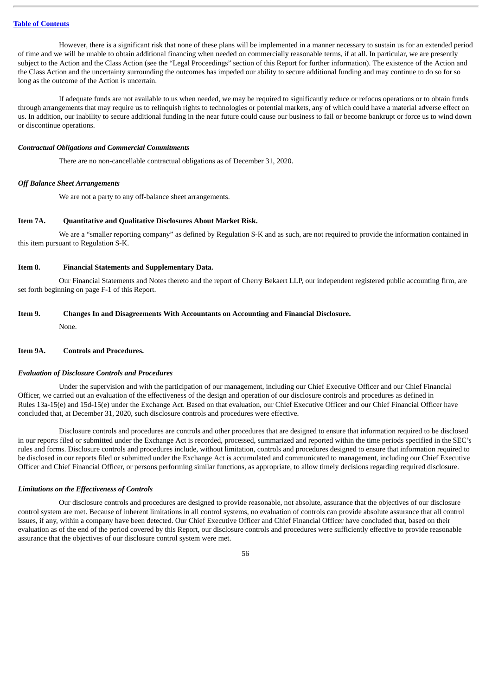However, there is a significant risk that none of these plans will be implemented in a manner necessary to sustain us for an extended period of time and we will be unable to obtain additional financing when needed on commercially reasonable terms, if at all. In particular, we are presently subject to the Action and the Class Action (see the "Legal Proceedings" section of this Report for further information). The existence of the Action and the Class Action and the uncertainty surrounding the outcomes has impeded our ability to secure additional funding and may continue to do so for so long as the outcome of the Action is uncertain.

If adequate funds are not available to us when needed, we may be required to significantly reduce or refocus operations or to obtain funds through arrangements that may require us to relinquish rights to technologies or potential markets, any of which could have a material adverse effect on us. In addition, our inability to secure additional funding in the near future could cause our business to fail or become bankrupt or force us to wind down or discontinue operations.

### *Contractual Obligations and Commercial Commitments*

There are no non-cancellable contractual obligations as of December 31, 2020.

#### *Off Balance Sheet Arrangements*

We are not a party to any off-balance sheet arrangements.

### **Item 7A. Quantitative and Qualitative Disclosures About Market Risk.**

We are a "smaller reporting company" as defined by Regulation S-K and as such, are not required to provide the information contained in this item pursuant to Regulation S-K.

### **Item 8. Financial Statements and Supplementary Data.**

Our Financial Statements and Notes thereto and the report of Cherry Bekaert LLP, our independent registered public accounting firm, are set forth beginning on page F-1 of this Report.

## **Item 9. Changes In and Disagreements With Accountants on Accounting and Financial Disclosure.**

None.

# **Item 9A. Controls and Procedures.**

#### *Evaluation of Disclosure Controls and Procedures*

Under the supervision and with the participation of our management, including our Chief Executive Officer and our Chief Financial Officer, we carried out an evaluation of the effectiveness of the design and operation of our disclosure controls and procedures as defined in Rules 13a-15(e) and 15d-15(e) under the Exchange Act. Based on that evaluation, our Chief Executive Officer and our Chief Financial Officer have concluded that, at December 31, 2020, such disclosure controls and procedures were effective.

Disclosure controls and procedures are controls and other procedures that are designed to ensure that information required to be disclosed in our reports filed or submitted under the Exchange Act is recorded, processed, summarized and reported within the time periods specified in the SEC's rules and forms. Disclosure controls and procedures include, without limitation, controls and procedures designed to ensure that information required to be disclosed in our reports filed or submitted under the Exchange Act is accumulated and communicated to management, including our Chief Executive Officer and Chief Financial Officer, or persons performing similar functions, as appropriate, to allow timely decisions regarding required disclosure.

#### *Limitations on the Effectiveness of Controls*

Our disclosure controls and procedures are designed to provide reasonable, not absolute, assurance that the objectives of our disclosure control system are met. Because of inherent limitations in all control systems, no evaluation of controls can provide absolute assurance that all control issues, if any, within a company have been detected. Our Chief Executive Officer and Chief Financial Officer have concluded that, based on their evaluation as of the end of the period covered by this Report, our disclosure controls and procedures were sufficiently effective to provide reasonable assurance that the objectives of our disclosure control system were met.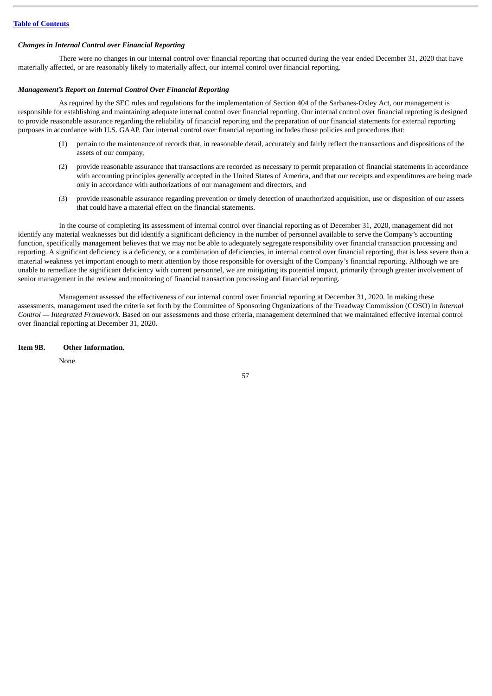### *Changes in Internal Control over Financial Reporting*

There were no changes in our internal control over financial reporting that occurred during the year ended December 31, 2020 that have materially affected, or are reasonably likely to materially affect, our internal control over financial reporting.

# *Management's Report on Internal Control Over Financial Reporting*

As required by the SEC rules and regulations for the implementation of Section 404 of the Sarbanes-Oxley Act, our management is responsible for establishing and maintaining adequate internal control over financial reporting. Our internal control over financial reporting is designed to provide reasonable assurance regarding the reliability of financial reporting and the preparation of our financial statements for external reporting purposes in accordance with U.S. GAAP. Our internal control over financial reporting includes those policies and procedures that:

- (1) pertain to the maintenance of records that, in reasonable detail, accurately and fairly reflect the transactions and dispositions of the assets of our company,
- (2) provide reasonable assurance that transactions are recorded as necessary to permit preparation of financial statements in accordance with accounting principles generally accepted in the United States of America, and that our receipts and expenditures are being made only in accordance with authorizations of our management and directors, and
- (3) provide reasonable assurance regarding prevention or timely detection of unauthorized acquisition, use or disposition of our assets that could have a material effect on the financial statements.

In the course of completing its assessment of internal control over financial reporting as of December 31, 2020, management did not identify any material weaknesses but did identify a significant deficiency in the number of personnel available to serve the Company's accounting function, specifically management believes that we may not be able to adequately segregate responsibility over financial transaction processing and reporting. A significant deficiency is a deficiency, or a combination of deficiencies, in internal control over financial reporting, that is less severe than a material weakness yet important enough to merit attention by those responsible for oversight of the Company's financial reporting. Although we are unable to remediate the significant deficiency with current personnel, we are mitigating its potential impact, primarily through greater involvement of senior management in the review and monitoring of financial transaction processing and financial reporting.

Management assessed the effectiveness of our internal control over financial reporting at December 31, 2020. In making these assessments, management used the criteria set forth by the Committee of Sponsoring Organizations of the Treadway Commission (COSO) in *Internal Control — Integrated Framework*. Based on our assessments and those criteria, management determined that we maintained effective internal control over financial reporting at December 31, 2020.

**Item 9B. Other Information.**

None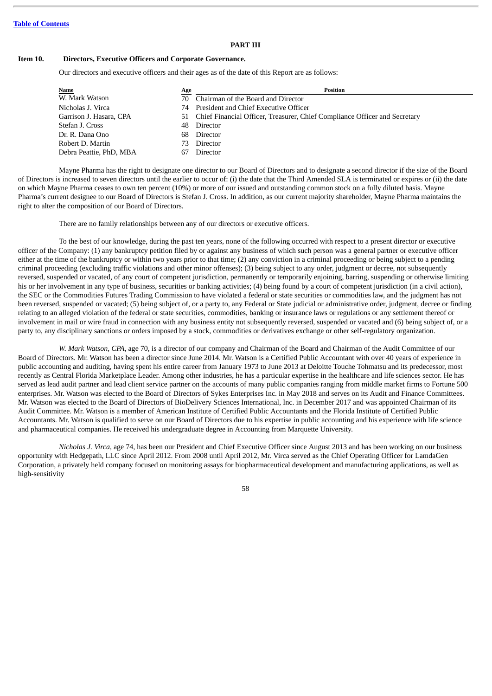### **PART III**

# **Item 10. Directors, Executive Officers and Corporate Governance.**

Our directors and executive officers and their ages as of the date of this Report are as follows:

| <u>Name</u>             | Age | <b>Position</b>                                                               |
|-------------------------|-----|-------------------------------------------------------------------------------|
| W. Mark Watson          | 70. | Chairman of the Board and Director                                            |
| Nicholas J. Virca       |     | 74 President and Chief Executive Officer                                      |
| Garrison J. Hasara, CPA |     | 51 Chief Financial Officer, Treasurer, Chief Compliance Officer and Secretary |
| Stefan J. Cross         | 48. | Director                                                                      |
| Dr. R. Dana Ono         | 68. | Director                                                                      |
| Robert D. Martin        | 73. | Director                                                                      |
| Debra Peattie, PhD, MBA | 67  | Director                                                                      |
|                         |     |                                                                               |

Mayne Pharma has the right to designate one director to our Board of Directors and to designate a second director if the size of the Board of Directors is increased to seven directors until the earlier to occur of: (i) the date that the Third Amended SLA is terminated or expires or (ii) the date on which Mayne Pharma ceases to own ten percent (10%) or more of our issued and outstanding common stock on a fully diluted basis. Mayne Pharma's current designee to our Board of Directors is Stefan J. Cross. In addition, as our current majority shareholder, Mayne Pharma maintains the right to alter the composition of our Board of Directors.

There are no family relationships between any of our directors or executive officers.

To the best of our knowledge, during the past ten years, none of the following occurred with respect to a present director or executive officer of the Company: (1) any bankruptcy petition filed by or against any business of which such person was a general partner or executive officer either at the time of the bankruptcy or within two years prior to that time; (2) any conviction in a criminal proceeding or being subject to a pending criminal proceeding (excluding traffic violations and other minor offenses); (3) being subject to any order, judgment or decree, not subsequently reversed, suspended or vacated, of any court of competent jurisdiction, permanently or temporarily enjoining, barring, suspending or otherwise limiting his or her involvement in any type of business, securities or banking activities; (4) being found by a court of competent jurisdiction (in a civil action), the SEC or the Commodities Futures Trading Commission to have violated a federal or state securities or commodities law, and the judgment has not been reversed, suspended or vacated; (5) being subject of, or a party to, any Federal or State judicial or administrative order, judgment, decree or finding relating to an alleged violation of the federal or state securities, commodities, banking or insurance laws or regulations or any settlement thereof or involvement in mail or wire fraud in connection with any business entity not subsequently reversed, suspended or vacated and (6) being subject of, or a party to, any disciplinary sanctions or orders imposed by a stock, commodities or derivatives exchange or other self-regulatory organization.

*W. Mark Watson, CPA,* age 70, is a director of our company and Chairman of the Board and Chairman of the Audit Committee of our Board of Directors. Mr. Watson has been a director since June 2014. Mr. Watson is a Certified Public Accountant with over 40 years of experience in public accounting and auditing, having spent his entire career from January 1973 to June 2013 at Deloitte Touche Tohmatsu and its predecessor, most recently as Central Florida Marketplace Leader. Among other industries, he has a particular expertise in the healthcare and life sciences sector. He has served as lead audit partner and lead client service partner on the accounts of many public companies ranging from middle market firms to Fortune 500 enterprises. Mr. Watson was elected to the Board of Directors of Sykes Enterprises Inc. in May 2018 and serves on its Audit and Finance Committees. Mr. Watson was elected to the Board of Directors of BioDelivery Sciences International, Inc. in December 2017 and was appointed Chairman of its Audit Committee. Mr. Watson is a member of American Institute of Certified Public Accountants and the Florida Institute of Certified Public Accountants. Mr. Watson is qualified to serve on our Board of Directors due to his expertise in public accounting and his experience with life science and pharmaceutical companies. He received his undergraduate degree in Accounting from Marquette University.

*Nicholas J. Virca,* age 74, has been our President and Chief Executive Officer since August 2013 and has been working on our business opportunity with Hedgepath, LLC since April 2012. From 2008 until April 2012, Mr. Virca served as the Chief Operating Officer for LamdaGen Corporation, a privately held company focused on monitoring assays for biopharmaceutical development and manufacturing applications, as well as high-sensitivity

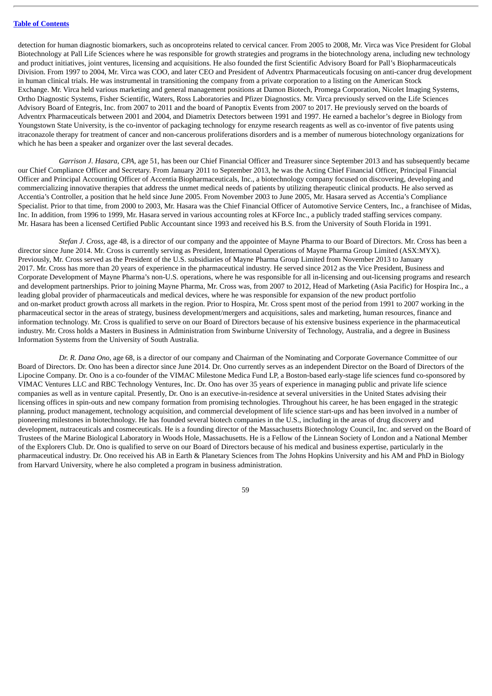detection for human diagnostic biomarkers, such as oncoproteins related to cervical cancer. From 2005 to 2008, Mr. Virca was Vice President for Global Biotechnology at Pall Life Sciences where he was responsible for growth strategies and programs in the biotechnology arena, including new technology and product initiatives, joint ventures, licensing and acquisitions. He also founded the first Scientific Advisory Board for Pall's Biopharmaceuticals Division. From 1997 to 2004, Mr. Virca was COO, and later CEO and President of Adventrx Pharmaceuticals focusing on anti-cancer drug development in human clinical trials. He was instrumental in transitioning the company from a private corporation to a listing on the American Stock Exchange. Mr. Virca held various marketing and general management positions at Damon Biotech, Promega Corporation, Nicolet Imaging Systems, Ortho Diagnostic Systems, Fisher Scientific, Waters, Ross Laboratories and Pfizer Diagnostics. Mr. Virca previously served on the Life Sciences Advisory Board of Entegris, Inc. from 2007 to 2011 and the board of Panoptix Events from 2007 to 2017. He previously served on the boards of Adventrx Pharmaceuticals between 2001 and 2004, and Diametrix Detectors between 1991 and 1997. He earned a bachelor's degree in Biology from Youngstown State University, is the co-inventor of packaging technology for enzyme research reagents as well as co-inventor of five patents using itraconazole therapy for treatment of cancer and non-cancerous proliferations disorders and is a member of numerous biotechnology organizations for which he has been a speaker and organizer over the last several decades.

*Garrison J. Hasara, CPA,* age 51, has been our Chief Financial Officer and Treasurer since September 2013 and has subsequently became our Chief Compliance Officer and Secretary. From January 2011 to September 2013, he was the Acting Chief Financial Officer, Principal Financial Officer and Principal Accounting Officer of Accentia Biopharmaceuticals, Inc., a biotechnology company focused on discovering, developing and commercializing innovative therapies that address the unmet medical needs of patients by utilizing therapeutic clinical products. He also served as Accentia's Controller, a position that he held since June 2005. From November 2003 to June 2005, Mr. Hasara served as Accentia's Compliance Specialist. Prior to that time, from 2000 to 2003, Mr. Hasara was the Chief Financial Officer of Automotive Service Centers, Inc., a franchisee of Midas, Inc. In addition, from 1996 to 1999, Mr. Hasara served in various accounting roles at KForce Inc., a publicly traded staffing services company. Mr. Hasara has been a licensed Certified Public Accountant since 1993 and received his B.S. from the University of South Florida in 1991.

*Stefan J. Cross,* age 48, is a director of our company and the appointee of Mayne Pharma to our Board of Directors. Mr. Cross has been a director since June 2014. Mr. Cross is currently serving as President, International Operations of Mayne Pharma Group Limited (ASX:MYX). Previously, Mr. Cross served as the President of the U.S. subsidiaries of Mayne Pharma Group Limited from November 2013 to January 2017. Mr. Cross has more than 20 years of experience in the pharmaceutical industry. He served since 2012 as the Vice President, Business and Corporate Development of Mayne Pharma's non-U.S. operations, where he was responsible for all in-licensing and out-licensing programs and research and development partnerships. Prior to joining Mayne Pharma, Mr. Cross was, from 2007 to 2012, Head of Marketing (Asia Pacific) for Hospira Inc., a leading global provider of pharmaceuticals and medical devices, where he was responsible for expansion of the new product portfolio and on-market product growth across all markets in the region. Prior to Hospira, Mr. Cross spent most of the period from 1991 to 2007 working in the pharmaceutical sector in the areas of strategy, business development/mergers and acquisitions, sales and marketing, human resources, finance and information technology. Mr. Cross is qualified to serve on our Board of Directors because of his extensive business experience in the pharmaceutical industry. Mr. Cross holds a Masters in Business in Administration from Swinburne University of Technology, Australia, and a degree in Business Information Systems from the University of South Australia.

*Dr. R. Dana Ono,* age 68, is a director of our company and Chairman of the Nominating and Corporate Governance Committee of our Board of Directors. Dr. Ono has been a director since June 2014. Dr. Ono currently serves as an independent Director on the Board of Directors of the Lipocine Company. Dr. Ono is a co-founder of the VIMAC Milestone Medica Fund LP, a Boston-based early-stage life sciences fund co-sponsored by VIMAC Ventures LLC and RBC Technology Ventures, Inc. Dr. Ono has over 35 years of experience in managing public and private life science companies as well as in venture capital. Presently, Dr. Ono is an executive-in-residence at several universities in the United States advising their licensing offices in spin-outs and new company formation from promising technologies. Throughout his career, he has been engaged in the strategic planning, product management, technology acquisition, and commercial development of life science start-ups and has been involved in a number of pioneering milestones in biotechnology. He has founded several biotech companies in the U.S., including in the areas of drug discovery and development, nutraceuticals and cosmeceuticals. He is a founding director of the Massachusetts Biotechnology Council, Inc. and served on the Board of Trustees of the Marine Biological Laboratory in Woods Hole, Massachusetts. He is a Fellow of the Linnean Society of London and a National Member of the Explorers Club. Dr. Ono is qualified to serve on our Board of Directors because of his medical and business expertise, particularly in the pharmaceutical industry. Dr. Ono received his AB in Earth & Planetary Sciences from The Johns Hopkins University and his AM and PhD in Biology from Harvard University, where he also completed a program in business administration.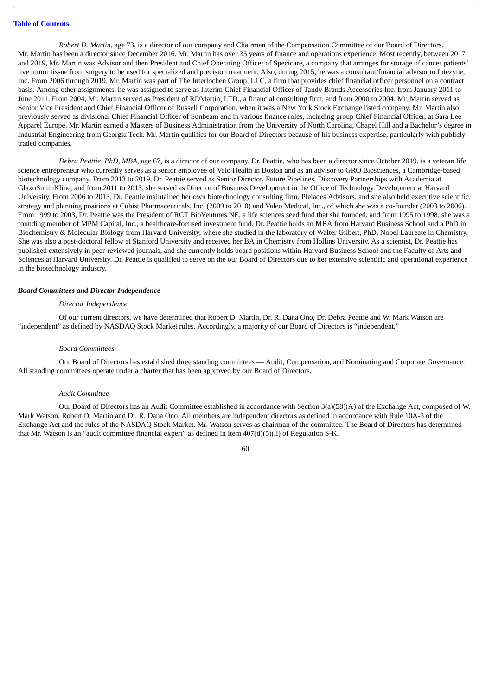*Robert D. Martin*, age 73, is a director of our company and Chairman of the Compensation Committee of our Board of Directors. Mr. Martin has been a director since December 2016. Mr. Martin has over 35 years of finance and operations experience. Most recently, between 2017 and 2019, Mr. Martin was Advisor and then President and Chief Operating Officer of Specicare, a company that arranges for storage of cancer patients' live tumor tissue from surgery to be used for specialized and precision treatment. Also, during 2015, he was a consultant/financial advisor to Intezyne, Inc. From 2006 through 2019, Mr. Martin was part of The Interlochen Group, LLC, a firm that provides chief financial officer personnel on a contract basis. Among other assignments, he was assigned to serve as Interim Chief Financial Officer of Tandy Brands Accessories Inc. from January 2011 to June 2011. From 2004, Mr. Martin served as President of RDMartin, LTD., a financial consulting firm, and from 2000 to 2004, Mr. Martin served as Senior Vice President and Chief Financial Officer of Russell Corporation, when it was a New York Stock Exchange listed company. Mr. Martin also previously served as divisional Chief Financial Officer of Sunbeam and in various finance roles, including group Chief Financial Officer, at Sara Lee Apparel Europe. Mr. Martin earned a Masters of Business Administration from the University of North Carolina, Chapel Hill and a Bachelor's degree in Industrial Engineering from Georgia Tech. Mr. Martin qualifies for our Board of Directors because of his business expertise, particularly with publicly traded companies.

*Debra Peattie, PhD, MBA*, age 67, is a director of our company. Dr. Peattie, who has been a director since October 2019, is a veteran life science entrepreneur who currently serves as a senior employee of Valo Health in Boston and as an advisor to GRO Biosciences, a Cambridge-based biotechnology company. From 2013 to 2019, Dr. Peattie served as Senior Director, Future Pipelines, Discovery Partnerships with Academia at GlaxoSmithKline, and from 2011 to 2013, she served as Director of Business Development in the Office of Technology Development at Harvard University. From 2006 to 2013, Dr. Peattie maintained her own biotechnology consulting firm, Pleiades Advisors, and she also held executive scientific, strategy and planning positions at Cubist Pharmaceuticals, Inc. (2009 to 2010) and Valeo Medical, Inc., of which she was a co-founder (2003 to 2006). From 1999 to 2003, Dr. Peattie was the President of RCT BioVentures NE, a life sciences seed fund that she founded, and from 1995 to 1998, she was a founding member of MPM Capital, Inc., a healthcare-focused investment fund. Dr. Peattie holds an MBA from Harvard Business School and a PhD in Biochemistry & Molecular Biology from Harvard University, where she studied in the laboratory of Walter Gilbert, PhD, Nobel Laureate in Chemistry. She was also a post-doctoral fellow at Stanford University and received her BA in Chemistry from Hollins University. As a scientist, Dr. Peattie has published extensively in peer-reviewed journals, and she currently holds board positions within Harvard Business School and the Faculty of Arts and Sciences at Harvard University. Dr. Peattie is qualified to serve on the our Board of Directors due to her extensive scientific and operational experience in the biotechnology industry.

## *Board Committees and Director Independence*

### *Director Independence*

Of our current directors, we have determined that Robert D. Martin, Dr. R. Dana Ono, Dr. Debra Peattie and W. Mark Watson are "independent" as defined by NASDAQ Stock Market rules. Accordingly, a majority of our Board of Directors is "independent."

### *Board Committees*

Our Board of Directors has established three standing committees — Audit, Compensation, and Nominating and Corporate Governance. All standing committees operate under a charter that has been approved by our Board of Directors.

### *Audit Committee*

Our Board of Directors has an Audit Committee established in accordance with Section 3(a)(58)(A) of the Exchange Act, composed of W. Mark Watson, Robert D. Martin and Dr. R. Dana Ono. All members are independent directors as defined in accordance with Rule 10A-3 of the Exchange Act and the rules of the NASDAQ Stock Market. Mr. Watson serves as chairman of the committee. The Board of Directors has determined that Mr. Watson is an "audit committee financial expert" as defined in Item 407(d)(5)(ii) of Regulation S-K.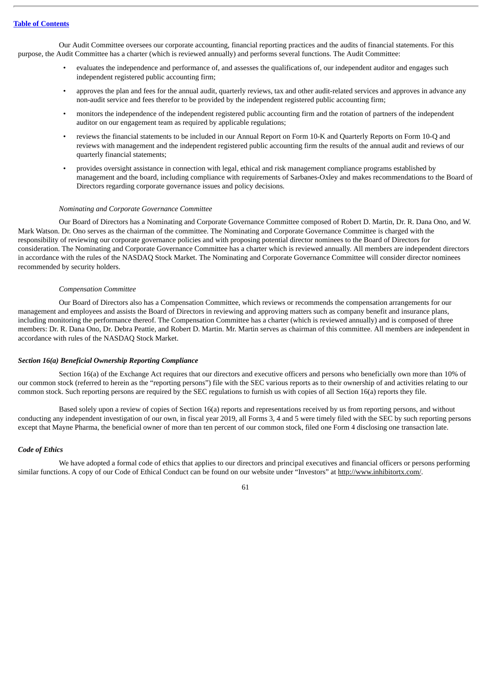Our Audit Committee oversees our corporate accounting, financial reporting practices and the audits of financial statements. For this purpose, the Audit Committee has a charter (which is reviewed annually) and performs several functions. The Audit Committee:

- evaluates the independence and performance of, and assesses the qualifications of, our independent auditor and engages such independent registered public accounting firm;
- approves the plan and fees for the annual audit, quarterly reviews, tax and other audit-related services and approves in advance any non-audit service and fees therefor to be provided by the independent registered public accounting firm;
- monitors the independence of the independent registered public accounting firm and the rotation of partners of the independent auditor on our engagement team as required by applicable regulations;
- reviews the financial statements to be included in our Annual Report on Form 10-K and Quarterly Reports on Form 10-Q and reviews with management and the independent registered public accounting firm the results of the annual audit and reviews of our quarterly financial statements;
- provides oversight assistance in connection with legal, ethical and risk management compliance programs established by management and the board, including compliance with requirements of Sarbanes-Oxley and makes recommendations to the Board of Directors regarding corporate governance issues and policy decisions.

### *Nominating and Corporate Governance Committee*

Our Board of Directors has a Nominating and Corporate Governance Committee composed of Robert D. Martin, Dr. R. Dana Ono, and W. Mark Watson. Dr. Ono serves as the chairman of the committee. The Nominating and Corporate Governance Committee is charged with the responsibility of reviewing our corporate governance policies and with proposing potential director nominees to the Board of Directors for consideration. The Nominating and Corporate Governance Committee has a charter which is reviewed annually. All members are independent directors in accordance with the rules of the NASDAQ Stock Market. The Nominating and Corporate Governance Committee will consider director nominees recommended by security holders.

#### *Compensation Committee*

Our Board of Directors also has a Compensation Committee, which reviews or recommends the compensation arrangements for our management and employees and assists the Board of Directors in reviewing and approving matters such as company benefit and insurance plans, including monitoring the performance thereof. The Compensation Committee has a charter (which is reviewed annually) and is composed of three members: Dr. R. Dana Ono, Dr. Debra Peattie, and Robert D. Martin. Mr. Martin serves as chairman of this committee. All members are independent in accordance with rules of the NASDAQ Stock Market.

## *Section 16(a) Beneficial Ownership Reporting Compliance*

Section 16(a) of the Exchange Act requires that our directors and executive officers and persons who beneficially own more than 10% of our common stock (referred to herein as the "reporting persons") file with the SEC various reports as to their ownership of and activities relating to our common stock. Such reporting persons are required by the SEC regulations to furnish us with copies of all Section 16(a) reports they file.

Based solely upon a review of copies of Section 16(a) reports and representations received by us from reporting persons, and without conducting any independent investigation of our own, in fiscal year 2019, all Forms 3, 4 and 5 were timely filed with the SEC by such reporting persons except that Mayne Pharma, the beneficial owner of more than ten percent of our common stock, filed one Form 4 disclosing one transaction late.

### *Code of Ethics*

We have adopted a formal code of ethics that applies to our directors and principal executives and financial officers or persons performing similar functions. A copy of our Code of Ethical Conduct can be found on our website under "Investors" at http://www.inhibitortx.com/.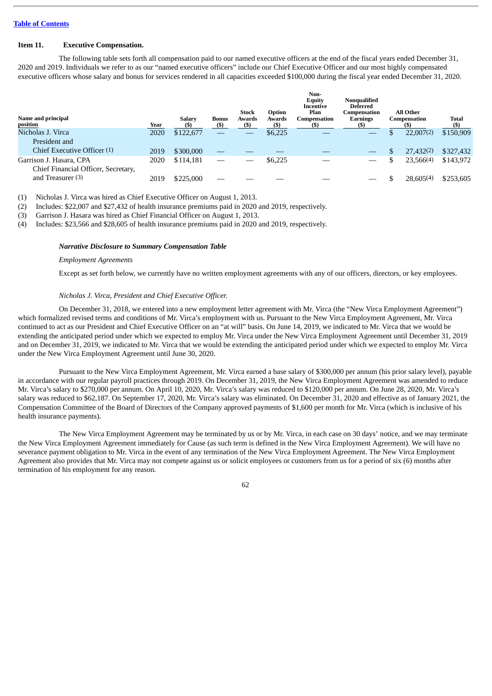### **Table of [Contents](#page-2-0)**

## **Item 11. Executive Compensation.**

The following table sets forth all compensation paid to our named executive officers at the end of the fiscal years ended December 31, 2020 and 2019. Individuals we refer to as our "named executive officers" include our Chief Executive Officer and our most highly compensated executive officers whose salary and bonus for services rendered in all capacities exceeded \$100,000 during the fiscal year ended December 31, 2020.

| Name and principal<br>position                                 | Year | <b>Salary</b><br>(S) | <b>Bonus</b><br>(5) | <b>Stock</b><br>Awards<br>(S) | <b>Option</b><br>Awards<br>(\$) | Non-<br><b>Equity</b><br>Incentive<br>Plan<br>Compensation | Nonqualified<br>Deferred<br>Compensation<br><b>Earnings</b><br>(S) |   | <b>All Other</b><br>Compensation<br>(S) | <b>Total</b><br>$($)$ |
|----------------------------------------------------------------|------|----------------------|---------------------|-------------------------------|---------------------------------|------------------------------------------------------------|--------------------------------------------------------------------|---|-----------------------------------------|-----------------------|
| Nicholas J. Virca<br>President and                             | 2020 | \$122,677            |                     |                               | \$6,225                         |                                                            | _                                                                  |   | 22,007(2)                               | \$150,909             |
| Chief Executive Officer $(1)$                                  | 2019 | \$300,000            |                     |                               |                                 |                                                            |                                                                    |   | 27,432(2)                               | \$327,432             |
| Garrison J. Hasara, CPA<br>Chief Financial Officer, Secretary, | 2020 | \$114,181            |                     |                               | \$6,225                         |                                                            |                                                                    | S | 23,566(4)                               | \$143,972             |
| and Treasurer $(3)$                                            | 2019 | \$225,000            |                     |                               |                                 |                                                            | __                                                                 |   | 28,605(4)                               | \$253,605             |

(1) Nicholas J. Virca was hired as Chief Executive Officer on August 1, 2013.

(2) Includes: \$22,007 and \$27,432 of health insurance premiums paid in 2020 and 2019, respectively.

(3) Garrison J. Hasara was hired as Chief Financial Officer on August 1, 2013.

(4) Includes: \$23,566 and \$28,605 of health insurance premiums paid in 2020 and 2019, respectively.

#### *Narrative Disclosure to Summary Compensation Table*

# *Employment Agreements*

Except as set forth below, we currently have no written employment agreements with any of our officers, directors, or key employees.

### *Nicholas J. Virca, President and Chief Executive Officer.*

On December 31, 2018, we entered into a new employment letter agreement with Mr. Virca (the "New Virca Employment Agreement") which formalized revised terms and conditions of Mr. Virca's employment with us. Pursuant to the New Virca Employment Agreement, Mr. Virca continued to act as our President and Chief Executive Officer on an "at will" basis. On June 14, 2019, we indicated to Mr. Virca that we would be extending the anticipated period under which we expected to employ Mr. Virca under the New Virca Employment Agreement until December 31, 2019 and on December 31, 2019, we indicated to Mr. Virca that we would be extending the anticipated period under which we expected to employ Mr. Virca under the New Virca Employment Agreement until June 30, 2020.

Pursuant to the New Virca Employment Agreement, Mr. Virca earned a base salary of \$300,000 per annum (his prior salary level), payable in accordance with our regular payroll practices through 2019. On December 31, 2019, the New Virca Employment Agreement was amended to reduce Mr. Virca's salary to \$270,000 per annum. On April 10, 2020, Mr. Virca's salary was reduced to \$120,000 per annum. On June 28, 2020, Mr. Virca's salary was reduced to \$62,187. On September 17, 2020, Mr. Virca's salary was eliminated. On December 31, 2020 and effective as of January 2021, the Compensation Committee of the Board of Directors of the Company approved payments of \$1,600 per month for Mr. Virca (which is inclusive of his health insurance payments).

The New Virca Employment Agreement may be terminated by us or by Mr. Virca, in each case on 30 days' notice, and we may terminate the New Virca Employment Agreement immediately for Cause (as such term is defined in the New Virca Employment Agreement). We will have no severance payment obligation to Mr. Virca in the event of any termination of the New Virca Employment Agreement. The New Virca Employment Agreement also provides that Mr. Virca may not compete against us or solicit employees or customers from us for a period of six (6) months after termination of his employment for any reason.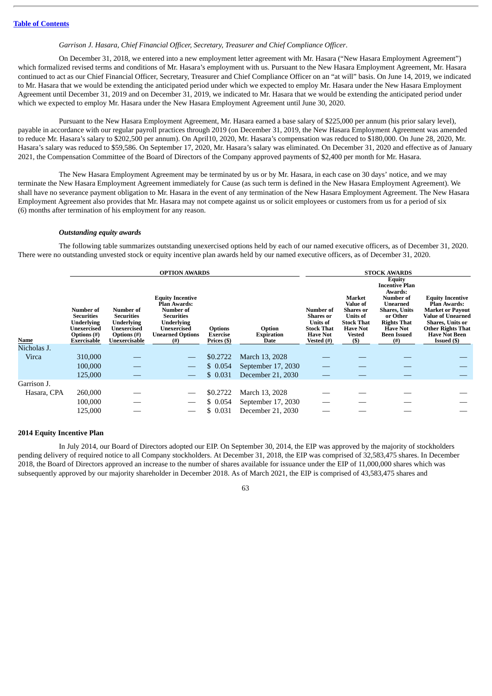### *Garrison J. Hasara, Chief Financial Officer, Secretary, Treasurer and Chief Compliance Officer*.

On December 31, 2018, we entered into a new employment letter agreement with Mr. Hasara ("New Hasara Employment Agreement") which formalized revised terms and conditions of Mr. Hasara's employment with us. Pursuant to the New Hasara Employment Agreement, Mr. Hasara continued to act as our Chief Financial Officer, Secretary, Treasurer and Chief Compliance Officer on an "at will" basis. On June 14, 2019, we indicated to Mr. Hasara that we would be extending the anticipated period under which we expected to employ Mr. Hasara under the New Hasara Employment Agreement until December 31, 2019 and on December 31, 2019, we indicated to Mr. Hasara that we would be extending the anticipated period under which we expected to employ Mr. Hasara under the New Hasara Employment Agreement until June 30, 2020.

Pursuant to the New Hasara Employment Agreement, Mr. Hasara earned a base salary of \$225,000 per annum (his prior salary level), payable in accordance with our regular payroll practices through 2019 (on December 31, 2019, the New Hasara Employment Agreement was amended to reduce Mr. Hasara's salary to \$202,500 per annum). On April10, 2020, Mr. Hasara's compensation was reduced to \$180,000. On June 28, 2020, Mr. Hasara's salary was reduced to \$59,586. On September 17, 2020, Mr. Hasara's salary was eliminated. On December 31, 2020 and effective as of January 2021, the Compensation Committee of the Board of Directors of the Company approved payments of \$2,400 per month for Mr. Hasara.

The New Hasara Employment Agreement may be terminated by us or by Mr. Hasara, in each case on 30 days' notice, and we may terminate the New Hasara Employment Agreement immediately for Cause (as such term is defined in the New Hasara Employment Agreement). We shall have no severance payment obligation to Mr. Hasara in the event of any termination of the New Hasara Employment Agreement. The New Hasara Employment Agreement also provides that Mr. Hasara may not compete against us or solicit employees or customers from us for a period of six (6) months after termination of his employment for any reason.

### *Outstanding equity awards*

The following table summarizes outstanding unexercised options held by each of our named executive officers, as of December 31, 2020. There were no outstanding unvested stock or equity incentive plan awards held by our named executive officers, as of December 31, 2020.

|              |                                                                                                     |                                                                                                       | <b>OPTION AWARDS</b>                                                                                                                                 | <b>STOCK AWARDS</b>                       |                                     |                                                                                                        |                                                                                                                      |                                                                                                                                                                                    |                                                                                                                                                                                                     |
|--------------|-----------------------------------------------------------------------------------------------------|-------------------------------------------------------------------------------------------------------|------------------------------------------------------------------------------------------------------------------------------------------------------|-------------------------------------------|-------------------------------------|--------------------------------------------------------------------------------------------------------|----------------------------------------------------------------------------------------------------------------------|------------------------------------------------------------------------------------------------------------------------------------------------------------------------------------|-----------------------------------------------------------------------------------------------------------------------------------------------------------------------------------------------------|
| Name         | Number of<br><b>Securities</b><br><b>Underlying</b><br>Unexercised<br>Options $(\#)$<br>Exercisable | Number of<br><b>Securities</b><br><b>Underlying</b><br>Unexercised<br>Options $(\#)$<br>Unexercisable | <b>Equity Incentive</b><br>Plan Awards:<br>Number of<br><b>Securities</b><br><b>Underlying</b><br>Unexercised<br><b>Unearned Options</b><br>$^{(#)}$ | <b>Options</b><br>Exercise<br>Prices (\$) | Option<br><b>Expiration</b><br>Date | Number of<br><b>Shares</b> or<br><b>Units of</b><br><b>Stock That</b><br><b>Have Not</b><br>Vested (#) | Market<br>Value of<br><b>Shares</b> or<br>Units of<br><b>Stock That</b><br><b>Have Not</b><br><b>Vested</b><br>$($)$ | Equity<br><b>Incentive Plan</b><br>Awards:<br>Number of<br>Unearned<br><b>Shares, Units</b><br>or Other<br><b>Rights That</b><br><b>Have Not</b><br><b>Been Issued</b><br>$^{(#)}$ | <b>Equity Incentive</b><br>Plan Awards:<br><b>Market or Payout</b><br><b>Value of Unearned</b><br><b>Shares, Units or</b><br><b>Other Rights That</b><br><b>Have Not Been</b><br><b>Issued</b> (\$) |
| Nicholas J.  |                                                                                                     |                                                                                                       |                                                                                                                                                      |                                           |                                     |                                                                                                        |                                                                                                                      |                                                                                                                                                                                    |                                                                                                                                                                                                     |
| <b>Virca</b> | 310,000                                                                                             |                                                                                                       |                                                                                                                                                      | \$0.2722                                  | March 13, 2028                      |                                                                                                        |                                                                                                                      |                                                                                                                                                                                    |                                                                                                                                                                                                     |
|              | 100,000                                                                                             |                                                                                                       | $\qquad \qquad \longleftarrow$                                                                                                                       | \$0.054                                   | September 17, 2030                  |                                                                                                        |                                                                                                                      |                                                                                                                                                                                    |                                                                                                                                                                                                     |
|              | 125,000                                                                                             |                                                                                                       |                                                                                                                                                      | \$0.031                                   | December 21, 2030                   |                                                                                                        |                                                                                                                      |                                                                                                                                                                                    |                                                                                                                                                                                                     |
| Garrison J.  |                                                                                                     |                                                                                                       |                                                                                                                                                      |                                           |                                     |                                                                                                        |                                                                                                                      |                                                                                                                                                                                    |                                                                                                                                                                                                     |
| Hasara, CPA  | 260,000                                                                                             |                                                                                                       |                                                                                                                                                      | \$0.2722                                  | March 13, 2028                      |                                                                                                        |                                                                                                                      |                                                                                                                                                                                    |                                                                                                                                                                                                     |
|              | 100,000                                                                                             |                                                                                                       |                                                                                                                                                      | \$0.054                                   | September 17, 2030                  |                                                                                                        |                                                                                                                      |                                                                                                                                                                                    |                                                                                                                                                                                                     |
|              | 125,000                                                                                             |                                                                                                       |                                                                                                                                                      | \$0.031                                   | December 21, 2030                   |                                                                                                        |                                                                                                                      |                                                                                                                                                                                    |                                                                                                                                                                                                     |

### **2014 Equity Incentive Plan**

In July 2014, our Board of Directors adopted our EIP. On September 30, 2014, the EIP was approved by the majority of stockholders pending delivery of required notice to all Company stockholders. At December 31, 2018, the EIP was comprised of 32,583,475 shares. In December 2018, the Board of Directors approved an increase to the number of shares available for issuance under the EIP of 11,000,000 shares which was subsequently approved by our majority shareholder in December 2018. As of March 2021, the EIP is comprised of 43,583,475 shares and

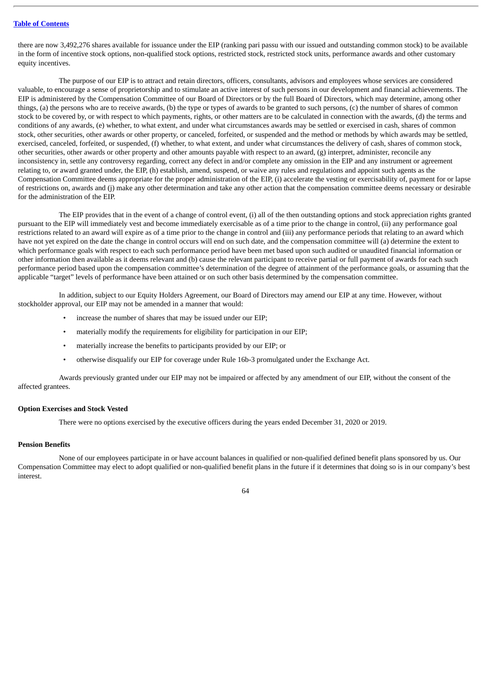there are now 3,492,276 shares available for issuance under the EIP (ranking pari passu with our issued and outstanding common stock) to be available in the form of incentive stock options, non-qualified stock options, restricted stock, restricted stock units, performance awards and other customary equity incentives.

The purpose of our EIP is to attract and retain directors, officers, consultants, advisors and employees whose services are considered valuable, to encourage a sense of proprietorship and to stimulate an active interest of such persons in our development and financial achievements. The EIP is administered by the Compensation Committee of our Board of Directors or by the full Board of Directors, which may determine, among other things, (a) the persons who are to receive awards, (b) the type or types of awards to be granted to such persons, (c) the number of shares of common stock to be covered by, or with respect to which payments, rights, or other matters are to be calculated in connection with the awards, (d) the terms and conditions of any awards, (e) whether, to what extent, and under what circumstances awards may be settled or exercised in cash, shares of common stock, other securities, other awards or other property, or canceled, forfeited, or suspended and the method or methods by which awards may be settled, exercised, canceled, forfeited, or suspended, (f) whether, to what extent, and under what circumstances the delivery of cash, shares of common stock, other securities, other awards or other property and other amounts payable with respect to an award, (g) interpret, administer, reconcile any inconsistency in, settle any controversy regarding, correct any defect in and/or complete any omission in the EIP and any instrument or agreement relating to, or award granted under, the EIP, (h) establish, amend, suspend, or waive any rules and regulations and appoint such agents as the Compensation Committee deems appropriate for the proper administration of the EIP, (i) accelerate the vesting or exercisability of, payment for or lapse of restrictions on, awards and (j) make any other determination and take any other action that the compensation committee deems necessary or desirable for the administration of the EIP.

The EIP provides that in the event of a change of control event, (i) all of the then outstanding options and stock appreciation rights granted pursuant to the EIP will immediately vest and become immediately exercisable as of a time prior to the change in control, (ii) any performance goal restrictions related to an award will expire as of a time prior to the change in control and (iii) any performance periods that relating to an award which have not yet expired on the date the change in control occurs will end on such date, and the compensation committee will (a) determine the extent to which performance goals with respect to each such performance period have been met based upon such audited or unaudited financial information or other information then available as it deems relevant and (b) cause the relevant participant to receive partial or full payment of awards for each such performance period based upon the compensation committee's determination of the degree of attainment of the performance goals, or assuming that the applicable "target" levels of performance have been attained or on such other basis determined by the compensation committee.

In addition, subject to our Equity Holders Agreement, our Board of Directors may amend our EIP at any time. However, without stockholder approval, our EIP may not be amended in a manner that would:

- increase the number of shares that may be issued under our EIP;
- materially modify the requirements for eligibility for participation in our EIP;
- materially increase the benefits to participants provided by our EIP; or
- otherwise disqualify our EIP for coverage under Rule 16b-3 promulgated under the Exchange Act.

Awards previously granted under our EIP may not be impaired or affected by any amendment of our EIP, without the consent of the affected grantees.

# **Option Exercises and Stock Vested**

There were no options exercised by the executive officers during the years ended December 31, 2020 or 2019.

### **Pension Benefits**

None of our employees participate in or have account balances in qualified or non-qualified defined benefit plans sponsored by us. Our Compensation Committee may elect to adopt qualified or non-qualified benefit plans in the future if it determines that doing so is in our company's best interest.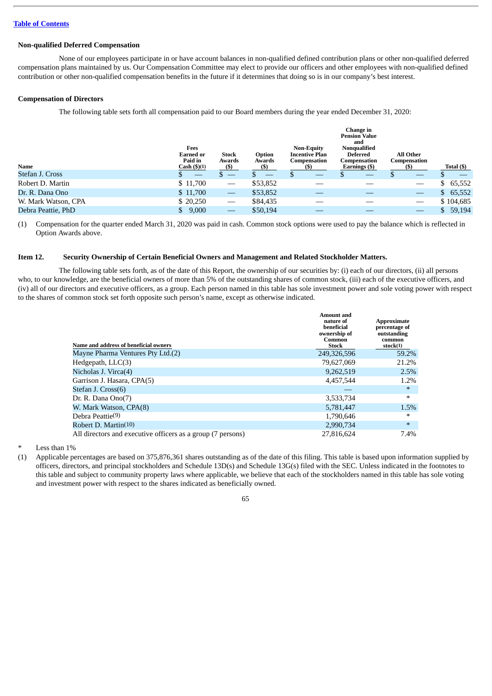## **Non-qualified Deferred Compensation**

None of our employees participate in or have account balances in non-qualified defined contribution plans or other non-qualified deferred compensation plans maintained by us. Our Compensation Committee may elect to provide our officers and other employees with non-qualified defined contribution or other non-qualified compensation benefits in the future if it determines that doing so is in our company's best interest.

#### **Compensation of Directors**

The following table sets forth all compensation paid to our Board members during the year ended December 31, 2020:

| Name                | Fees<br><b>Earned or</b><br>Paid in<br>Cash $(\text{\$})(1)$ | <b>Stock</b><br>Awards<br>$(\$)$ | Option<br>Awards<br>(S) | <b>Non-Equity</b><br><b>Incentive Plan</b><br>Compensation<br>(5) | Change in<br><b>Pension Value</b><br>and<br>Nonqualified<br>Deferred<br>Compensation<br>Earnings (\$) | All Other<br>Compensation<br>(S) | Total (\$) |
|---------------------|--------------------------------------------------------------|----------------------------------|-------------------------|-------------------------------------------------------------------|-------------------------------------------------------------------------------------------------------|----------------------------------|------------|
| Stefan J. Cross     |                                                              | $\overbrace{\hspace{25mm}}^{}$   |                         |                                                                   | __                                                                                                    |                                  |            |
| Robert D. Martin    | \$11,700                                                     | $\hspace{0.05cm}$                | \$53,852                |                                                                   |                                                                                                       | $\overline{\phantom{m}}$         | \$65,552   |
| Dr. R. Dana Ono     | \$11,700                                                     | $\hspace{0.1mm}-\hspace{0.1mm}$  | \$53,852                |                                                                   |                                                                                                       | $\hspace{0.1mm}-\hspace{0.1mm}$  | \$65,552   |
| W. Mark Watson, CPA | \$20,250                                                     | $\hspace{0.05cm}$                | \$84,435                |                                                                   |                                                                                                       | $\hspace{0.05cm}$                | \$104,685  |
| Debra Peattie, PhD  | 9,000<br>S.                                                  |                                  | \$50,194                |                                                                   |                                                                                                       |                                  | \$59,194   |

(1) Compensation for the quarter ended March 31, 2020 was paid in cash. Common stock options were used to pay the balance which is reflected in Option Awards above.

## **Item 12. Security Ownership of Certain Beneficial Owners and Management and Related Stockholder Matters.**

The following table sets forth, as of the date of this Report, the ownership of our securities by: (i) each of our directors, (ii) all persons who, to our knowledge, are the beneficial owners of more than 5% of the outstanding shares of common stock, (iii) each of the executive officers, and (iv) all of our directors and executive officers, as a group. Each person named in this table has sole investment power and sole voting power with respect to the shares of common stock set forth opposite such person's name, except as otherwise indicated.

| Name and address of beneficial owners                       | <b>Amount</b> and<br>nature of<br>beneficial<br>ownership of<br>Common<br><b>Stock</b> | Approximate<br>percentage of<br>outstanding<br>common<br>stock(1) |
|-------------------------------------------------------------|----------------------------------------------------------------------------------------|-------------------------------------------------------------------|
| Mayne Pharma Ventures Pty Ltd.(2)                           | 249,326,596                                                                            | 59.2%                                                             |
| Hedgepath, LLC(3)                                           | 79,627,069                                                                             | 21.2%                                                             |
| Nicholas J. Virca(4)                                        | 9,262,519                                                                              | 2.5%                                                              |
| Garrison J. Hasara, CPA(5)                                  | 4,457,544                                                                              | 1.2%                                                              |
| Stefan J. Cross(6)                                          |                                                                                        | $\ast$                                                            |
| Dr. R. Dana Ono(7)                                          | 3,533,734                                                                              | $\ast$                                                            |
| W. Mark Watson, CPA(8)                                      | 5,781,447                                                                              | 1.5%                                                              |
| Debra Peattie(9)                                            | 1,790,646                                                                              | $\ast$                                                            |
| Robert D. Martin(10)                                        | 2,990,734                                                                              | $\ast$                                                            |
| All directors and executive officers as a group (7 persons) | 27.816.624                                                                             | $7.4\%$                                                           |

\* Less than  $1\%$ <br>(1) Applicable per

(1) Applicable percentages are based on 375,876,361 shares outstanding as of the date of this filing. This table is based upon information supplied by officers, directors, and principal stockholders and Schedule 13D(s) and Schedule 13G(s) filed with the SEC. Unless indicated in the footnotes to this table and subject to community property laws where applicable, we believe that each of the stockholders named in this table has sole voting and investment power with respect to the shares indicated as beneficially owned.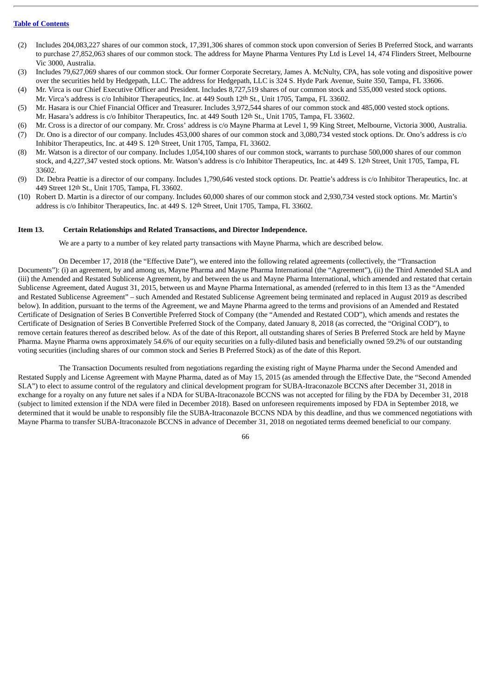### **Table of [Contents](#page-2-0)**

- (2) Includes 204,083,227 shares of our common stock, 17,391,306 shares of common stock upon conversion of Series B Preferred Stock, and warrants to purchase 27,852,063 shares of our common stock. The address for Mayne Pharma Ventures Pty Ltd is Level 14, 474 Flinders Street, Melbourne Vic 3000, Australia.
- (3) Includes 79,627,069 shares of our common stock. Our former Corporate Secretary, James A. McNulty, CPA, has sole voting and dispositive power over the securities held by Hedgepath, LLC. The address for Hedgepath, LLC is 324 S. Hyde Park Avenue, Suite 350, Tampa, FL 33606.
- (4) Mr. Virca is our Chief Executive Officer and President. Includes 8,727,519 shares of our common stock and 535,000 vested stock options. Mr. Virca's address is c/o Inhibitor Therapeutics, Inc. at 449 South 12th St., Unit 1705, Tampa, FL 33602.
- (5) Mr. Hasara is our Chief Financial Officer and Treasurer. Includes 3,972,544 shares of our common stock and 485,000 vested stock options. Mr. Hasara's address is c/o Inhibitor Therapeutics, Inc. at 449 South 12th St., Unit 1705, Tampa, FL 33602.
- (6) Mr. Cross is a director of our company. Mr. Cross' address is c/o Mayne Pharma at Level 1, 99 King Street, Melbourne, Victoria 3000, Australia. (7) Dr. Ono is a director of our company. Includes 453,000 shares of our common stock and 3,080,734 vested stock options. Dr. Ono's address is c/o
- Inhibitor Therapeutics, Inc. at 449 S. 12th Street, Unit 1705, Tampa, FL 33602.
- (8) Mr. Watson is a director of our company. Includes 1,054,100 shares of our common stock, warrants to purchase 500,000 shares of our common stock, and 4,227,347 vested stock options. Mr. Watson's address is c/o Inhibitor Therapeutics, Inc. at 449 S. 12th Street, Unit 1705, Tampa, FL 33602.
- (9) Dr. Debra Peattie is a director of our company. Includes 1,790,646 vested stock options. Dr. Peattie's address is c/o Inhibitor Therapeutics, Inc. at 449 Street 12th St., Unit 1705, Tampa, FL 33602.
- (10) Robert D. Martin is a director of our company. Includes 60,000 shares of our common stock and 2,930,734 vested stock options. Mr. Martin's address is c/o Inhibitor Therapeutics, Inc. at 449 S. 12th Street, Unit 1705, Tampa, FL 33602.

## **Item 13. Certain Relationships and Related Transactions, and Director Independence.**

We are a party to a number of key related party transactions with Mayne Pharma, which are described below.

On December 17, 2018 (the "Effective Date"), we entered into the following related agreements (collectively, the "Transaction Documents"): (i) an agreement, by and among us, Mayne Pharma and Mayne Pharma International (the "Agreement"), (ii) the Third Amended SLA and (iii) the Amended and Restated Sublicense Agreement, by and between the us and Mayne Pharma International, which amended and restated that certain Sublicense Agreement, dated August 31, 2015, between us and Mayne Pharma International, as amended (referred to in this Item 13 as the "Amended and Restated Sublicense Agreement" – such Amended and Restated Sublicense Agreement being terminated and replaced in August 2019 as described below). In addition, pursuant to the terms of the Agreement, we and Mayne Pharma agreed to the terms and provisions of an Amended and Restated Certificate of Designation of Series B Convertible Preferred Stock of Company (the "Amended and Restated COD"), which amends and restates the Certificate of Designation of Series B Convertible Preferred Stock of the Company, dated January 8, 2018 (as corrected, the "Original COD"), to remove certain features thereof as described below. As of the date of this Report, all outstanding shares of Series B Preferred Stock are held by Mayne Pharma. Mayne Pharma owns approximately 54.6% of our equity securities on a fully-diluted basis and beneficially owned 59.2% of our outstanding voting securities (including shares of our common stock and Series B Preferred Stock) as of the date of this Report.

The Transaction Documents resulted from negotiations regarding the existing right of Mayne Pharma under the Second Amended and Restated Supply and License Agreement with Mayne Pharma, dated as of May 15, 2015 (as amended through the Effective Date, the "Second Amended SLA") to elect to assume control of the regulatory and clinical development program for SUBA-Itraconazole BCCNS after December 31, 2018 in exchange for a royalty on any future net sales if a NDA for SUBA-Itraconazole BCCNS was not accepted for filing by the FDA by December 31, 2018 (subject to limited extension if the NDA were filed in December 2018). Based on unforeseen requirements imposed by FDA in September 2018, we determined that it would be unable to responsibly file the SUBA-Itraconazole BCCNS NDA by this deadline, and thus we commenced negotiations with Mayne Pharma to transfer SUBA-Itraconazole BCCNS in advance of December 31, 2018 on negotiated terms deemed beneficial to our company.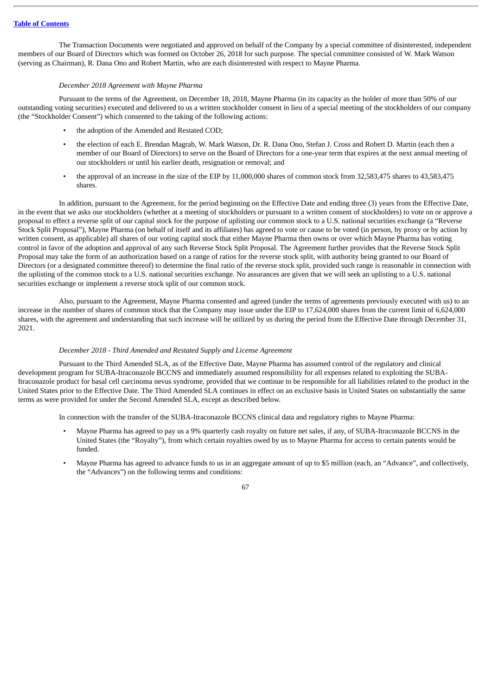The Transaction Documents were negotiated and approved on behalf of the Company by a special committee of disinterested, independent members of our Board of Directors which was formed on October 26, 2018 for such purpose. The special committee consisted of W. Mark Watson (serving as Chairman), R. Dana Ono and Robert Martin, who are each disinterested with respect to Mayne Pharma.

### *December 2018 Agreement with Mayne Pharma*

Pursuant to the terms of the Agreement, on December 18, 2018, Mayne Pharma (in its capacity as the holder of more than 50% of our outstanding voting securities) executed and delivered to us a written stockholder consent in lieu of a special meeting of the stockholders of our company (the "Stockholder Consent") which consented to the taking of the following actions:

- the adoption of the Amended and Restated COD;
- the election of each E. Brendan Magrab, W. Mark Watson, Dr. R. Dana Ono, Stefan J. Cross and Robert D. Martin (each then a member of our Board of Directors) to serve on the Board of Directors for a one-year term that expires at the next annual meeting of our stockholders or until his earlier death, resignation or removal; and
- the approval of an increase in the size of the EIP by 11,000,000 shares of common stock from 32,583,475 shares to 43,583,475 shares.

In addition, pursuant to the Agreement, for the period beginning on the Effective Date and ending three (3) years from the Effective Date, in the event that we asks our stockholders (whether at a meeting of stockholders or pursuant to a written consent of stockholders) to vote on or approve a proposal to effect a reverse split of our capital stock for the purpose of uplisting our common stock to a U.S. national securities exchange (a "Reverse Stock Split Proposal"), Mayne Pharma (on behalf of itself and its affiliates) has agreed to vote or cause to be voted (in person, by proxy or by action by written consent, as applicable) all shares of our voting capital stock that either Mayne Pharma then owns or over which Mayne Pharma has voting control in favor of the adoption and approval of any such Reverse Stock Split Proposal. The Agreement further provides that the Reverse Stock Split Proposal may take the form of an authorization based on a range of ratios for the reverse stock split, with authority being granted to our Board of Directors (or a designated committee thereof) to determine the final ratio of the reverse stock split, provided such range is reasonable in connection with the uplisting of the common stock to a U.S. national securities exchange. No assurances are given that we will seek an uplisting to a U.S. national securities exchange or implement a reverse stock split of our common stock.

Also, pursuant to the Agreement, Mayne Pharma consented and agreed (under the terms of agreements previously executed with us) to an increase in the number of shares of common stock that the Company may issue under the EIP to 17,624,000 shares from the current limit of 6,624,000 shares, with the agreement and understanding that such increase will be utilized by us during the period from the Effective Date through December 31, 2021.

### *December 2018 - Third Amended and Restated Supply and License Agreement*

Pursuant to the Third Amended SLA, as of the Effective Date, Mayne Pharma has assumed control of the regulatory and clinical development program for SUBA-Itraconazole BCCNS and immediately assumed responsibility for all expenses related to exploiting the SUBA-Itraconazole product for basal cell carcinoma nevus syndrome, provided that we continue to be responsible for all liabilities related to the product in the United States prior to the Effective Date. The Third Amended SLA continues in effect on an exclusive basis in United States on substantially the same terms as were provided for under the Second Amended SLA, except as described below.

In connection with the transfer of the SUBA-Itraconazole BCCNS clinical data and regulatory rights to Mayne Pharma:

- Mayne Pharma has agreed to pay us a 9% quarterly cash royalty on future net sales, if any, of SUBA-Itraconazole BCCNS in the United States (the "Royalty"), from which certain royalties owed by us to Mayne Pharma for access to certain patents would be funded.
- Mayne Pharma has agreed to advance funds to us in an aggregate amount of up to \$5 million (each, an "Advance", and collectively, the "Advances") on the following terms and conditions:

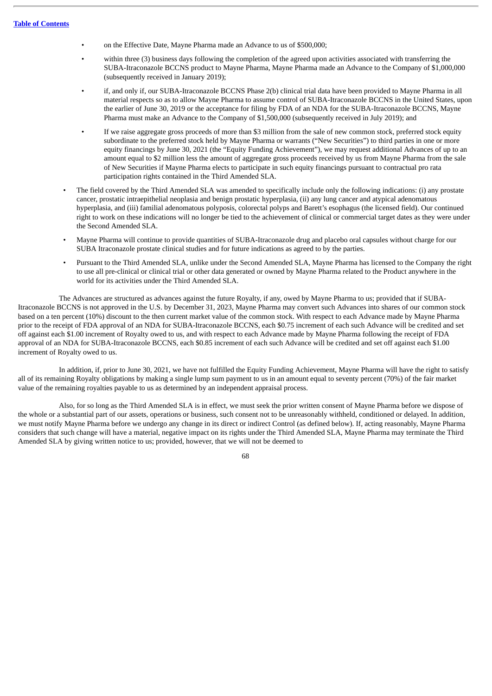- on the Effective Date, Mayne Pharma made an Advance to us of \$500,000;
- within three (3) business days following the completion of the agreed upon activities associated with transferring the SUBA-Itraconazole BCCNS product to Mayne Pharma, Mayne Pharma made an Advance to the Company of \$1,000,000 (subsequently received in January 2019);
- if, and only if, our SUBA-Itraconazole BCCNS Phase 2(b) clinical trial data have been provided to Mayne Pharma in all material respects so as to allow Mayne Pharma to assume control of SUBA-Itraconazole BCCNS in the United States, upon the earlier of June 30, 2019 or the acceptance for filing by FDA of an NDA for the SUBA-Itraconazole BCCNS, Mayne Pharma must make an Advance to the Company of \$1,500,000 (subsequently received in July 2019); and
- If we raise aggregate gross proceeds of more than \$3 million from the sale of new common stock, preferred stock equity subordinate to the preferred stock held by Mayne Pharma or warrants ("New Securities") to third parties in one or more equity financings by June 30, 2021 (the "Equity Funding Achievement"), we may request additional Advances of up to an amount equal to \$2 million less the amount of aggregate gross proceeds received by us from Mayne Pharma from the sale of New Securities if Mayne Pharma elects to participate in such equity financings pursuant to contractual pro rata participation rights contained in the Third Amended SLA.
- The field covered by the Third Amended SLA was amended to specifically include only the following indications: (i) any prostate cancer, prostatic intraepithelial neoplasia and benign prostatic hyperplasia, (ii) any lung cancer and atypical adenomatous hyperplasia, and (iii) familial adenomatous polyposis, colorectal polyps and Barett's esophagus (the licensed field). Our continued right to work on these indications will no longer be tied to the achievement of clinical or commercial target dates as they were under the Second Amended SLA.
- Mayne Pharma will continue to provide quantities of SUBA-Itraconazole drug and placebo oral capsules without charge for our SUBA Itraconazole prostate clinical studies and for future indications as agreed to by the parties.
- Pursuant to the Third Amended SLA, unlike under the Second Amended SLA, Mayne Pharma has licensed to the Company the right to use all pre-clinical or clinical trial or other data generated or owned by Mayne Pharma related to the Product anywhere in the world for its activities under the Third Amended SLA.

The Advances are structured as advances against the future Royalty, if any, owed by Mayne Pharma to us; provided that if SUBA-Itraconazole BCCNS is not approved in the U.S. by December 31, 2023, Mayne Pharma may convert such Advances into shares of our common stock based on a ten percent (10%) discount to the then current market value of the common stock. With respect to each Advance made by Mayne Pharma prior to the receipt of FDA approval of an NDA for SUBA-Itraconazole BCCNS, each \$0.75 increment of each such Advance will be credited and set off against each \$1.00 increment of Royalty owed to us, and with respect to each Advance made by Mayne Pharma following the receipt of FDA approval of an NDA for SUBA-Itraconazole BCCNS, each \$0.85 increment of each such Advance will be credited and set off against each \$1.00 increment of Royalty owed to us.

In addition, if, prior to June 30, 2021, we have not fulfilled the Equity Funding Achievement, Mayne Pharma will have the right to satisfy all of its remaining Royalty obligations by making a single lump sum payment to us in an amount equal to seventy percent (70%) of the fair market value of the remaining royalties payable to us as determined by an independent appraisal process.

Also, for so long as the Third Amended SLA is in effect, we must seek the prior written consent of Mayne Pharma before we dispose of the whole or a substantial part of our assets, operations or business, such consent not to be unreasonably withheld, conditioned or delayed. In addition, we must notify Mayne Pharma before we undergo any change in its direct or indirect Control (as defined below). If, acting reasonably, Mayne Pharma considers that such change will have a material, negative impact on its rights under the Third Amended SLA, Mayne Pharma may terminate the Third Amended SLA by giving written notice to us; provided, however, that we will not be deemed to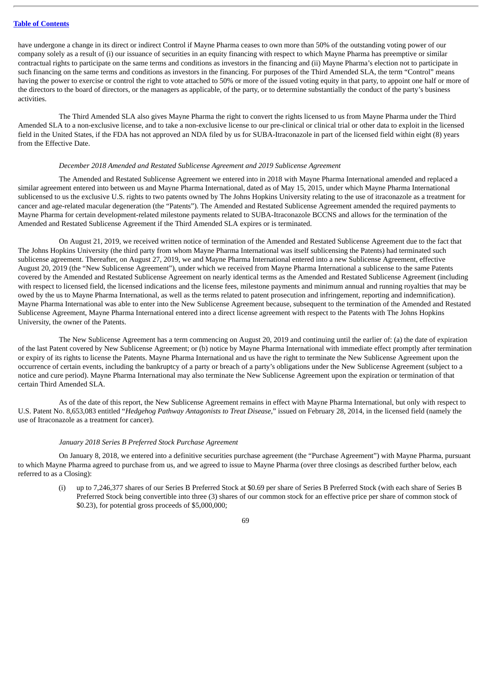have undergone a change in its direct or indirect Control if Mayne Pharma ceases to own more than 50% of the outstanding voting power of our company solely as a result of (i) our issuance of securities in an equity financing with respect to which Mayne Pharma has preemptive or similar contractual rights to participate on the same terms and conditions as investors in the financing and (ii) Mayne Pharma's election not to participate in such financing on the same terms and conditions as investors in the financing. For purposes of the Third Amended SLA, the term "Control" means having the power to exercise or control the right to vote attached to 50% or more of the issued voting equity in that party, to appoint one half or more of the directors to the board of directors, or the managers as applicable, of the party, or to determine substantially the conduct of the party's business activities.

The Third Amended SLA also gives Mayne Pharma the right to convert the rights licensed to us from Mayne Pharma under the Third Amended SLA to a non-exclusive license, and to take a non-exclusive license to our pre-clinical or clinical trial or other data to exploit in the licensed field in the United States, if the FDA has not approved an NDA filed by us for SUBA-Itraconazole in part of the licensed field within eight (8) years from the Effective Date.

### *December 2018 Amended and Restated Sublicense Agreement and 2019 Sublicense Agreement*

The Amended and Restated Sublicense Agreement we entered into in 2018 with Mayne Pharma International amended and replaced a similar agreement entered into between us and Mayne Pharma International, dated as of May 15, 2015, under which Mayne Pharma International sublicensed to us the exclusive U.S. rights to two patents owned by The Johns Hopkins University relating to the use of itraconazole as a treatment for cancer and age-related macular degeneration (the "Patents"). The Amended and Restated Sublicense Agreement amended the required payments to Mayne Pharma for certain development-related milestone payments related to SUBA-Itraconazole BCCNS and allows for the termination of the Amended and Restated Sublicense Agreement if the Third Amended SLA expires or is terminated.

On August 21, 2019, we received written notice of termination of the Amended and Restated Sublicense Agreement due to the fact that The Johns Hopkins University (the third party from whom Mayne Pharma International was itself sublicensing the Patents) had terminated such sublicense agreement. Thereafter, on August 27, 2019, we and Mayne Pharma International entered into a new Sublicense Agreement, effective August 20, 2019 (the "New Sublicense Agreement"), under which we received from Mayne Pharma International a sublicense to the same Patents covered by the Amended and Restated Sublicense Agreement on nearly identical terms as the Amended and Restated Sublicense Agreement (including with respect to licensed field, the licensed indications and the license fees, milestone payments and minimum annual and running royalties that may be owed by the us to Mayne Pharma International, as well as the terms related to patent prosecution and infringement, reporting and indemnification). Mayne Pharma International was able to enter into the New Sublicense Agreement because, subsequent to the termination of the Amended and Restated Sublicense Agreement, Mayne Pharma International entered into a direct license agreement with respect to the Patents with The Johns Hopkins University, the owner of the Patents.

The New Sublicense Agreement has a term commencing on August 20, 2019 and continuing until the earlier of: (a) the date of expiration of the last Patent covered by New Sublicense Agreement; or (b) notice by Mayne Pharma International with immediate effect promptly after termination or expiry of its rights to license the Patents. Mayne Pharma International and us have the right to terminate the New Sublicense Agreement upon the occurrence of certain events, including the bankruptcy of a party or breach of a party's obligations under the New Sublicense Agreement (subject to a notice and cure period). Mayne Pharma International may also terminate the New Sublicense Agreement upon the expiration or termination of that certain Third Amended SLA.

As of the date of this report, the New Sublicense Agreement remains in effect with Mayne Pharma International, but only with respect to U.S. Patent No. 8,653,083 entitled "*Hedgehog Pathway Antagonists to Treat Disease*," issued on February 28, 2014, in the licensed field (namely the use of Itraconazole as a treatment for cancer).

### *January 2018 Series B Preferred Stock Purchase Agreement*

On January 8, 2018, we entered into a definitive securities purchase agreement (the "Purchase Agreement") with Mayne Pharma, pursuant to which Mayne Pharma agreed to purchase from us, and we agreed to issue to Mayne Pharma (over three closings as described further below, each referred to as a Closing):

(i) up to 7,246,377 shares of our Series B Preferred Stock at \$0.69 per share of Series B Preferred Stock (with each share of Series B Preferred Stock being convertible into three (3) shares of our common stock for an effective price per share of common stock of \$0.23), for potential gross proceeds of \$5,000,000;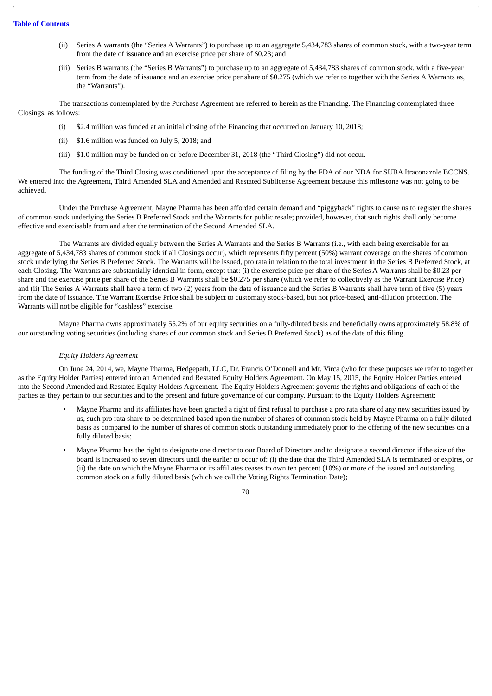- (ii) Series A warrants (the "Series A Warrants") to purchase up to an aggregate 5,434,783 shares of common stock, with a two-year term from the date of issuance and an exercise price per share of \$0.23; and
- (iii) Series B warrants (the "Series B Warrants") to purchase up to an aggregate of 5,434,783 shares of common stock, with a five-year term from the date of issuance and an exercise price per share of \$0.275 (which we refer to together with the Series A Warrants as, the "Warrants").

The transactions contemplated by the Purchase Agreement are referred to herein as the Financing. The Financing contemplated three Closings, as follows:

- (i) \$2.4 million was funded at an initial closing of the Financing that occurred on January 10, 2018;
- (ii) \$1.6 million was funded on July 5, 2018; and
- (iii) \$1.0 million may be funded on or before December 31, 2018 (the "Third Closing") did not occur.

The funding of the Third Closing was conditioned upon the acceptance of filing by the FDA of our NDA for SUBA Itraconazole BCCNS. We entered into the Agreement, Third Amended SLA and Amended and Restated Sublicense Agreement because this milestone was not going to be achieved.

Under the Purchase Agreement, Mayne Pharma has been afforded certain demand and "piggyback" rights to cause us to register the shares of common stock underlying the Series B Preferred Stock and the Warrants for public resale; provided, however, that such rights shall only become effective and exercisable from and after the termination of the Second Amended SLA.

The Warrants are divided equally between the Series A Warrants and the Series B Warrants (i.e., with each being exercisable for an aggregate of 5,434,783 shares of common stock if all Closings occur), which represents fifty percent (50%) warrant coverage on the shares of common stock underlying the Series B Preferred Stock. The Warrants will be issued, pro rata in relation to the total investment in the Series B Preferred Stock, at each Closing. The Warrants are substantially identical in form, except that: (i) the exercise price per share of the Series A Warrants shall be \$0.23 per share and the exercise price per share of the Series B Warrants shall be \$0.275 per share (which we refer to collectively as the Warrant Exercise Price) and (ii) The Series A Warrants shall have a term of two (2) years from the date of issuance and the Series B Warrants shall have term of five (5) years from the date of issuance. The Warrant Exercise Price shall be subject to customary stock-based, but not price-based, anti-dilution protection. The Warrants will not be eligible for "cashless" exercise.

Mayne Pharma owns approximately 55.2% of our equity securities on a fully-diluted basis and beneficially owns approximately 58.8% of our outstanding voting securities (including shares of our common stock and Series B Preferred Stock) as of the date of this filing.

### *Equity Holders Agreement*

On June 24, 2014, we, Mayne Pharma, Hedgepath, LLC, Dr. Francis O'Donnell and Mr. Virca (who for these purposes we refer to together as the Equity Holder Parties) entered into an Amended and Restated Equity Holders Agreement. On May 15, 2015, the Equity Holder Parties entered into the Second Amended and Restated Equity Holders Agreement. The Equity Holders Agreement governs the rights and obligations of each of the parties as they pertain to our securities and to the present and future governance of our company. Pursuant to the Equity Holders Agreement:

- Mayne Pharma and its affiliates have been granted a right of first refusal to purchase a pro rata share of any new securities issued by us, such pro rata share to be determined based upon the number of shares of common stock held by Mayne Pharma on a fully diluted basis as compared to the number of shares of common stock outstanding immediately prior to the offering of the new securities on a fully diluted basis;
- Mayne Pharma has the right to designate one director to our Board of Directors and to designate a second director if the size of the board is increased to seven directors until the earlier to occur of: (i) the date that the Third Amended SLA is terminated or expires, or (ii) the date on which the Mayne Pharma or its affiliates ceases to own ten percent (10%) or more of the issued and outstanding common stock on a fully diluted basis (which we call the Voting Rights Termination Date);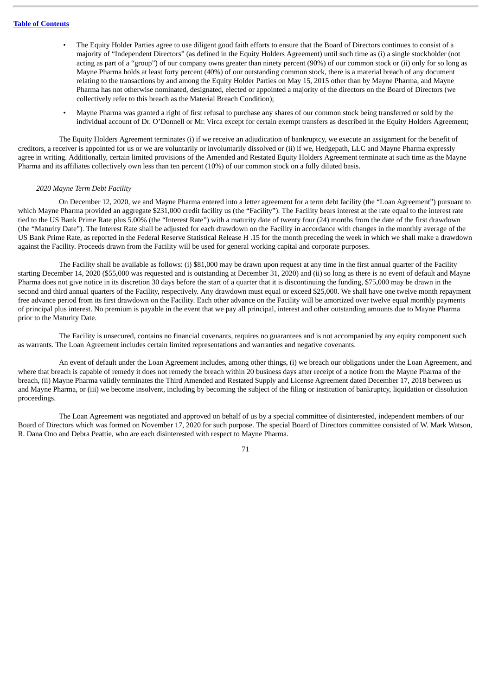- The Equity Holder Parties agree to use diligent good faith efforts to ensure that the Board of Directors continues to consist of a majority of "Independent Directors" (as defined in the Equity Holders Agreement) until such time as (i) a single stockholder (not acting as part of a "group") of our company owns greater than ninety percent (90%) of our common stock or (ii) only for so long as Mayne Pharma holds at least forty percent (40%) of our outstanding common stock, there is a material breach of any document relating to the transactions by and among the Equity Holder Parties on May 15, 2015 other than by Mayne Pharma, and Mayne Pharma has not otherwise nominated, designated, elected or appointed a majority of the directors on the Board of Directors (we collectively refer to this breach as the Material Breach Condition);
- Mayne Pharma was granted a right of first refusal to purchase any shares of our common stock being transferred or sold by the individual account of Dr. O'Donnell or Mr. Virca except for certain exempt transfers as described in the Equity Holders Agreement;

The Equity Holders Agreement terminates (i) if we receive an adjudication of bankruptcy, we execute an assignment for the benefit of creditors, a receiver is appointed for us or we are voluntarily or involuntarily dissolved or (ii) if we, Hedgepath, LLC and Mayne Pharma expressly agree in writing. Additionally, certain limited provisions of the Amended and Restated Equity Holders Agreement terminate at such time as the Mayne Pharma and its affiliates collectively own less than ten percent (10%) of our common stock on a fully diluted basis.

#### *2020 Mayne Term Debt Facility*

On December 12, 2020, we and Mayne Pharma entered into a letter agreement for a term debt facility (the "Loan Agreement") pursuant to which Mayne Pharma provided an aggregate \$231,000 credit facility us (the "Facility"). The Facility bears interest at the rate equal to the interest rate tied to the US Bank Prime Rate plus 5.00% (the "Interest Rate") with a maturity date of twenty four (24) months from the date of the first drawdown (the "Maturity Date"). The Interest Rate shall be adjusted for each drawdown on the Facility in accordance with changes in the monthly average of the US Bank Prime Rate, as reported in the Federal Reserve Statistical Release H .15 for the month preceding the week in which we shall make a drawdown against the Facility. Proceeds drawn from the Facility will be used for general working capital and corporate purposes.

The Facility shall be available as follows: (i) \$81,000 may be drawn upon request at any time in the first annual quarter of the Facility starting December 14, 2020 (\$55,000 was requested and is outstanding at December 31, 2020) and (ii) so long as there is no event of default and Mayne Pharma does not give notice in its discretion 30 days before the start of a quarter that it is discontinuing the funding, \$75,000 may be drawn in the second and third annual quarters of the Facility, respectively. Any drawdown must equal or exceed \$25,000. We shall have one twelve month repayment free advance period from its first drawdown on the Facility. Each other advance on the Facility will be amortized over twelve equal monthly payments of principal plus interest. No premium is payable in the event that we pay all principal, interest and other outstanding amounts due to Mayne Pharma prior to the Maturity Date.

The Facility is unsecured, contains no financial covenants, requires no guarantees and is not accompanied by any equity component such as warrants. The Loan Agreement includes certain limited representations and warranties and negative covenants.

An event of default under the Loan Agreement includes, among other things, (i) we breach our obligations under the Loan Agreement, and where that breach is capable of remedy it does not remedy the breach within 20 business days after receipt of a notice from the Mayne Pharma of the breach, (ii) Mayne Pharma validly terminates the Third Amended and Restated Supply and License Agreement dated December 17, 2018 between us and Mayne Pharma, or (iii) we become insolvent, including by becoming the subject of the filing or institution of bankruptcy, liquidation or dissolution proceedings.

The Loan Agreement was negotiated and approved on behalf of us by a special committee of disinterested, independent members of our Board of Directors which was formed on November 17, 2020 for such purpose. The special Board of Directors committee consisted of W. Mark Watson, R. Dana Ono and Debra Peattie, who are each disinterested with respect to Mayne Pharma.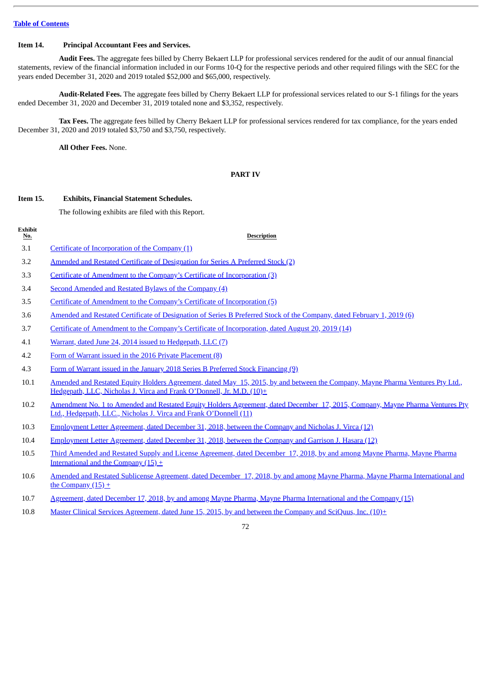# **Item 14. Principal Accountant Fees and Services.**

**Audit Fees.** The aggregate fees billed by Cherry Bekaert LLP for professional services rendered for the audit of our annual financial statements, review of the financial information included in our Forms 10-Q for the respective periods and other required filings with the SEC for the years ended December 31, 2020 and 2019 totaled \$52,000 and \$65,000, respectively.

**Audit-Related Fees.** The aggregate fees billed by Cherry Bekaert LLP for professional services related to our S-1 filings for the years ended December 31, 2020 and December 31, 2019 totaled none and \$3,352, respectively.

**Tax Fees.** The aggregate fees billed by Cherry Bekaert LLP for professional services rendered for tax compliance, for the years ended December 31, 2020 and 2019 totaled \$3,750 and \$3,750, respectively.

**All Other Fees.** None.

### **PART IV**

# **Item 15. Exhibits, Financial Statement Schedules.**

The following exhibits are filed with this Report.

| ех пин |  |
|--------|--|
|        |  |

### **No. Description**

- 3.1 Certificate of [Incorporation](http://www.sec.gov/Archives/edgar/data/1042418/000119312513338085/d584597dex31.htm) of the Company (1)
- 3.2 Amended and Restated Certificate of [Designation](http://www.sec.gov/Archives/edgar/data/1042418/000119312513362750/d595990dex31.htm) for Series A Preferred Stock (2)
- 3.3 Certificate of Amendment to the Company's Certificate of [Incorporation](http://www.sec.gov/Archives/edgar/data/1042418/000119312515259834/d783002dex33.htm) (3)
- 3.4 Second Amended and Restated Bylaws of the [Company](http://www.sec.gov/Archives/edgar/data/1042418/000119312515197002/d932170dex31.htm) (4)
- 3.5 Certificate of Amendment to the Company's Certificate of [Incorporation](http://www.sec.gov/Archives/edgar/data/1042418/000119312516604270/d181798dex31.htm) (5)
- 3.6 Amended and Restated Certificate of [Designation](http://www.sec.gov/Archives/edgar/data/1042418/000119312519004721/d679573ddef14c.htm) of Series B Preferred Stock of the Company, dated February 1, 2019 (6)
- 3.7 Certificate of Amendment to the Company's Certificate of [Incorporation,](http://www.sec.gov/Archives/edgar/data/1042418/000119312519225286/d793055dex31.htm) dated August 20, 2019 (14)
- 4.1 Warrant, dated June 24, 2014 issued to [Hedgepath,](http://www.sec.gov/Archives/edgar/data/1042418/000119312514255998/d750157dex42.htm) LLC (7)
- 4.2 Form of Warrant issued in the 2016 Private [Placement](http://www.sec.gov/Archives/edgar/data/1042418/000119312516543185/d176857dex41.htm) (8)
- 4.3 Form of Warrant issued in the January 2018 Series B Preferred Stock [Financing](http://www.sec.gov/Archives/edgar/data/1042418/000119312518008650/d523601dex41.htm) (9)
- 10.1 Amended and Restated Equity Holders [Agreement,](http://www.sec.gov/Archives/edgar/data/1042418/000119312515291734/d938337dex101.htm) dated May 15, 2015, by and between the Company, Mayne Pharma Ventures Pty Ltd., Hedgepath, LLC, Nicholas J. Virca and Frank O'Donnell, Jr. M.D. (10)<sup>+</sup>
- 10.2 [Amendment](http://www.sec.gov/Archives/edgar/data/1042418/000119312515410783/d100976dex101.htm) No. 1 to Amended and Restated Equity Holders Agreement, dated December 17, 2015, Company, Mayne Pharma Ventures Pty Ltd., Hedgepath, LLC., Nicholas J. Virca and Frank O'Donnell (11)
- 10.3 [Employment](http://www.sec.gov/Archives/edgar/data/1042418/000119312518362406/d672710dex101.htm) Letter Agreement, dated December 31, 2018, between the Company and Nicholas J. Virca (12)
- 10.4 [Employment](http://www.sec.gov/Archives/edgar/data/1042418/000119312518362406/d672710dex102.htm) Letter Agreement, dated December 31, 2018, between the Company and Garrison J. Hasara (12)
- 10.5 Third Amended and Restated Supply and License Agreement, dated December 17, 2018, by and among Mayne Pharma, Mayne Pharma [International](http://www.sec.gov/Archives/edgar/data/1042418/000119312519066503/d668655dex105.htm) and the Company  $(15)$  +
- 10.6 Amended and Restated Sublicense Agreement, dated December 17, 2018, by and among Mayne Pharma, Mayne Pharma [International](http://www.sec.gov/Archives/edgar/data/1042418/000119312519066503/d668655dex106.htm) and the Company (15) +
- 10.7 Agreement, dated December 17, 2018, by and among Mayne Pharma, Mayne Pharma [International](http://www.sec.gov/Archives/edgar/data/1042418/000119312519066503/d668655dex107.htm) and the Company (15)
- 10.8 Master Clinical Services [Agreement,](http://www.sec.gov/Archives/edgar/data/1042418/000119312515291734/d938337dex106.htm) dated June 15, 2015, by and between the Company and SciQuus, Inc. (10)+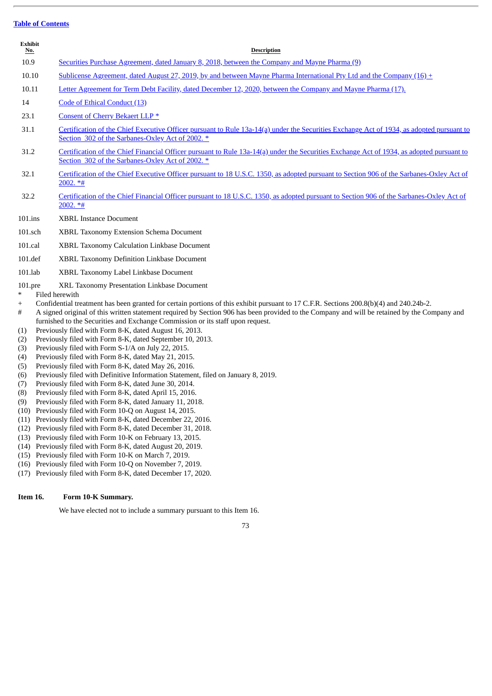# **Table of [Contents](#page-2-0)**

| <b>Exhibit</b><br><u>No.</u> | <b>Description</b>                                                                                                                                                                                                                                                                     |
|------------------------------|----------------------------------------------------------------------------------------------------------------------------------------------------------------------------------------------------------------------------------------------------------------------------------------|
| 10.9                         | Securities Purchase Agreement, dated January 8, 2018, between the Company and Mayne Pharma (9)                                                                                                                                                                                         |
| 10.10                        | Sublicense Agreement, dated August 27, 2019, by and between Mayne Pharma International Pty Ltd and the Company $(16) +$                                                                                                                                                                |
| 10.11                        | Letter Agreement for Term Debt Facility, dated December 12, 2020, between the Company and Mayne Pharma (17).                                                                                                                                                                           |
| 14                           | Code of Ethical Conduct (13)                                                                                                                                                                                                                                                           |
|                              |                                                                                                                                                                                                                                                                                        |
| 23.1                         | Consent of Cherry Bekaert LLP <sup>*</sup>                                                                                                                                                                                                                                             |
| 31.1                         | Certification of the Chief Executive Officer pursuant to Rule 13a-14(a) under the Securities Exchange Act of 1934, as adopted pursuant to<br>Section 302 of the Sarbanes-Oxley Act of 2002. *                                                                                          |
| 31.2                         | Certification of the Chief Financial Officer pursuant to Rule 13a-14(a) under the Securities Exchange Act of 1934, as adopted pursuant to<br>Section 302 of the Sarbanes-Oxley Act of 2002. *                                                                                          |
| 32.1                         | Certification of the Chief Executive Officer pursuant to 18 U.S.C. 1350, as adopted pursuant to Section 906 of the Sarbanes-Oxley Act of<br>$2002.$ *#                                                                                                                                 |
| 32.2                         | Certification of the Chief Financial Officer pursuant to 18 U.S.C. 1350, as adopted pursuant to Section 906 of the Sarbanes-Oxley Act of<br>$2002.$ *#                                                                                                                                 |
| $101$ .ins                   | <b>XBRL Instance Document</b>                                                                                                                                                                                                                                                          |
| 101.sch                      | XBRL Taxonomy Extension Schema Document                                                                                                                                                                                                                                                |
| $101$ .cal                   | <b>XBRL Taxonomy Calculation Linkbase Document</b>                                                                                                                                                                                                                                     |
| $101.$ def                   | <b>XBRL Taxonomy Definition Linkbase Document</b>                                                                                                                                                                                                                                      |
| 101.lab                      | XBRL Taxonomy Label Linkbase Document                                                                                                                                                                                                                                                  |
| $101$ .pre                   | XRL Taxonomy Presentation Linkbase Document                                                                                                                                                                                                                                            |
| $\ast$                       | Filed herewith                                                                                                                                                                                                                                                                         |
| $^{+}$<br>#                  | Confidential treatment has been granted for certain portions of this exhibit pursuant to 17 C.F.R. Sections 200.8(b)(4) and 240.24b-2.<br>A signed original of this written statement required by Section 906 has been provided to the Company and will be retained by the Company and |
|                              | furnished to the Securities and Exchange Commission or its staff upon request.                                                                                                                                                                                                         |
| (1)                          | Previously filed with Form 8-K, dated August 16, 2013.                                                                                                                                                                                                                                 |
| (2)                          | Previously filed with Form 8-K, dated September 10, 2013.                                                                                                                                                                                                                              |
| (3)                          | Previously filed with Form S-1/A on July 22, 2015.                                                                                                                                                                                                                                     |
| (4)                          | Previously filed with Form 8-K, dated May 21, 2015.                                                                                                                                                                                                                                    |
| (5)                          | Previously filed with Form 8-K, dated May 26, 2016.<br>Previously filed with Definitive Information Statement, filed on January 8, 2019.                                                                                                                                               |
| (6)<br>(7)                   | Previously filed with Form 8-K, dated June 30, 2014.                                                                                                                                                                                                                                   |
| (8)                          | Previously filed with Form 8-K, dated April 15, 2016.                                                                                                                                                                                                                                  |
| (9)                          | Previously filed with Form 8-K, dated January 11, 2018.                                                                                                                                                                                                                                |
| (10)                         | Previously filed with Form 10-Q on August 14, 2015.                                                                                                                                                                                                                                    |
| (11)                         | Previously filed with Form 8-K, dated December 22, 2016.                                                                                                                                                                                                                               |
| (12)                         | Previously filed with Form 8-K, dated December 31, 2018.                                                                                                                                                                                                                               |
|                              | (13) Previously filed with Form 10-K on February 13, 2015.                                                                                                                                                                                                                             |

- (14) Previously filed with Form 8-K, dated August 20, 2019.
- (15) Previously filed with Form 10-K on March 7, 2019.
- (16) Previously filed with Form 10-Q on November 7, 2019.
- (17) Previously filed with Form 8-K, dated December 17, 2020.

# **Item 16. Form 10-K Summary.**

We have elected not to include a summary pursuant to this Item 16.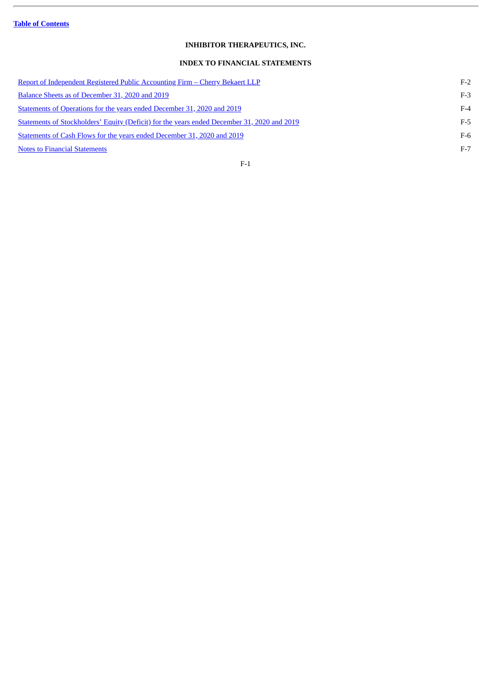$\overline{a}$ 

# **INHIBITOR THERAPEUTICS, INC.**

# **INDEX TO FINANCIAL STATEMENTS**

| <u>Report of Independent Registered Public Accounting Firm – Cherry Bekaert LLP</u>         | $F-2$ |
|---------------------------------------------------------------------------------------------|-------|
| Balance Sheets as of December 31, 2020 and 2019                                             | $F-3$ |
| Statements of Operations for the years ended December 31, 2020 and 2019                     | $F-4$ |
| Statements of Stockholders' Equity (Deficit) for the years ended December 31, 2020 and 2019 | $F-5$ |
| Statements of Cash Flows for the years ended December 31, 2020 and 2019                     | $F-6$ |
| <b>Notes to Financial Statements</b>                                                        | $F-7$ |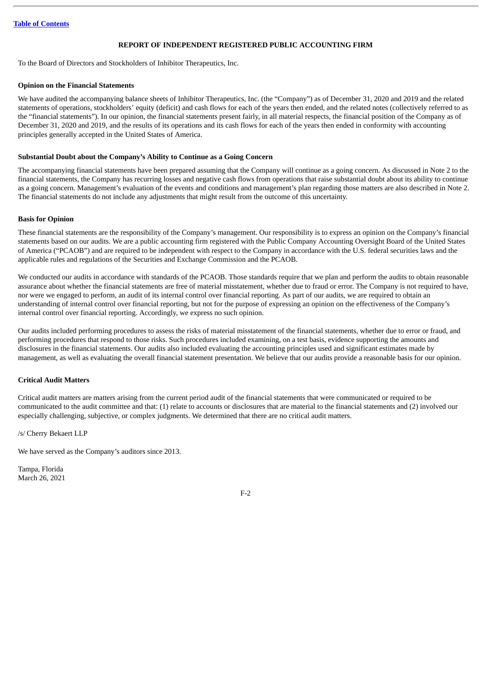# **REPORT OF INDEPENDENT REGISTERED PUBLIC ACCOUNTING FIRM**

<span id="page-77-0"></span>To the Board of Directors and Stockholders of Inhibitor Therapeutics, Inc.

## **Opinion on the Financial Statements**

We have audited the accompanying balance sheets of Inhibitor Therapeutics, Inc. (the "Company") as of December 31, 2020 and 2019 and the related statements of operations, stockholders' equity (deficit) and cash flows for each of the years then ended, and the related notes (collectively referred to as the "financial statements"). In our opinion, the financial statements present fairly, in all material respects, the financial position of the Company as of December 31, 2020 and 2019, and the results of its operations and its cash flows for each of the years then ended in conformity with accounting principles generally accepted in the United States of America.

## **Substantial Doubt about the Company's Ability to Continue as a Going Concern**

The accompanying financial statements have been prepared assuming that the Company will continue as a going concern. As discussed in Note 2 to the financial statements, the Company has recurring losses and negative cash flows from operations that raise substantial doubt about its ability to continue as a going concern. Management's evaluation of the events and conditions and management's plan regarding those matters are also described in Note 2. The financial statements do not include any adjustments that might result from the outcome of this uncertainty.

### **Basis for Opinion**

These financial statements are the responsibility of the Company's management. Our responsibility is to express an opinion on the Company's financial statements based on our audits. We are a public accounting firm registered with the Public Company Accounting Oversight Board of the United States of America ("PCAOB") and are required to be independent with respect to the Company in accordance with the U.S. federal securities laws and the applicable rules and regulations of the Securities and Exchange Commission and the PCAOB.

We conducted our audits in accordance with standards of the PCAOB. Those standards require that we plan and perform the audits to obtain reasonable assurance about whether the financial statements are free of material misstatement, whether due to fraud or error. The Company is not required to have, nor were we engaged to perform, an audit of its internal control over financial reporting. As part of our audits, we are required to obtain an understanding of internal control over financial reporting, but not for the purpose of expressing an opinion on the effectiveness of the Company's internal control over financial reporting. Accordingly, we express no such opinion.

Our audits included performing procedures to assess the risks of material misstatement of the financial statements, whether due to error or fraud, and performing procedures that respond to those risks. Such procedures included examining, on a test basis, evidence supporting the amounts and disclosures in the financial statements. Our audits also included evaluating the accounting principles used and significant estimates made by management, as well as evaluating the overall financial statement presentation. We believe that our audits provide a reasonable basis for our opinion.

# **Critical Audit Matters**

Critical audit matters are matters arising from the current period audit of the financial statements that were communicated or required to be communicated to the audit committee and that: (1) relate to accounts or disclosures that are material to the financial statements and (2) involved our especially challenging, subjective, or complex judgments. We determined that there are no critical audit matters.

/s/ Cherry Bekaert LLP

We have served as the Company's auditors since 2013.

Tampa, Florida March 26, 2021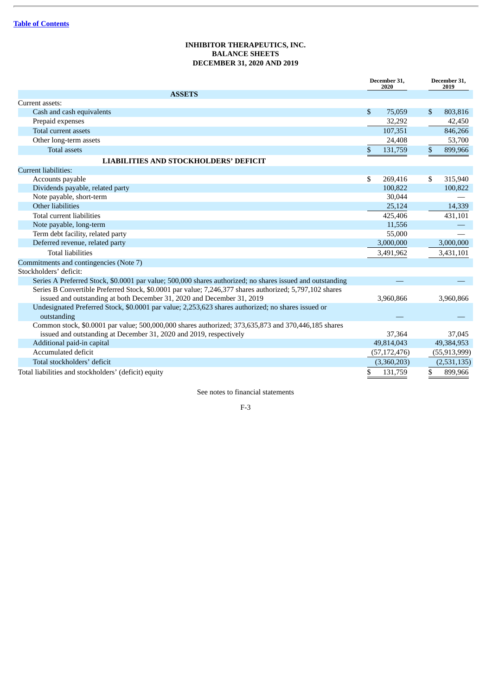# **INHIBITOR THERAPEUTICS, INC. BALANCE SHEETS DECEMBER 31, 2020 AND 2019**

<span id="page-78-0"></span>

|                                                                                                                   | December 31,<br>2020 |                | December 31,<br>2019 |                |
|-------------------------------------------------------------------------------------------------------------------|----------------------|----------------|----------------------|----------------|
| <b>ASSETS</b>                                                                                                     |                      |                |                      |                |
| Current assets:                                                                                                   |                      |                |                      |                |
| Cash and cash equivalents                                                                                         | \$                   | 75,059         | \$                   | 803,816        |
| Prepaid expenses                                                                                                  |                      | 32,292         |                      | 42,450         |
| Total current assets                                                                                              |                      | 107,351        |                      | 846,266        |
| Other long-term assets                                                                                            |                      | 24,408         |                      | 53,700         |
| <b>Total assets</b>                                                                                               | \$                   | 131,759        | \$                   | 899,966        |
| <b>LIABILITIES AND STOCKHOLDERS' DEFICIT</b>                                                                      |                      |                |                      |                |
| <b>Current liabilities:</b>                                                                                       |                      |                |                      |                |
| Accounts payable                                                                                                  | \$                   | 269,416        | \$                   | 315,940        |
| Dividends payable, related party                                                                                  |                      | 100,822        |                      | 100,822        |
| Note payable, short-term                                                                                          |                      | 30,044         |                      |                |
| Other liabilities                                                                                                 |                      | 25,124         |                      | 14,339         |
| Total current liabilities                                                                                         |                      | 425,406        |                      | 431,101        |
| Note payable, long-term                                                                                           |                      | 11,556         |                      |                |
| Term debt facility, related party                                                                                 |                      | 55,000         |                      |                |
| Deferred revenue, related party                                                                                   |                      | 3,000,000      |                      | 3,000,000      |
| <b>Total liabilities</b>                                                                                          |                      | 3,491,962      |                      | 3,431,101      |
| Commitments and contingencies (Note 7)                                                                            |                      |                |                      |                |
| Stockholders' deficit:                                                                                            |                      |                |                      |                |
| Series A Preferred Stock, \$0.0001 par value; 500,000 shares authorized; no shares issued and outstanding         |                      |                |                      |                |
| Series B Convertible Preferred Stock, \$0.0001 par value; 7,246,377 shares authorized; 5,797,102 shares           |                      |                |                      |                |
| issued and outstanding at both December 31, 2020 and December 31, 2019                                            |                      | 3,960,866      |                      | 3,960,866      |
| Undesignated Preferred Stock, \$0.0001 par value; 2,253,623 shares authorized; no shares issued or<br>outstanding |                      |                |                      |                |
| Common stock, \$0.0001 par value; 500,000,000 shares authorized; 373,635,873 and 370,446,185 shares               |                      |                |                      |                |
| issued and outstanding at December 31, 2020 and 2019, respectively                                                |                      | 37,364         |                      | 37,045         |
| Additional paid-in capital                                                                                        |                      | 49,814,043     |                      | 49,384,953     |
| Accumulated deficit                                                                                               |                      | (57, 172, 476) |                      | (55, 913, 999) |
| Total stockholders' deficit                                                                                       |                      | (3,360,203)    |                      | (2,531,135)    |
| Total liabilities and stockholders' (deficit) equity                                                              | \$                   | 131,759        | \$                   | 899,966        |

See notes to financial statements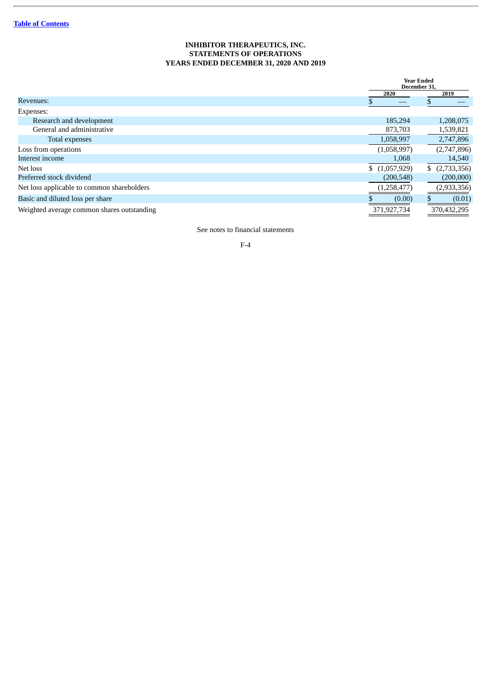# **INHIBITOR THERAPEUTICS, INC. STATEMENTS OF OPERATIONS YEARS ENDED DECEMBER 31, 2020 AND 2019**

<span id="page-79-0"></span>

|                                            |             | <b>Year Ended</b><br>December 31, |
|--------------------------------------------|-------------|-----------------------------------|
|                                            | 2020        | 2019                              |
| Revenues:                                  |             |                                   |
| Expenses:                                  |             |                                   |
| Research and development                   | 185,294     | 1,208,075                         |
| General and administrative                 | 873,703     | 1,539,821                         |
| Total expenses                             | 1,058,997   | 2,747,896                         |
| Loss from operations                       | (1,058,997) | (2,747,896)                       |
| Interest income                            | 1,068       | 14,540                            |
| Net loss                                   | (1,057,929) | (2,733,356)                       |
| Preferred stock dividend                   | (200, 548)  | (200,000)                         |
| Net loss applicable to common shareholders | (1,258,477) | (2,933,356)                       |
| Basic and diluted loss per share           | (0.00)      | (0.01)                            |
| Weighted average common shares outstanding | 371,927,734 | 370,432,295                       |

See notes to financial statements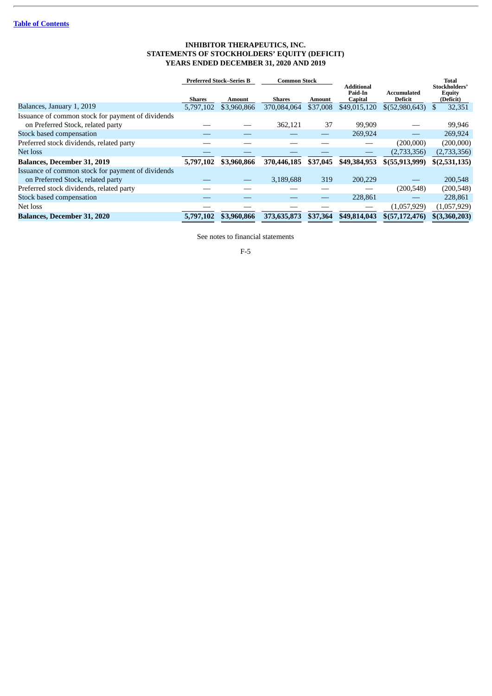# **INHIBITOR THERAPEUTICS, INC. STATEMENTS OF STOCKHOLDERS' EQUITY (DEFICIT) YEARS ENDED DECEMBER 31, 2020 AND 2019**

<span id="page-80-0"></span>

|                                                   | <b>Preferred Stock–Series B</b><br><b>Common Stock</b> |             |               |          | <b>Total</b>                            |                        |                                             |
|---------------------------------------------------|--------------------------------------------------------|-------------|---------------|----------|-----------------------------------------|------------------------|---------------------------------------------|
|                                                   | <b>Shares</b>                                          | Amount      | <b>Shares</b> | Amount   | <b>Additional</b><br>Paid-In<br>Capital | Accumulated<br>Deficit | Stockholders'<br><b>Equity</b><br>(Deficit) |
| Balances, January 1, 2019                         | 5,797,102                                              | \$3,960,866 | 370,084,064   | \$37,008 | \$49,015,120                            | \$(52,980,643)         | 32,351                                      |
| Issuance of common stock for payment of dividends |                                                        |             |               |          |                                         |                        |                                             |
| on Preferred Stock, related party                 |                                                        |             | 362,121       | 37       | 99.909                                  |                        | 99,946                                      |
| <b>Stock based compensation</b>                   |                                                        |             |               |          | 269,924                                 |                        | 269,924                                     |
| Preferred stock dividends, related party          |                                                        |             |               |          |                                         | (200,000)              | (200,000)                                   |
| Net loss                                          |                                                        |             |               |          |                                         | (2,733,356)            | (2,733,356)                                 |
| <b>Balances, December 31, 2019</b>                | 5,797,102                                              | \$3,960,866 | 370,446,185   | \$37,045 | \$49,384,953                            | \$ (55,913,999)        | \$(2,531,135)                               |
| Issuance of common stock for payment of dividends |                                                        |             |               |          |                                         |                        |                                             |
| on Preferred Stock, related party                 |                                                        |             | 3,189,688     | 319      | 200,229                                 |                        | 200,548                                     |
| Preferred stock dividends, related party          |                                                        |             |               |          |                                         | (200, 548)             | (200, 548)                                  |
| Stock based compensation                          |                                                        |             |               |          | 228.861                                 |                        | 228,861                                     |
| Net loss                                          |                                                        |             |               |          |                                         | (1,057,929)            | (1,057,929)                                 |
| <b>Balances, December 31, 2020</b>                | 5,797,102                                              | \$3,960,866 | 373,635,873   | \$37,364 | \$49,814,043                            | \$(57, 172, 476)       | $$$ (3,360,203)                             |

See notes to financial statements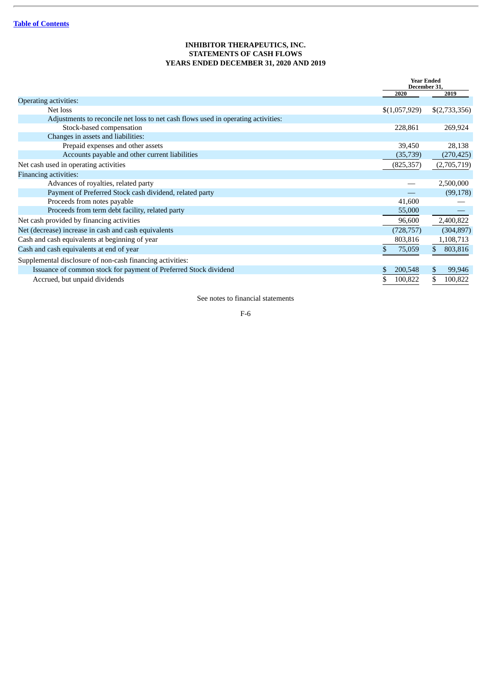# **INHIBITOR THERAPEUTICS, INC. STATEMENTS OF CASH FLOWS YEARS ENDED DECEMBER 31, 2020 AND 2019**

<span id="page-81-0"></span>

|                                                                                   | <b>Year Ended</b><br>December 31, |                |
|-----------------------------------------------------------------------------------|-----------------------------------|----------------|
|                                                                                   | 2020                              | 2019           |
| <b>Operating activities:</b>                                                      |                                   |                |
| Net loss                                                                          | \$(1,057,929)                     | \$(2,733,356)  |
| Adjustments to reconcile net loss to net cash flows used in operating activities: |                                   |                |
| Stock-based compensation                                                          | 228,861                           | 269,924        |
| Changes in assets and liabilities:                                                |                                   |                |
| Prepaid expenses and other assets                                                 | 39,450                            | 28,138         |
| Accounts payable and other current liabilities                                    | (35, 739)                         | (270, 425)     |
| Net cash used in operating activities                                             | (825, 357)                        | (2,705,719)    |
| <b>Financing activities:</b>                                                      |                                   |                |
| Advances of royalties, related party                                              |                                   | 2,500,000      |
| Payment of Preferred Stock cash dividend, related party                           |                                   | (99, 178)      |
| Proceeds from notes payable                                                       | 41,600                            |                |
| Proceeds from term debt facility, related party                                   | 55,000                            |                |
| Net cash provided by financing activities                                         | 96,600                            | 2,400,822      |
| Net (decrease) increase in cash and cash equivalents                              | (728, 757)                        | (304, 897)     |
| Cash and cash equivalents at beginning of year                                    | 803,816                           | 1,108,713      |
| Cash and cash equivalents at end of year                                          | 75,059                            | 803,816<br>\$. |
| Supplemental disclosure of non-cash financing activities:                         |                                   |                |
| Issuance of common stock for payment of Preferred Stock dividend                  | 200,548<br>S                      | \$<br>99,946   |
| Accrued, but unpaid dividends                                                     | \$<br>100,822                     | 100,822        |

See notes to financial statements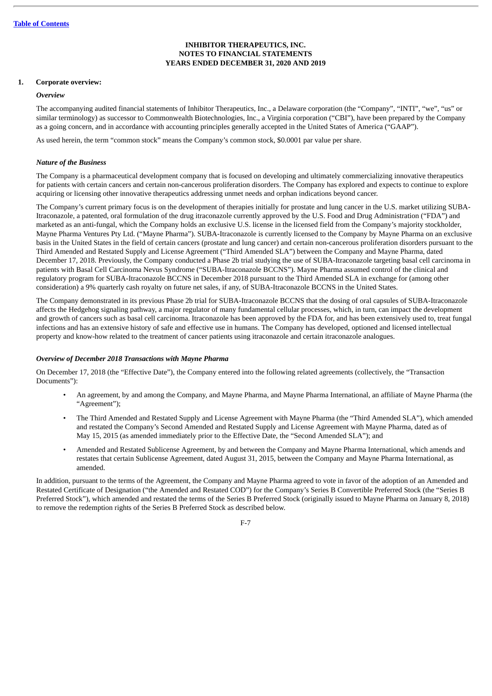#### <span id="page-82-0"></span>**1. Corporate overview:**

## *Overview*

The accompanying audited financial statements of Inhibitor Therapeutics, Inc., a Delaware corporation (the "Company", "INTI", "we", "us" or similar terminology) as successor to Commonwealth Biotechnologies, Inc., a Virginia corporation ("CBI"), have been prepared by the Company as a going concern, and in accordance with accounting principles generally accepted in the United States of America ("GAAP").

As used herein, the term "common stock" means the Company's common stock, \$0.0001 par value per share.

#### *Nature of the Business*

The Company is a pharmaceutical development company that is focused on developing and ultimately commercializing innovative therapeutics for patients with certain cancers and certain non-cancerous proliferation disorders. The Company has explored and expects to continue to explore acquiring or licensing other innovative therapeutics addressing unmet needs and orphan indications beyond cancer.

The Company's current primary focus is on the development of therapies initially for prostate and lung cancer in the U.S. market utilizing SUBA-Itraconazole, a patented, oral formulation of the drug itraconazole currently approved by the U.S. Food and Drug Administration ("FDA") and marketed as an anti-fungal, which the Company holds an exclusive U.S. license in the licensed field from the Company's majority stockholder, Mayne Pharma Ventures Pty Ltd. ("Mayne Pharma"). SUBA-Itraconazole is currently licensed to the Company by Mayne Pharma on an exclusive basis in the United States in the field of certain cancers (prostate and lung cancer) and certain non-cancerous proliferation disorders pursuant to the Third Amended and Restated Supply and License Agreement ("Third Amended SLA") between the Company and Mayne Pharma, dated December 17, 2018. Previously, the Company conducted a Phase 2b trial studying the use of SUBA-Itraconazole targeting basal cell carcinoma in patients with Basal Cell Carcinoma Nevus Syndrome ("SUBA-Itraconazole BCCNS"). Mayne Pharma assumed control of the clinical and regulatory program for SUBA-Itraconazole BCCNS in December 2018 pursuant to the Third Amended SLA in exchange for (among other consideration) a 9% quarterly cash royalty on future net sales, if any, of SUBA-Itraconazole BCCNS in the United States.

The Company demonstrated in its previous Phase 2b trial for SUBA-Itraconazole BCCNS that the dosing of oral capsules of SUBA-Itraconazole affects the Hedgehog signaling pathway, a major regulator of many fundamental cellular processes, which, in turn, can impact the development and growth of cancers such as basal cell carcinoma. Itraconazole has been approved by the FDA for, and has been extensively used to, treat fungal infections and has an extensive history of safe and effective use in humans. The Company has developed, optioned and licensed intellectual property and know-how related to the treatment of cancer patients using itraconazole and certain itraconazole analogues.

#### *Overview of December 2018 Transactions with Mayne Pharma*

On December 17, 2018 (the "Effective Date"), the Company entered into the following related agreements (collectively, the "Transaction Documents"):

- An agreement, by and among the Company, and Mayne Pharma, and Mayne Pharma International, an affiliate of Mayne Pharma (the "Agreement");
- The Third Amended and Restated Supply and License Agreement with Mayne Pharma (the "Third Amended SLA"), which amended and restated the Company's Second Amended and Restated Supply and License Agreement with Mayne Pharma, dated as of May 15, 2015 (as amended immediately prior to the Effective Date, the "Second Amended SLA"); and
- Amended and Restated Sublicense Agreement, by and between the Company and Mayne Pharma International, which amends and restates that certain Sublicense Agreement, dated August 31, 2015, between the Company and Mayne Pharma International, as amended.

In addition, pursuant to the terms of the Agreement, the Company and Mayne Pharma agreed to vote in favor of the adoption of an Amended and Restated Certificate of Designation ("the Amended and Restated COD") for the Company's Series B Convertible Preferred Stock (the "Series B Preferred Stock"), which amended and restated the terms of the Series B Preferred Stock (originally issued to Mayne Pharma on January 8, 2018) to remove the redemption rights of the Series B Preferred Stock as described below.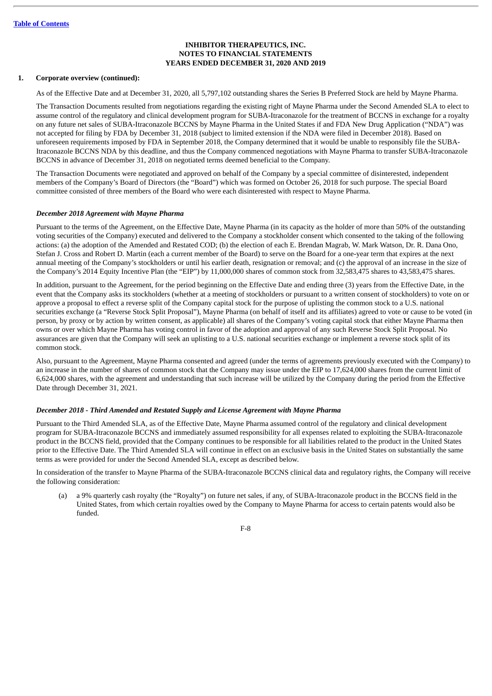### **1. Corporate overview (continued):**

As of the Effective Date and at December 31, 2020, all 5,797,102 outstanding shares the Series B Preferred Stock are held by Mayne Pharma.

The Transaction Documents resulted from negotiations regarding the existing right of Mayne Pharma under the Second Amended SLA to elect to assume control of the regulatory and clinical development program for SUBA-Itraconazole for the treatment of BCCNS in exchange for a royalty on any future net sales of SUBA-Itraconazole BCCNS by Mayne Pharma in the United States if and FDA New Drug Application ("NDA") was not accepted for filing by FDA by December 31, 2018 (subject to limited extension if the NDA were filed in December 2018). Based on unforeseen requirements imposed by FDA in September 2018, the Company determined that it would be unable to responsibly file the SUBA-Itraconazole BCCNS NDA by this deadline, and thus the Company commenced negotiations with Mayne Pharma to transfer SUBA-Itraconazole BCCNS in advance of December 31, 2018 on negotiated terms deemed beneficial to the Company.

The Transaction Documents were negotiated and approved on behalf of the Company by a special committee of disinterested, independent members of the Company's Board of Directors (the "Board") which was formed on October 26, 2018 for such purpose. The special Board committee consisted of three members of the Board who were each disinterested with respect to Mayne Pharma.

### *December 2018 Agreement with Mayne Pharma*

Pursuant to the terms of the Agreement, on the Effective Date, Mayne Pharma (in its capacity as the holder of more than 50% of the outstanding voting securities of the Company) executed and delivered to the Company a stockholder consent which consented to the taking of the following actions: (a) the adoption of the Amended and Restated COD; (b) the election of each E. Brendan Magrab, W. Mark Watson, Dr. R. Dana Ono, Stefan J. Cross and Robert D. Martin (each a current member of the Board) to serve on the Board for a one-year term that expires at the next annual meeting of the Company's stockholders or until his earlier death, resignation or removal; and (c) the approval of an increase in the size of the Company's 2014 Equity Incentive Plan (the "EIP") by 11,000,000 shares of common stock from 32,583,475 shares to 43,583,475 shares.

In addition, pursuant to the Agreement, for the period beginning on the Effective Date and ending three (3) years from the Effective Date, in the event that the Company asks its stockholders (whether at a meeting of stockholders or pursuant to a written consent of stockholders) to vote on or approve a proposal to effect a reverse split of the Company capital stock for the purpose of uplisting the common stock to a U.S. national securities exchange (a "Reverse Stock Split Proposal"), Mayne Pharma (on behalf of itself and its affiliates) agreed to vote or cause to be voted (in person, by proxy or by action by written consent, as applicable) all shares of the Company's voting capital stock that either Mayne Pharma then owns or over which Mayne Pharma has voting control in favor of the adoption and approval of any such Reverse Stock Split Proposal. No assurances are given that the Company will seek an uplisting to a U.S. national securities exchange or implement a reverse stock split of its common stock.

Also, pursuant to the Agreement, Mayne Pharma consented and agreed (under the terms of agreements previously executed with the Company) to an increase in the number of shares of common stock that the Company may issue under the EIP to 17,624,000 shares from the current limit of 6,624,000 shares, with the agreement and understanding that such increase will be utilized by the Company during the period from the Effective Date through December 31, 2021.

### *December 2018 - Third Amended and Restated Supply and License Agreement with Mayne Pharma*

Pursuant to the Third Amended SLA, as of the Effective Date, Mayne Pharma assumed control of the regulatory and clinical development program for SUBA-Itraconazole BCCNS and immediately assumed responsibility for all expenses related to exploiting the SUBA-Itraconazole product in the BCCNS field, provided that the Company continues to be responsible for all liabilities related to the product in the United States prior to the Effective Date. The Third Amended SLA will continue in effect on an exclusive basis in the United States on substantially the same terms as were provided for under the Second Amended SLA, except as described below.

In consideration of the transfer to Mayne Pharma of the SUBA-Itraconazole BCCNS clinical data and regulatory rights, the Company will receive the following consideration:

(a) a 9% quarterly cash royalty (the "Royalty") on future net sales, if any, of SUBA-Itraconazole product in the BCCNS field in the United States, from which certain royalties owed by the Company to Mayne Pharma for access to certain patents would also be funded.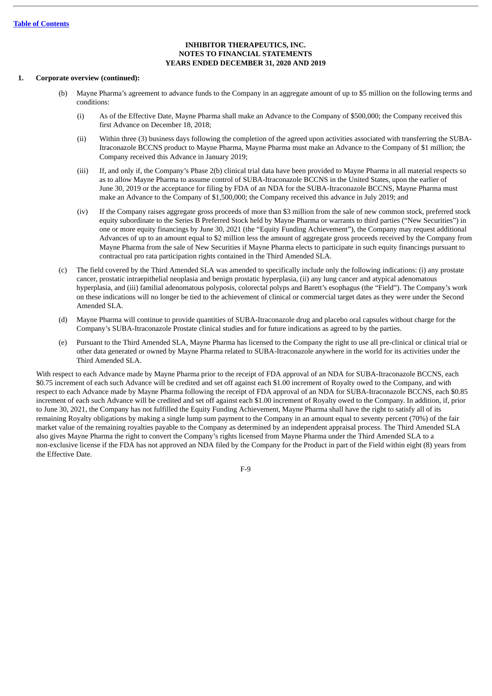### **1. Corporate overview (continued):**

- (b) Mayne Pharma's agreement to advance funds to the Company in an aggregate amount of up to \$5 million on the following terms and conditions:
	- (i) As of the Effective Date, Mayne Pharma shall make an Advance to the Company of \$500,000; the Company received this first Advance on December 18, 2018;
	- (ii) Within three (3) business days following the completion of the agreed upon activities associated with transferring the SUBA-Itraconazole BCCNS product to Mayne Pharma, Mayne Pharma must make an Advance to the Company of \$1 million; the Company received this Advance in January 2019;
	- (iii) If, and only if, the Company's Phase 2(b) clinical trial data have been provided to Mayne Pharma in all material respects so as to allow Mayne Pharma to assume control of SUBA-Itraconazole BCCNS in the United States, upon the earlier of June 30, 2019 or the acceptance for filing by FDA of an NDA for the SUBA-Itraconazole BCCNS, Mayne Pharma must make an Advance to the Company of \$1,500,000; the Company received this advance in July 2019; and
	- (iv) If the Company raises aggregate gross proceeds of more than \$3 million from the sale of new common stock, preferred stock equity subordinate to the Series B Preferred Stock held by Mayne Pharma or warrants to third parties ("New Securities") in one or more equity financings by June 30, 2021 (the "Equity Funding Achievement"), the Company may request additional Advances of up to an amount equal to \$2 million less the amount of aggregate gross proceeds received by the Company from Mayne Pharma from the sale of New Securities if Mayne Pharma elects to participate in such equity financings pursuant to contractual pro rata participation rights contained in the Third Amended SLA.
- (c) The field covered by the Third Amended SLA was amended to specifically include only the following indications: (i) any prostate cancer, prostatic intraepithelial neoplasia and benign prostatic hyperplasia, (ii) any lung cancer and atypical adenomatous hyperplasia, and (iii) familial adenomatous polyposis, colorectal polyps and Barett's esophagus (the "Field"). The Company's work on these indications will no longer be tied to the achievement of clinical or commercial target dates as they were under the Second Amended SLA.
- (d) Mayne Pharma will continue to provide quantities of SUBA-Itraconazole drug and placebo oral capsules without charge for the Company's SUBA-Itraconazole Prostate clinical studies and for future indications as agreed to by the parties.
- (e) Pursuant to the Third Amended SLA, Mayne Pharma has licensed to the Company the right to use all pre-clinical or clinical trial or other data generated or owned by Mayne Pharma related to SUBA-Itraconazole anywhere in the world for its activities under the Third Amended SLA.

With respect to each Advance made by Mayne Pharma prior to the receipt of FDA approval of an NDA for SUBA-Itraconazole BCCNS, each \$0.75 increment of each such Advance will be credited and set off against each \$1.00 increment of Royalty owed to the Company, and with respect to each Advance made by Mayne Pharma following the receipt of FDA approval of an NDA for SUBA-Itraconazole BCCNS, each \$0.85 increment of each such Advance will be credited and set off against each \$1.00 increment of Royalty owed to the Company. In addition, if, prior to June 30, 2021, the Company has not fulfilled the Equity Funding Achievement, Mayne Pharma shall have the right to satisfy all of its remaining Royalty obligations by making a single lump sum payment to the Company in an amount equal to seventy percent (70%) of the fair market value of the remaining royalties payable to the Company as determined by an independent appraisal process. The Third Amended SLA also gives Mayne Pharma the right to convert the Company's rights licensed from Mayne Pharma under the Third Amended SLA to a non-exclusive license if the FDA has not approved an NDA filed by the Company for the Product in part of the Field within eight (8) years from the Effective Date.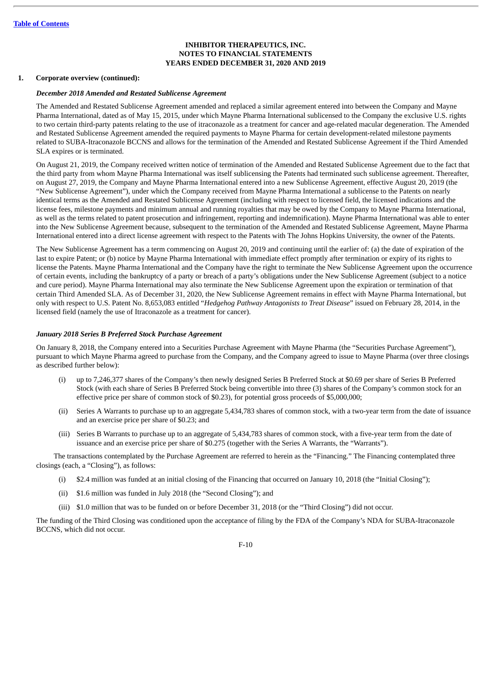### **1. Corporate overview (continued):**

### *December 2018 Amended and Restated Sublicense Agreement*

The Amended and Restated Sublicense Agreement amended and replaced a similar agreement entered into between the Company and Mayne Pharma International, dated as of May 15, 2015, under which Mayne Pharma International sublicensed to the Company the exclusive U.S. rights to two certain third-party patents relating to the use of itraconazole as a treatment for cancer and age-related macular degeneration. The Amended and Restated Sublicense Agreement amended the required payments to Mayne Pharma for certain development-related milestone payments related to SUBA-Itraconazole BCCNS and allows for the termination of the Amended and Restated Sublicense Agreement if the Third Amended SLA expires or is terminated.

On August 21, 2019, the Company received written notice of termination of the Amended and Restated Sublicense Agreement due to the fact that the third party from whom Mayne Pharma International was itself sublicensing the Patents had terminated such sublicense agreement. Thereafter, on August 27, 2019, the Company and Mayne Pharma International entered into a new Sublicense Agreement, effective August 20, 2019 (the "New Sublicense Agreement"), under which the Company received from Mayne Pharma International a sublicense to the Patents on nearly identical terms as the Amended and Restated Sublicense Agreement (including with respect to licensed field, the licensed indications and the license fees, milestone payments and minimum annual and running royalties that may be owed by the Company to Mayne Pharma International, as well as the terms related to patent prosecution and infringement, reporting and indemnification). Mayne Pharma International was able to enter into the New Sublicense Agreement because, subsequent to the termination of the Amended and Restated Sublicense Agreement, Mayne Pharma International entered into a direct license agreement with respect to the Patents with The Johns Hopkins University, the owner of the Patents.

The New Sublicense Agreement has a term commencing on August 20, 2019 and continuing until the earlier of: (a) the date of expiration of the last to expire Patent; or (b) notice by Mayne Pharma International with immediate effect promptly after termination or expiry of its rights to license the Patents. Mayne Pharma International and the Company have the right to terminate the New Sublicense Agreement upon the occurrence of certain events, including the bankruptcy of a party or breach of a party's obligations under the New Sublicense Agreement (subject to a notice and cure period). Mayne Pharma International may also terminate the New Sublicense Agreement upon the expiration or termination of that certain Third Amended SLA. As of December 31, 2020, the New Sublicense Agreement remains in effect with Mayne Pharma International, but only with respect to U.S. Patent No. 8,653,083 entitled "*Hedgehog Pathway Antagonists to Treat Disease*" issued on February 28, 2014, in the licensed field (namely the use of Itraconazole as a treatment for cancer).

### *January 2018 Series B Preferred Stock Purchase Agreement*

On January 8, 2018, the Company entered into a Securities Purchase Agreement with Mayne Pharma (the "Securities Purchase Agreement"), pursuant to which Mayne Pharma agreed to purchase from the Company, and the Company agreed to issue to Mayne Pharma (over three closings as described further below):

- (i) up to 7,246,377 shares of the Company's then newly designed Series B Preferred Stock at \$0.69 per share of Series B Preferred Stock (with each share of Series B Preferred Stock being convertible into three (3) shares of the Company's common stock for an effective price per share of common stock of \$0.23), for potential gross proceeds of \$5,000,000;
- (ii) Series A Warrants to purchase up to an aggregate 5,434,783 shares of common stock, with a two-year term from the date of issuance and an exercise price per share of \$0.23; and
- (iii) Series B Warrants to purchase up to an aggregate of 5,434,783 shares of common stock, with a five-year term from the date of issuance and an exercise price per share of \$0.275 (together with the Series A Warrants, the "Warrants").

The transactions contemplated by the Purchase Agreement are referred to herein as the "Financing." The Financing contemplated three closings (each, a "Closing"), as follows:

- (i) \$2.4 million was funded at an initial closing of the Financing that occurred on January 10, 2018 (the "Initial Closing");
- (ii) \$1.6 million was funded in July 2018 (the "Second Closing"); and
- (iii) \$1.0 million that was to be funded on or before December 31, 2018 (or the "Third Closing") did not occur.

The funding of the Third Closing was conditioned upon the acceptance of filing by the FDA of the Company's NDA for SUBA-Itraconazole BCCNS, which did not occur.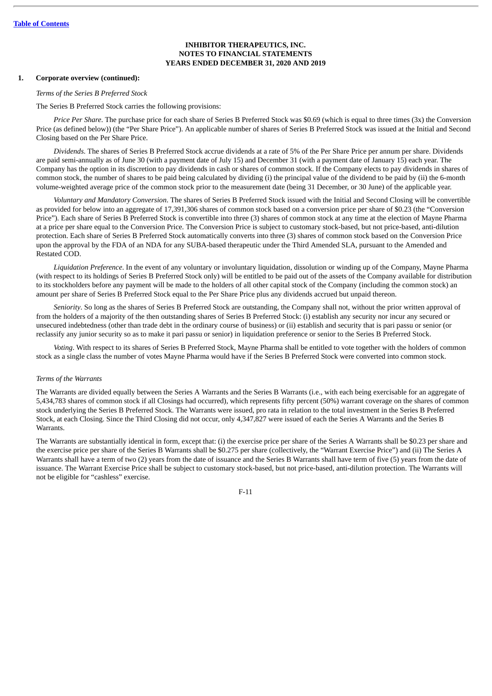#### **1. Corporate overview (continued):**

*Terms of the Series B Preferred Stock*

The Series B Preferred Stock carries the following provisions:

*Price Per Share*. The purchase price for each share of Series B Preferred Stock was \$0.69 (which is equal to three times (3x) the Conversion Price (as defined below)) (the "Per Share Price"). An applicable number of shares of Series B Preferred Stock was issued at the Initial and Second Closing based on the Per Share Price.

*Dividends*. The shares of Series B Preferred Stock accrue dividends at a rate of 5% of the Per Share Price per annum per share. Dividends are paid semi-annually as of June 30 (with a payment date of July 15) and December 31 (with a payment date of January 15) each year. The Company has the option in its discretion to pay dividends in cash or shares of common stock. If the Company elects to pay dividends in shares of common stock, the number of shares to be paid being calculated by dividing (i) the principal value of the dividend to be paid by (ii) the 6-month volume-weighted average price of the common stock prior to the measurement date (being 31 December, or 30 June) of the applicable year.

*Voluntary and Mandatory Conversion*. The shares of Series B Preferred Stock issued with the Initial and Second Closing will be convertible as provided for below into an aggregate of 17,391,306 shares of common stock based on a conversion price per share of \$0.23 (the "Conversion Price"). Each share of Series B Preferred Stock is convertible into three (3) shares of common stock at any time at the election of Mayne Pharma at a price per share equal to the Conversion Price. The Conversion Price is subject to customary stock-based, but not price-based, anti-dilution protection. Each share of Series B Preferred Stock automatically converts into three (3) shares of common stock based on the Conversion Price upon the approval by the FDA of an NDA for any SUBA-based therapeutic under the Third Amended SLA, pursuant to the Amended and Restated COD.

*Liquidation Preference*. In the event of any voluntary or involuntary liquidation, dissolution or winding up of the Company, Mayne Pharma (with respect to its holdings of Series B Preferred Stock only) will be entitled to be paid out of the assets of the Company available for distribution to its stockholders before any payment will be made to the holders of all other capital stock of the Company (including the common stock) an amount per share of Series B Preferred Stock equal to the Per Share Price plus any dividends accrued but unpaid thereon.

*Seniority*. So long as the shares of Series B Preferred Stock are outstanding, the Company shall not, without the prior written approval of from the holders of a majority of the then outstanding shares of Series B Preferred Stock: (i) establish any security nor incur any secured or unsecured indebtedness (other than trade debt in the ordinary course of business) or (ii) establish and security that is pari passu or senior (or reclassify any junior security so as to make it pari passu or senior) in liquidation preference or senior to the Series B Preferred Stock.

*Voting*. With respect to its shares of Series B Preferred Stock, Mayne Pharma shall be entitled to vote together with the holders of common stock as a single class the number of votes Mayne Pharma would have if the Series B Preferred Stock were converted into common stock.

## *Terms of the Warrants*

The Warrants are divided equally between the Series A Warrants and the Series B Warrants (i.e., with each being exercisable for an aggregate of 5,434,783 shares of common stock if all Closings had occurred), which represents fifty percent (50%) warrant coverage on the shares of common stock underlying the Series B Preferred Stock. The Warrants were issued, pro rata in relation to the total investment in the Series B Preferred Stock, at each Closing. Since the Third Closing did not occur, only 4,347,827 were issued of each the Series A Warrants and the Series B Warrants.

The Warrants are substantially identical in form, except that: (i) the exercise price per share of the Series A Warrants shall be \$0.23 per share and the exercise price per share of the Series B Warrants shall be \$0.275 per share (collectively, the "Warrant Exercise Price") and (ii) The Series A Warrants shall have a term of two (2) years from the date of issuance and the Series B Warrants shall have term of five (5) years from the date of issuance. The Warrant Exercise Price shall be subject to customary stock-based, but not price-based, anti-dilution protection. The Warrants will not be eligible for "cashless" exercise.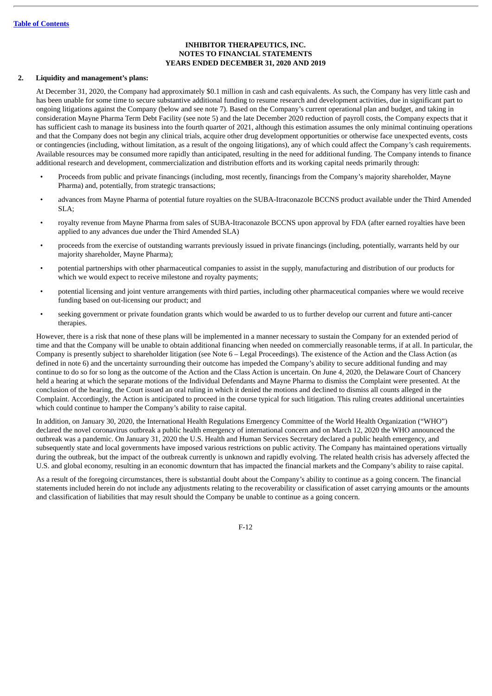### **2. Liquidity and management's plans:**

At December 31, 2020, the Company had approximately \$0.1 million in cash and cash equivalents. As such, the Company has very little cash and has been unable for some time to secure substantive additional funding to resume research and development activities, due in significant part to ongoing litigations against the Company (below and see note 7). Based on the Company's current operational plan and budget, and taking in consideration Mayne Pharma Term Debt Facility (see note 5) and the late December 2020 reduction of payroll costs, the Company expects that it has sufficient cash to manage its business into the fourth quarter of 2021, although this estimation assumes the only minimal continuing operations and that the Company does not begin any clinical trials, acquire other drug development opportunities or otherwise face unexpected events, costs or contingencies (including, without limitation, as a result of the ongoing litigations), any of which could affect the Company's cash requirements. Available resources may be consumed more rapidly than anticipated, resulting in the need for additional funding. The Company intends to finance additional research and development, commercialization and distribution efforts and its working capital needs primarily through:

- Proceeds from public and private financings (including, most recently, financings from the Company's majority shareholder, Mayne Pharma) and, potentially, from strategic transactions;
- advances from Mayne Pharma of potential future royalties on the SUBA-Itraconazole BCCNS product available under the Third Amended SLA;
- royalty revenue from Mayne Pharma from sales of SUBA-Itraconazole BCCNS upon approval by FDA (after earned royalties have been applied to any advances due under the Third Amended SLA)
- proceeds from the exercise of outstanding warrants previously issued in private financings (including, potentially, warrants held by our majority shareholder, Mayne Pharma);
- potential partnerships with other pharmaceutical companies to assist in the supply, manufacturing and distribution of our products for which we would expect to receive milestone and royalty payments;
- potential licensing and joint venture arrangements with third parties, including other pharmaceutical companies where we would receive funding based on out-licensing our product; and
- seeking government or private foundation grants which would be awarded to us to further develop our current and future anti-cancer therapies.

However, there is a risk that none of these plans will be implemented in a manner necessary to sustain the Company for an extended period of time and that the Company will be unable to obtain additional financing when needed on commercially reasonable terms, if at all. In particular, the Company is presently subject to shareholder litigation (see Note 6 – Legal Proceedings). The existence of the Action and the Class Action (as defined in note 6) and the uncertainty surrounding their outcome has impeded the Company's ability to secure additional funding and may continue to do so for so long as the outcome of the Action and the Class Action is uncertain. On June 4, 2020, the Delaware Court of Chancery held a hearing at which the separate motions of the Individual Defendants and Mayne Pharma to dismiss the Complaint were presented. At the conclusion of the hearing, the Court issued an oral ruling in which it denied the motions and declined to dismiss all counts alleged in the Complaint. Accordingly, the Action is anticipated to proceed in the course typical for such litigation. This ruling creates additional uncertainties which could continue to hamper the Company's ability to raise capital.

In addition, on January 30, 2020, the International Health Regulations Emergency Committee of the World Health Organization ("WHO") declared the novel coronavirus outbreak a public health emergency of international concern and on March 12, 2020 the WHO announced the outbreak was a pandemic. On January 31, 2020 the U.S. Health and Human Services Secretary declared a public health emergency, and subsequently state and local governments have imposed various restrictions on public activity. The Company has maintained operations virtually during the outbreak, but the impact of the outbreak currently is unknown and rapidly evolving. The related health crisis has adversely affected the U.S. and global economy, resulting in an economic downturn that has impacted the financial markets and the Company's ability to raise capital.

As a result of the foregoing circumstances, there is substantial doubt about the Company's ability to continue as a going concern. The financial statements included herein do not include any adjustments relating to the recoverability or classification of asset carrying amounts or the amounts and classification of liabilities that may result should the Company be unable to continue as a going concern.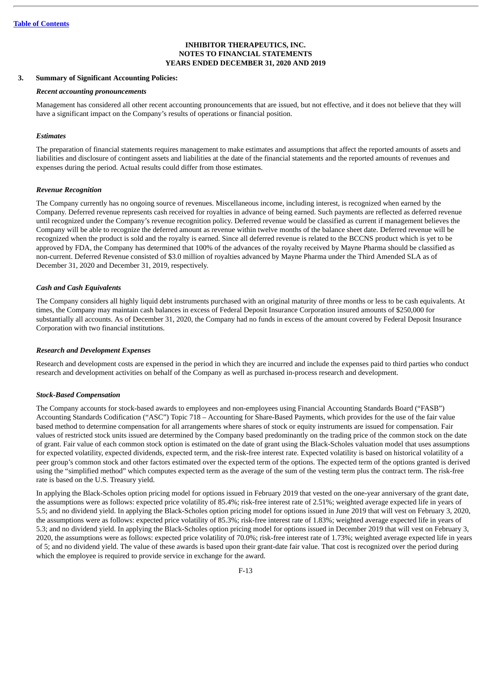#### **3. Summary of Significant Accounting Policies:**

#### *Recent accounting pronouncements*

Management has considered all other recent accounting pronouncements that are issued, but not effective, and it does not believe that they will have a significant impact on the Company's results of operations or financial position.

#### *Estimates*

The preparation of financial statements requires management to make estimates and assumptions that affect the reported amounts of assets and liabilities and disclosure of contingent assets and liabilities at the date of the financial statements and the reported amounts of revenues and expenses during the period. Actual results could differ from those estimates.

#### *Revenue Recognition*

The Company currently has no ongoing source of revenues. Miscellaneous income, including interest, is recognized when earned by the Company. Deferred revenue represents cash received for royalties in advance of being earned. Such payments are reflected as deferred revenue until recognized under the Company's revenue recognition policy. Deferred revenue would be classified as current if management believes the Company will be able to recognize the deferred amount as revenue within twelve months of the balance sheet date. Deferred revenue will be recognized when the product is sold and the royalty is earned. Since all deferred revenue is related to the BCCNS product which is yet to be approved by FDA, the Company has determined that 100% of the advances of the royalty received by Mayne Pharma should be classified as non-current. Deferred Revenue consisted of \$3.0 million of royalties advanced by Mayne Pharma under the Third Amended SLA as of December 31, 2020 and December 31, 2019, respectively.

### *Cash and Cash Equivalents*

The Company considers all highly liquid debt instruments purchased with an original maturity of three months or less to be cash equivalents. At times, the Company may maintain cash balances in excess of Federal Deposit Insurance Corporation insured amounts of \$250,000 for substantially all accounts. As of December 31, 2020, the Company had no funds in excess of the amount covered by Federal Deposit Insurance Corporation with two financial institutions.

#### *Research and Development Expenses*

Research and development costs are expensed in the period in which they are incurred and include the expenses paid to third parties who conduct research and development activities on behalf of the Company as well as purchased in-process research and development.

#### *Stock-Based Compensation*

The Company accounts for stock-based awards to employees and non-employees using Financial Accounting Standards Board ("FASB") Accounting Standards Codification ("ASC") Topic 718 – Accounting for Share-Based Payments, which provides for the use of the fair value based method to determine compensation for all arrangements where shares of stock or equity instruments are issued for compensation. Fair values of restricted stock units issued are determined by the Company based predominantly on the trading price of the common stock on the date of grant. Fair value of each common stock option is estimated on the date of grant using the Black-Scholes valuation model that uses assumptions for expected volatility, expected dividends, expected term, and the risk-free interest rate. Expected volatility is based on historical volatility of a peer group's common stock and other factors estimated over the expected term of the options. The expected term of the options granted is derived using the "simplified method" which computes expected term as the average of the sum of the vesting term plus the contract term. The risk-free rate is based on the U.S. Treasury yield.

In applying the Black-Scholes option pricing model for options issued in February 2019 that vested on the one-year anniversary of the grant date, the assumptions were as follows: expected price volatility of 85.4%; risk-free interest rate of 2.51%; weighted average expected life in years of 5.5; and no dividend yield. In applying the Black-Scholes option pricing model for options issued in June 2019 that will vest on February 3, 2020, the assumptions were as follows: expected price volatility of 85.3%; risk-free interest rate of 1.83%; weighted average expected life in years of 5.3; and no dividend yield. In applying the Black-Scholes option pricing model for options issued in December 2019 that will vest on February 3, 2020, the assumptions were as follows: expected price volatility of 70.0%; risk-free interest rate of 1.73%; weighted average expected life in years of 5; and no dividend yield. The value of these awards is based upon their grant-date fair value. That cost is recognized over the period during which the employee is required to provide service in exchange for the award.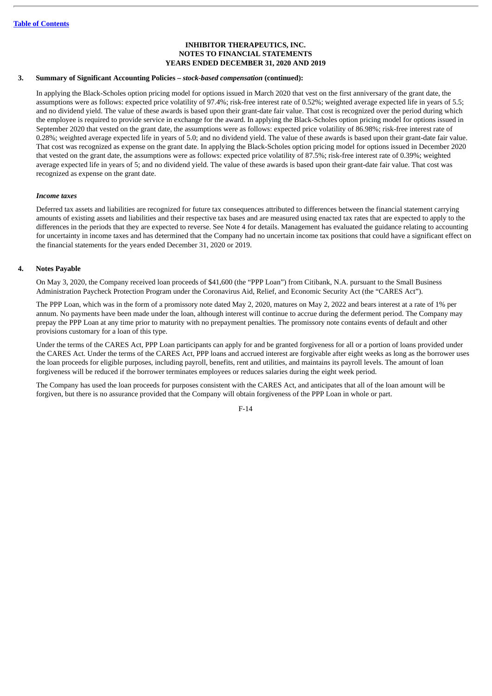### **3. Summary of Significant Accounting Policies –** *stock-based compensation* **(continued):**

In applying the Black-Scholes option pricing model for options issued in March 2020 that vest on the first anniversary of the grant date, the assumptions were as follows: expected price volatility of 97.4%; risk-free interest rate of 0.52%; weighted average expected life in years of 5.5; and no dividend yield. The value of these awards is based upon their grant-date fair value. That cost is recognized over the period during which the employee is required to provide service in exchange for the award. In applying the Black-Scholes option pricing model for options issued in September 2020 that vested on the grant date, the assumptions were as follows: expected price volatility of 86.98%; risk-free interest rate of 0.28%; weighted average expected life in years of 5.0; and no dividend yield. The value of these awards is based upon their grant-date fair value. That cost was recognized as expense on the grant date. In applying the Black-Scholes option pricing model for options issued in December 2020 that vested on the grant date, the assumptions were as follows: expected price volatility of 87.5%; risk-free interest rate of 0.39%; weighted average expected life in years of 5; and no dividend yield. The value of these awards is based upon their grant-date fair value. That cost was recognized as expense on the grant date.

## *Income taxes*

Deferred tax assets and liabilities are recognized for future tax consequences attributed to differences between the financial statement carrying amounts of existing assets and liabilities and their respective tax bases and are measured using enacted tax rates that are expected to apply to the differences in the periods that they are expected to reverse. See Note 4 for details. Management has evaluated the guidance relating to accounting for uncertainty in income taxes and has determined that the Company had no uncertain income tax positions that could have a significant effect on the financial statements for the years ended December 31, 2020 or 2019.

# **4. Notes Payable**

On May 3, 2020, the Company received loan proceeds of \$41,600 (the "PPP Loan") from Citibank, N.A. pursuant to the Small Business Administration Paycheck Protection Program under the Coronavirus Aid, Relief, and Economic Security Act (the "CARES Act").

The PPP Loan, which was in the form of a promissory note dated May 2, 2020, matures on May 2, 2022 and bears interest at a rate of 1% per annum. No payments have been made under the loan, although interest will continue to accrue during the deferment period. The Company may prepay the PPP Loan at any time prior to maturity with no prepayment penalties. The promissory note contains events of default and other provisions customary for a loan of this type.

Under the terms of the CARES Act, PPP Loan participants can apply for and be granted forgiveness for all or a portion of loans provided under the CARES Act. Under the terms of the CARES Act, PPP loans and accrued interest are forgivable after eight weeks as long as the borrower uses the loan proceeds for eligible purposes, including payroll, benefits, rent and utilities, and maintains its payroll levels. The amount of loan forgiveness will be reduced if the borrower terminates employees or reduces salaries during the eight week period.

The Company has used the loan proceeds for purposes consistent with the CARES Act, and anticipates that all of the loan amount will be forgiven, but there is no assurance provided that the Company will obtain forgiveness of the PPP Loan in whole or part.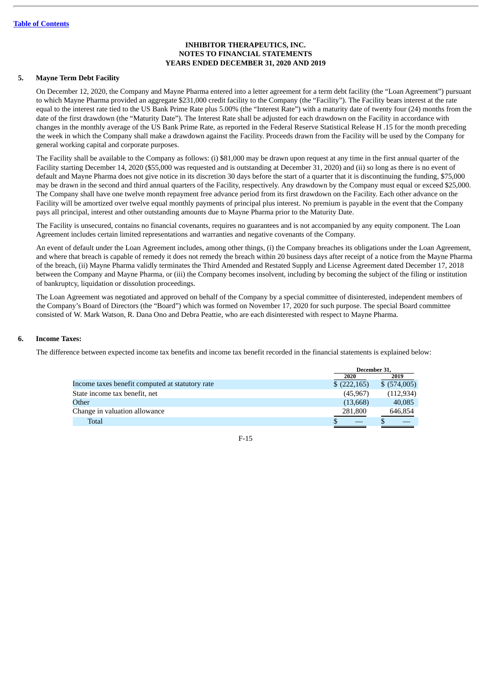### **5. Mayne Term Debt Facility**

On December 12, 2020, the Company and Mayne Pharma entered into a letter agreement for a term debt facility (the "Loan Agreement") pursuant to which Mayne Pharma provided an aggregate \$231,000 credit facility to the Company (the "Facility"). The Facility bears interest at the rate equal to the interest rate tied to the US Bank Prime Rate plus 5.00% (the "Interest Rate") with a maturity date of twenty four (24) months from the date of the first drawdown (the "Maturity Date"). The Interest Rate shall be adjusted for each drawdown on the Facility in accordance with changes in the monthly average of the US Bank Prime Rate, as reported in the Federal Reserve Statistical Release H .15 for the month preceding the week in which the Company shall make a drawdown against the Facility. Proceeds drawn from the Facility will be used by the Company for general working capital and corporate purposes.

The Facility shall be available to the Company as follows: (i) \$81,000 may be drawn upon request at any time in the first annual quarter of the Facility starting December 14, 2020 (\$55,000 was requested and is outstanding at December 31, 2020) and (ii) so long as there is no event of default and Mayne Pharma does not give notice in its discretion 30 days before the start of a quarter that it is discontinuing the funding, \$75,000 may be drawn in the second and third annual quarters of the Facility, respectively. Any drawdown by the Company must equal or exceed \$25,000. The Company shall have one twelve month repayment free advance period from its first drawdown on the Facility. Each other advance on the Facility will be amortized over twelve equal monthly payments of principal plus interest. No premium is payable in the event that the Company pays all principal, interest and other outstanding amounts due to Mayne Pharma prior to the Maturity Date.

The Facility is unsecured, contains no financial covenants, requires no guarantees and is not accompanied by any equity component. The Loan Agreement includes certain limited representations and warranties and negative covenants of the Company.

An event of default under the Loan Agreement includes, among other things, (i) the Company breaches its obligations under the Loan Agreement, and where that breach is capable of remedy it does not remedy the breach within 20 business days after receipt of a notice from the Mayne Pharma of the breach, (ii) Mayne Pharma validly terminates the Third Amended and Restated Supply and License Agreement dated December 17, 2018 between the Company and Mayne Pharma, or (iii) the Company becomes insolvent, including by becoming the subject of the filing or institution of bankruptcy, liquidation or dissolution proceedings.

The Loan Agreement was negotiated and approved on behalf of the Company by a special committee of disinterested, independent members of the Company's Board of Directors (the "Board") which was formed on November 17, 2020 for such purpose. The special Board committee consisted of W. Mark Watson, R. Dana Ono and Debra Peattie, who are each disinterested with respect to Mayne Pharma.

### **6. Income Taxes:**

The difference between expected income tax benefits and income tax benefit recorded in the financial statements is explained below:

|                                                 |             | December 31.  |
|-------------------------------------------------|-------------|---------------|
|                                                 | 2020        | 2019          |
| Income taxes benefit computed at statutory rate | \$(222,165) | $$$ (574,005) |
| State income tax benefit, net                   | (45, 967)   | (112, 934)    |
| Other                                           | (13,668)    | 40,085        |
| Change in valuation allowance                   | 281,800     | 646,854       |
| Total                                           |             |               |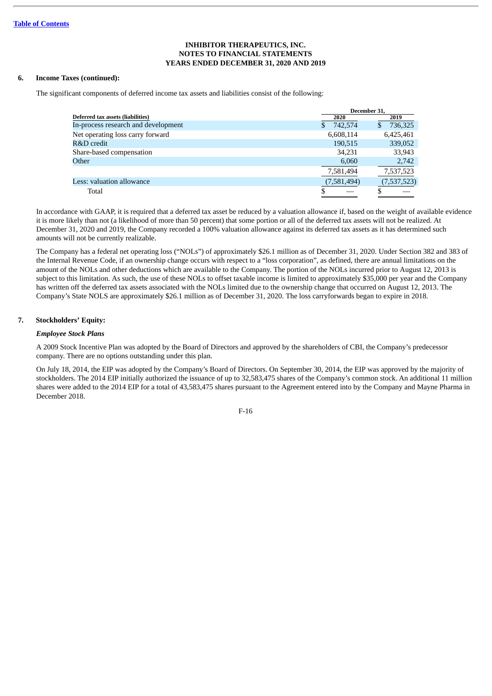### **6. Income Taxes (continued):**

The significant components of deferred income tax assets and liabilities consist of the following:

|                                     |               | December 31. |
|-------------------------------------|---------------|--------------|
| Deferred tax assets (liabilities)   | 2020          | 2019         |
| In-process research and development | 742,574<br>S. | 736,325<br>S |
| Net operating loss carry forward    | 6,608,114     | 6,425,461    |
| R&D credit                          | 190,515       | 339,052      |
| Share-based compensation            | 34,231        | 33,943       |
| Other                               | 6,060         | 2,742        |
|                                     | 7,581,494     | 7,537,523    |
| Less: valuation allowance           | (7,581,494)   | (7,537,523)  |
| Total                               | \$            |              |

In accordance with GAAP, it is required that a deferred tax asset be reduced by a valuation allowance if, based on the weight of available evidence it is more likely than not (a likelihood of more than 50 percent) that some portion or all of the deferred tax assets will not be realized. At December 31, 2020 and 2019, the Company recorded a 100% valuation allowance against its deferred tax assets as it has determined such amounts will not be currently realizable.

The Company has a federal net operating loss ("NOLs") of approximately \$26.1 million as of December 31, 2020. Under Section 382 and 383 of the Internal Revenue Code, if an ownership change occurs with respect to a "loss corporation", as defined, there are annual limitations on the amount of the NOLs and other deductions which are available to the Company. The portion of the NOLs incurred prior to August 12, 2013 is subject to this limitation. As such, the use of these NOLs to offset taxable income is limited to approximately \$35,000 per year and the Company has written off the deferred tax assets associated with the NOLs limited due to the ownership change that occurred on August 12, 2013. The Company's State NOLS are approximately \$26.1 million as of December 31, 2020. The loss carryforwards began to expire in 2018.

# **7. Stockholders' Equity:**

# *Employee Stock Plans*

A 2009 Stock Incentive Plan was adopted by the Board of Directors and approved by the shareholders of CBI, the Company's predecessor company. There are no options outstanding under this plan.

On July 18, 2014, the EIP was adopted by the Company's Board of Directors. On September 30, 2014, the EIP was approved by the majority of stockholders. The 2014 EIP initially authorized the issuance of up to 32,583,475 shares of the Company's common stock. An additional 11 million shares were added to the 2014 EIP for a total of 43,583,475 shares pursuant to the Agreement entered into by the Company and Mayne Pharma in December 2018.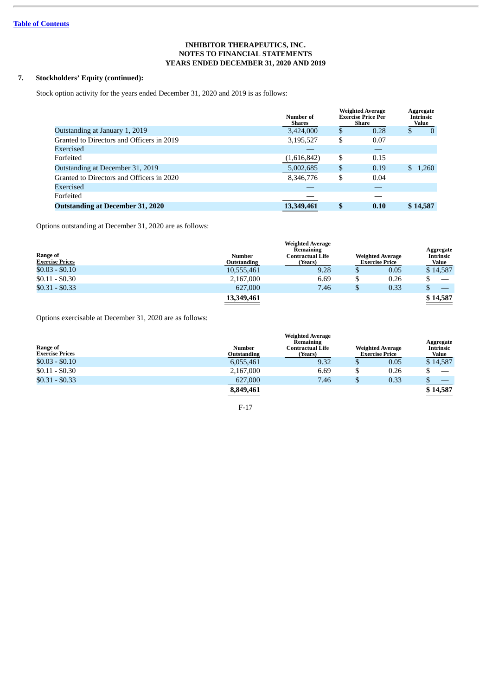# **7. Stockholders' Equity (continued):**

Stock option activity for the years ended December 31, 2020 and 2019 is as follows:

|                                           | Number of<br><b>Shares</b> |     | <b>Weighted Average</b><br><b>Exercise Price Per</b><br>Share |     | Aggregate<br><b>Intrinsic</b><br><b>Value</b> |
|-------------------------------------------|----------------------------|-----|---------------------------------------------------------------|-----|-----------------------------------------------|
| Outstanding at January 1, 2019            | 3,424,000                  | \$. | 0.28                                                          |     | $\theta$                                      |
| Granted to Directors and Officers in 2019 | 3,195,527                  | \$  | 0.07                                                          |     |                                               |
| Exercised                                 |                            |     |                                                               |     |                                               |
| Forfeited                                 | (1,616,842)                | \$  | 0.15                                                          |     |                                               |
| Outstanding at December 31, 2019          | 5,002,685                  | \$  | 0.19                                                          | \$. | 1,260                                         |
| Granted to Directors and Officers in 2020 | 8,346,776                  | \$  | 0.04                                                          |     |                                               |
| Exercised                                 |                            |     |                                                               |     |                                               |
| Forfeited                                 |                            |     |                                                               |     |                                               |
| <b>Outstanding at December 31, 2020</b>   | 13,349,461                 | \$. | 0.10                                                          |     | \$14,587                                      |

Options outstanding at December 31, 2020 are as follows:

| <b>Range of</b><br><b>Exercise Prices</b> | <b>Weighted Average</b><br>Remaining<br><b>Number</b><br><b>Weighted Average</b><br><b>Contractual Life</b><br><b>Exercise Price</b><br>Outstanding<br>(Years) |      |    |      | Aggregate<br><b>Intrinsic</b><br>Value |  |
|-------------------------------------------|----------------------------------------------------------------------------------------------------------------------------------------------------------------|------|----|------|----------------------------------------|--|
| $$0.03 - $0.10$                           | 10,555,461                                                                                                                                                     | 9.28 | ۰υ | 0.05 | \$14,587                               |  |
| $$0.11 - $0.30$                           | 2,167,000                                                                                                                                                      | 6.69 | ۰  | 0.26 |                                        |  |
| $$0.31 - $0.33$                           | 627,000                                                                                                                                                        | 7.46 | \$ | 0.33 |                                        |  |
|                                           | 13,349,461                                                                                                                                                     |      |    |      | \$14,587                               |  |

Options exercisable at December 31, 2020 are as follows:

| Range of<br><b>Exercise Prices</b> | Number<br>Outstanding | <b>Weighted Average</b><br><b>Remaining</b><br><b>Contractual Life</b><br>(Years) |    | <b>Weighted Average</b><br><b>Exercise Price</b> | Aggregate<br>Intrinsic<br>Value |
|------------------------------------|-----------------------|-----------------------------------------------------------------------------------|----|--------------------------------------------------|---------------------------------|
| $$0.03 - $0.10$                    | 6,055,461             | 9.32                                                                              | Φ  | 0.05                                             | \$14,587                        |
| $$0.11 - $0.30$                    | 2,167,000             | 6.69                                                                              | S  | 0.26                                             |                                 |
| $$0.31 - $0.33$                    | 627,000               | 7.46                                                                              | \$ | 0.33                                             |                                 |
|                                    | 8,849,461             |                                                                                   |    |                                                  | \$14,587                        |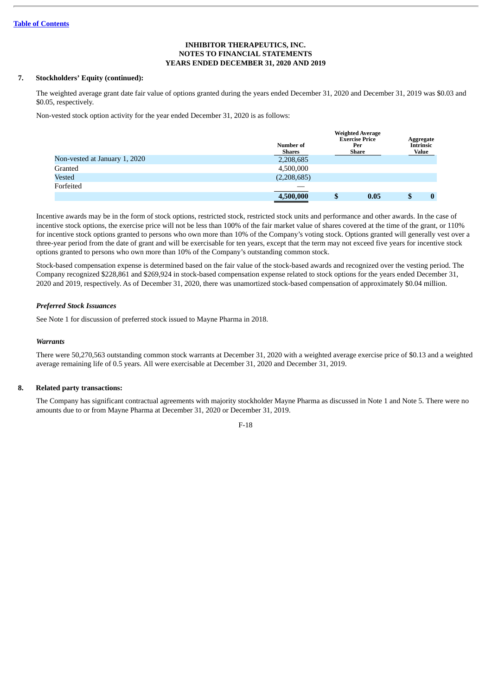# **7. Stockholders' Equity (continued):**

The weighted average grant date fair value of options granted during the years ended December 31, 2020 and December 31, 2019 was \$0.03 and \$0.05, respectively.

Non-vested stock option activity for the year ended December 31, 2020 is as follows:

|                               | <b>Number of</b><br>Shares | <b>Weighted Average</b><br><b>Exercise Price</b><br>Per<br>Share | Aggregate<br><b>Intrinsic</b><br><b>Value</b> |          |
|-------------------------------|----------------------------|------------------------------------------------------------------|-----------------------------------------------|----------|
| Non-vested at January 1, 2020 | 2,208,685                  |                                                                  |                                               |          |
| Granted                       | 4,500,000                  |                                                                  |                                               |          |
| <b>Vested</b>                 | (2,208,685)                |                                                                  |                                               |          |
| Forfeited                     |                            |                                                                  |                                               |          |
|                               | 4,500,000                  | 0.05                                                             | Œ                                             | $\bf{0}$ |

Incentive awards may be in the form of stock options, restricted stock, restricted stock units and performance and other awards. In the case of incentive stock options, the exercise price will not be less than 100% of the fair market value of shares covered at the time of the grant, or 110% for incentive stock options granted to persons who own more than 10% of the Company's voting stock. Options granted will generally vest over a three-year period from the date of grant and will be exercisable for ten years, except that the term may not exceed five years for incentive stock options granted to persons who own more than 10% of the Company's outstanding common stock.

Stock-based compensation expense is determined based on the fair value of the stock-based awards and recognized over the vesting period. The Company recognized \$228,861 and \$269,924 in stock-based compensation expense related to stock options for the years ended December 31, 2020 and 2019, respectively. As of December 31, 2020, there was unamortized stock-based compensation of approximately \$0.04 million.

# *Preferred Stock Issuances*

See Note 1 for discussion of preferred stock issued to Mayne Pharma in 2018.

### *Warrants*

There were 50,270,563 outstanding common stock warrants at December 31, 2020 with a weighted average exercise price of \$0.13 and a weighted average remaining life of 0.5 years. All were exercisable at December 31, 2020 and December 31, 2019.

# **8. Related party transactions:**

The Company has significant contractual agreements with majority stockholder Mayne Pharma as discussed in Note 1 and Note 5. There were no amounts due to or from Mayne Pharma at December 31, 2020 or December 31, 2019.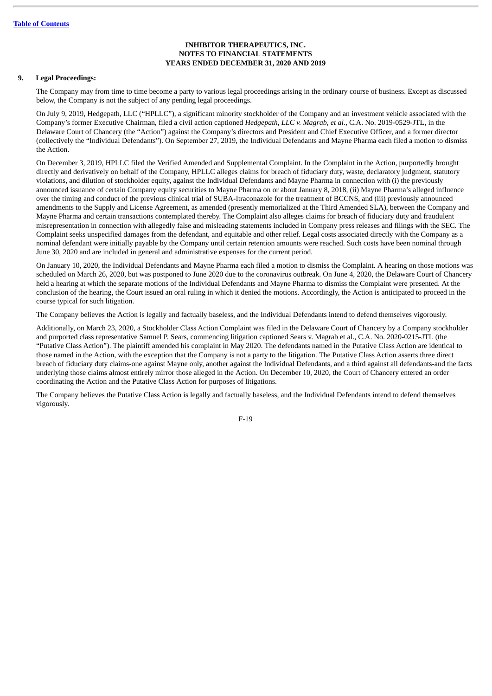# **9. Legal Proceedings:**

The Company may from time to time become a party to various legal proceedings arising in the ordinary course of business. Except as discussed below, the Company is not the subject of any pending legal proceedings.

On July 9, 2019, Hedgepath, LLC ("HPLLC"), a significant minority stockholder of the Company and an investment vehicle associated with the Company's former Executive Chairman, filed a civil action captioned *Hedgepath, LLC v. Magrab, et al.*, C.A. No. 2019-0529-JTL, in the Delaware Court of Chancery (the "Action") against the Company's directors and President and Chief Executive Officer, and a former director (collectively the "Individual Defendants"). On September 27, 2019, the Individual Defendants and Mayne Pharma each filed a motion to dismiss the Action.

On December 3, 2019, HPLLC filed the Verified Amended and Supplemental Complaint. In the Complaint in the Action, purportedly brought directly and derivatively on behalf of the Company, HPLLC alleges claims for breach of fiduciary duty, waste, declaratory judgment, statutory violations, and dilution of stockholder equity, against the Individual Defendants and Mayne Pharma in connection with (i) the previously announced issuance of certain Company equity securities to Mayne Pharma on or about January 8, 2018, (ii) Mayne Pharma's alleged influence over the timing and conduct of the previous clinical trial of SUBA-Itraconazole for the treatment of BCCNS, and (iii) previously announced amendments to the Supply and License Agreement, as amended (presently memorialized at the Third Amended SLA), between the Company and Mayne Pharma and certain transactions contemplated thereby. The Complaint also alleges claims for breach of fiduciary duty and fraudulent misrepresentation in connection with allegedly false and misleading statements included in Company press releases and filings with the SEC. The Complaint seeks unspecified damages from the defendant, and equitable and other relief. Legal costs associated directly with the Company as a nominal defendant were initially payable by the Company until certain retention amounts were reached. Such costs have been nominal through June 30, 2020 and are included in general and administrative expenses for the current period.

On January 10, 2020, the Individual Defendants and Mayne Pharma each filed a motion to dismiss the Complaint. A hearing on those motions was scheduled on March 26, 2020, but was postponed to June 2020 due to the coronavirus outbreak. On June 4, 2020, the Delaware Court of Chancery held a hearing at which the separate motions of the Individual Defendants and Mayne Pharma to dismiss the Complaint were presented. At the conclusion of the hearing, the Court issued an oral ruling in which it denied the motions. Accordingly, the Action is anticipated to proceed in the course typical for such litigation.

The Company believes the Action is legally and factually baseless, and the Individual Defendants intend to defend themselves vigorously.

Additionally, on March 23, 2020, a Stockholder Class Action Complaint was filed in the Delaware Court of Chancery by a Company stockholder and purported class representative Samuel P. Sears, commencing litigation captioned Sears v. Magrab et al., C.A. No. 2020-0215-JTL (the "Putative Class Action"). The plaintiff amended his complaint in May 2020. The defendants named in the Putative Class Action are identical to those named in the Action, with the exception that the Company is not a party to the litigation. The Putative Class Action asserts three direct breach of fiduciary duty claims-one against Mayne only, another against the Individual Defendants, and a third against all defendants-and the facts underlying those claims almost entirely mirror those alleged in the Action. On December 10, 2020, the Court of Chancery entered an order coordinating the Action and the Putative Class Action for purposes of litigations.

The Company believes the Putative Class Action is legally and factually baseless, and the Individual Defendants intend to defend themselves vigorously.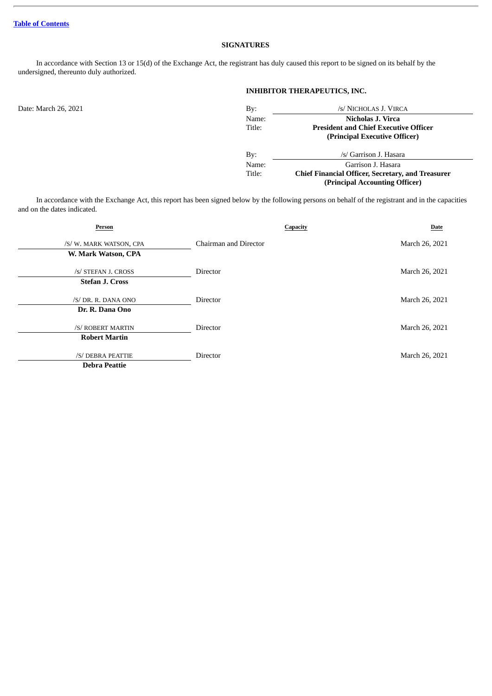# **SIGNATURES**

In accordance with Section 13 or 15(d) of the Exchange Act, the registrant has duly caused this report to be signed on its behalf by the undersigned, thereunto duly authorized.

# **INHIBITOR THERAPEUTICS, INC.**

| Date: March 26, 2021 | By:    | /s/ NICHOLAS J. VIRCA                                                                      |
|----------------------|--------|--------------------------------------------------------------------------------------------|
|                      | Name:  | Nicholas J. Virca                                                                          |
|                      | Title: | <b>President and Chief Executive Officer</b>                                               |
|                      |        | (Principal Executive Officer)                                                              |
|                      | By:    | /s/ Garrison J. Hasara                                                                     |
|                      | Name:  | Garrison J. Hasara                                                                         |
|                      | Title: | <b>Chief Financial Officer, Secretary, and Treasurer</b><br>(Principal Accounting Officer) |

In accordance with the Exchange Act, this report has been signed below by the following persons on behalf of the registrant and in the capacities and on the dates indicated.

| Person                 | Capacity              | Date           |
|------------------------|-----------------------|----------------|
| /S/W. MARK WATSON, CPA | Chairman and Director | March 26, 2021 |
| W. Mark Watson, CPA    |                       |                |
| /s/ STEFAN J. CROSS    | Director              | March 26, 2021 |
| <b>Stefan J. Cross</b> |                       |                |
| /S/ DR. R. DANA ONO    | Director              | March 26, 2021 |
| Dr. R. Dana Ono        |                       |                |
| /S/ ROBERT MARTIN      | Director              | March 26, 2021 |
| <b>Robert Martin</b>   |                       |                |
| /S/ DEBRA PEATTIE      | Director              | March 26, 2021 |
| <b>Debra Peattie</b>   |                       |                |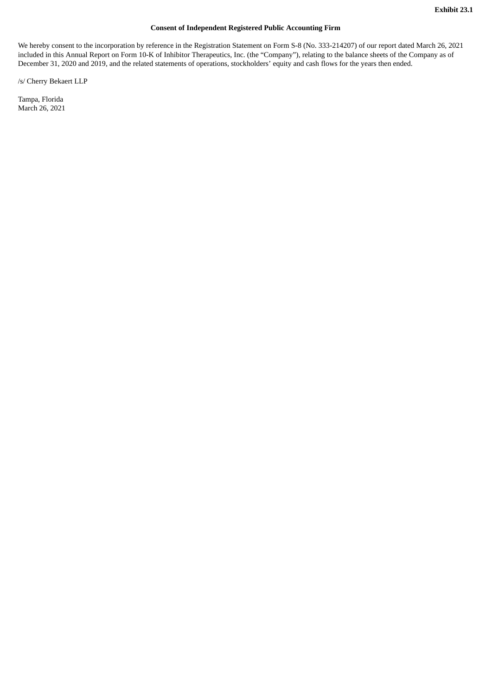# **Consent of Independent Registered Public Accounting Firm**

<span id="page-96-0"></span>We hereby consent to the incorporation by reference in the Registration Statement on Form S-8 (No. 333-214207) of our report dated March 26, 2021 included in this Annual Report on Form 10-K of Inhibitor Therapeutics, Inc. (the "Company"), relating to the balance sheets of the Company as of December 31, 2020 and 2019, and the related statements of operations, stockholders' equity and cash flows for the years then ended.

/s/ Cherry Bekaert LLP

Tampa, Florida March 26, 2021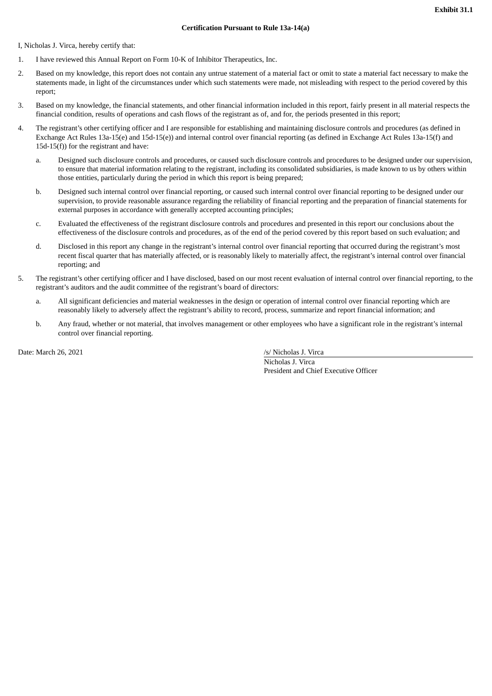### **Certification Pursuant to Rule 13a-14(a)**

<span id="page-97-0"></span>I, Nicholas J. Virca, hereby certify that:

- 1. I have reviewed this Annual Report on Form 10-K of Inhibitor Therapeutics, Inc.
- 2. Based on my knowledge, this report does not contain any untrue statement of a material fact or omit to state a material fact necessary to make the statements made, in light of the circumstances under which such statements were made, not misleading with respect to the period covered by this report;
- 3. Based on my knowledge, the financial statements, and other financial information included in this report, fairly present in all material respects the financial condition, results of operations and cash flows of the registrant as of, and for, the periods presented in this report;
- 4. The registrant's other certifying officer and I are responsible for establishing and maintaining disclosure controls and procedures (as defined in Exchange Act Rules 13a-15(e) and 15d-15(e)) and internal control over financial reporting (as defined in Exchange Act Rules 13a-15(f) and 15d-15(f)) for the registrant and have:
	- a. Designed such disclosure controls and procedures, or caused such disclosure controls and procedures to be designed under our supervision, to ensure that material information relating to the registrant, including its consolidated subsidiaries, is made known to us by others within those entities, particularly during the period in which this report is being prepared;
	- b. Designed such internal control over financial reporting, or caused such internal control over financial reporting to be designed under our supervision, to provide reasonable assurance regarding the reliability of financial reporting and the preparation of financial statements for external purposes in accordance with generally accepted accounting principles;
	- c. Evaluated the effectiveness of the registrant disclosure controls and procedures and presented in this report our conclusions about the effectiveness of the disclosure controls and procedures, as of the end of the period covered by this report based on such evaluation; and
	- d. Disclosed in this report any change in the registrant's internal control over financial reporting that occurred during the registrant's most recent fiscal quarter that has materially affected, or is reasonably likely to materially affect, the registrant's internal control over financial reporting; and
- 5. The registrant's other certifying officer and I have disclosed, based on our most recent evaluation of internal control over financial reporting, to the registrant's auditors and the audit committee of the registrant's board of directors:
	- a. All significant deficiencies and material weaknesses in the design or operation of internal control over financial reporting which are reasonably likely to adversely affect the registrant's ability to record, process, summarize and report financial information; and
	- b. Any fraud, whether or not material, that involves management or other employees who have a significant role in the registrant's internal control over financial reporting.

Date: March 26, 2021 *Date: March 26, 2021 I. Virca* 

Nicholas J. Virca President and Chief Executive Officer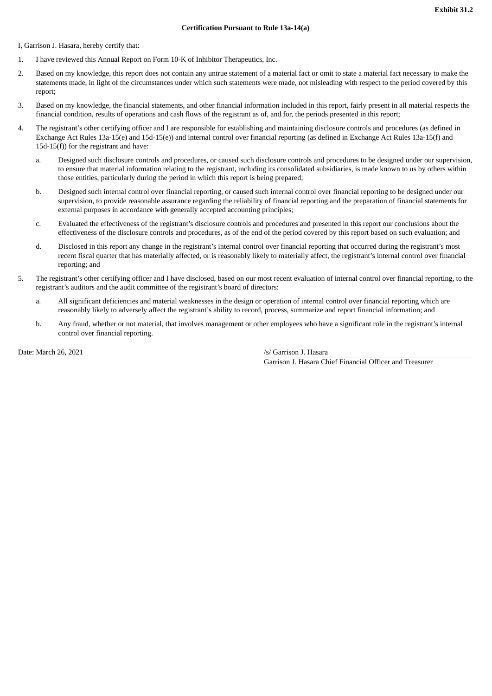<span id="page-98-0"></span>I, Garrison J. Hasara, hereby certify that:

- 1. I have reviewed this Annual Report on Form 10-K of Inhibitor Therapeutics, Inc.
- 2. Based on my knowledge, this report does not contain any untrue statement of a material fact or omit to state a material fact necessary to make the statements made, in light of the circumstances under which such statements were made, not misleading with respect to the period covered by this report;
- 3. Based on my knowledge, the financial statements, and other financial information included in this report, fairly present in all material respects the financial condition, results of operations and cash flows of the registrant as of, and for, the periods presented in this report;
- 4. The registrant's other certifying officer and I are responsible for establishing and maintaining disclosure controls and procedures (as defined in Exchange Act Rules 13a-15(e) and 15d-15(e)) and internal control over financial reporting (as defined in Exchange Act Rules 13a-15(f) and 15d-15(f)) for the registrant and have:
	- a. Designed such disclosure controls and procedures, or caused such disclosure controls and procedures to be designed under our supervision, to ensure that material information relating to the registrant, including its consolidated subsidiaries, is made known to us by others within those entities, particularly during the period in which this report is being prepared;
	- b. Designed such internal control over financial reporting, or caused such internal control over financial reporting to be designed under our supervision, to provide reasonable assurance regarding the reliability of financial reporting and the preparation of financial statements for external purposes in accordance with generally accepted accounting principles;
	- c. Evaluated the effectiveness of the registrant's disclosure controls and procedures and presented in this report our conclusions about the effectiveness of the disclosure controls and procedures, as of the end of the period covered by this report based on such evaluation; and
	- d. Disclosed in this report any change in the registrant's internal control over financial reporting that occurred during the registrant's most recent fiscal quarter that has materially affected, or is reasonably likely to materially affect, the registrant's internal control over financial reporting; and
- 5. The registrant's other certifying officer and I have disclosed, based on our most recent evaluation of internal control over financial reporting, to the registrant's auditors and the audit committee of the registrant's board of directors:
	- a. All significant deficiencies and material weaknesses in the design or operation of internal control over financial reporting which are reasonably likely to adversely affect the registrant's ability to record, process, summarize and report financial information; and
	- b. Any fraud, whether or not material, that involves management or other employees who have a significant role in the registrant's internal control over financial reporting.

Date: March 26, 2021 *Date: March 26, 2021 I. Hasara* 

Garrison J. Hasara Chief Financial Officer and Treasurer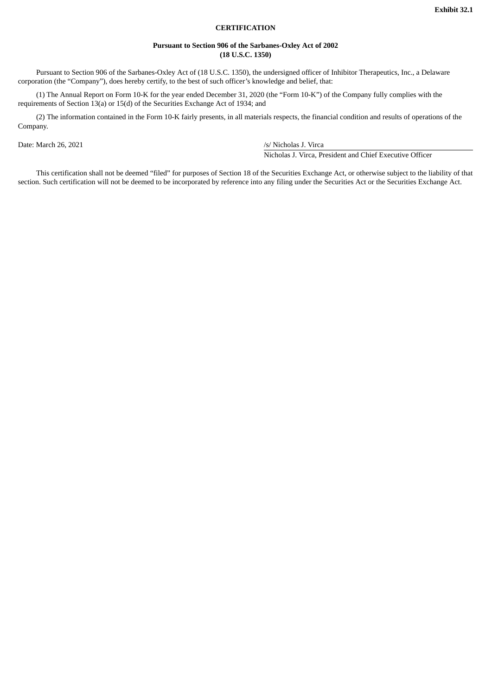## **CERTIFICATION**

## **Pursuant to Section 906 of the Sarbanes-Oxley Act of 2002 (18 U.S.C. 1350)**

<span id="page-99-0"></span>Pursuant to Section 906 of the Sarbanes-Oxley Act of (18 U.S.C. 1350), the undersigned officer of Inhibitor Therapeutics, Inc., a Delaware corporation (the "Company"), does hereby certify, to the best of such officer's knowledge and belief, that:

(1) The Annual Report on Form 10-K for the year ended December 31, 2020 (the "Form 10-K") of the Company fully complies with the requirements of Section 13(a) or 15(d) of the Securities Exchange Act of 1934; and

(2) The information contained in the Form 10-K fairly presents, in all materials respects, the financial condition and results of operations of the Company.

Date: March 26, 2021 */s/ Nicholas J. Virca* 

Nicholas J. Virca, President and Chief Executive Officer

This certification shall not be deemed "filed" for purposes of Section 18 of the Securities Exchange Act, or otherwise subject to the liability of that section. Such certification will not be deemed to be incorporated by reference into any filing under the Securities Act or the Securities Exchange Act.